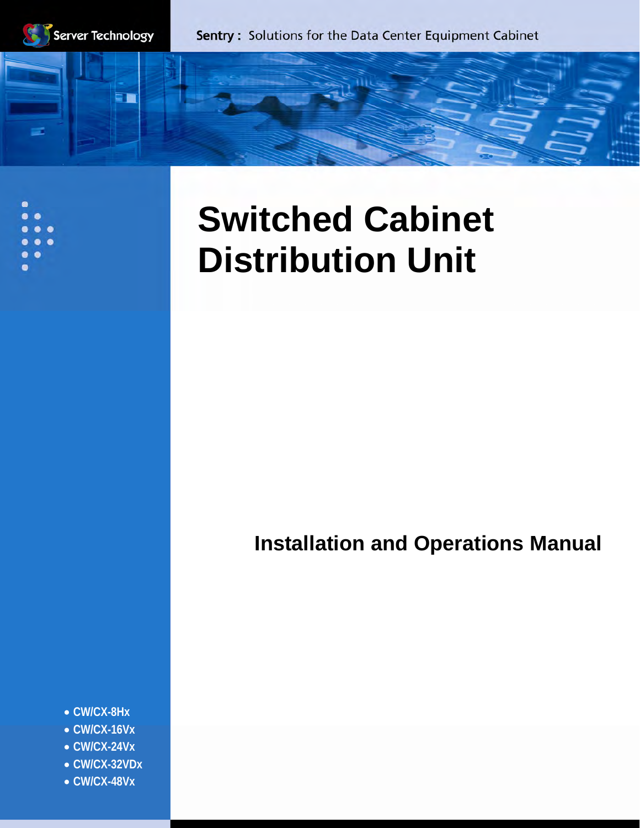

5Ê

# **Switched Cabinet Distribution Unit**

# **Installation and Operations Manual**

- **CW/CX-8Hx**
- **CW/CX-16Vx**
- **CW/CX-24Vx**
- **CW/CX-32VDx**
- **CW/CX-48Vx**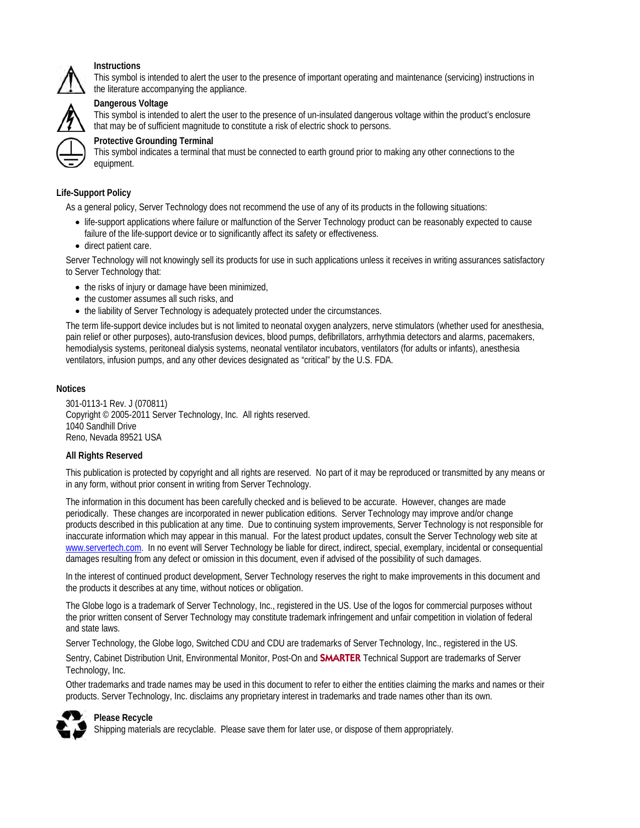

#### **Instructions**

This symbol is intended to alert the user to the presence of important operating and maintenance (servicing) instructions in the literature accompanying the appliance.



### **Dangerous Voltage**

This symbol is intended to alert the user to the presence of un-insulated dangerous voltage within the product's enclosure that may be of sufficient magnitude to constitute a risk of electric shock to persons.



This symbol indicates a terminal that must be connected to earth ground prior to making any other connections to the equipment.

#### **Life-Support Policy**

As a general policy, Server Technology does not recommend the use of any of its products in the following situations:

- life-support applications where failure or malfunction of the Server Technology product can be reasonably expected to cause failure of the life-support device or to significantly affect its safety or effectiveness.
- direct patient care.

Server Technology will not knowingly sell its products for use in such applications unless it receives in writing assurances satisfactory to Server Technology that:

- the risks of injury or damage have been minimized,
- the customer assumes all such risks, and
- the liability of Server Technology is adequately protected under the circumstances.

The term life-support device includes but is not limited to neonatal oxygen analyzers, nerve stimulators (whether used for anesthesia, pain relief or other purposes), auto-transfusion devices, blood pumps, defibrillators, arrhythmia detectors and alarms, pacemakers, hemodialysis systems, peritoneal dialysis systems, neonatal ventilator incubators, ventilators (for adults or infants), anesthesia ventilators, infusion pumps, and any other devices designated as "critical" by the U.S. FDA.

#### **Notices**

301-0113-1 Rev. J (070811) Copyright © 2005-2011 Server Technology, Inc. All rights reserved. 1040 Sandhill Drive Reno, Nevada 89521 USA

#### **All Rights Reserved**

This publication is protected by copyright and all rights are reserved. No part of it may be reproduced or transmitted by any means or in any form, without prior consent in writing from Server Technology.

The information in this document has been carefully checked and is believed to be accurate. However, changes are made periodically. These changes are incorporated in newer publication editions. Server Technology may improve and/or change products described in this publication at any time. Due to continuing system improvements, Server Technology is not responsible for inaccurate information which may appear in this manual. For the latest product updates, consult the Server Technology web site at [www.servertech.com](http://www.servertech.com/). In no event will Server Technology be liable for direct, indirect, special, exemplary, incidental or consequential damages resulting from any defect or omission in this document, even if advised of the possibility of such damages.

In the interest of continued product development, Server Technology reserves the right to make improvements in this document and the products it describes at any time, without notices or obligation.

The Globe logo is a trademark of Server Technology, Inc., registered in the US. Use of the logos for commercial purposes without the prior written consent of Server Technology may constitute trademark infringement and unfair competition in violation of federal and state laws.

Server Technology, the Globe logo, Switched CDU and CDU are trademarks of Server Technology, Inc., registered in the US.

Sentry, Cabinet Distribution Unit, Environmental Monitor, Post-On and **SMARTER** Technical Support are trademarks of Server Technology, Inc.

Other trademarks and trade names may be used in this document to refer to either the entities claiming the marks and names or their products. Server Technology, Inc. disclaims any proprietary interest in trademarks and trade names other than its own.



# **Please Recycle**

Shipping materials are recyclable. Please save them for later use, or dispose of them appropriately.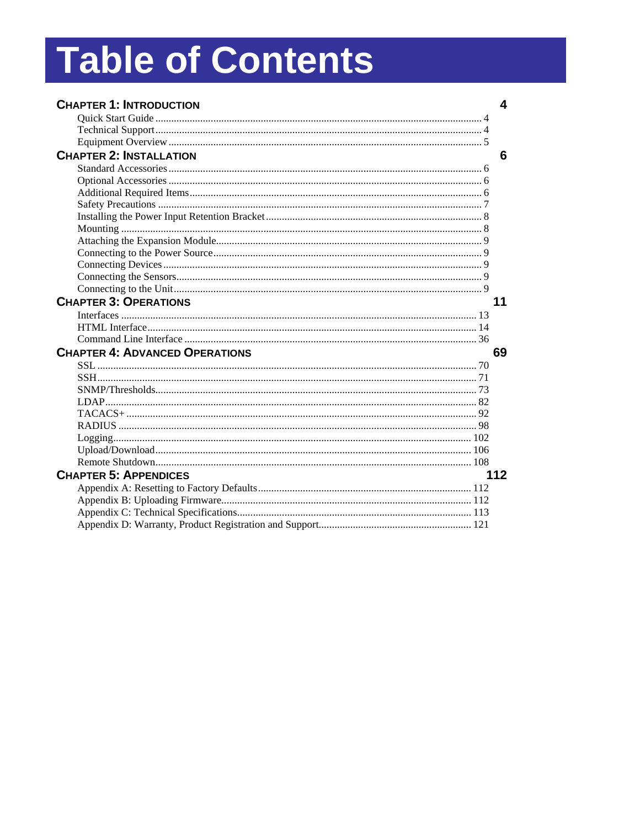# **Table of Contents**

| <b>CHAPTER 1: INTRODUCTION</b>        | 4   |
|---------------------------------------|-----|
|                                       |     |
|                                       |     |
|                                       |     |
| <b>CHAPTER 2: INSTALLATION</b>        | 6   |
|                                       |     |
|                                       |     |
|                                       |     |
|                                       |     |
|                                       |     |
|                                       |     |
|                                       |     |
|                                       |     |
|                                       |     |
|                                       |     |
|                                       |     |
| <b>CHAPTER 3: OPERATIONS</b>          | 11  |
|                                       |     |
|                                       |     |
|                                       |     |
| <b>CHAPTER 4: ADVANCED OPERATIONS</b> | 69  |
|                                       |     |
|                                       |     |
|                                       |     |
|                                       |     |
|                                       |     |
|                                       |     |
|                                       |     |
|                                       |     |
|                                       |     |
| <b>CHAPTER 5: APPENDICES</b>          | 112 |
|                                       |     |
|                                       |     |
|                                       |     |
|                                       |     |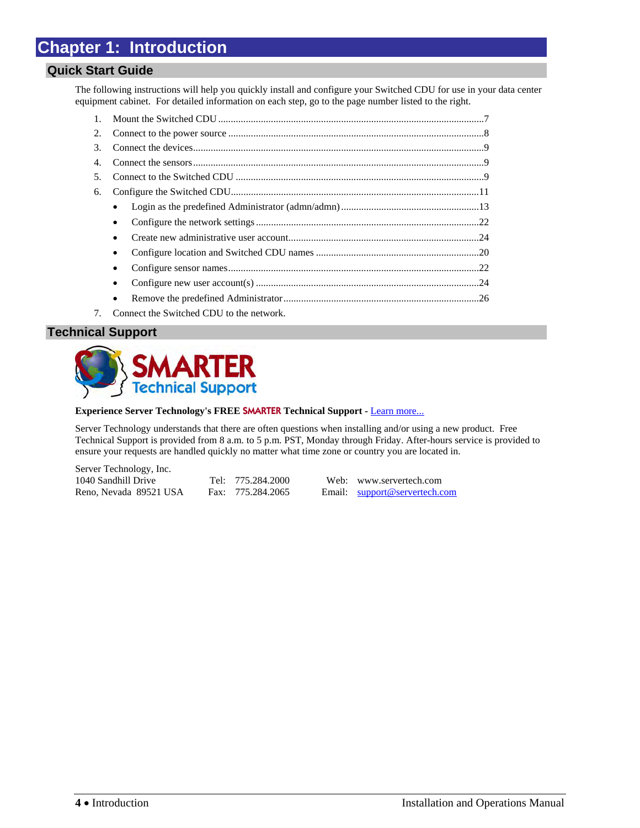# <span id="page-3-0"></span>**Chapter 1: Introduction**

# <span id="page-3-1"></span>**Quick Start Guide**

The following instructions will help you quickly install and configure your Switched CDU for use in your data center equipment cabinet. For detailed information on each step, go to the page number listed to the right.

| 2.             |           |  |
|----------------|-----------|--|
| $3_{-}$        |           |  |
| 4.             |           |  |
| 5 <sub>1</sub> |           |  |
| 6.             |           |  |
|                | $\bullet$ |  |
|                | $\bullet$ |  |
|                |           |  |
|                | $\bullet$ |  |
|                | ٠         |  |
|                |           |  |
|                |           |  |
|                |           |  |

7. Connect the Switched CDU to the network.

# <span id="page-3-2"></span>**Technical Support**



#### **Experience Server Technology's FREE** SMARTER **Technical Support -** [Learn more...](http://www.servertech.com/support/SMARTERTechnicalSupport/)

Server Technology understands that there are often questions when installing and/or using a new product. Free Technical Support is provided from 8 a.m. to 5 p.m. PST, Monday through Friday. After-hours service is provided to ensure your requests are handled quickly no matter what time zone or country you are located in.

Server Technology, Inc. 1040 Sandhill Drive Tel: 775.284.2000 Web: www.servertech.com Reno, Nevada 89521 USA Fax: 775.284.2065 Email: [support@servertech.com](mailto:support@servertech.com)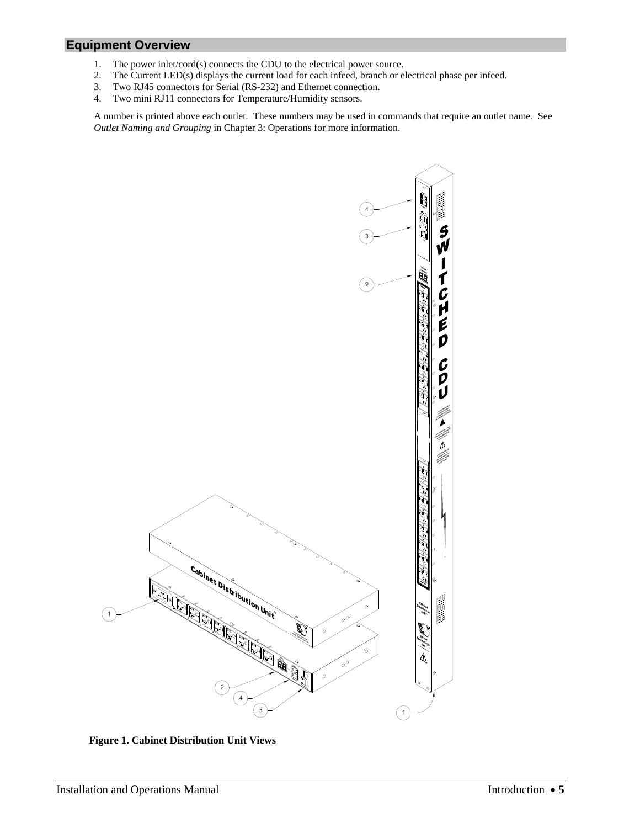# <span id="page-4-0"></span>**Equipment Overview**

- 1. The power inlet/cord(s) connects the CDU to the electrical power source.
- 2. The Current LED(s) displays the current load for each infeed, branch or electrical phase per infeed.<br>3. Two RJ45 connectors for Serial (RS-232) and Ethernet connection.
- Two RJ45 connectors for Serial (RS-232) and Ethernet connection.
- 4. Two mini RJ11 connectors for Temperature/Humidity sensors.

A number is printed above each outlet. These numbers may be used in commands that require an outlet name. See *[Outlet Naming and Grouping](#page-12-1)* in Chapter 3: [Operations](#page-10-0) for more information.



**Figure 1. Cabinet Distribution Unit Views**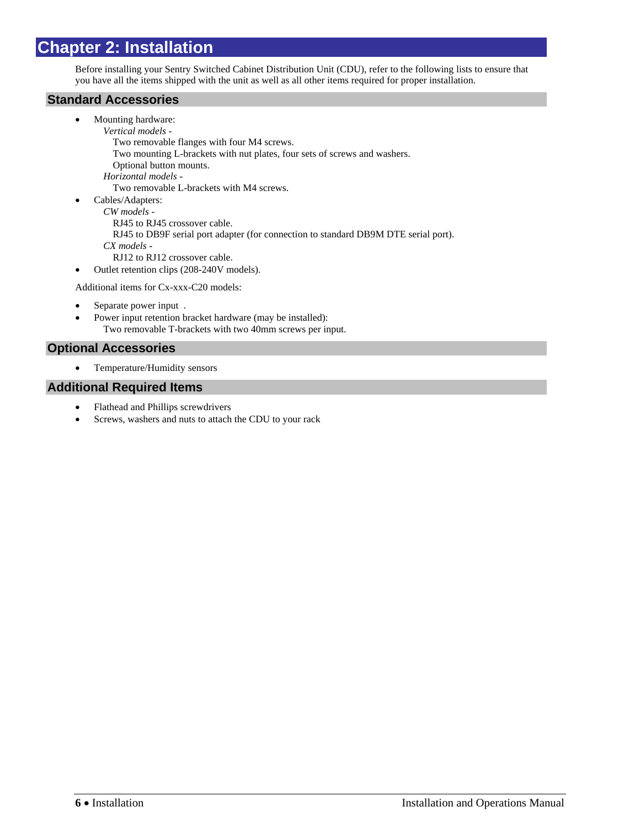# <span id="page-5-0"></span>**Chapter 2: Installation**

Before installing your Sentry Switched Cabinet Distribution Unit (CDU), refer to the following lists to ensure that you have all the items shipped with the unit as well as all other items required for proper installation.

# <span id="page-5-1"></span>**Standard Accessories**

- Mounting hardware: *Vertical models -* Two removable flanges with four M4 screws. Two mounting L-brackets with nut plates, four sets of screws and washers. Optional button mounts. *Horizontal models -* Two removable L-brackets with M4 screws.
- Cables/Adapters: *CW models -*

```
 RJ45 to RJ45 crossover cable.
```
- RJ45 to DB9F serial port adapter (for connection to standard DB9M DTE serial port).
- *CX models*
- RJ12 to RJ12 crossover cable.
- Outlet retention clips (208-240V models).

Additional items for Cx-xxx-C20 models:

- Separate power input .
- Power input retention bracket hardware (may be installed): Two removable T-brackets with two 40mm screws per input.

# <span id="page-5-2"></span>**Optional Accessories**

Temperature/Humidity sensors

# <span id="page-5-3"></span>**Additional Required Items**

- Flathead and Phillips screwdrivers
- Screws, washers and nuts to attach the CDU to your rack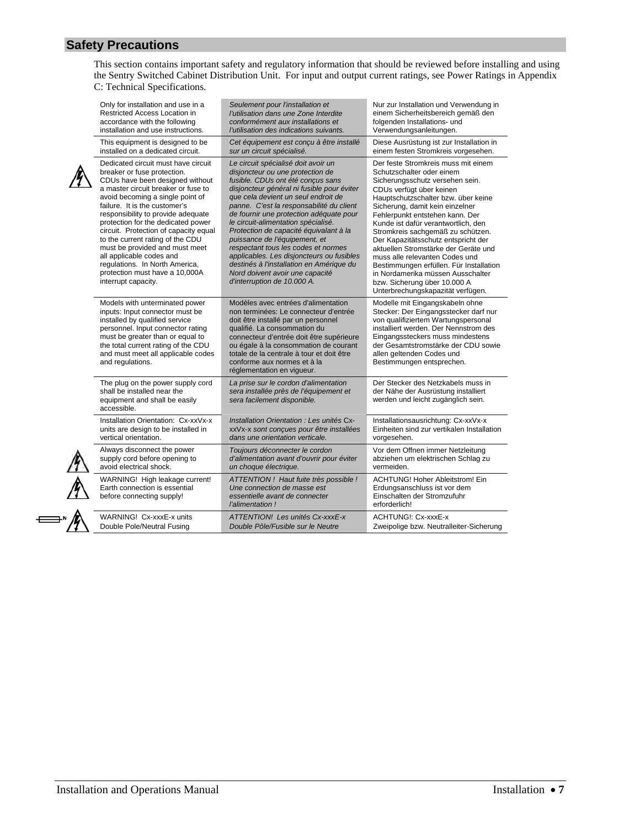This section contains important safety and regulatory information that should be reviewed before installing and using the Sentry Switched Cabinet Distribution Unit. For input and output current ratings, see Power Ratings in [Appendix](#page-112-0)  [C: Technical Specifications.](#page-112-0)

<span id="page-6-0"></span>

| Only for installation and use in a                                                                                                                                                                                                                                                                                                                                                                                                                                                                                                  | Seulement pour l'installation et                                                                                                                                                                                                                                                                                                                                                                                                                                                                                                                                                                             | Nur zur Installation und Verwendung in                                                                                                                                                                                                                                                                                                                                                                                                                                                                                                                                                         |
|-------------------------------------------------------------------------------------------------------------------------------------------------------------------------------------------------------------------------------------------------------------------------------------------------------------------------------------------------------------------------------------------------------------------------------------------------------------------------------------------------------------------------------------|--------------------------------------------------------------------------------------------------------------------------------------------------------------------------------------------------------------------------------------------------------------------------------------------------------------------------------------------------------------------------------------------------------------------------------------------------------------------------------------------------------------------------------------------------------------------------------------------------------------|------------------------------------------------------------------------------------------------------------------------------------------------------------------------------------------------------------------------------------------------------------------------------------------------------------------------------------------------------------------------------------------------------------------------------------------------------------------------------------------------------------------------------------------------------------------------------------------------|
| <b>Restricted Access Location in</b>                                                                                                                                                                                                                                                                                                                                                                                                                                                                                                | l'utilisation dans une Zone Interdite                                                                                                                                                                                                                                                                                                                                                                                                                                                                                                                                                                        | einem Sicherheitsbereich gemäß den                                                                                                                                                                                                                                                                                                                                                                                                                                                                                                                                                             |
| accordance with the following                                                                                                                                                                                                                                                                                                                                                                                                                                                                                                       | conformément aux installations et                                                                                                                                                                                                                                                                                                                                                                                                                                                                                                                                                                            | folgenden Installations- und                                                                                                                                                                                                                                                                                                                                                                                                                                                                                                                                                                   |
| installation and use instructions.                                                                                                                                                                                                                                                                                                                                                                                                                                                                                                  | l'utilisation des indications suivants.                                                                                                                                                                                                                                                                                                                                                                                                                                                                                                                                                                      | Verwendungsanleitungen.                                                                                                                                                                                                                                                                                                                                                                                                                                                                                                                                                                        |
| This equipment is designed to be                                                                                                                                                                                                                                                                                                                                                                                                                                                                                                    | Cet équipement est conçu à être installé                                                                                                                                                                                                                                                                                                                                                                                                                                                                                                                                                                     | Diese Ausrüstung ist zur Installation in                                                                                                                                                                                                                                                                                                                                                                                                                                                                                                                                                       |
| installed on a dedicated circuit.                                                                                                                                                                                                                                                                                                                                                                                                                                                                                                   | sur un circuit spécialisé.                                                                                                                                                                                                                                                                                                                                                                                                                                                                                                                                                                                   | einem festen Stromkreis vorgesehen.                                                                                                                                                                                                                                                                                                                                                                                                                                                                                                                                                            |
| Dedicated circuit must have circuit<br>breaker or fuse protection.<br>CDUs have been designed without<br>a master circuit breaker or fuse to<br>avoid becoming a single point of<br>failure. It is the customer's<br>responsibility to provide adequate<br>protection for the dedicated power<br>circuit. Protection of capacity equal<br>to the current rating of the CDU<br>must be provided and must meet<br>all applicable codes and<br>regulations. In North America,<br>protection must have a 10,000A<br>interrupt capacity. | Le circuit spécialisé doit avoir un<br>disjoncteur ou une protection de<br>fusible. CDUs ont été conçus sans<br>disjoncteur général ni fusible pour éviter<br>que cela devient un seul endroit de<br>panne. C'est la responsabilité du client<br>de fournir une protection adéquate pour<br>le circuit-alimentation spécialisé.<br>Protection de capacité équivalant à la<br>puissance de l'équipement, et<br>respectant tous les codes et normes<br>applicables. Les disjoncteurs ou fusibles<br>destinés à l'installation en Amérique du<br>Nord doivent avoir une capacité<br>d'interruption de 10.000 A. | Der feste Stromkreis muss mit einem<br>Schutzschalter oder einem<br>Sicherungsschutz versehen sein.<br>CDUs verfügt über keinen<br>Hauptschutzschalter bzw. über keine<br>Sicherung, damit kein einzelner<br>Fehlerpunkt entstehen kann. Der<br>Kunde ist dafür verantwortlich, den<br>Stromkreis sachgemäß zu schützen.<br>Der Kapazitätsschutz entspricht der<br>aktuellen Stromstärke der Geräte und<br>muss alle relevanten Codes und<br>Bestimmungen erfüllen. Für Installation<br>in Nordamerika müssen Ausschalter<br>bzw. Sicherung über 10.000 A<br>Unterbrechungskapazität verfügen. |
| Models with unterminated power<br>inputs: Input connector must be<br>installed by qualified service<br>personnel. Input connector rating<br>must be greater than or equal to<br>the total current rating of the CDU<br>and must meet all applicable codes<br>and regulations.                                                                                                                                                                                                                                                       | Modèles avec entrées d'alimentation<br>non terminées: Le connecteur d'entrée<br>doit être installé par un personnel<br>qualifié. La consommation du<br>connecteur d'entrée doit être supérieure<br>ou égale à la consommation de courant<br>totale de la centrale à tour et doit être<br>conforme aux normes et à la<br>réglementation en vigueur.                                                                                                                                                                                                                                                           | Modelle mit Eingangskabeln ohne<br>Stecker: Der Eingangsstecker darf nur<br>von qualifiziertem Wartungspersonal<br>installiert werden. Der Nennstrom des<br>Eingangssteckers muss mindestens<br>der Gesamtstromstärke der CDU sowie<br>allen geltenden Codes und<br>Bestimmungen entsprechen.                                                                                                                                                                                                                                                                                                  |
| The plug on the power supply cord<br>shall be installed near the<br>equipment and shall be easily<br>accessible.                                                                                                                                                                                                                                                                                                                                                                                                                    | La prise sur le cordon d'alimentation<br>sera installée près de l'équipement et<br>sera facilement disponible.                                                                                                                                                                                                                                                                                                                                                                                                                                                                                               | Der Stecker des Netzkabels muss in<br>der Nähe der Ausrüstung installiert<br>werden und leicht zugänglich sein.                                                                                                                                                                                                                                                                                                                                                                                                                                                                                |
| Installation Orientation: Cx-xxVx-x                                                                                                                                                                                                                                                                                                                                                                                                                                                                                                 | Installation Orientation : Les unités Cx-                                                                                                                                                                                                                                                                                                                                                                                                                                                                                                                                                                    | Installationsausrichtung: Cx-xxVx-x                                                                                                                                                                                                                                                                                                                                                                                                                                                                                                                                                            |
| units are design to be installed in                                                                                                                                                                                                                                                                                                                                                                                                                                                                                                 | xxVx-x sont concues pour être installées                                                                                                                                                                                                                                                                                                                                                                                                                                                                                                                                                                     | Einheiten sind zur vertikalen Installation                                                                                                                                                                                                                                                                                                                                                                                                                                                                                                                                                     |
| vertical orientation.                                                                                                                                                                                                                                                                                                                                                                                                                                                                                                               | dans une orientation verticale.                                                                                                                                                                                                                                                                                                                                                                                                                                                                                                                                                                              | vorgesehen.                                                                                                                                                                                                                                                                                                                                                                                                                                                                                                                                                                                    |
| Always disconnect the power                                                                                                                                                                                                                                                                                                                                                                                                                                                                                                         | Toujours déconnecter le cordon                                                                                                                                                                                                                                                                                                                                                                                                                                                                                                                                                                               | Vor dem Offnen immer Netzleitung                                                                                                                                                                                                                                                                                                                                                                                                                                                                                                                                                               |
| supply cord before opening to                                                                                                                                                                                                                                                                                                                                                                                                                                                                                                       | d'alimentation avant d'ouvrir pour éviter                                                                                                                                                                                                                                                                                                                                                                                                                                                                                                                                                                    | abziehen um elektrischen Schlag zu                                                                                                                                                                                                                                                                                                                                                                                                                                                                                                                                                             |
| avoid electrical shock.                                                                                                                                                                                                                                                                                                                                                                                                                                                                                                             | un choque électrique.                                                                                                                                                                                                                                                                                                                                                                                                                                                                                                                                                                                        | vermeiden.                                                                                                                                                                                                                                                                                                                                                                                                                                                                                                                                                                                     |
| WARNING! High leakage current!<br>Earth connection is essential<br>before connecting supply!                                                                                                                                                                                                                                                                                                                                                                                                                                        | ATTENTION! Haut fuite très possible!<br>Une connection de masse est<br>essentielle avant de connecter<br>l'alimentation!                                                                                                                                                                                                                                                                                                                                                                                                                                                                                     | <b>ACHTUNG! Hoher Ableitstrom! Ein</b><br>Erdungsanschluss ist vor dem<br>Einschalten der Stromzufuhr<br>erforderlich!                                                                                                                                                                                                                                                                                                                                                                                                                                                                         |
| WARNING! Cx-xxxE-x units                                                                                                                                                                                                                                                                                                                                                                                                                                                                                                            | ATTENTION! Les unités Cx-xxxE-x                                                                                                                                                                                                                                                                                                                                                                                                                                                                                                                                                                              | <b>ACHTUNG!: Cx-xxxE-x</b>                                                                                                                                                                                                                                                                                                                                                                                                                                                                                                                                                                     |
| Double Pole/Neutral Fusing                                                                                                                                                                                                                                                                                                                                                                                                                                                                                                          | Double Pôle/Fusible sur le Neutre                                                                                                                                                                                                                                                                                                                                                                                                                                                                                                                                                                            | Zweipolige bzw. Neutralleiter-Sicherung                                                                                                                                                                                                                                                                                                                                                                                                                                                                                                                                                        |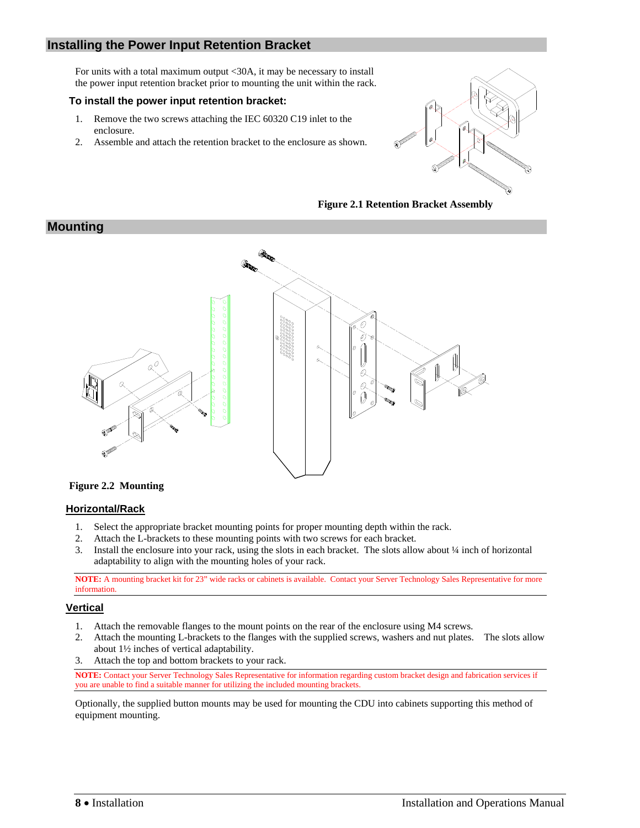# <span id="page-7-2"></span><span id="page-7-0"></span>**Installing the Power Input Retention Bracket**

For units with a total maximum output <30A, it may be necessary to install the power input retention bracket prior to mounting the unit within the rack.

#### **To install the power input retention bracket:**

- 1. Remove the two screws attaching the IEC 60320 C19 inlet to the enclosure.
- 2. Assemble and attach the retention bracket to the enclosure as shown.



**Figure 2.1 Retention Bracket Assembly** 



#### **Figure 2.2 Mounting**

#### **Horizontal/Rack**

- 1. Select the appropriate bracket mounting points for proper mounting depth within the rack.
- 2. Attach the L-brackets to these mounting points with two screws for each bracket.
- 3. Install the enclosure into your rack, using the slots in each bracket. The slots allow about ¼ inch of horizontal adaptability to align with the mounting holes of your rack.

**NOTE:** A mounting bracket kit for 23" wide racks or cabinets is available. Contact your Server Technology Sales Representative for more information.

#### **Vertical**

<span id="page-7-1"></span>**Mounting** 

- 1. Attach the removable flanges to the mount points on the rear of the enclosure using M4 screws.
- 2. Attach the mounting L-brackets to the flanges with the supplied screws, washers and nut plates. The slots allow about 1½ inches of vertical adaptability.
- 3. Attach the top and bottom brackets to your rack.

NOTE: Contact your Server Technology Sales Representative for information regarding custom bracket design and fabrication services if you are unable to find a suitable manner for utilizing the included mounting brackets.

Optionally, the supplied button mounts may be used for mounting the CDU into cabinets supporting this method of equipment mounting.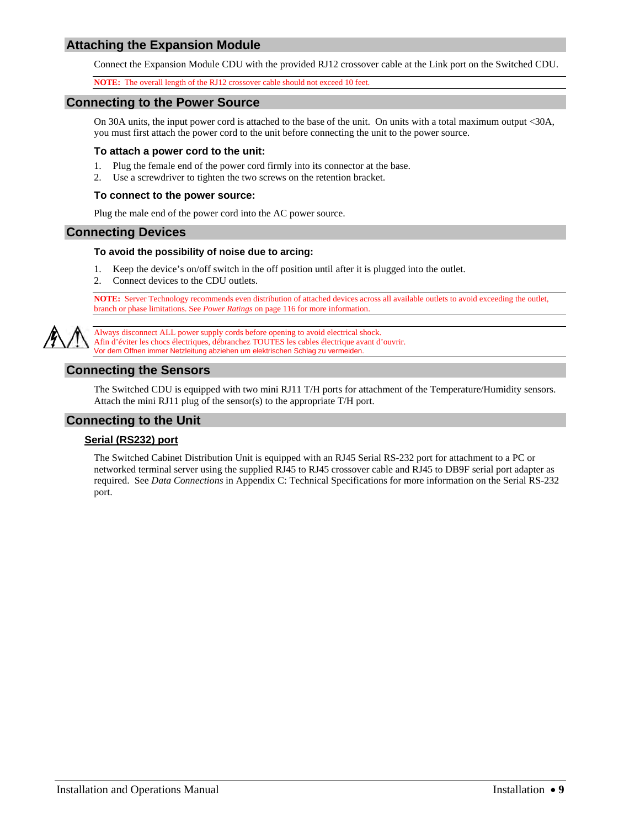# <span id="page-8-0"></span>**Attaching the Expansion Module**

Connect the Expansion Module CDU with the provided RJ12 crossover cable at the Link port on the Switched CDU.

**NOTE:** The overall length of the RJ12 crossover cable should not exceed 10 feet.

#### <span id="page-8-6"></span><span id="page-8-1"></span>**Connecting to the Power Source**

On 30A units, the input power cord is attached to the base of the unit. On units with a total maximum output <30A, you must first attach the power cord to the unit before connecting the unit to the power source.

#### **To attach a power cord to the unit:**

- 1. Plug the female end of the power cord firmly into its connector at the base.
- 2. Use a screwdriver to tighten the two screws on the retention bracket.

#### **To connect to the power source:**

Plug the male end of the power cord into the AC power source.

#### <span id="page-8-7"></span><span id="page-8-2"></span>**Connecting Devices**

#### **To avoid the possibility of noise due to arcing:**

- 1. Keep the device's on/off switch in the off position until after it is plugged into the outlet.
- 2. Connect devices to the CDU outlets.

**NOTE:** Server Technology recommends even distribution of attached devices across all available outlets to avoid exceeding the outlet, branch or phase limitations. See *Power Ratings* on page [116](#page-115-0) for more information.

<span id="page-8-3"></span>

Always disconnect ALL power supply cords before opening to avoid electrical shock. Afin d'éviter les chocs électriques, débranchez TOUTES les cables électrique avant d'ouvrir. Vor dem Offnen immer Netzleitung abziehen um elektrischen Schlag zu vermeiden.

# **Connecting the Sensors**

The Switched CDU is equipped with two mini RJ11 T/H ports for attachment of the Temperature/Humidity sensors. Attach the mini RJ11 plug of the sensor(s) to the appropriate T/H port.

#### <span id="page-8-4"></span>**Connecting to the Unit**

#### **Serial (RS232) port**

<span id="page-8-5"></span>The Switched Cabinet Distribution Unit is equipped with an RJ45 Serial RS-232 port for attachment to a PC or networked terminal server using the supplied RJ45 to RJ45 crossover cable and RJ45 to DB9F serial port adapter as required. See *[Data Connections](#page-118-0)* in [Appendix C: Technical Specifications](#page-112-0) for more information on the Serial RS-232 port.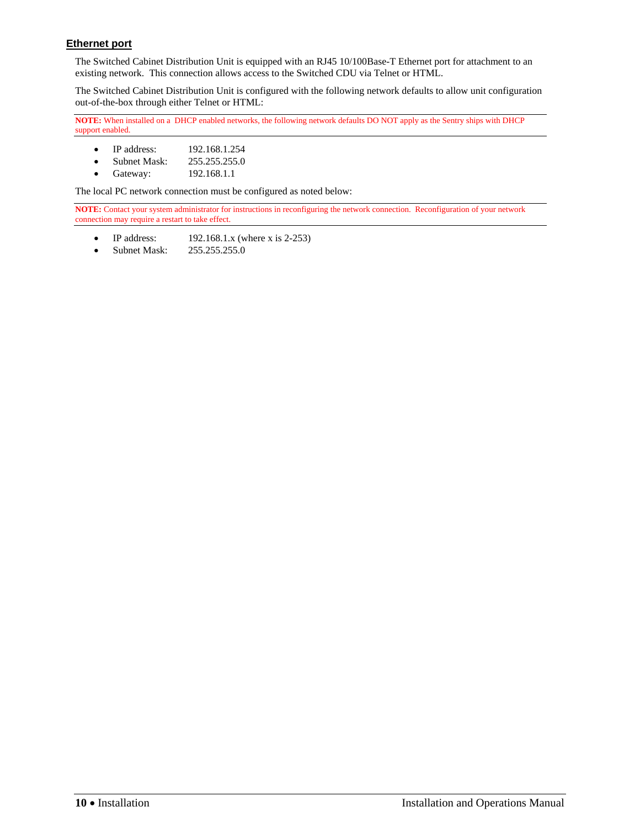# **Ethernet port**

The Switched Cabinet Distribution Unit is equipped with an RJ45 10/100Base-T Ethernet port for attachment to an existing network. This connection allows access to the Switched CDU via Telnet or HTML.

The Switched Cabinet Distribution Unit is configured with the following network defaults to allow unit configuration out-of-the-box through either Telnet or HTML:

**NOTE:** When installed on a DHCP enabled networks, the following network defaults DO NOT apply as the Sentry ships with DHCP support enabled.

- IP address: 192.168.1.254
- Subnet Mask: 255.255.255.0
- Gateway: 192.168.1.1

The local PC network connection must be configured as noted below:

**NOTE:** Contact your system administrator for instructions in reconfiguring the network connection. Reconfiguration of your network connection may require a restart to take effect.

- $\bullet$  IP address: 192.168.1.x (where x is 2-253)
- Subnet Mask: 255.255.255.0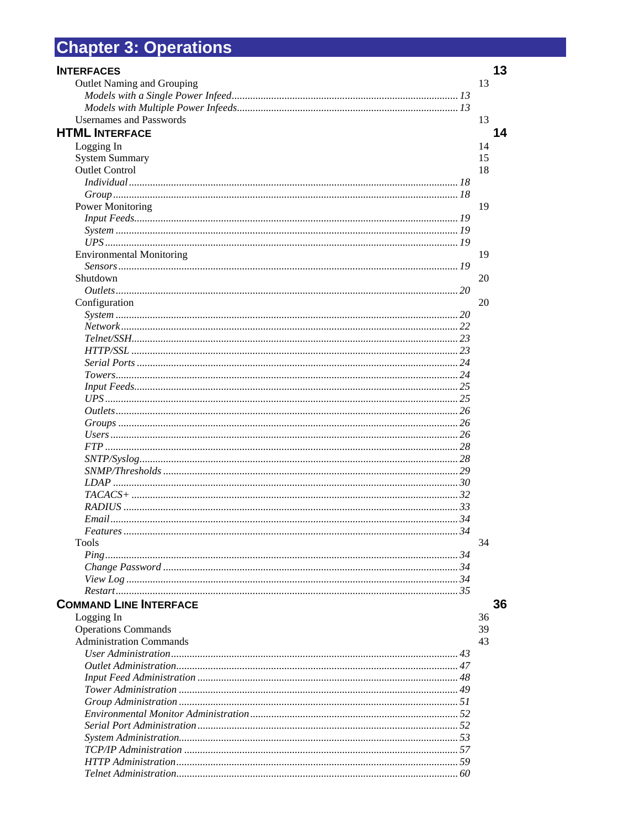# <span id="page-10-0"></span>**Chapter 3: Operations**

| <b>INTERFACES</b>               |    | 13 |
|---------------------------------|----|----|
| Outlet Naming and Grouping      |    | 13 |
|                                 |    |    |
|                                 |    |    |
| <b>Usernames and Passwords</b>  |    | 13 |
| <b>HTML INTERFACE</b>           |    | 14 |
| Logging In                      |    | 14 |
| <b>System Summary</b>           |    | 15 |
| <b>Outlet Control</b>           |    | 18 |
|                                 |    |    |
|                                 |    |    |
| <b>Power Monitoring</b>         |    | 19 |
|                                 |    |    |
|                                 |    |    |
|                                 |    |    |
| <b>Environmental Monitoring</b> |    | 19 |
|                                 |    |    |
| Shutdown                        |    | 20 |
|                                 |    |    |
| Configuration                   |    | 20 |
| System 120                      |    |    |
|                                 |    |    |
|                                 |    |    |
|                                 |    |    |
|                                 |    |    |
|                                 |    |    |
|                                 |    |    |
|                                 |    |    |
|                                 |    |    |
|                                 |    |    |
|                                 |    |    |
|                                 |    |    |
|                                 |    |    |
|                                 |    |    |
|                                 |    |    |
|                                 |    |    |
|                                 |    |    |
|                                 |    |    |
| <i>Features</i><br><b>Tools</b> | 34 | 34 |
|                                 |    |    |
|                                 |    |    |
|                                 |    |    |
|                                 |    |    |
| <b>COMMAND LINE INTERFACE</b>   |    | 36 |
| Logging In                      |    | 36 |
| <b>Operations Commands</b>      |    | 39 |
| <b>Administration Commands</b>  |    | 43 |
|                                 |    |    |
|                                 |    |    |
|                                 |    |    |
|                                 |    |    |
|                                 |    |    |
|                                 |    |    |
|                                 |    |    |
|                                 |    |    |
|                                 |    |    |
|                                 |    |    |
|                                 |    |    |
|                                 |    |    |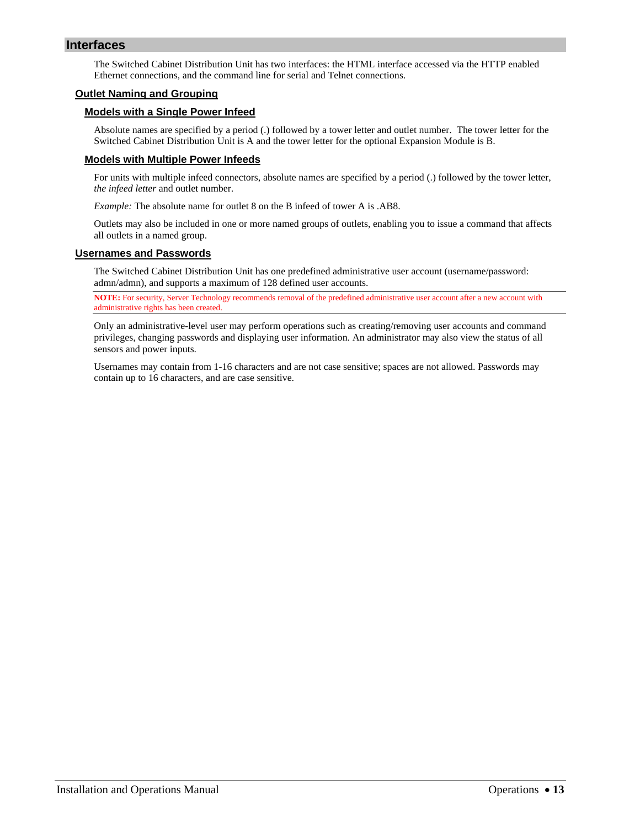# <span id="page-12-0"></span>**Interfaces**

The Switched Cabinet Distribution Unit has two interfaces: the HTML interface accessed via the HTTP enabled Ethernet connections, and the command line for serial and Telnet connections.

#### <span id="page-12-2"></span><span id="page-12-1"></span>**Outlet Naming and Grouping**

#### **Models with a Single Power Infeed**

Absolute names are specified by a period (.) followed by a tower letter and outlet number. The tower letter for the Switched Cabinet Distribution Unit is A and the tower letter for the optional Expansion Module is B.

#### <span id="page-12-3"></span>**Models with Multiple Power Infeeds**

For units with multiple infeed connectors, absolute names are specified by a period (.) followed by the tower letter, *the infeed letter* and outlet number.

*Example:* The absolute name for outlet 8 on the B infeed of tower A is .AB8.

Outlets may also be included in one or more named groups of outlets, enabling you to issue a command that affects all outlets in a named group.

#### <span id="page-12-4"></span>**Usernames and Passwords**

The Switched Cabinet Distribution Unit has one predefined administrative user account (username/password: admn/admn), and supports a maximum of 128 defined user accounts.

**NOTE:** For security, Server Technology recommends removal of the predefined administrative user account after a new account with administrative rights has been created.

Only an administrative-level user may perform operations such as creating/removing user accounts and command privileges, changing passwords and displaying user information. An administrator may also view the status of all sensors and power inputs.

Usernames may contain from 1-16 characters and are not case sensitive; spaces are not allowed. Passwords may contain up to 16 characters, and are case sensitive.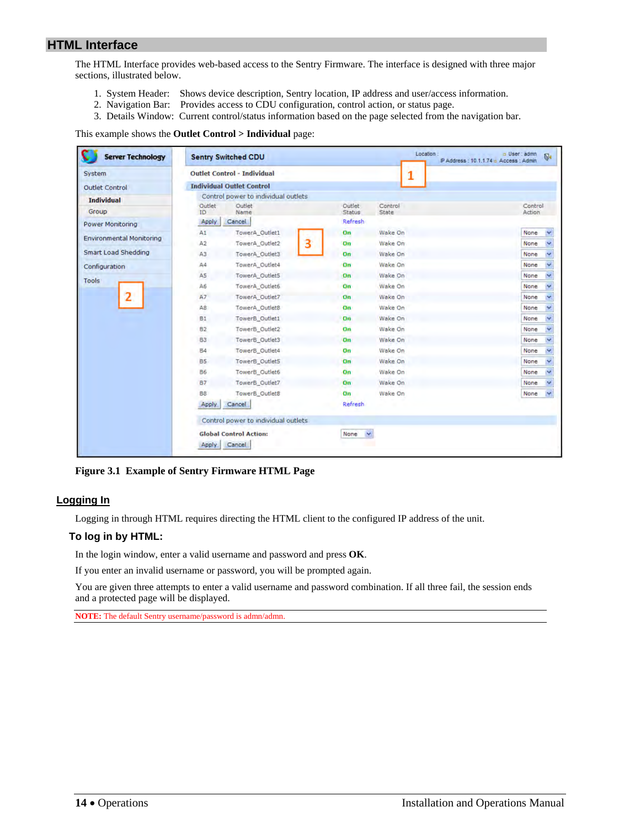# <span id="page-13-0"></span>**HTML Interface**

The HTML Interface provides web-based access to the Sentry Firmware. The interface is designed with three major sections, illustrated below.

- 1. System Header: Shows device description, Sentry location, IP address and user/access information.
- 2. Navigation Bar: Provides access to CDU configuration, control action, or status page.
- 3. Details Window: Current control/status information based on the page selected from the navigation bar.

This example shows the **Outlet Control > Individual** page:

| <b>Server Technology</b>        |                | <b>Sentry Switched CDU</b>              |   |                  |                  | Location:<br>IP Address: 10.1.1.74 n Access: Admin | a User: admn      | $\overline{b}$ |
|---------------------------------|----------------|-----------------------------------------|---|------------------|------------------|----------------------------------------------------|-------------------|----------------|
| System                          |                | <b>Outlet Control - Individual</b>      |   |                  |                  |                                                    |                   |                |
| <b>Outlet Control</b>           |                | <b>Individual Outlet Control</b>        |   |                  |                  |                                                    |                   |                |
| <b>Individual</b>               |                | Control power to individual outlets     |   |                  |                  |                                                    |                   |                |
| Group                           | Outlet<br>ID.  | Outlet<br>Name                          |   | Outlet<br>Status | Control<br>State |                                                    | Control<br>Action |                |
| <b>Power Monitoring</b>         | Apply          | Cancel                                  |   | Refresh          |                  |                                                    |                   |                |
|                                 | A1             | TowerA_Outlet1                          |   | On               | Wake On          |                                                    | None              |                |
| <b>Environmental Monitoring</b> | A2             | TowerA Outlet2                          | з | On               | Wake On          |                                                    | None              |                |
| <b>Smart Load Shedding</b>      | A3             | TowerA_Outlet3                          |   | On               | Wake On          |                                                    | None              |                |
| Configuration                   | A4             | TowerA_Outlet4                          |   | On               | Wake On          |                                                    | None              |                |
|                                 | A5             | TowerA_Outlet5                          |   | On               | Wake On          |                                                    | None              |                |
| <b>Tools</b>                    | A6             | TowerA Outlet6                          |   | On               | Wake On          |                                                    | None              |                |
| 2                               | A7             | TowerA_Outlet7                          |   | On               | Wake On          |                                                    | None              |                |
|                                 | A8             | TowerA_Outlet8                          |   | On               | Wake On          |                                                    | None              |                |
|                                 | B1             | TowerB_Outlet1                          |   | On               | Wake On          |                                                    | None              |                |
|                                 | B <sub>2</sub> | TowerB_Outlet2                          |   | On               | Wake On          |                                                    | None              |                |
|                                 | B <sub>3</sub> | TowerB_Outlet3                          |   | On               | Wake On          |                                                    | None              | ×              |
|                                 | <b>B4</b>      | TowerB_Outlet4                          |   | On               | Wake On          |                                                    | None              |                |
|                                 | <b>B5</b>      | TowerB Outlet5                          |   | On               | Wake On          |                                                    | None              |                |
|                                 | <b>B6</b>      | TowerB_Outlet6                          |   | On               | Wake On          |                                                    | None              |                |
|                                 | <b>B7</b>      | TowerB_Outlet7                          |   | On               | Wake On          |                                                    | None              |                |
|                                 | B8             | TowerB_Outlet8                          |   | On               | Wake On          |                                                    | None              |                |
|                                 | Apply          | Cancel                                  |   | Refresh          |                  |                                                    |                   |                |
|                                 |                | Control power to individual outlets     |   |                  |                  |                                                    |                   |                |
|                                 | <b>Apply</b>   | <b>Global Control Action:</b><br>Cancel |   | None<br>×        |                  |                                                    |                   |                |

**Figure 3.1 Example of Sentry Firmware HTML Page** 

#### <span id="page-13-1"></span>**Logging In**

Logging in through HTML requires directing the HTML client to the configured IP address of the unit.

#### **To log in by HTML:**

In the login window, enter a valid username and password and press **OK**.

If you enter an invalid username or password, you will be prompted again.

You are given three attempts to enter a valid username and password combination. If all three fail, the session ends and a protected page will be displayed.

**NOTE:** The default Sentry username/password is admn/admn.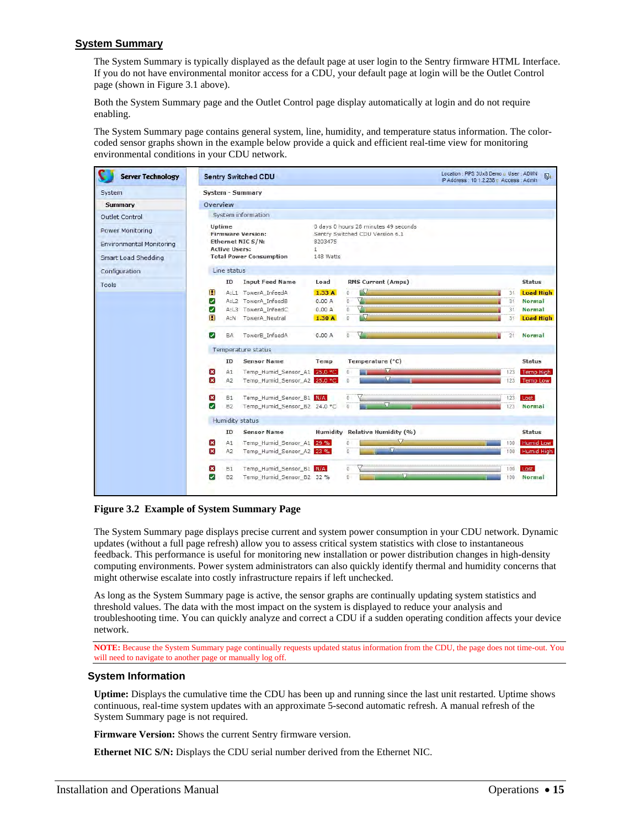# <span id="page-14-0"></span>**System Summary**

The System Summary is typically displayed as the default page at user login to the Sentry firmware HTML Interface. If you do not have environmental monitor access for a CDU, your default page at login will be the Outlet Control page (shown in Figure 3.1 above).

Both the System Summary page and the Outlet Control page display automatically at login and do not require enabling.

The System Summary page contains general system, line, humidity, and temperature status information. The colorcoded sensor graphs shown in the example below provide a quick and efficient real-time view for monitoring environmental conditions in your CDU network.

| <b>Server Technology</b>                                                   | <b>Sentry Switched CDU</b>                                                                                                                                                                                                                                                                                                                                | Location : PIPS 3Ux8 Demo a User : ADMN<br>IP Address: 10.1.2.238 m Access: Admin. | $\mathbb{N}$                                                                                             |
|----------------------------------------------------------------------------|-----------------------------------------------------------------------------------------------------------------------------------------------------------------------------------------------------------------------------------------------------------------------------------------------------------------------------------------------------------|------------------------------------------------------------------------------------|----------------------------------------------------------------------------------------------------------|
| System                                                                     | <b>System - Summary</b>                                                                                                                                                                                                                                                                                                                                   |                                                                                    |                                                                                                          |
| Summary                                                                    | Overview                                                                                                                                                                                                                                                                                                                                                  |                                                                                    |                                                                                                          |
| Outlet Control                                                             | System information                                                                                                                                                                                                                                                                                                                                        |                                                                                    |                                                                                                          |
| Power Monitoring<br><b>Environmental Monitoring</b><br>Smart Load Shedding | 0 days 0 hours 28 minutes 49 seconds<br>Uptime<br><b>Firmware Version:</b><br>Sentry Switched CDU Version 6.1<br>Ethernet NIC S/N:<br>8203475<br><b>Active Users:</b><br>$\mathbf{1}$<br><b>Total Power Consumption</b><br>148 Watts                                                                                                                      |                                                                                    |                                                                                                          |
| Configuration                                                              | Line status                                                                                                                                                                                                                                                                                                                                               |                                                                                    |                                                                                                          |
| Tools                                                                      | <b>RMS Current (Amps)</b><br><b>Input Feed Name</b><br>Load<br>ID                                                                                                                                                                                                                                                                                         |                                                                                    | <b>Status</b>                                                                                            |
|                                                                            | п<br>$\ddot{\mathbf{0}}$<br>A:L1 TowerA InfeedA<br>1.33A<br>ö<br>☑<br>A:L2 TowerA_InfeedB<br>0.00A<br>Ö<br>☑<br>A:L3 TowerA InfeedC<br>0.00A<br>r V<br>$\alpha$<br>П<br>TowerA Neutral<br>1.30A<br>A:N<br>$\blacktriangledown$<br>BA<br>TowerB InfeedA<br>0.00A<br>0<br>Temperature status<br>Temperature (°C)<br><b>Sensor Name</b><br><b>ID</b><br>Temp | 31<br>31<br>31<br>31<br>21                                                         | <b>Load High</b><br><b>Normal</b><br><b>Normal</b><br><b>Load High</b><br><b>Normal</b><br><b>Status</b> |
|                                                                            | $\mathbf{x}$<br>M<br>Temp Humid Sensor A1 25.0 °C<br>A1<br>$\overline{0}$<br>v<br>$\pmb{\times}$<br>Temp Humid Sensor A2 25.0 °C<br>$\Omega$<br>A <sub>2</sub>                                                                                                                                                                                            | 123<br>123                                                                         | <b>Temp High</b><br><b>Temp Low</b>                                                                      |
|                                                                            | $\overline{\mathbf{x}}$<br>Temp Humid Sensor B1 N/A<br><b>B1</b><br>$\mathbf{0}$<br>$\overline{0}$<br>✓<br><b>B2</b><br>Temp_Humid_Sensor_B2 24.0 °C                                                                                                                                                                                                      | 123<br>Lost<br>123                                                                 | <b>Normal</b>                                                                                            |
|                                                                            | Humidity status                                                                                                                                                                                                                                                                                                                                           |                                                                                    |                                                                                                          |
|                                                                            | Humidity Relative Humidity (%)<br>ID<br><b>Sensor Name</b><br>×<br>A1<br>Temp Humid Sensor A1 29 %<br>n<br>U<br>$\boldsymbol{\times}$<br>A2<br>Temp_Humid_Sensor_A2 23 %<br>$\Omega$<br>$\boldsymbol{\mathsf{x}}$<br>Temp_Humid_Sensor_B1_N/A<br><b>B1</b><br>ö.                                                                                          | 100<br>100<br>100<br>Lost                                                          | <b>Status</b><br><b>Humid Low</b><br>Humid High<br><b>Normal</b>                                         |
|                                                                            | ◡<br><b>B2</b><br>Temp Humid Sensor B2 32 %<br>n.                                                                                                                                                                                                                                                                                                         | $100 -$                                                                            |                                                                                                          |

**Figure 3.2 Example of System Summary Page** 

The System Summary page displays precise current and system power consumption in your CDU network. Dynamic updates (without a full page refresh) allow you to assess critical system statistics with close to instantaneous feedback. This performance is useful for monitoring new installation or power distribution changes in high-density computing environments. Power system administrators can also quickly identify thermal and humidity concerns that might otherwise escalate into costly infrastructure repairs if left unchecked.

As long as the System Summary page is active, the sensor graphs are continually updating system statistics and threshold values. The data with the most impact on the system is displayed to reduce your analysis and troubleshooting time. You can quickly analyze and correct a CDU if a sudden operating condition affects your device network.

**NOTE:** Because the System Summary page continually requests updated status information from the CDU, the page does not time-out. You will need to navigate to another page or manually log off.

#### **System Information**

**Uptime:** Displays the cumulative time the CDU has been up and running since the last unit restarted. Uptime shows continuous, real-time system updates with an approximate 5-second automatic refresh. A manual refresh of the System Summary page is not required.

**Firmware Version:** Shows the current Sentry firmware version.

**Ethernet NIC S/N:** Displays the CDU serial number derived from the Ethernet NIC.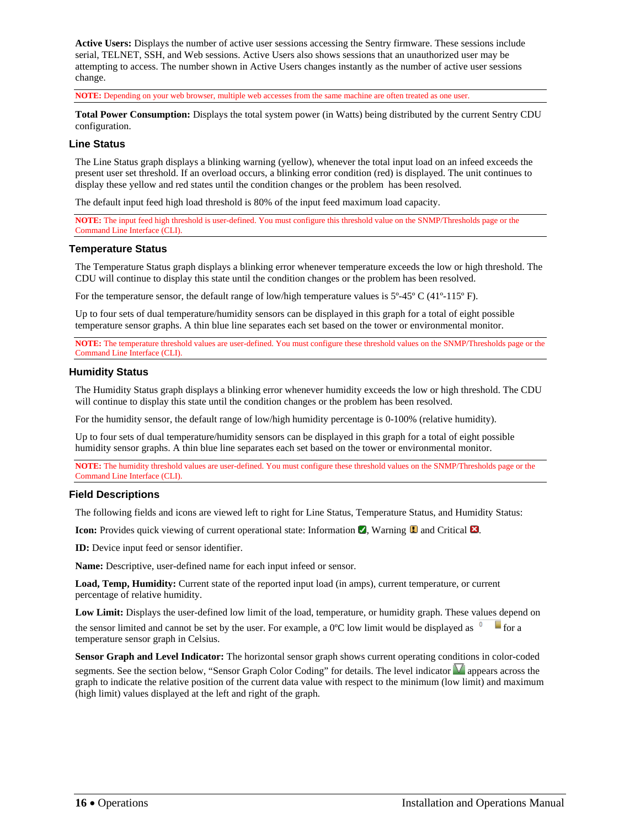**Active Users:** Displays the number of active user sessions accessing the Sentry firmware. These sessions include serial, TELNET, SSH, and Web sessions. Active Users also shows sessions that an unauthorized user may be attempting to access. The number shown in Active Users changes instantly as the number of active user sessions change.

**NOTE:** Depending on your web browser, multiple web accesses from the same machine are often treated as one user.

**Total Power Consumption:** Displays the total system power (in Watts) being distributed by the current Sentry CDU configuration.

#### **Line Status**

The Line Status graph displays a blinking warning (yellow), whenever the total input load on an infeed exceeds the present user set threshold. If an overload occurs, a blinking error condition (red) is displayed. The unit continues to display these yellow and red states until the condition changes or the problem has been resolved.

The default input feed high load threshold is 80% of the input feed maximum load capacity.

**NOTE:** The input feed high threshold is user-defined. You must configure this threshold value on the SNMP/Thresholds page or the Command Line Interface (CLI).

#### **Temperature Status**

The Temperature Status graph displays a blinking error whenever temperature exceeds the low or high threshold. The CDU will continue to display this state until the condition changes or the problem has been resolved.

For the temperature sensor, the default range of low/high temperature values is  $5^{\circ}$ -45° C (41°-115° F).

Up to four sets of dual temperature/humidity sensors can be displayed in this graph for a total of eight possible temperature sensor graphs. A thin blue line separates each set based on the tower or environmental monitor.

**NOTE:** The temperature threshold values are user-defined. You must configure these threshold values on the SNMP/Thresholds page or the Command Line Interface (CLI).

#### **Humidity Status**

The Humidity Status graph displays a blinking error whenever humidity exceeds the low or high threshold. The CDU will continue to display this state until the condition changes or the problem has been resolved.

For the humidity sensor, the default range of low/high humidity percentage is 0-100% (relative humidity).

Up to four sets of dual temperature/humidity sensors can be displayed in this graph for a total of eight possible humidity sensor graphs. A thin blue line separates each set based on the tower or environmental monitor.

**NOTE:** The humidity threshold values are user-defined. You must configure these threshold values on the SNMP/Thresholds page or the Command Line Interface (CLI).

#### **Field Descriptions**

The following fields and icons are viewed left to right for Line Status, Temperature Status, and Humidity Status:

**Icon:** Provides quick viewing of current operational state: Information  $\blacksquare$ , Warning  $\blacksquare$  and Critical  $\blacksquare$ .

**ID:** Device input feed or sensor identifier.

**Name:** Descriptive, user-defined name for each input infeed or sensor.

**Load, Temp, Humidity:** Current state of the reported input load (in amps), current temperature, or current percentage of relative humidity.

**Low Limit:** Displays the user-defined low limit of the load, temperature, or humidity graph. These values depend on

the sensor limited and cannot be set by the user. For example, a 0°C low limit would be displayed as  $\overline{0}$  for a temperature sensor graph in Celsius.

**Sensor Graph and Level Indicator:** The horizontal sensor graph shows current operating conditions in color-coded segments. See the section below, "Sensor Graph Color Coding" for details. The level indicator **a** appears across the graph to indicate the relative position of the current data value with respect to the minimum (low limit) and maximum (high limit) values displayed at the left and right of the graph.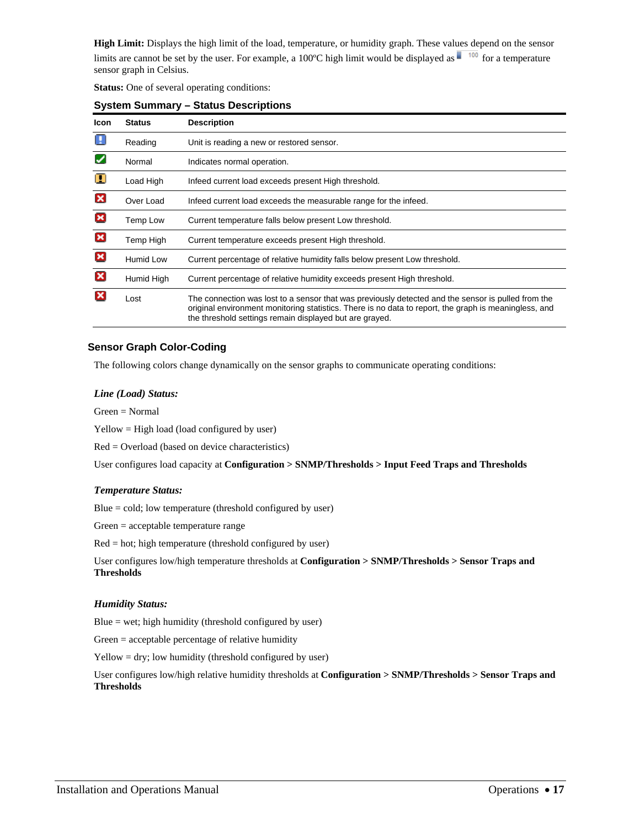**High Limit:** Displays the high limit of the load, temperature, or humidity graph. These values depend on the sensor limits are cannot be set by the user. For example, a 100°C high limit would be displayed as  $\blacksquare$  <sup>100</sup> for a temperature sensor graph in Celsius.

**Status:** One of several operating conditions:

| <b>Icon</b>               | <b>Status</b>    | <b>Description</b>                                                                                                                                                                                                                                                     |
|---------------------------|------------------|------------------------------------------------------------------------------------------------------------------------------------------------------------------------------------------------------------------------------------------------------------------------|
|                           | Reading          | Unit is reading a new or restored sensor.                                                                                                                                                                                                                              |
| $\checkmark$              | Normal           | Indicates normal operation.                                                                                                                                                                                                                                            |
| Π                         | Load High        | Infeed current load exceeds present High threshold.                                                                                                                                                                                                                    |
| ×                         | Over Load        | Infeed current load exceeds the measurable range for the infeed.                                                                                                                                                                                                       |
| ×                         | Temp Low         | Current temperature falls below present Low threshold.                                                                                                                                                                                                                 |
| ×                         | Temp High        | Current temperature exceeds present High threshold.                                                                                                                                                                                                                    |
| ×                         | <b>Humid Low</b> | Current percentage of relative humidity falls below present Low threshold.                                                                                                                                                                                             |
| $\boldsymbol{\mathsf{x}}$ | Humid High       | Current percentage of relative humidity exceeds present High threshold.                                                                                                                                                                                                |
|                           | Lost             | The connection was lost to a sensor that was previously detected and the sensor is pulled from the<br>original environment monitoring statistics. There is no data to report, the graph is meaningless, and<br>the threshold settings remain displayed but are grayed. |

### **System Summary – Status Descriptions**

# **Sensor Graph Color-Coding**

The following colors change dynamically on the sensor graphs to communicate operating conditions:

#### *Line (Load) Status:*

Green = Normal

Yellow = High load (load configured by user)

Red = Overload (based on device characteristics)

User configures load capacity at **Configuration > SNMP/Thresholds > Input Feed Traps and Thresholds**

#### *Temperature Status:*

Blue = cold; low temperature (threshold configured by user)

Green = acceptable temperature range

Red = hot; high temperature (threshold configured by user)

User configures low/high temperature thresholds at **Configuration > SNMP/Thresholds > Sensor Traps and Thresholds**

#### *Humidity Status:*

Blue  $=$  wet; high humidity (threshold configured by user)

Green = acceptable percentage of relative humidity

Yellow = dry; low humidity (threshold configured by user)

User configures low/high relative humidity thresholds at **Configuration > SNMP/Thresholds > Sensor Traps and Thresholds**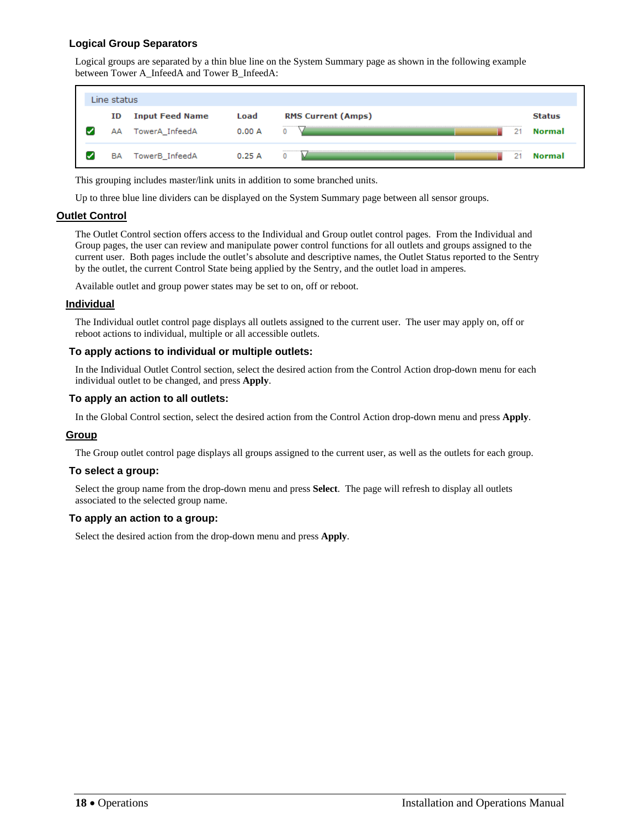# **Logical Group Separators**

Logical groups are separated by a thin blue line on the System Summary page as shown in the following example between Tower A\_InfeedA and Tower B\_InfeedA:

| Line status |                                          |               |                                |                         |
|-------------|------------------------------------------|---------------|--------------------------------|-------------------------|
| ID<br>АΑ    | <b>Input Feed Name</b><br>TowerA_InfeedA | Load<br>0.00A | <b>RMS Current (Amps)</b><br>0 | <b>Status</b><br>Normal |
| <b>BA</b>   | TowerB_InfeedA                           | 0.25A         | <b>************</b><br>0       | Normal                  |

This grouping includes master/link units in addition to some branched units.

Up to three blue line dividers can be displayed on the System Summary page between all sensor groups.

#### <span id="page-17-0"></span>**Outlet Control**

The Outlet Control section offers access to the Individual and Group outlet control pages. From the Individual and Group pages, the user can review and manipulate power control functions for all outlets and groups assigned to the current user. Both pages include the outlet's absolute and descriptive names, the Outlet Status reported to the Sentry by the outlet, the current Control State being applied by the Sentry, and the outlet load in amperes.

Available outlet and group power states may be set to on, off or reboot.

#### <span id="page-17-1"></span>**Individual**

The Individual outlet control page displays all outlets assigned to the current user. The user may apply on, off or reboot actions to individual, multiple or all accessible outlets.

#### **To apply actions to individual or multiple outlets:**

In the Individual Outlet Control section, select the desired action from the Control Action drop-down menu for each individual outlet to be changed, and press **Apply**.

#### **To apply an action to all outlets:**

In the Global Control section, select the desired action from the Control Action drop-down menu and press **Apply**.

#### <span id="page-17-2"></span>**Group**

The Group outlet control page displays all groups assigned to the current user, as well as the outlets for each group.

#### **To select a group:**

Select the group name from the drop-down menu and press **Select**. The page will refresh to display all outlets associated to the selected group name.

#### **To apply an action to a group:**

Select the desired action from the drop-down menu and press **Apply**.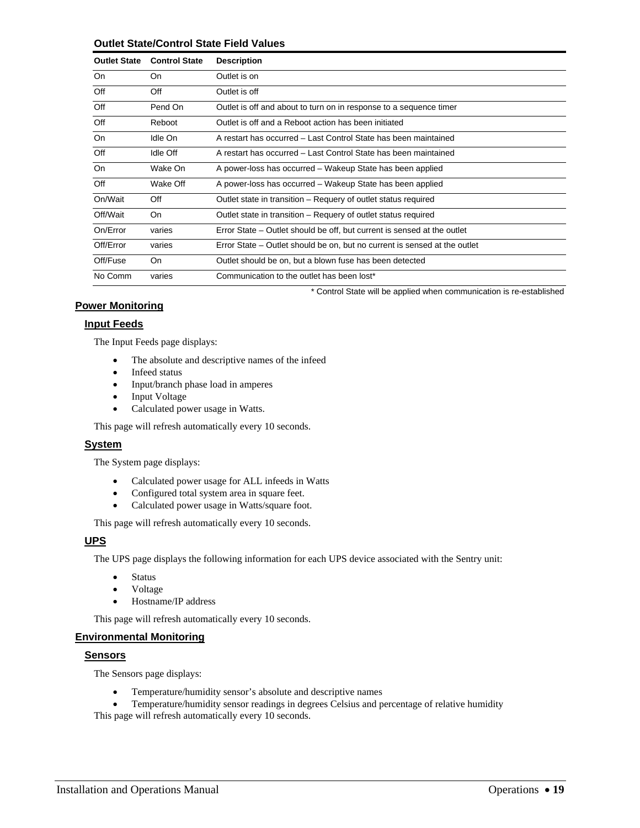#### **Outlet State/Control State Field Values**

| <b>Outlet State</b> | <b>Control State</b> | <b>Description</b>                                                        |
|---------------------|----------------------|---------------------------------------------------------------------------|
| <b>On</b>           | On.                  | Outlet is on                                                              |
| Off                 | Off                  | Outlet is off                                                             |
| Off                 | Pend On              | Outlet is off and about to turn on in response to a sequence timer        |
| Off                 | Reboot               | Outlet is off and a Reboot action has been initiated                      |
| <b>On</b>           | Idle On              | A restart has occurred – Last Control State has been maintained           |
| Off                 | Idle Off             | A restart has occurred – Last Control State has been maintained           |
| <b>On</b>           | Wake On              | A power-loss has occurred – Wakeup State has been applied                 |
| Off                 | Wake Off             | A power-loss has occurred – Wakeup State has been applied                 |
| On/Wait             | Off                  | Outlet state in transition – Requery of outlet status required            |
| Off/Wait            | On                   | Outlet state in transition - Requery of outlet status required            |
| On/Error            | varies               | Error State – Outlet should be off, but current is sensed at the outlet   |
| Off/Error           | varies               | Error State – Outlet should be on, but no current is sensed at the outlet |
| Off/Fuse            | <b>On</b>            | Outlet should be on, but a blown fuse has been detected                   |
| No Comm             | varies               | Communication to the outlet has been lost*                                |
|                     |                      | * Control State will be applied when communication is re-established      |

#### <span id="page-18-1"></span><span id="page-18-0"></span>**Power Monitoring**

# **Input Feeds**

The Input Feeds page displays:

- The absolute and descriptive names of the infeed
- Infeed status
- Input/branch phase load in amperes
- Input Voltage
- Calculated power usage in Watts.

This page will refresh automatically every 10 seconds.

#### <span id="page-18-2"></span>**System**

The System page displays:

- Calculated power usage for ALL infeeds in Watts
- Configured total system area in square feet.
- Calculated power usage in Watts/square foot.

This page will refresh automatically every 10 seconds.

#### <span id="page-18-3"></span>**UPS**

The UPS page displays the following information for each UPS device associated with the Sentry unit:

- Status
- Voltage
- Hostname/IP address

This page will refresh automatically every 10 seconds.

#### <span id="page-18-5"></span><span id="page-18-4"></span>**Environmental Monitoring**

#### **Sensors**

The Sensors page displays:

Temperature/humidity sensor's absolute and descriptive names

Temperature/humidity sensor readings in degrees Celsius and percentage of relative humidity

This page will refresh automatically every 10 seconds.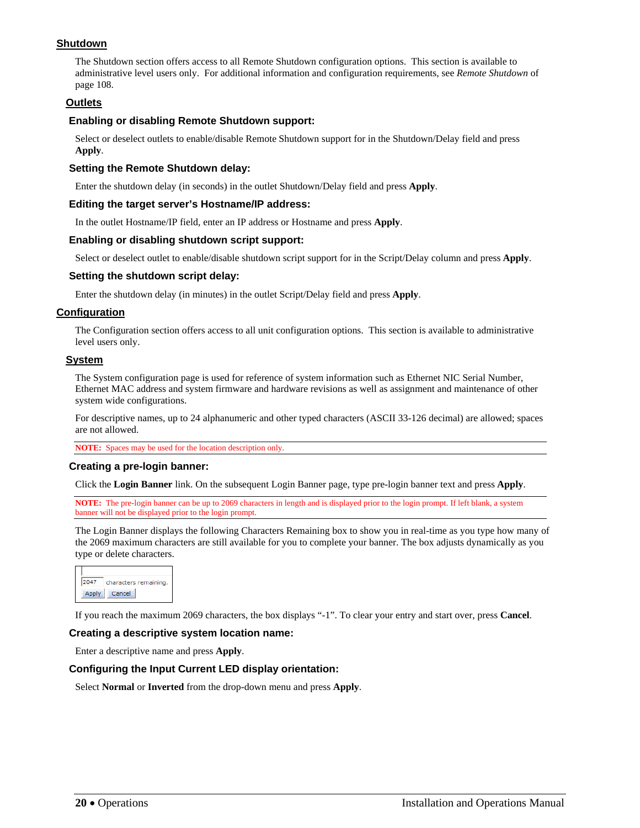# <span id="page-19-1"></span>**Shutdown**

The Shutdown section offers access to all Remote Shutdown configuration options. This section is available to administrative level users only. For additional information and configuration requirements, see *[Remote Shutdown](#page-107-0)* of page [108](#page-107-0).

#### <span id="page-19-2"></span>**Outlets**

#### **Enabling or disabling Remote Shutdown support:**

Select or deselect outlets to enable/disable Remote Shutdown support for in the Shutdown/Delay field and press **Apply**.

#### **Setting the Remote Shutdown delay:**

Enter the shutdown delay (in seconds) in the outlet Shutdown/Delay field and press **Apply**.

#### **Editing the target server's Hostname/IP address:**

In the outlet Hostname/IP field, enter an IP address or Hostname and press **Apply**.

#### **Enabling or disabling shutdown script support:**

Select or deselect outlet to enable/disable shutdown script support for in the Script/Delay column and press **Apply**.

#### **Setting the shutdown script delay:**

Enter the shutdown delay (in minutes) in the outlet Script/Delay field and press **Apply**.

#### <span id="page-19-3"></span>**Configuration**

The Configuration section offers access to all unit configuration options. This section is available to administrative level users only.

#### <span id="page-19-4"></span>**System**

The System configuration page is used for reference of system information such as Ethernet NIC Serial Number, Ethernet MAC address and system firmware and hardware revisions as well as assignment and maintenance of other system wide configurations.

For descriptive names, up to 24 alphanumeric and other typed characters (ASCII 33-126 decimal) are allowed; spaces are not allowed.

**NOTE:** Spaces may be used for the location description only.

#### **Creating a pre-login banner:**

Click the **Login Banner** link. On the subsequent Login Banner page, type pre-login banner text and press **Apply**.

**NOTE:** The pre-login banner can be up to 2069 characters in length and is displayed prior to the login prompt. If left blank, a system banner will not be displayed prior to the login prompt.

<span id="page-19-0"></span>The Login Banner displays the following Characters Remaining box to show you in real-time as you type how many of the 2069 maximum characters are still available for you to complete your banner. The box adjusts dynamically as you type or delete characters.



If you reach the maximum 2069 characters, the box displays "-1". To clear your entry and start over, press **Cancel**.

#### **Creating a descriptive system location name:**

Enter a descriptive name and press **Apply**.

#### **Configuring the Input Current LED display orientation:**

Select **Normal** or **Inverted** from the drop-down menu and press **Apply**.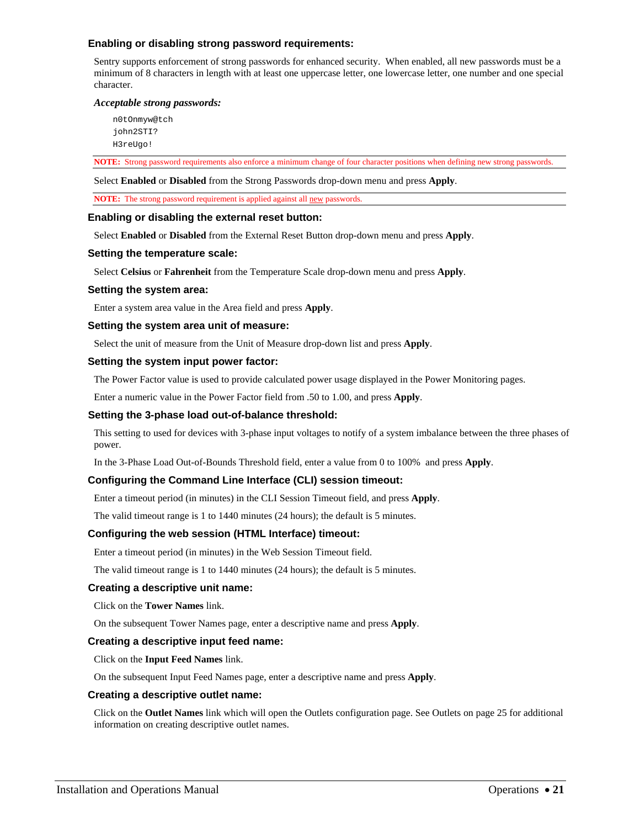#### **Enabling or disabling strong password requirements:**

Sentry supports enforcement of strong passwords for enhanced security. When enabled, all new passwords must be a minimum of 8 characters in length with at least one uppercase letter, one lowercase letter, one number and one special character.

#### *Acceptable strong passwords:*

n0tOnmyw@tch john2STI? H3reUgo!

**NOTE:** Strong password requirements also enforce a minimum change of four character positions when defining new strong passwords.

Select **Enabled** or **Disabled** from the Strong Passwords drop-down menu and press **Apply**.

**NOTE:** The strong password requirement is applied against all new passwords.

#### **Enabling or disabling the external reset button:**

Select **Enabled** or **Disabled** from the External Reset Button drop-down menu and press **Apply**.

#### **Setting the temperature scale:**

Select **Celsius** or **Fahrenheit** from the Temperature Scale drop-down menu and press **Apply**.

#### **Setting the system area:**

Enter a system area value in the Area field and press **Apply**.

#### **Setting the system area unit of measure:**

Select the unit of measure from the Unit of Measure drop-down list and press **Apply**.

#### **Setting the system input power factor:**

The Power Factor value is used to provide calculated power usage displayed in the Power Monitoring pages.

Enter a numeric value in the Power Factor field from .50 to 1.00, and press **Apply**.

#### **Setting the 3-phase load out-of-balance threshold:**

This setting to used for devices with 3-phase input voltages to notify of a system imbalance between the three phases of power.

In the 3-Phase Load Out-of-Bounds Threshold field, enter a value from 0 to 100% and press **Apply**.

#### **Configuring the Command Line Interface (CLI) session timeout:**

Enter a timeout period (in minutes) in the CLI Session Timeout field, and press **Apply**.

The valid timeout range is 1 to 1440 minutes (24 hours); the default is 5 minutes.

#### **Configuring the web session (HTML Interface) timeout:**

Enter a timeout period (in minutes) in the Web Session Timeout field.

The valid timeout range is 1 to 1440 minutes (24 hours); the default is 5 minutes.

#### **Creating a descriptive unit name:**

Click on the **Tower Names** link.

On the subsequent Tower Names page, enter a descriptive name and press **Apply**.

#### **Creating a descriptive input feed name:**

Click on the **Input Feed Names** link.

On the subsequent Input Feed Names page, enter a descriptive name and press **Apply**.

#### **Creating a descriptive outlet name:**

Click on the **Outlet Names** link which will open the Outlets configuration page. See Outlets on page [25](#page-25-5) for additional information on creating descriptive outlet names.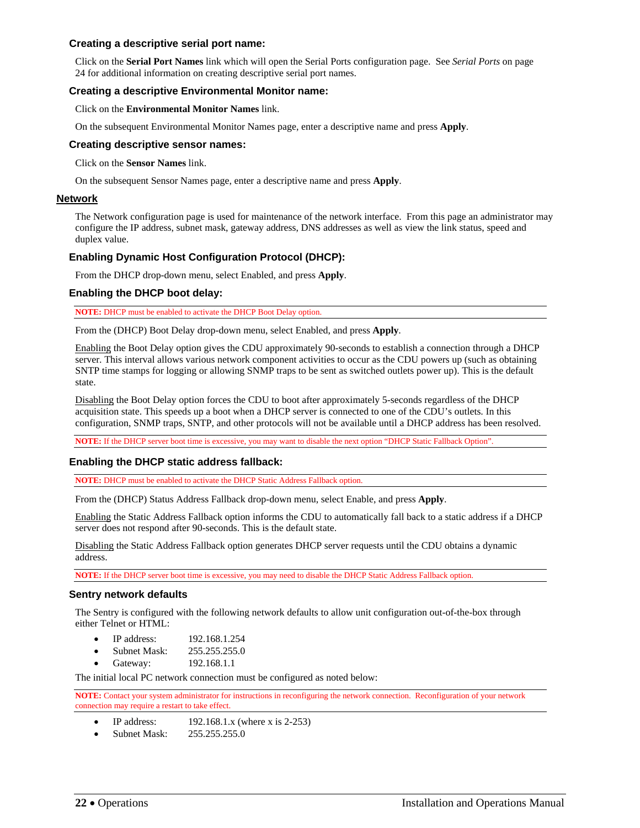#### **Creating a descriptive serial port name:**

Click on the **Serial Port Names** link which will open the Serial Ports configuration page. See *[Serial Ports](#page-23-0)* on page [24](#page-23-0) for additional information on creating descriptive serial port names.

#### **Creating a descriptive Environmental Monitor name:**

Click on the **Environmental Monitor Names** link.

On the subsequent Environmental Monitor Names page, enter a descriptive name and press **Apply**.

#### <span id="page-21-1"></span>**Creating descriptive sensor names:**

Click on the **Sensor Names** link.

On the subsequent Sensor Names page, enter a descriptive name and press **Apply**.

#### <span id="page-21-0"></span>**Network**

The Network configuration page is used for maintenance of the network interface. From this page an administrator may configure the IP address, subnet mask, gateway address, DNS addresses as well as view the link status, speed and duplex value.

#### **Enabling Dynamic Host Configuration Protocol (DHCP):**

From the DHCP drop-down menu, select Enabled, and press **Apply**.

#### **Enabling the DHCP boot delay:**

**NOTE:** DHCP must be enabled to activate the DHCP Boot Delay option.

From the (DHCP) Boot Delay drop-down menu, select Enabled, and press **Apply**.

Enabling the Boot Delay option gives the CDU approximately 90-seconds to establish a connection through a DHCP server. This interval allows various network component activities to occur as the CDU powers up (such as obtaining SNTP time stamps for logging or allowing SNMP traps to be sent as switched outlets power up). This is the default state.

Disabling the Boot Delay option forces the CDU to boot after approximately 5-seconds regardless of the DHCP acquisition state. This speeds up a boot when a DHCP server is connected to one of the CDU's outlets. In this configuration, SNMP traps, SNTP, and other protocols will not be available until a DHCP address has been resolved.

**NOTE:** If the DHCP server boot time is excessive, you may want to disable the next option "DHCP Static Fallback Option".

#### **Enabling the DHCP static address fallback:**

**NOTE:** DHCP must be enabled to activate the DHCP Static Address Fallback option.

From the (DHCP) Status Address Fallback drop-down menu, select Enable, and press **Apply**.

Enabling the Static Address Fallback option informs the CDU to automatically fall back to a static address if a DHCP server does not respond after 90-seconds. This is the default state.

Disabling the Static Address Fallback option generates DHCP server requests until the CDU obtains a dynamic address.

**NOTE:** If the DHCP server boot time is excessive, you may need to disable the DHCP Static Address Fallback option.

#### **Sentry network defaults**

The Sentry is configured with the following network defaults to allow unit configuration out-of-the-box through either Telnet or HTML:

- IP address: 192.168.1.254
- Subnet Mask: 255.255.255.0
- Gateway: 192.168.1.1

The initial local PC network connection must be configured as noted below:

**NOTE:** Contact your system administrator for instructions in reconfiguring the network connection. Reconfiguration of your network connection may require a restart to take effect.

- $\bullet$  IP address: 192.168.1.x (where x is 2-253)
- Subnet Mask: 255.255.255.0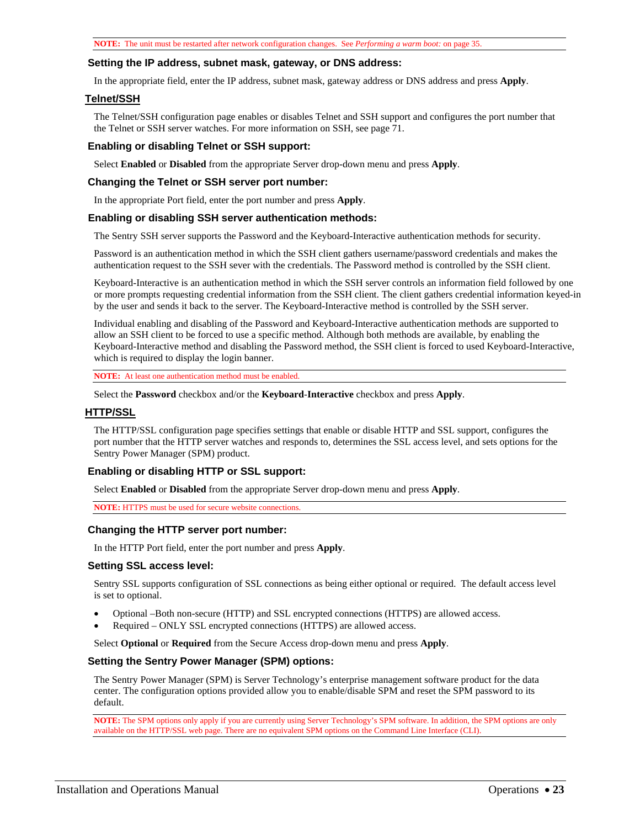#### **Setting the IP address, subnet mask, gateway, or DNS address:**

In the appropriate field, enter the IP address, subnet mask, gateway address or DNS address and press **Apply**.

#### <span id="page-22-0"></span>**Telnet/SSH**

The Telnet/SSH configuration page enables or disables Telnet and SSH support and configures the port number that the Telnet or SSH server watches. For more information on SSH, see page [71.](#page-70-0)

#### **Enabling or disabling Telnet or SSH support:**

Select **Enabled** or **Disabled** from the appropriate Server drop-down menu and press **Apply**.

#### **Changing the Telnet or SSH server port number:**

In the appropriate Port field, enter the port number and press **Apply**.

#### **Enabling or disabling SSH server authentication methods:**

The Sentry SSH server supports the Password and the Keyboard-Interactive authentication methods for security.

Password is an authentication method in which the SSH client gathers username/password credentials and makes the authentication request to the SSH sever with the credentials. The Password method is controlled by the SSH client.

Keyboard-Interactive is an authentication method in which the SSH server controls an information field followed by one or more prompts requesting credential information from the SSH client. The client gathers credential information keyed-in by the user and sends it back to the server. The Keyboard-Interactive method is controlled by the SSH server.

Individual enabling and disabling of the Password and Keyboard-Interactive authentication methods are supported to allow an SSH client to be forced to use a specific method. Although both methods are available, by enabling the Keyboard-Interactive method and disabling the Password method, the SSH client is forced to used Keyboard-Interactive, which is required to display the login banner.

**NOTE:** At least one authentication method must be enabled.

Select the **Password** checkbox and/or the **Keyboard**-**Interactive** checkbox and press **Apply**.

#### <span id="page-22-1"></span>**HTTP/SSL**

The HTTP/SSL configuration page specifies settings that enable or disable HTTP and SSL support, configures the port number that the HTTP server watches and responds to, determines the SSL access level, and sets options for the Sentry Power Manager (SPM) product.

#### **Enabling or disabling HTTP or SSL support:**

Select **Enabled** or **Disabled** from the appropriate Server drop-down menu and press **Apply**.

**NOTE:** HTTPS must be used for secure website connections.

#### **Changing the HTTP server port number:**

In the HTTP Port field, enter the port number and press **Apply**.

#### **Setting SSL access level:**

Sentry SSL supports configuration of SSL connections as being either optional or required. The default access level is set to optional.

- Optional –Both non-secure (HTTP) and SSL encrypted connections (HTTPS) are allowed access.
- Required ONLY SSL encrypted connections (HTTPS) are allowed access.

Select **Optional** or **Required** from the Secure Access drop-down menu and press **Apply**.

#### **Setting the Sentry Power Manager (SPM) options:**

The Sentry Power Manager (SPM) is Server Technology's enterprise management software product for the data center. The configuration options provided allow you to enable/disable SPM and reset the SPM password to its default.

**NOTE:** The SPM options only apply if you are currently using Server Technology's SPM software. In addition, the SPM options are only available on the HTTP/SSL web page. There are no equivalent SPM options on the Command Line Interface (CLI).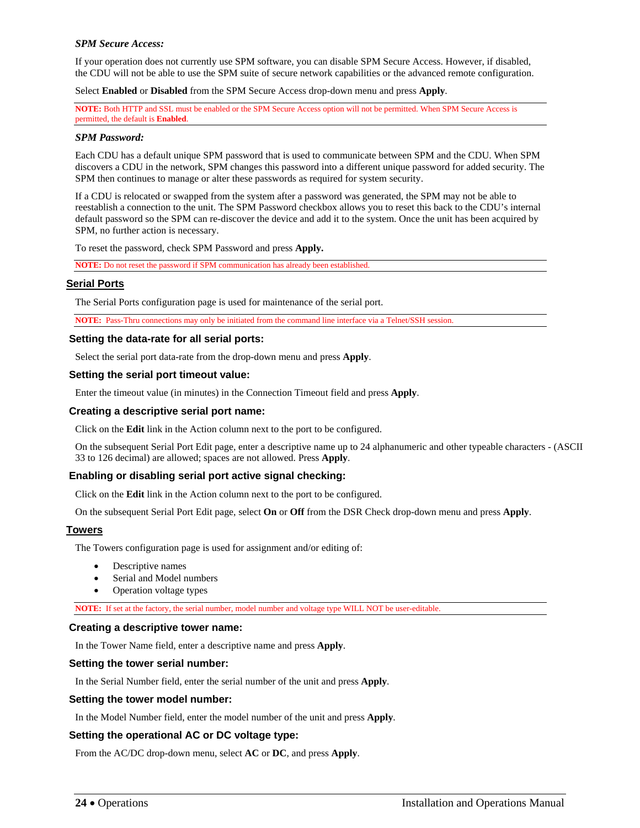#### *SPM Secure Access:*

If your operation does not currently use SPM software, you can disable SPM Secure Access. However, if disabled, the CDU will not be able to use the SPM suite of secure network capabilities or the advanced remote configuration.

Select **Enabled** or **Disabled** from the SPM Secure Access drop-down menu and press **Apply**.

**NOTE:** Both HTTP and SSL must be enabled or the SPM Secure Access option will not be permitted. When SPM Secure Access is permitted, the default is **Enabled**.

#### *SPM Password:*

Each CDU has a default unique SPM password that is used to communicate between SPM and the CDU. When SPM discovers a CDU in the network, SPM changes this password into a different unique password for added security. The SPM then continues to manage or alter these passwords as required for system security.

If a CDU is relocated or swapped from the system after a password was generated, the SPM may not be able to reestablish a connection to the unit. The SPM Password checkbox allows you to reset this back to the CDU's internal default password so the SPM can re-discover the device and add it to the system. Once the unit has been acquired by SPM, no further action is necessary.

To reset the password, check SPM Password and press **Apply.** 

**NOTE:** Do not reset the password if SPM communication has already been established.

#### <span id="page-23-0"></span>**Serial Ports**

The Serial Ports configuration page is used for maintenance of the serial port.

**NOTE:** Pass-Thru connections may only be initiated from the command line interface via a Telnet/SSH session.

#### **Setting the data-rate for all serial ports:**

Select the serial port data-rate from the drop-down menu and press **Apply**.

#### **Setting the serial port timeout value:**

Enter the timeout value (in minutes) in the Connection Timeout field and press **Apply**.

#### **Creating a descriptive serial port name:**

Click on the **Edit** link in the Action column next to the port to be configured.

On the subsequent Serial Port Edit page, enter a descriptive name up to 24 alphanumeric and other typeable characters - (ASCII 33 to 126 decimal) are allowed; spaces are not allowed. Press **Apply**.

#### **Enabling or disabling serial port active signal checking:**

Click on the **Edit** link in the Action column next to the port to be configured.

On the subsequent Serial Port Edit page, select **On** or **Off** from the DSR Check drop-down menu and press **Apply**.

#### <span id="page-23-1"></span>**Towers**

The Towers configuration page is used for assignment and/or editing of:

- Descriptive names
- Serial and Model numbers
- Operation voltage types

**NOTE:** If set at the factory, the serial number, model number and voltage type WILL NOT be user-editable.

#### **Creating a descriptive tower name:**

In the Tower Name field, enter a descriptive name and press **Apply**.

#### **Setting the tower serial number:**

In the Serial Number field, enter the serial number of the unit and press **Apply**.

#### **Setting the tower model number:**

In the Model Number field, enter the model number of the unit and press **Apply**.

#### **Setting the operational AC or DC voltage type:**

From the AC/DC drop-down menu, select **AC** or **DC**, and press **Apply**.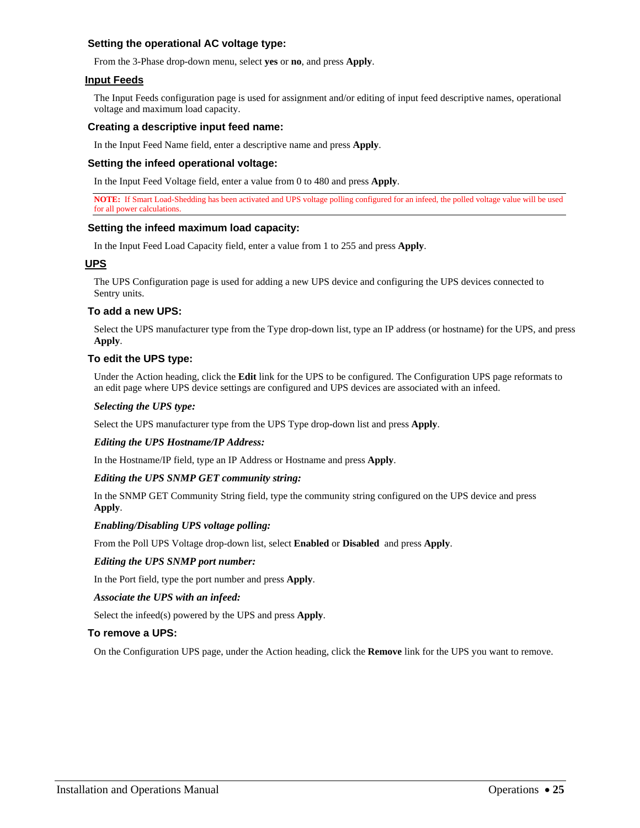#### **Setting the operational AC voltage type:**

From the 3-Phase drop-down menu, select **yes** or **no**, and press **Apply**.

#### <span id="page-24-0"></span>**Input Feeds**

The Input Feeds configuration page is used for assignment and/or editing of input feed descriptive names, operational voltage and maximum load capacity.

#### **Creating a descriptive input feed name:**

In the Input Feed Name field, enter a descriptive name and press **Apply**.

#### **Setting the infeed operational voltage:**

In the Input Feed Voltage field, enter a value from 0 to 480 and press **Apply**.

**NOTE:** If Smart Load-Shedding has been activated and UPS voltage polling configured for an infeed, the polled voltage value will be used for all power calculations.

#### **Setting the infeed maximum load capacity:**

In the Input Feed Load Capacity field, enter a value from 1 to 255 and press **Apply**.

#### <span id="page-24-1"></span>**UPS**

The UPS Configuration page is used for adding a new UPS device and configuring the UPS devices connected to Sentry units.

#### **To add a new UPS:**

Select the UPS manufacturer type from the Type drop-down list, type an IP address (or hostname) for the UPS, and press **Apply**.

#### **To edit the UPS type:**

Under the Action heading, click the **Edit** link for the UPS to be configured. The Configuration UPS page reformats to an edit page where UPS device settings are configured and UPS devices are associated with an infeed.

#### *Selecting the UPS type:*

Select the UPS manufacturer type from the UPS Type drop-down list and press **Apply**.

#### *Editing the UPS Hostname/IP Address:*

In the Hostname/IP field, type an IP Address or Hostname and press **Apply**.

#### *Editing the UPS SNMP GET community string:*

In the SNMP GET Community String field, type the community string configured on the UPS device and press **Apply**.

#### *Enabling/Disabling UPS voltage polling:*

From the Poll UPS Voltage drop-down list, select **Enabled** or **Disabled** and press **Apply**.

#### *Editing the UPS SNMP port number:*

In the Port field, type the port number and press **Apply**.

#### *Associate the UPS with an infeed:*

Select the infeed(s) powered by the UPS and press **Apply**.

#### **To remove a UPS:**

On the Configuration UPS page, under the Action heading, click the **Remove** link for the UPS you want to remove.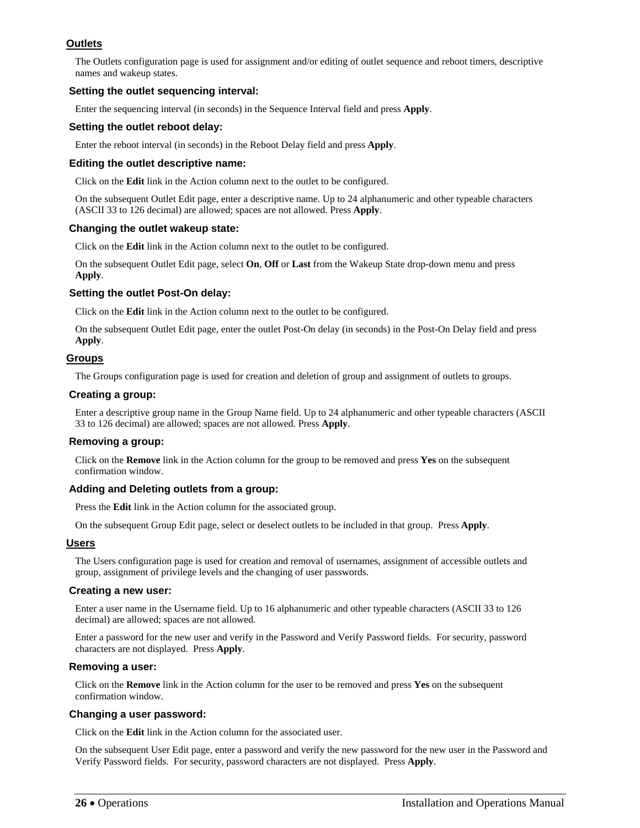# <span id="page-25-2"></span>**Outlets**

The Outlets configuration page is used for assignment and/or editing of outlet sequence and reboot timers, descriptive names and wakeup states.

### **Setting the outlet sequencing interval:**

Enter the sequencing interval (in seconds) in the Sequence Interval field and press **Apply**.

#### **Setting the outlet reboot delay:**

Enter the reboot interval (in seconds) in the Reboot Delay field and press **Apply**.

#### **Editing the outlet descriptive name:**

Click on the **Edit** link in the Action column next to the outlet to be configured.

On the subsequent Outlet Edit page, enter a descriptive name. Up to 24 alphanumeric and other typeable characters (ASCII 33 to 126 decimal) are allowed; spaces are not allowed. Press **Apply**.

#### **Changing the outlet wakeup state:**

Click on the **Edit** link in the Action column next to the outlet to be configured.

<span id="page-25-5"></span>On the subsequent Outlet Edit page, select **On**, **Off** or **Last** from the Wakeup State drop-down menu and press **Apply**.

#### <span id="page-25-0"></span>**Setting the outlet Post-On delay:**

Click on the **Edit** link in the Action column next to the outlet to be configured.

On the subsequent Outlet Edit page, enter the outlet Post-On delay (in seconds) in the Post-On Delay field and press **Apply**.

#### <span id="page-25-3"></span>**Groups**

The Groups configuration page is used for creation and deletion of group and assignment of outlets to groups.

#### **Creating a group:**

Enter a descriptive group name in the Group Name field. Up to 24 alphanumeric and other typeable characters (ASCII 33 to 126 decimal) are allowed; spaces are not allowed. Press **Apply**.

#### **Removing a group:**

Click on the **Remove** link in the Action column for the group to be removed and press **Yes** on the subsequent confirmation window.

#### **Adding and Deleting outlets from a group:**

Press the **Edit** link in the Action column for the associated group.

On the subsequent Group Edit page, select or deselect outlets to be included in that group. Press **Apply**.

#### <span id="page-25-4"></span>**Users**

The Users configuration page is used for creation and removal of usernames, assignment of accessible outlets and group, assignment of privilege levels and the changing of user passwords.

#### **Creating a new user:**

Enter a user name in the Username field. Up to 16 alphanumeric and other typeable characters (ASCII 33 to 126 decimal) are allowed; spaces are not allowed.

Enter a password for the new user and verify in the Password and Verify Password fields. For security, password characters are not displayed. Press **Apply**.

#### <span id="page-25-1"></span>**Removing a user:**

Click on the **Remove** link in the Action column for the user to be removed and press **Yes** on the subsequent confirmation window.

#### **Changing a user password:**

Click on the **Edit** link in the Action column for the associated user.

On the subsequent User Edit page, enter a password and verify the new password for the new user in the Password and Verify Password fields. For security, password characters are not displayed. Press **Apply**.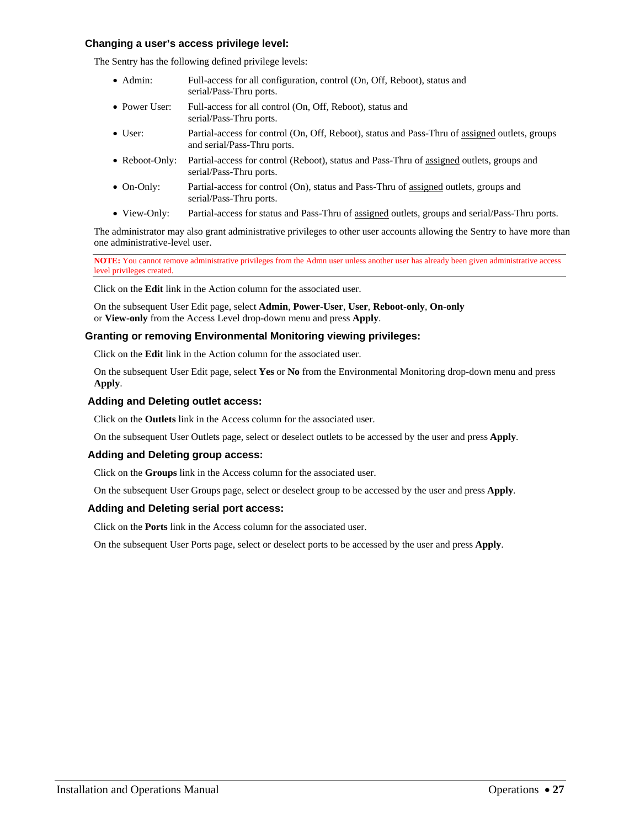#### <span id="page-26-0"></span>**Changing a user's access privilege level:**

The Sentry has the following defined privilege levels:

- Admin: Full-access for all configuration, control (On, Off, Reboot), status and serial/Pass-Thru ports.
- Power User: Full-access for all control (On, Off, Reboot), status and serial/Pass-Thru ports.
- User: Partial-access for control (On, Off, Reboot), status and Pass-Thru of assigned outlets, groups and serial/Pass-Thru ports.
- Reboot-Only: Partial-access for control (Reboot), status and Pass-Thru of assigned outlets, groups and serial/Pass-Thru ports.
- On-Only: Partial-access for control (On), status and Pass-Thru of assigned outlets, groups and serial/Pass-Thru ports.
- View-Only: Partial-access for status and Pass-Thru of assigned outlets, groups and serial/Pass-Thru ports.

The administrator may also grant administrative privileges to other user accounts allowing the Sentry to have more than one administrative-level user.

**NOTE:** You cannot remove administrative privileges from the Admn user unless another user has already been given administrative access level privileges created.

Click on the **Edit** link in the Action column for the associated user.

On the subsequent User Edit page, select **Admin**, **Power-User**, **User**, **Reboot-only**, **On-only**  or **View-only** from the Access Level drop-down menu and press **Apply**.

#### **Granting or removing Environmental Monitoring viewing privileges:**

Click on the **Edit** link in the Action column for the associated user.

On the subsequent User Edit page, select **Yes** or **No** from the Environmental Monitoring drop-down menu and press **Apply**.

#### **Adding and Deleting outlet access:**

Click on the **Outlets** link in the Access column for the associated user.

On the subsequent User Outlets page, select or deselect outlets to be accessed by the user and press **Apply**.

#### **Adding and Deleting group access:**

Click on the **Groups** link in the Access column for the associated user.

On the subsequent User Groups page, select or deselect group to be accessed by the user and press **Apply**.

#### **Adding and Deleting serial port access:**

Click on the **Ports** link in the Access column for the associated user.

On the subsequent User Ports page, select or deselect ports to be accessed by the user and press **Apply**.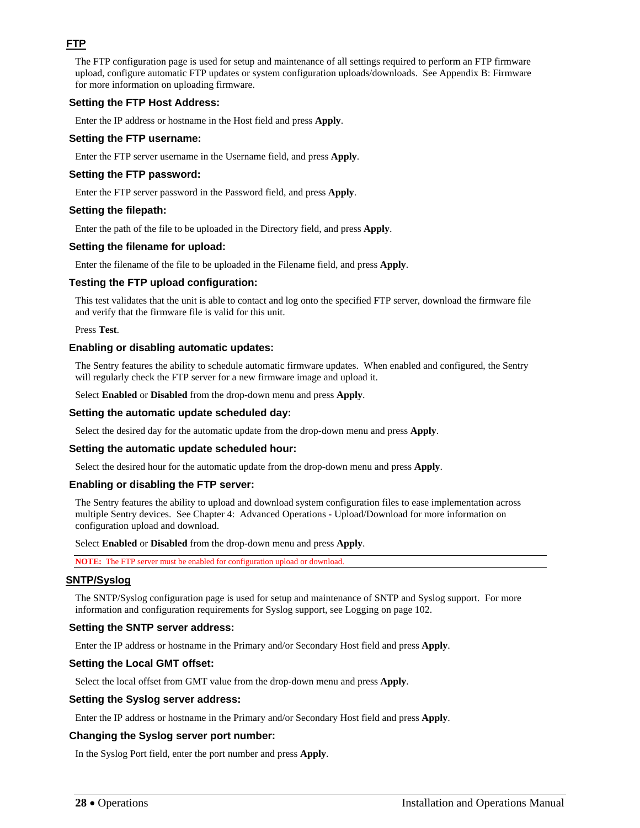# <span id="page-27-0"></span>**FTP**

The FTP configuration page is used for setup and maintenance of all settings required to perform an FTP firmware upload, configure automatic FTP updates or system configuration uploads/downloads. See [Appendix B: F](#page-111-2)irmware for more information on uploading firmware.

#### **Setting the FTP Host Address:**

Enter the IP address or hostname in the Host field and press **Apply**.

#### **Setting the FTP username:**

Enter the FTP server username in the Username field, and press **Apply**.

### **Setting the FTP password:**

Enter the FTP server password in the Password field, and press **Apply**.

#### **Setting the filepath:**

Enter the path of the file to be uploaded in the Directory field, and press **Apply**.

#### **Setting the filename for upload:**

Enter the filename of the file to be uploaded in the Filename field, and press **Apply**.

#### **Testing the FTP upload configuration:**

This test validates that the unit is able to contact and log onto the specified FTP server, download the firmware file and verify that the firmware file is valid for this unit.

Press **Test**.

#### **Enabling or disabling automatic updates:**

The Sentry features the ability to schedule automatic firmware updates. When enabled and configured, the Sentry will regularly check the FTP server for a new firmware image and upload it.

Select **Enabled** or **Disabled** from the drop-down menu and press **Apply**.

#### **Setting the automatic update scheduled day:**

Select the desired day for the automatic update from the drop-down menu and press **Apply**.

#### **Setting the automatic update scheduled hour:**

Select the desired hour for the automatic update from the drop-down menu and press **Apply**.

#### **Enabling or disabling the FTP server:**

The Sentry features the ability to upload and download system configuration files to ease implementation across multiple Sentry devices. See [Chapter 4: Advanced Operations](#page-68-0) - [Upload/Download](#page-105-0) for more information on configuration upload and download.

Select **Enabled** or **Disabled** from the drop-down menu and press **Apply**.

**NOTE:** The FTP server must be enabled for configuration upload or download.

#### <span id="page-27-1"></span>**SNTP/Syslog**

The SNTP/Syslog configuration page is used for setup and maintenance of SNTP and Syslog support. For more information and configuration requirements for Syslog support, see Logging on page [102](#page-101-1).

#### **Setting the SNTP server address:**

Enter the IP address or hostname in the Primary and/or Secondary Host field and press **Apply**.

#### **Setting the Local GMT offset:**

Select the local offset from GMT value from the drop-down menu and press **Apply**.

#### **Setting the Syslog server address:**

Enter the IP address or hostname in the Primary and/or Secondary Host field and press **Apply**.

#### **Changing the Syslog server port number:**

In the Syslog Port field, enter the port number and press **Apply**.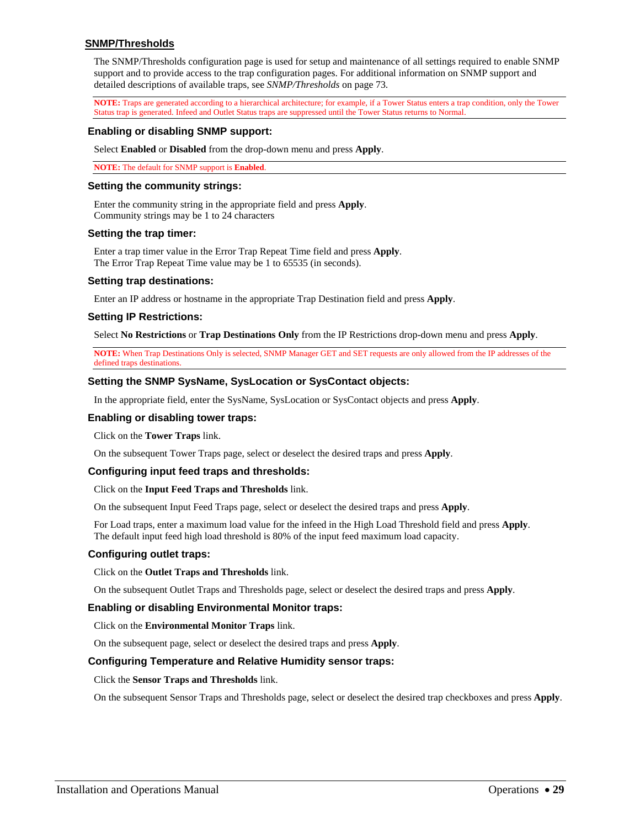#### <span id="page-28-0"></span>**SNMP/Thresholds**

The SNMP/Thresholds configuration page is used for setup and maintenance of all settings required to enable SNMP support and to provide access to the trap configuration pages. For additional information on SNMP support and detailed descriptions of available traps, see *SNMP/Thresholds* on page [73](#page-72-0).

**NOTE:** Traps are generated according to a hierarchical architecture; for example, if a Tower Status enters a trap condition, only the Tower Status trap is generated. Infeed and Outlet Status traps are suppressed until the Tower Status returns to Normal.

#### **Enabling or disabling SNMP support:**

Select **Enabled** or **Disabled** from the drop-down menu and press **Apply**.

**NOTE:** The default for SNMP support is **Enabled**.

#### **Setting the community strings:**

Enter the community string in the appropriate field and press **Apply**. Community strings may be 1 to 24 characters

#### **Setting the trap timer:**

Enter a trap timer value in the Error Trap Repeat Time field and press **Apply**. The Error Trap Repeat Time value may be 1 to 65535 (in seconds).

#### **Setting trap destinations:**

Enter an IP address or hostname in the appropriate Trap Destination field and press **Apply**.

#### **Setting IP Restrictions:**

Select **No Restrictions** or **Trap Destinations Only** from the IP Restrictions drop-down menu and press **Apply**.

**NOTE:** When Trap Destinations Only is selected, SNMP Manager GET and SET requests are only allowed from the IP addresses of the defined traps destinations.

#### **Setting the SNMP SysName, SysLocation or SysContact objects:**

In the appropriate field, enter the SysName, SysLocation or SysContact objects and press **Apply**.

#### **Enabling or disabling tower traps:**

Click on the **Tower Traps** link.

On the subsequent Tower Traps page, select or deselect the desired traps and press **Apply**.

#### **Configuring input feed traps and thresholds:**

#### Click on the **Input Feed Traps and Thresholds** link.

On the subsequent Input Feed Traps page, select or deselect the desired traps and press **Apply**.

For Load traps, enter a maximum load value for the infeed in the High Load Threshold field and press **Apply**. The default input feed high load threshold is 80% of the input feed maximum load capacity.

#### **Configuring outlet traps:**

Click on the **Outlet Traps and Thresholds** link.

On the subsequent Outlet Traps and Thresholds page, select or deselect the desired traps and press **Apply**.

#### **Enabling or disabling Environmental Monitor traps:**

Click on the **Environmental Monitor Traps** link.

On the subsequent page, select or deselect the desired traps and press **Apply**.

#### **Configuring Temperature and Relative Humidity sensor traps:**

Click the **Sensor Traps and Thresholds** link.

On the subsequent Sensor Traps and Thresholds page, select or deselect the desired trap checkboxes and press **Apply**.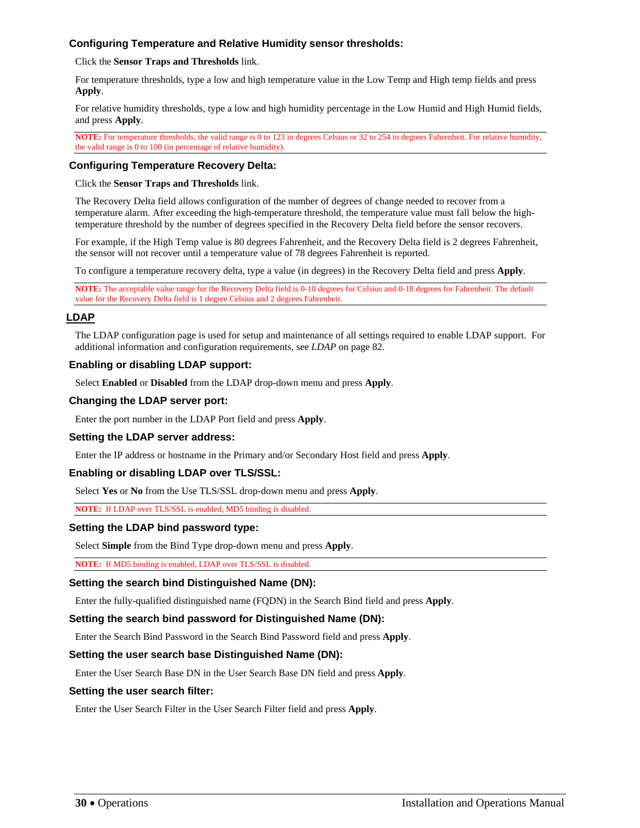### **Configuring Temperature and Relative Humidity sensor thresholds:**

Click the **Sensor Traps and Thresholds** link.

For temperature thresholds, type a low and high temperature value in the Low Temp and High temp fields and press **Apply**.

For relative humidity thresholds, type a low and high humidity percentage in the Low Humid and High Humid fields, and press **Apply**.

**NOTE:** For temperature thresholds, the valid range is 0 to 123 in degrees Celsius or 32 to 254 in degrees Fahrenheit. For relative humidity, the valid range is 0 to 100 (in percentage of relative humidity).

#### **Configuring Temperature Recovery Delta:**

Click the **Sensor Traps and Thresholds** link.

The Recovery Delta field allows configuration of the number of degrees of change needed to recover from a temperature alarm. After exceeding the high-temperature threshold, the temperature value must fall below the hightemperature threshold by the number of degrees specified in the Recovery Delta field before the sensor recovers.

For example, if the High Temp value is 80 degrees Fahrenheit, and the Recovery Delta field is 2 degrees Fahrenheit, the sensor will not recover until a temperature value of 78 degrees Fahrenheit is reported.

To configure a temperature recovery delta, type a value (in degrees) in the Recovery Delta field and press **Apply**.

**NOTE:** The acceptable value range for the Recovery Delta field is 0-10 degrees for Celsius and 0-18 degrees for Fahrenheit. The default value for the Recovery Delta field is 1 degree Celsius and 2 degrees Fahrenheit.

#### <span id="page-29-0"></span>**LDAP**

The LDAP configuration page is used for setup and maintenance of all settings required to enable LDAP support. For additional information and configuration requirements, see *[LDAP](#page-81-0)* on page [82.](#page-81-0)

#### **Enabling or disabling LDAP support:**

Select **Enabled** or **Disabled** from the LDAP drop-down menu and press **Apply**.

#### **Changing the LDAP server port:**

Enter the port number in the LDAP Port field and press **Apply**.

#### **Setting the LDAP server address:**

Enter the IP address or hostname in the Primary and/or Secondary Host field and press **Apply**.

#### **Enabling or disabling LDAP over TLS/SSL:**

Select **Yes** or **No** from the Use TLS/SSL drop-down menu and press **Apply**.

**NOTE:** If LDAP over TLS/SSL is enabled, MD5 binding is disabled.

# **Setting the LDAP bind password type:**

Select **Simple** from the Bind Type drop-down menu and press **Apply**.

**NOTE:** If MD5 binding is enabled, LDAP over TLS/SSL is disabled.

#### **Setting the search bind Distinguished Name (DN):**

Enter the fully-qualified distinguished name (FQDN) in the Search Bind field and press **Apply**.

#### **Setting the search bind password for Distinguished Name (DN):**

Enter the Search Bind Password in the Search Bind Password field and press **Apply**.

#### **Setting the user search base Distinguished Name (DN):**

Enter the User Search Base DN in the User Search Base DN field and press **Apply**.

#### **Setting the user search filter:**

Enter the User Search Filter in the User Search Filter field and press **Apply**.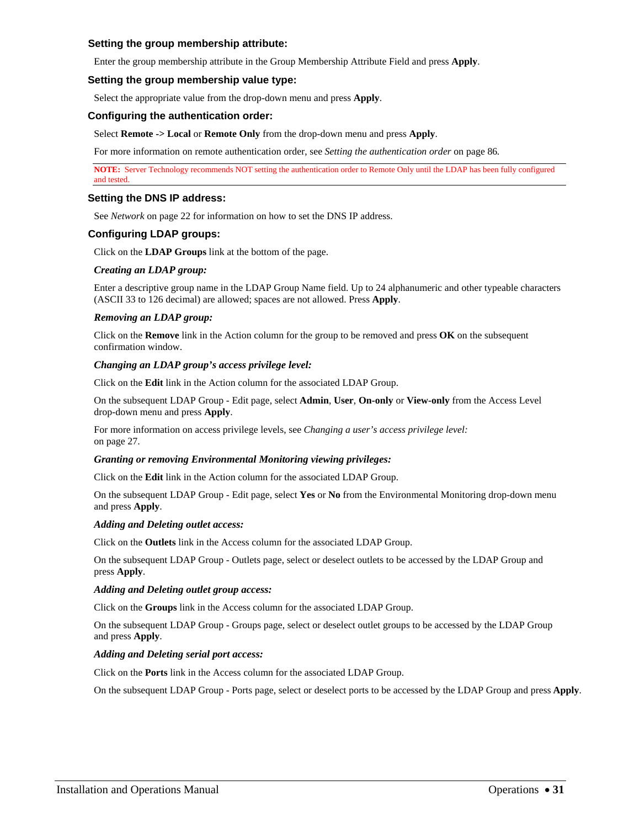#### **Setting the group membership attribute:**

Enter the group membership attribute in the Group Membership Attribute Field and press **Apply**.

#### **Setting the group membership value type:**

Select the appropriate value from the drop-down menu and press **Apply**.

#### **Configuring the authentication order:**

Select **Remote -> Local** or **Remote Only** from the drop-down menu and press **Apply**.

For more information on remote authentication order, see *[Setting the authentication order](#page-85-0)* on page [86](#page-85-0)*.*

**NOTE:** Server Technology recommends NOT setting the authentication order to Remote Only until the LDAP has been fully configured and tested.

#### **Setting the DNS IP address:**

See *[Network](#page-21-0)* on page [22](#page-21-0) for information on how to set the DNS IP address.

#### **Configuring LDAP groups:**

Click on the **LDAP Groups** link at the bottom of the page.

#### *Creating an LDAP group:*

Enter a descriptive group name in the LDAP Group Name field. Up to 24 alphanumeric and other typeable characters (ASCII 33 to 126 decimal) are allowed; spaces are not allowed. Press **Apply**.

#### *Removing an LDAP group:*

Click on the **Remove** link in the Action column for the group to be removed and press **OK** on the subsequent confirmation window.

#### *Changing an LDAP group's access privilege level:*

Click on the **Edit** link in the Action column for the associated LDAP Group.

On the subsequent LDAP Group - Edit page, select **Admin**, **User**, **On-only** or **View-only** from the Access Level drop-down menu and press **Apply**.

For more information on access privilege levels, see *[Changing a user's access privilege level:](#page-26-0)* on page [27.](#page-26-0)

#### *Granting or removing Environmental Monitoring viewing privileges:*

Click on the **Edit** link in the Action column for the associated LDAP Group.

On the subsequent LDAP Group - Edit page, select **Yes** or **No** from the Environmental Monitoring drop-down menu and press **Apply**.

#### *Adding and Deleting outlet access:*

Click on the **Outlets** link in the Access column for the associated LDAP Group.

On the subsequent LDAP Group - Outlets page, select or deselect outlets to be accessed by the LDAP Group and press **Apply**.

#### *Adding and Deleting outlet group access:*

Click on the **Groups** link in the Access column for the associated LDAP Group.

On the subsequent LDAP Group - Groups page, select or deselect outlet groups to be accessed by the LDAP Group and press **Apply**.

#### *Adding and Deleting serial port access:*

Click on the **Ports** link in the Access column for the associated LDAP Group.

On the subsequent LDAP Group - Ports page, select or deselect ports to be accessed by the LDAP Group and press **Apply**.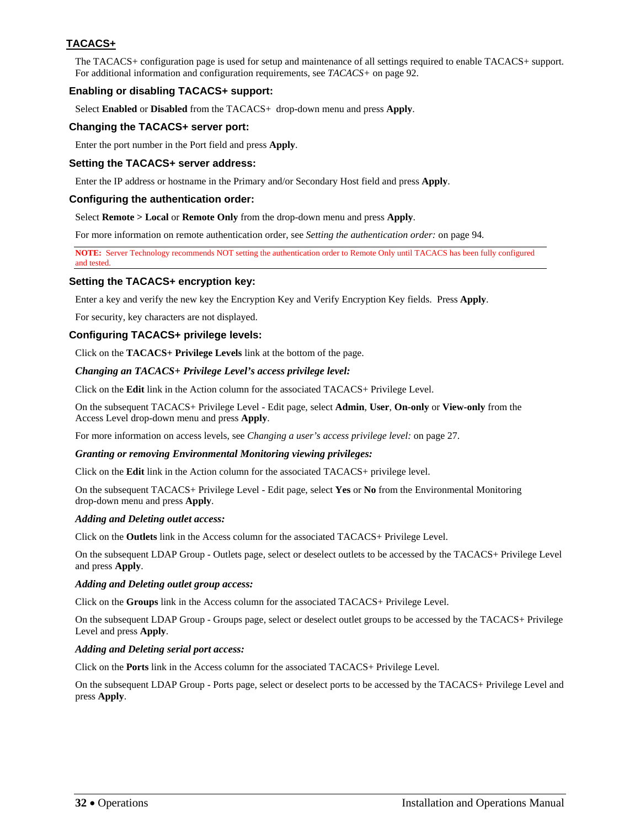# <span id="page-31-0"></span>**TACACS+**

The TACACS+ configuration page is used for setup and maintenance of all settings required to enable TACACS+ support. For additional information and configuration requirements, see *[TACACS+](#page-91-0)* on page [92](#page-91-0).

# **Enabling or disabling TACACS+ support:**

Select **Enabled** or **Disabled** from the TACACS+ drop-down menu and press **Apply**.

#### **Changing the TACACS+ server port:**

Enter the port number in the Port field and press **Apply**.

### **Setting the TACACS+ server address:**

Enter the IP address or hostname in the Primary and/or Secondary Host field and press **Apply**.

### **Configuring the authentication order:**

Select **Remote > Local** or **Remote Only** from the drop-down menu and press **Apply**.

For more information on remote authentication order, see *[Setting the authentication order:](#page-93-0)* on page [94](#page-93-0)*.*

**NOTE:** Server Technology recommends NOT setting the authentication order to Remote Only until TACACS has been fully configured and tested.

#### **Setting the TACACS+ encryption key:**

Enter a key and verify the new key the Encryption Key and Verify Encryption Key fields. Press **Apply**.

For security, key characters are not displayed.

#### **Configuring TACACS+ privilege levels:**

Click on the **TACACS+ Privilege Levels** link at the bottom of the page.

#### *Changing an TACACS+ Privilege Level's access privilege level:*

Click on the **Edit** link in the Action column for the associated TACACS+ Privilege Level.

On the subsequent TACACS+ Privilege Level - Edit page, select **Admin**, **User**, **On-only** or **View-only** from the Access Level drop-down menu and press **Apply**.

For more information on access levels, see *[Changing a user's access privilege level:](#page-26-0)* on page [27.](#page-26-0)

#### *Granting or removing Environmental Monitoring viewing privileges:*

Click on the **Edit** link in the Action column for the associated TACACS+ privilege level.

On the subsequent TACACS+ Privilege Level - Edit page, select **Yes** or **No** from the Environmental Monitoring drop-down menu and press **Apply**.

#### *Adding and Deleting outlet access:*

Click on the **Outlets** link in the Access column for the associated TACACS+ Privilege Level.

On the subsequent LDAP Group - Outlets page, select or deselect outlets to be accessed by the TACACS+ Privilege Level and press **Apply**.

#### *Adding and Deleting outlet group access:*

Click on the **Groups** link in the Access column for the associated TACACS+ Privilege Level.

On the subsequent LDAP Group - Groups page, select or deselect outlet groups to be accessed by the TACACS+ Privilege Level and press **Apply**.

#### *Adding and Deleting serial port access:*

Click on the **Ports** link in the Access column for the associated TACACS+ Privilege Level.

On the subsequent LDAP Group - Ports page, select or deselect ports to be accessed by the TACACS+ Privilege Level and press **Apply**.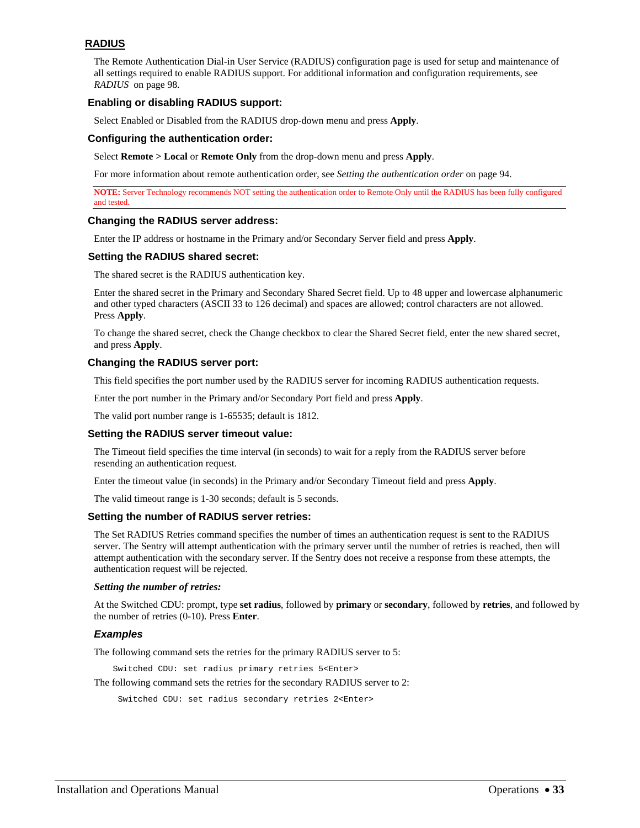# <span id="page-32-0"></span>**RADIUS**

The Remote Authentication Dial-in User Service (RADIUS) configuration page is used for setup and maintenance of all settings required to enable RADIUS support. For additional information and configuration requirements, see *RADIUS* on page [98.](#page-97-0)

### **Enabling or disabling RADIUS support:**

Select Enabled or Disabled from the RADIUS drop-down menu and press **Apply**.

#### **Configuring the authentication order:**

Select **Remote > Local** or **Remote Only** from the drop-down menu and press **Apply**.

For more information about remote authentication order, see *Setting the authentication order* on page [94.](#page-93-0)

**NOTE:** Server Technology recommends NOT setting the authentication order to Remote Only until the RADIUS has been fully configured and tested.

#### **Changing the RADIUS server address:**

Enter the IP address or hostname in the Primary and/or Secondary Server field and press **Apply**.

#### **Setting the RADIUS shared secret:**

The shared secret is the RADIUS authentication key.

Enter the shared secret in the Primary and Secondary Shared Secret field. Up to 48 upper and lowercase alphanumeric and other typed characters (ASCII 33 to 126 decimal) and spaces are allowed; control characters are not allowed. Press **Apply**.

To change the shared secret, check the Change checkbox to clear the Shared Secret field, enter the new shared secret, and press **Apply**.

#### **Changing the RADIUS server port:**

This field specifies the port number used by the RADIUS server for incoming RADIUS authentication requests.

Enter the port number in the Primary and/or Secondary Port field and press **Apply**.

The valid port number range is 1-65535; default is 1812.

#### **Setting the RADIUS server timeout value:**

The Timeout field specifies the time interval (in seconds) to wait for a reply from the RADIUS server before resending an authentication request.

Enter the timeout value (in seconds) in the Primary and/or Secondary Timeout field and press **Apply**.

The valid timeout range is 1-30 seconds; default is 5 seconds.

#### **Setting the number of RADIUS server retries:**

The Set RADIUS Retries command specifies the number of times an authentication request is sent to the RADIUS server. The Sentry will attempt authentication with the primary server until the number of retries is reached, then will attempt authentication with the secondary server. If the Sentry does not receive a response from these attempts, the authentication request will be rejected.

#### *Setting the number of retries:*

At the Switched CDU: prompt, type **set radius**, followed by **primary** or **secondary**, followed by **retries**, and followed by the number of retries (0-10). Press **Enter**.

#### *Examples*

The following command sets the retries for the primary RADIUS server to 5:

Switched CDU: set radius primary retries 5<Enter>

The following command sets the retries for the secondary RADIUS server to 2:

Switched CDU: set radius secondary retries 2<Enter>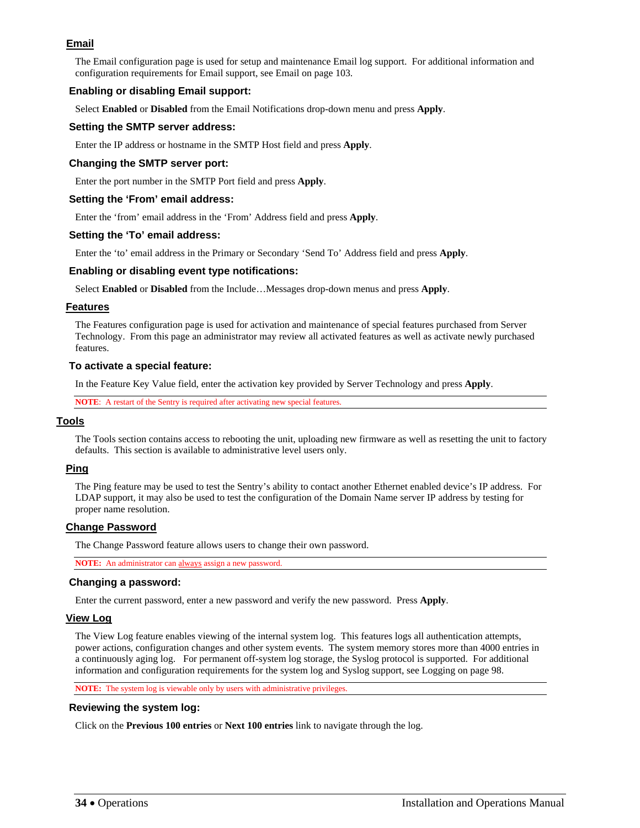# <span id="page-33-0"></span>**Email**

The Email configuration page is used for setup and maintenance Email log support. For additional information and configuration requirements for Email support, see Email on page [103](#page-102-0).

#### **Enabling or disabling Email support:**

Select **Enabled** or **Disabled** from the Email Notifications drop-down menu and press **Apply**.

#### **Setting the SMTP server address:**

Enter the IP address or hostname in the SMTP Host field and press **Apply**.

#### **Changing the SMTP server port:**

Enter the port number in the SMTP Port field and press **Apply**.

#### **Setting the 'From' email address:**

Enter the 'from' email address in the 'From' Address field and press **Apply**.

#### **Setting the 'To' email address:**

Enter the 'to' email address in the Primary or Secondary 'Send To' Address field and press **Apply**.

#### **Enabling or disabling event type notifications:**

Select **Enabled** or **Disabled** from the Include…Messages drop-down menus and press **Apply**.

#### <span id="page-33-1"></span>**Features**

The Features configuration page is used for activation and maintenance of special features purchased from Server Technology. From this page an administrator may review all activated features as well as activate newly purchased features.

#### **To activate a special feature:**

In the Feature Key Value field, enter the activation key provided by Server Technology and press **Apply**.

**NOTE**: A restart of the Sentry is required after activating new special features.

#### <span id="page-33-2"></span>**Tools**

The Tools section contains access to rebooting the unit, uploading new firmware as well as resetting the unit to factory defaults. This section is available to administrative level users only.

#### <span id="page-33-3"></span>**Ping**

The Ping feature may be used to test the Sentry's ability to contact another Ethernet enabled device's IP address. For LDAP support, it may also be used to test the configuration of the Domain Name server IP address by testing for proper name resolution.

#### <span id="page-33-4"></span>**Change Password**

The Change Password feature allows users to change their own password.

**NOTE:** An administrator can always assign a new password.

# **Changing a password:**

Enter the current password, enter a new password and verify the new password. Press **Apply**.

# <span id="page-33-5"></span>**View Log**

The View Log feature enables viewing of the internal system log. This features logs all authentication attempts, power actions, configuration changes and other system events. The system memory stores more than 4000 entries in a continuously aging log. For permanent off-system log storage, the Syslog protocol is supported. For additional information and configuration requirements for the system log and Syslog support, see Logging on page [98.](#page-101-0)

**NOTE:** The system log is viewable only by users with administrative privileges.

# **Reviewing the system log:**

Click on the **Previous 100 entries** or **Next 100 entries** link to navigate through the log.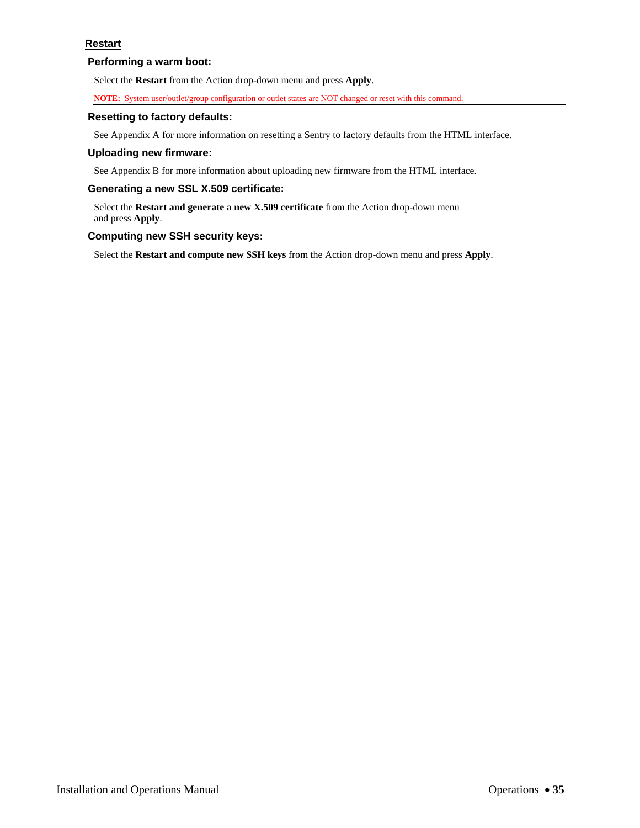## <span id="page-34-1"></span><span id="page-34-0"></span>**Performing a warm boot:**

Select the **Restart** from the Action drop-down menu and press **Apply**.

**NOTE:** System user/outlet/group configuration or outlet states are NOT changed or reset with this command.

#### **Resetting to factory defaults:**

See Appendix A for more information on resetting a Sentry to factory defaults from the HTML interface.

#### **Uploading new firmware:**

See Appendix B for more information about uploading new firmware from the HTML interface.

# **Generating a new SSL X.509 certificate:**

Select the **Restart and generate a new X.509 certificate** from the Action drop-down menu and press **Apply**.

#### **Computing new SSH security keys:**

Select the **Restart and compute new SSH keys** from the Action drop-down menu and press **Apply**.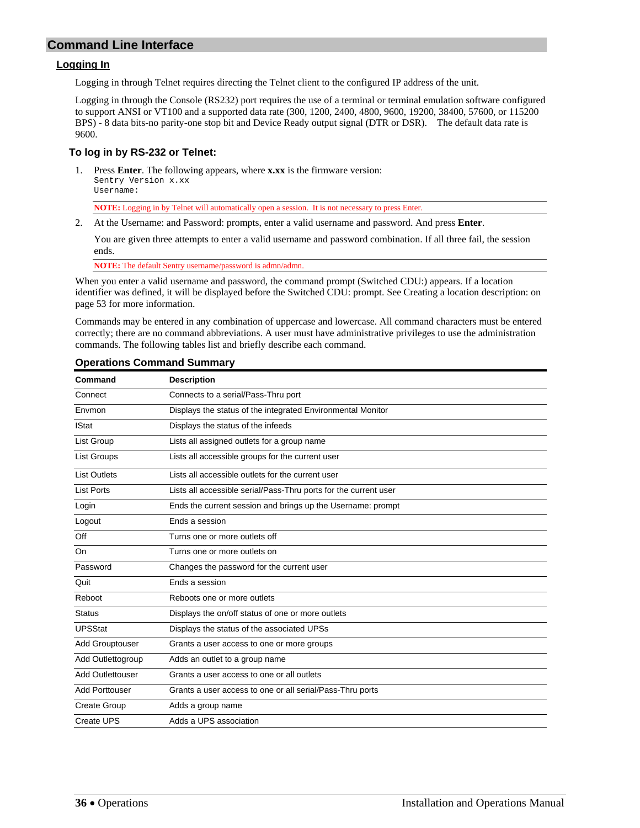# <span id="page-35-1"></span><span id="page-35-0"></span>**Command Line Interface**

#### **Logging In**

Logging in through Telnet requires directing the Telnet client to the configured IP address of the unit.

Logging in through the Console (RS232) port requires the use of a terminal or terminal emulation software configured to support ANSI or VT100 and a supported data rate (300, 1200, 2400, 4800, 9600, 19200, 38400, 57600, or 115200 BPS) - 8 data bits-no parity-one stop bit and Device Ready output signal (DTR or DSR). The default data rate is 9600.

### **To log in by RS-232 or Telnet:**

1. Press **Enter**. The following appears, where **x.xx** is the firmware version: Sentry Version x.xx Username:

**NOTE:** Logging in by Telnet will automatically open a session. It is not necessary to press Enter.

2. At the Username: and Password: prompts, enter a valid username and password. And press **Enter**.

You are given three attempts to enter a valid username and password combination. If all three fail, the session ends.

**NOTE:** The default Sentry username/password is admn/admn.

When you enter a valid username and password, the command prompt (Switched CDU:) appears. If a location identifier was defined, it will be displayed before the Switched CDU: prompt. See [Creating a location description:](#page-52-1) on page [53](#page-52-1) for more information.

Commands may be entered in any combination of uppercase and lowercase. All command characters must be entered correctly; there are no command abbreviations. A user must have administrative privileges to use the administration commands. The following tables list and briefly describe each command.

| Command                 | <b>Description</b>                                               |
|-------------------------|------------------------------------------------------------------|
| Connect                 | Connects to a serial/Pass-Thru port                              |
| Envmon                  | Displays the status of the integrated Environmental Monitor      |
| <b>IStat</b>            | Displays the status of the infeeds                               |
| List Group              | Lists all assigned outlets for a group name                      |
| <b>List Groups</b>      | Lists all accessible groups for the current user                 |
| <b>List Outlets</b>     | Lists all accessible outlets for the current user                |
| <b>List Ports</b>       | Lists all accessible serial/Pass-Thru ports for the current user |
| Login                   | Ends the current session and brings up the Username: prompt      |
| Logout                  | Ends a session                                                   |
| Off                     | Turns one or more outlets off                                    |
| On                      | Turns one or more outlets on                                     |
| Password                | Changes the password for the current user                        |
| Quit                    | Ends a session                                                   |
| Reboot                  | Reboots one or more outlets                                      |
| <b>Status</b>           | Displays the on/off status of one or more outlets                |
| <b>UPSStat</b>          | Displays the status of the associated UPSs                       |
| <b>Add Grouptouser</b>  | Grants a user access to one or more groups                       |
| Add Outlettogroup       | Adds an outlet to a group name                                   |
| <b>Add Outlettouser</b> | Grants a user access to one or all outlets                       |
| <b>Add Porttouser</b>   | Grants a user access to one or all serial/Pass-Thru ports        |
| Create Group            | Adds a group name                                                |
| Create UPS              | Adds a UPS association                                           |

#### **Operations Command Summary**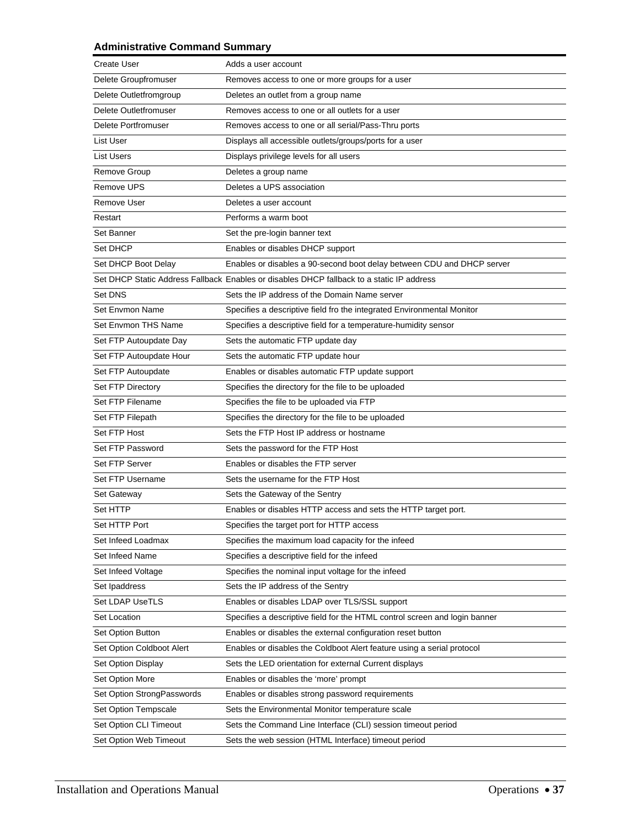# **Administrative Command Summary**

| <b>Create User</b>         | Adds a user account                                                                       |
|----------------------------|-------------------------------------------------------------------------------------------|
| Delete Groupfromuser       | Removes access to one or more groups for a user                                           |
| Delete Outletfromgroup     | Deletes an outlet from a group name                                                       |
| Delete Outletfromuser      | Removes access to one or all outlets for a user                                           |
| Delete Portfromuser        | Removes access to one or all serial/Pass-Thru ports                                       |
| List User                  | Displays all accessible outlets/groups/ports for a user                                   |
| <b>List Users</b>          | Displays privilege levels for all users                                                   |
| <b>Remove Group</b>        | Deletes a group name                                                                      |
| <b>Remove UPS</b>          | Deletes a UPS association                                                                 |
| Remove User                | Deletes a user account                                                                    |
| Restart                    | Performs a warm boot                                                                      |
| Set Banner                 | Set the pre-login banner text                                                             |
| Set DHCP                   | Enables or disables DHCP support                                                          |
| Set DHCP Boot Delay        | Enables or disables a 90-second boot delay between CDU and DHCP server                    |
|                            | Set DHCP Static Address Fallback Enables or disables DHCP fallback to a static IP address |
| Set DNS                    | Sets the IP address of the Domain Name server                                             |
| Set Envmon Name            | Specifies a descriptive field fro the integrated Environmental Monitor                    |
| Set Envmon THS Name        | Specifies a descriptive field for a temperature-humidity sensor                           |
| Set FTP Autoupdate Day     | Sets the automatic FTP update day                                                         |
| Set FTP Autoupdate Hour    | Sets the automatic FTP update hour                                                        |
| Set FTP Autoupdate         | Enables or disables automatic FTP update support                                          |
| Set FTP Directory          | Specifies the directory for the file to be uploaded                                       |
| Set FTP Filename           | Specifies the file to be uploaded via FTP                                                 |
| Set FTP Filepath           | Specifies the directory for the file to be uploaded                                       |
| Set FTP Host               | Sets the FTP Host IP address or hostname                                                  |
| Set FTP Password           | Sets the password for the FTP Host                                                        |
| Set FTP Server             | Enables or disables the FTP server                                                        |
| Set FTP Username           | Sets the username for the FTP Host                                                        |
| Set Gateway                | Sets the Gateway of the Sentry                                                            |
| Set HTTP                   | Enables or disables HTTP access and sets the HTTP target port.                            |
| Set HTTP Port              | Specifies the target port for HTTP access                                                 |
| Set Infeed Loadmax         | Specifies the maximum load capacity for the infeed                                        |
| Set Infeed Name            | Specifies a descriptive field for the infeed                                              |
| Set Infeed Voltage         | Specifies the nominal input voltage for the infeed                                        |
| Set Ipaddress              | Sets the IP address of the Sentry                                                         |
| Set LDAP UseTLS            | Enables or disables LDAP over TLS/SSL support                                             |
| Set Location               | Specifies a descriptive field for the HTML control screen and login banner                |
| Set Option Button          | Enables or disables the external configuration reset button                               |
| Set Option Coldboot Alert  | Enables or disables the Coldboot Alert feature using a serial protocol                    |
| Set Option Display         | Sets the LED orientation for external Current displays                                    |
| Set Option More            | Enables or disables the 'more' prompt                                                     |
| Set Option StrongPasswords | Enables or disables strong password requirements                                          |
| Set Option Tempscale       | Sets the Environmental Monitor temperature scale                                          |
| Set Option CLI Timeout     | Sets the Command Line Interface (CLI) session timeout period                              |
| Set Option Web Timeout     | Sets the web session (HTML Interface) timeout period                                      |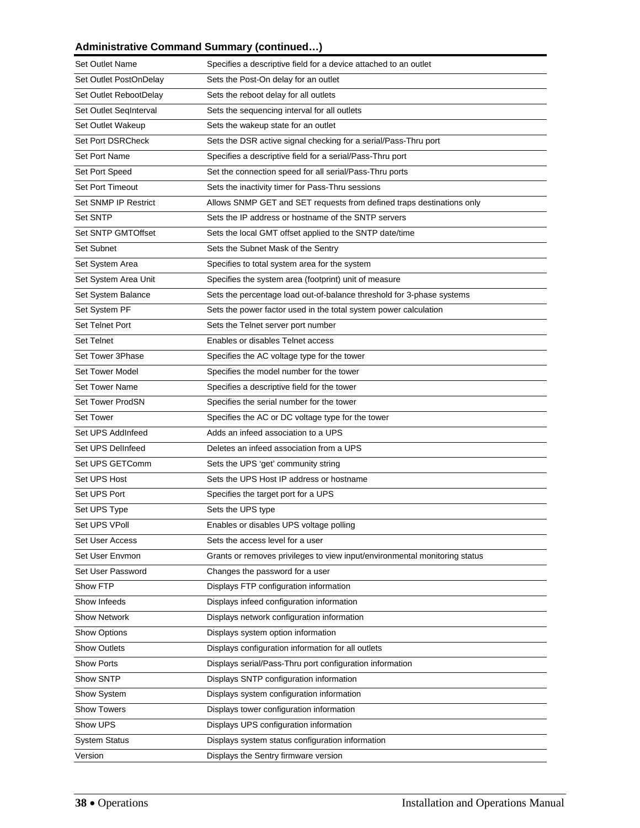# **Administrative Command Summary (continued…)**

| <b>Set Outlet Name</b>    | Specifies a descriptive field for a device attached to an outlet           |
|---------------------------|----------------------------------------------------------------------------|
| Set Outlet PostOnDelay    | Sets the Post-On delay for an outlet                                       |
| Set Outlet RebootDelay    | Sets the reboot delay for all outlets                                      |
| Set Outlet SeqInterval    | Sets the sequencing interval for all outlets                               |
| <b>Set Outlet Wakeup</b>  | Sets the wakeup state for an outlet                                        |
| <b>Set Port DSRCheck</b>  | Sets the DSR active signal checking for a serial/Pass-Thru port            |
| Set Port Name             | Specifies a descriptive field for a serial/Pass-Thru port                  |
| Set Port Speed            | Set the connection speed for all serial/Pass-Thru ports                    |
| <b>Set Port Timeout</b>   | Sets the inactivity timer for Pass-Thru sessions                           |
| Set SNMP IP Restrict      | Allows SNMP GET and SET requests from defined traps destinations only      |
| Set SNTP                  | Sets the IP address or hostname of the SNTP servers                        |
| <b>Set SNTP GMTOffset</b> | Sets the local GMT offset applied to the SNTP date/time                    |
| Set Subnet                | Sets the Subnet Mask of the Sentry                                         |
| Set System Area           | Specifies to total system area for the system                              |
| Set System Area Unit      | Specifies the system area (footprint) unit of measure                      |
| Set System Balance        | Sets the percentage load out-of-balance threshold for 3-phase systems      |
| Set System PF             | Sets the power factor used in the total system power calculation           |
| Set Telnet Port           | Sets the Telnet server port number                                         |
| <b>Set Telnet</b>         | Enables or disables Telnet access                                          |
| Set Tower 3Phase          | Specifies the AC voltage type for the tower                                |
| <b>Set Tower Model</b>    | Specifies the model number for the tower                                   |
| <b>Set Tower Name</b>     | Specifies a descriptive field for the tower                                |
| <b>Set Tower ProdSN</b>   | Specifies the serial number for the tower                                  |
| <b>Set Tower</b>          | Specifies the AC or DC voltage type for the tower                          |
| Set UPS AddInfeed         | Adds an infeed association to a UPS                                        |
| Set UPS DelInfeed         | Deletes an infeed association from a UPS                                   |
| Set UPS GETComm           | Sets the UPS 'get' community string                                        |
| Set UPS Host              | Sets the UPS Host IP address or hostname                                   |
| Set UPS Port              | Specifies the target port for a UPS                                        |
| Set UPS Type              | Sets the UPS type                                                          |
| Set UPS VPoll             | Enables or disables UPS voltage polling                                    |
| Set User Access           | Sets the access level for a user                                           |
| Set User Envmon           | Grants or removes privileges to view input/environmental monitoring status |
| Set User Password         | Changes the password for a user                                            |
| Show FTP                  | Displays FTP configuration information                                     |
| Show Infeeds              | Displays infeed configuration information                                  |
| <b>Show Network</b>       | Displays network configuration information                                 |
| Show Options              | Displays system option information                                         |
| <b>Show Outlets</b>       | Displays configuration information for all outlets                         |
| <b>Show Ports</b>         | Displays serial/Pass-Thru port configuration information                   |
| Show SNTP                 | Displays SNTP configuration information                                    |
| Show System               | Displays system configuration information                                  |
| <b>Show Towers</b>        | Displays tower configuration information                                   |
| Show UPS                  | Displays UPS configuration information                                     |
| <b>System Status</b>      | Displays system status configuration information                           |
| Version                   | Displays the Sentry firmware version                                       |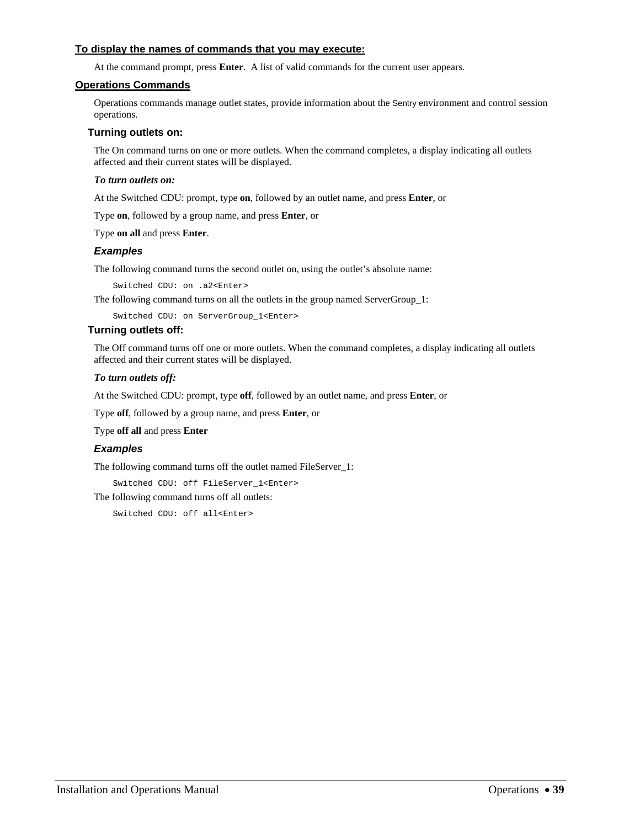## **To display the names of commands that you may execute:**

At the command prompt, press **Enter**. A list of valid commands for the current user appears.

### **Operations Commands**

Operations commands manage outlet states, provide information about the Sentry environment and control session operations.

## **Turning outlets on:**

The On command turns on one or more outlets. When the command completes, a display indicating all outlets affected and their current states will be displayed.

### *To turn outlets on:*

At the Switched CDU: prompt, type **on**, followed by an outlet name, and press **Enter**, or

Type **on**, followed by a group name, and press **Enter**, or

Type **on all** and press **Enter**.

### *Examples*

The following command turns the second outlet on, using the outlet's absolute name:

Switched CDU: on .a2<Enter>

The following command turns on all the outlets in the group named ServerGroup\_1:

Switched CDU: on ServerGroup\_1<Enter>

## **Turning outlets off:**

The Off command turns off one or more outlets. When the command completes, a display indicating all outlets affected and their current states will be displayed.

### *To turn outlets off:*

At the Switched CDU: prompt, type **off**, followed by an outlet name, and press **Enter**, or

Type **off**, followed by a group name, and press **Enter**, or

Type **off all** and press **Enter**

## *Examples*

The following command turns off the outlet named FileServer\_1:

Switched CDU: off FileServer\_1<Enter>

The following command turns off all outlets:

Switched CDU: off all<Enter>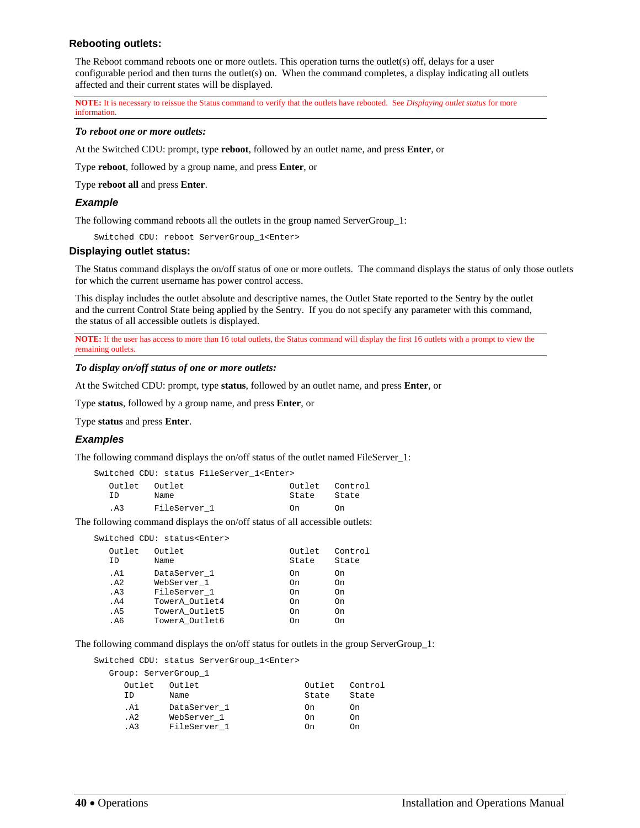## **Rebooting outlets:**

The Reboot command reboots one or more outlets. This operation turns the outlet(s) off, delays for a user configurable period and then turns the outlet(s) on. When the command completes, a display indicating all outlets affected and their current states will be displayed.

**NOTE:** It is necessary to reissue the Status command to verify that the outlets have rebooted. See *[Displaying outlet status](#page-39-0)* for more information.

#### *To reboot one or more outlets:*

At the Switched CDU: prompt, type **reboot**, followed by an outlet name, and press **Enter**, or

Type **reboot**, followed by a group name, and press **Enter**, or

Type **reboot all** and press **Enter**.

### *Example*

The following command reboots all the outlets in the group named ServerGroup\_1:

Switched CDU: reboot ServerGroup\_1<Enter>

#### <span id="page-39-0"></span>**Displaying outlet status:**

The Status command displays the on/off status of one or more outlets. The command displays the status of only those outlets for which the current username has power control access.

This display includes the outlet absolute and descriptive names, the Outlet State reported to the Sentry by the outlet and the current Control State being applied by the Sentry. If you do not specify any parameter with this command, the status of all accessible outlets is displayed.

**NOTE:** If the user has access to more than 16 total outlets, the Status command will display the first 16 outlets with a prompt to view the remaining outlets.

*To display on/off status of one or more outlets:* 

At the Switched CDU: prompt, type **status**, followed by an outlet name, and press **Enter**, or

Type **status**, followed by a group name, and press **Enter**, or

Type **status** and press **Enter**.

### *Examples*

The following command displays the on/off status of the outlet named FileServer\_1:

|               |              | Switched CDU: status FileServer 1 <enter></enter> |                |       |
|---------------|--------------|---------------------------------------------------|----------------|-------|
| Outlet Outlet |              |                                                   | Outlet Control |       |
| TD.           | Name         |                                                   | State          | State |
| .A3           | FileServer 1 |                                                   | On.            | 0n.   |

The following command displays the on/off status of all accessible outlets:

Switched CDU: status<Enter>

| Outlet<br>ΙD | Outlet<br>Name | Outlet<br>State | Control<br>State |
|--------------|----------------|-----------------|------------------|
| . A 1        | DataServer 1   | On              | On               |
| . A2         | WebServer 1    | On              | On               |
| .A3          | FileServer 1   | On              | On               |
| . A4         | TowerA Outlet4 | On              | On               |
| .A5          | TowerA Outlet5 | On              | On               |
| . A6         | TowerA Outlet6 | ωn              | Ω'n              |

The following command displays the on/off status for outlets in the group ServerGroup\_1:

Switched CDU: status ServerGroup\_1<Enter>

| Group: ServerGroup 1 |              |                |                 |                  |
|----------------------|--------------|----------------|-----------------|------------------|
|                      | Outlet<br>TD | Outlet<br>Name | Outlet<br>State | Control<br>State |
|                      | . A 1        | DataServer 1   | On              | On               |
|                      | . A 2.       | WebServer 1    | On              | On               |
|                      | . A3         | FileServer 1   | 0'n             | On               |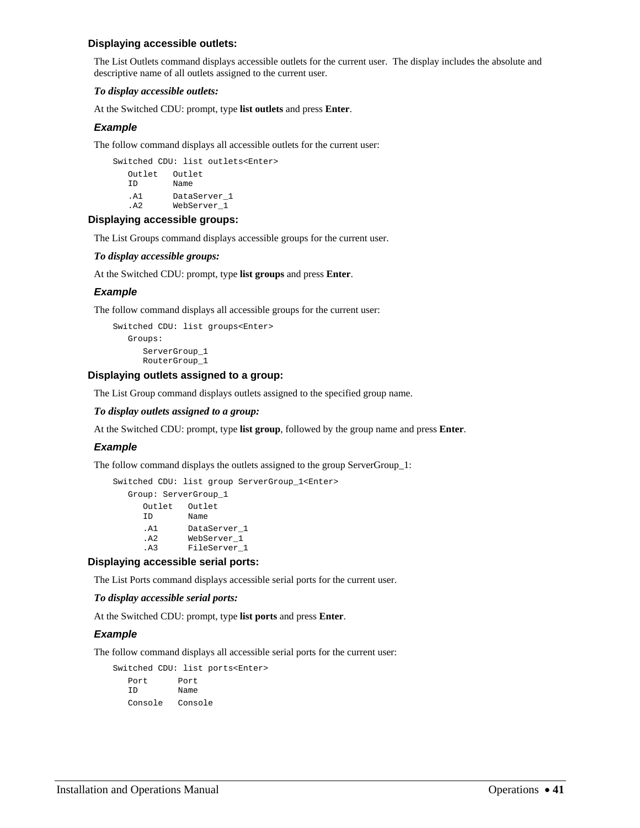### **Displaying accessible outlets:**

The List Outlets command displays accessible outlets for the current user. The display includes the absolute and descriptive name of all outlets assigned to the current user.

### *To display accessible outlets:*

At the Switched CDU: prompt, type **list outlets** and press **Enter**.

## *Example*

The follow command displays all accessible outlets for the current user:

Switched CDU: list outlets<Enter> Outlet Outlet<br>ID Name Name .A1 DataServer\_1 .A2 WebServer\_1

## **Displaying accessible groups:**

The List Groups command displays accessible groups for the current user.

### *To display accessible groups:*

At the Switched CDU: prompt, type **list groups** and press **Enter**.

## *Example*

The follow command displays all accessible groups for the current user:

```
Switched CDU: list groups<Enter> 
    Groups: 
       ServerGroup_1 
       RouterGroup_1
```
### **Displaying outlets assigned to a group:**

The List Group command displays outlets assigned to the specified group name.

### *To display outlets assigned to a group:*

At the Switched CDU: prompt, type **list group**, followed by the group name and press **Enter**.

### *Example*

The follow command displays the outlets assigned to the group ServerGroup\_1:

```
Switched CDU: list group ServerGroup_1<Enter>
```
 Group: ServerGroup\_1 Outlet Outlet ID Name .A1 DataServer\_1 .A2 WebServer\_1 .A3 FileServer\_1

### **Displaying accessible serial ports:**

The List Ports command displays accessible serial ports for the current user.

### *To display accessible serial ports:*

At the Switched CDU: prompt, type **list ports** and press **Enter**.

### *Example*

The follow command displays all accessible serial ports for the current user:

Switched CDU: list ports<Enter> Port Port<br>ID Name Name Console Console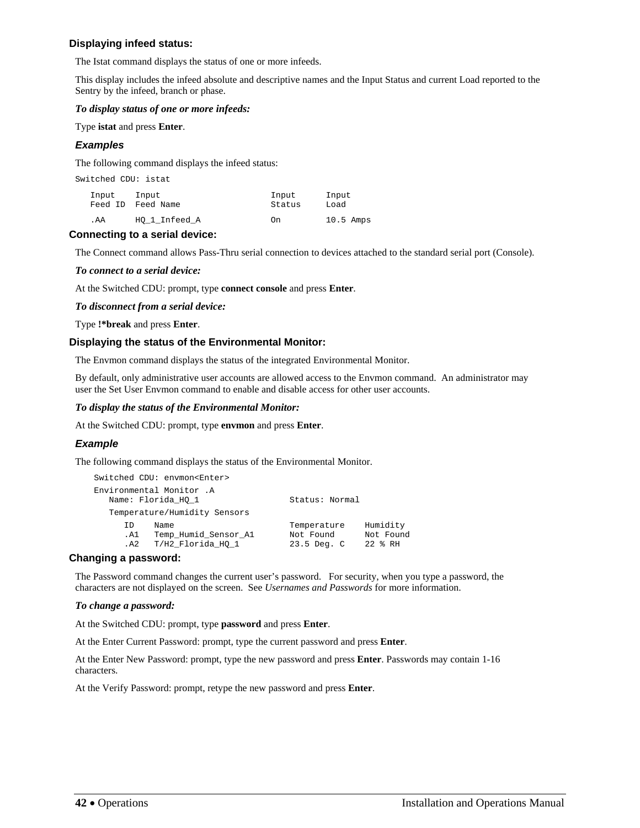## **Displaying infeed status:**

The Istat command displays the status of one or more infeeds.

This display includes the infeed absolute and descriptive names and the Input Status and current Load reported to the Sentry by the infeed, branch or phase.

### *To display status of one or more infeeds:*

Type **istat** and press **Enter**.

## *Examples*

The following command displays the infeed status:

| Switched CDU: istat |                            |                 |               |
|---------------------|----------------------------|-----------------|---------------|
| Input               | Input<br>Feed ID Feed Name | Input<br>Status | Input<br>Load |
| . AA                | HO 1 Infeed A              | On              | $10.5$ Amps   |

## **Connecting to a serial device:**

The Connect command allows Pass-Thru serial connection to devices attached to the standard serial port (Console).

## *To connect to a serial device:*

At the Switched CDU: prompt, type **connect console** and press **Enter**.

### *To disconnect from a serial device:*

Type **!\*break** and press **Enter**.

## **Displaying the status of the Environmental Monitor:**

The Envmon command displays the status of the integrated Environmental Monitor.

By default, only administrative user accounts are allowed access to the Envmon command. An administrator may user the Set User Envmon command to enable and disable access for other user accounts.

## *To display the status of the Environmental Monitor:*

At the Switched CDU: prompt, type **envmon** and press **Enter**.

## *Example*

The following command displays the status of the Environmental Monitor.

```
Switched CDU: envmon<Enter> 
Environmental Monitor .A 
 Name: Florida_HQ_1 Status: Normal
   Temperature/Humidity Sensors 
 ID Name Temperature Humidity 
 .A1 Temp_Humid_Sensor_A1 Not Found Not Found 
 .A2 T/H2_Florida_HQ_1 23.5 Deg. C 22 % RH
```
## **Changing a password:**

The Password command changes the current user's password. For security, when you type a password, the characters are not displayed on the screen. See *[Usernames and Passwords](#page-12-0)* for more information.

### *To change a password:*

At the Switched CDU: prompt, type **password** and press **Enter**.

At the Enter Current Password: prompt, type the current password and press **Enter**.

At the Enter New Password: prompt, type the new password and press **Enter**. Passwords may contain 1-16 characters.

At the Verify Password: prompt, retype the new password and press **Enter**.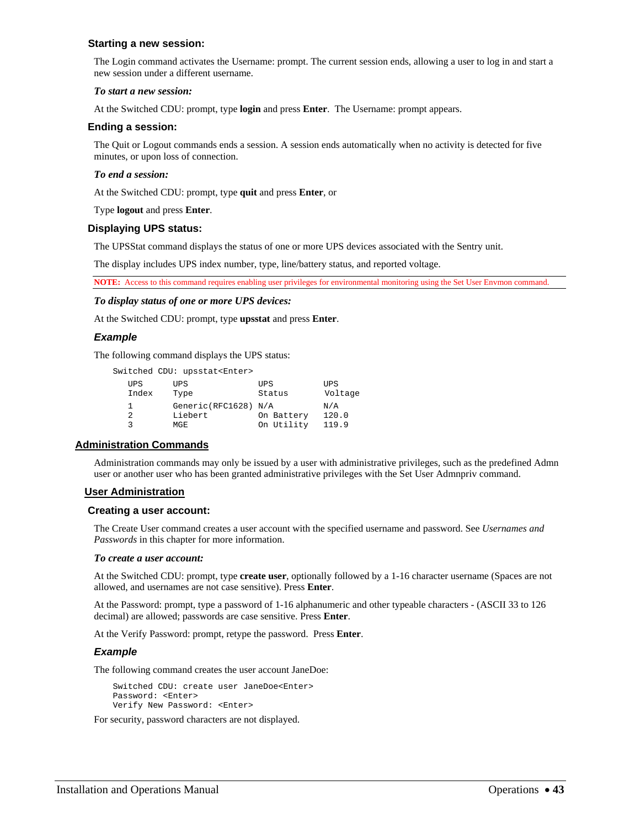### **Starting a new session:**

The Login command activates the Username: prompt. The current session ends, allowing a user to log in and start a new session under a different username.

## *To start a new session:*

At the Switched CDU: prompt, type **login** and press **Enter**. The Username: prompt appears.

## **Ending a session:**

The Quit or Logout commands ends a session. A session ends automatically when no activity is detected for five minutes, or upon loss of connection.

## *To end a session:*

At the Switched CDU: prompt, type **quit** and press **Enter**, or

Type **logout** and press **Enter**.

## **Displaying UPS status:**

The UPSStat command displays the status of one or more UPS devices associated with the Sentry unit.

The display includes UPS index number, type, line/battery status, and reported voltage.

**NOTE:** Access to this command requires enabling user privileges for environmental monitoring using the Set User Envmon command.

### *To display status of one or more UPS devices:*

At the Switched CDU: prompt, type **upsstat** and press **Enter**.

## *Example*

The following command displays the UPS status:

|                     | Switched CDU: upsstat <enter></enter> |                      |                       |
|---------------------|---------------------------------------|----------------------|-----------------------|
| <b>UPS</b><br>Index | UPS<br>Type                           | <b>UPS</b><br>Status | <b>UPS</b><br>Voltage |
| 1                   | Generic(RFC1628) N/A                  |                      | N/A                   |
| 2                   | Liebert                               | On Battery           | 120.0                 |
| ς                   | MGE                                   | On Utility           | 119.9                 |

## **Administration Commands**

Administration commands may only be issued by a user with administrative privileges, such as the predefined Admn user or another user who has been granted administrative privileges with the Set User Admnpriv command.

## **User Administration**

### **Creating a user account:**

The Create User command creates a user account with the specified username and password. See *Usernames and Passwords* in this chapter for more information.

### *To create a user account:*

At the Switched CDU: prompt, type **create user**, optionally followed by a 1-16 character username (Spaces are not allowed, and usernames are not case sensitive). Press **Enter**.

At the Password: prompt, type a password of 1-16 alphanumeric and other typeable characters - (ASCII 33 to 126 decimal) are allowed; passwords are case sensitive. Press **Enter**.

At the Verify Password: prompt, retype the password. Press **Enter**.

### *Example*

The following command creates the user account JaneDoe:

Switched CDU: create user JaneDoe<Enter> Password: <Enter> Verify New Password: <Enter>

For security, password characters are not displayed.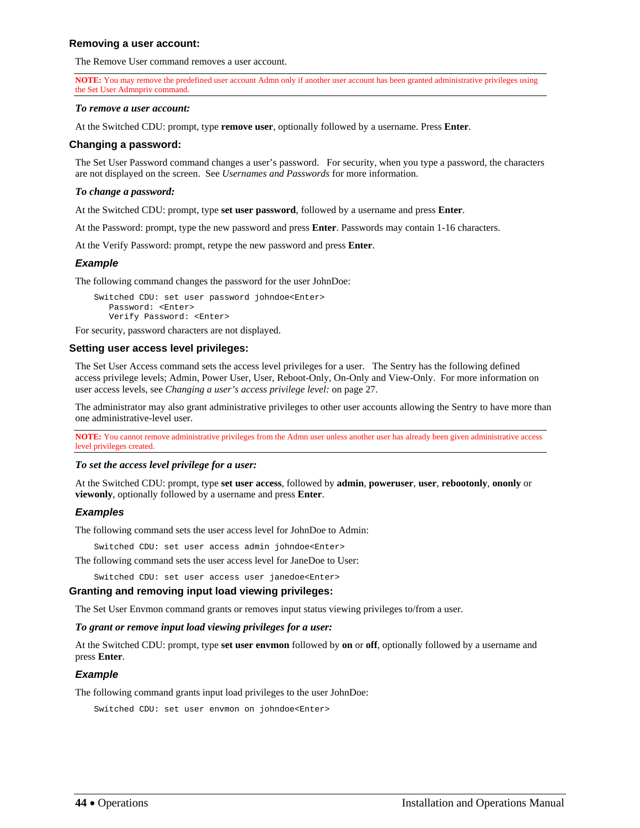### **Removing a user account:**

The Remove User command removes a user account.

**NOTE:** You may remove the predefined user account Admn only if another user account has been granted administrative privileges using the Set User Admnpriv command.

#### *To remove a user account:*

At the Switched CDU: prompt, type **remove user**, optionally followed by a username. Press **Enter**.

### **Changing a password:**

The Set User Password command changes a user's password. For security, when you type a password, the characters are not displayed on the screen. See *[Usernames and Passwords](#page-12-0)* for more information.

### *To change a password:*

At the Switched CDU: prompt, type **set user password**, followed by a username and press **Enter**.

At the Password: prompt, type the new password and press **Enter**. Passwords may contain 1-16 characters.

At the Verify Password: prompt, retype the new password and press **Enter**.

## *Example*

The following command changes the password for the user JohnDoe:

Switched CDU: set user password johndoe<Enter> Password: <Enter> Verify Password: <Enter>

For security, password characters are not displayed.

## **Setting user access level privileges:**

The Set User Access command sets the access level privileges for a user. The Sentry has the following defined access privilege levels; Admin, Power User, User, Reboot-Only, On-Only and View-Only. For more information on user access levels, see *[Changing a user's access privilege level:](#page-26-0)* on page [27](#page-26-0).

The administrator may also grant administrative privileges to other user accounts allowing the Sentry to have more than one administrative-level user.

**NOTE:** You cannot remove administrative privileges from the Admn user unless another user has already been given administrative access level privileges created.

### *To set the access level privilege for a user:*

At the Switched CDU: prompt, type **set user access**, followed by **admin**, **poweruser**, **user**, **rebootonly**, **ononly** or **viewonly**, optionally followed by a username and press **Enter**.

## *Examples*

The following command sets the user access level for JohnDoe to Admin:

Switched CDU: set user access admin johndoe<Enter>

The following command sets the user access level for JaneDoe to User:

Switched CDU: set user access user janedoe<Enter>

## **Granting and removing input load viewing privileges:**

The Set User Envmon command grants or removes input status viewing privileges to/from a user.

### *To grant or remove input load viewing privileges for a user:*

At the Switched CDU: prompt, type **set user envmon** followed by **on** or **off**, optionally followed by a username and press **Enter**.

### *Example*

The following command grants input load privileges to the user JohnDoe:

Switched CDU: set user envmon on johndoe<Enter>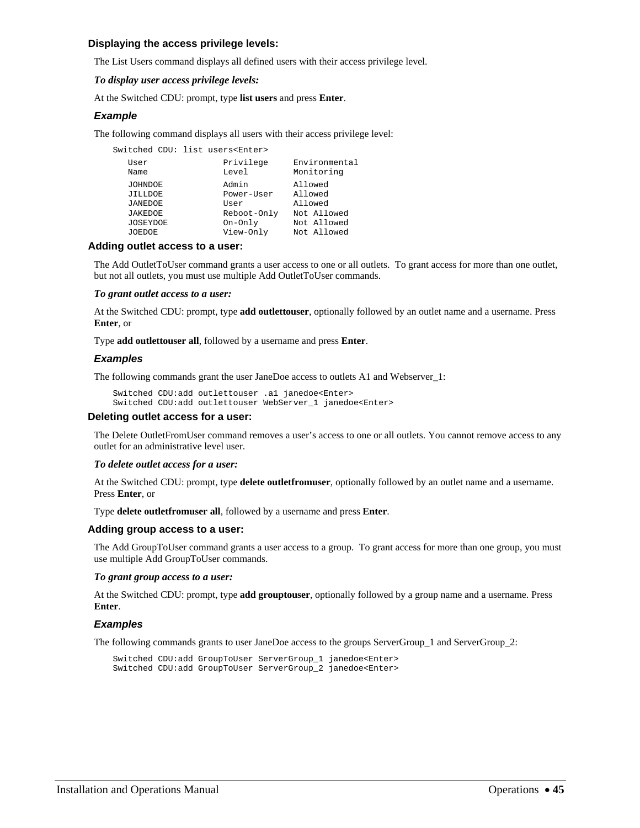### **Displaying the access privilege levels:**

The List Users command displays all defined users with their access privilege level.

### *To display user access privilege levels:*

At the Switched CDU: prompt, type **list users** and press **Enter**.

## *Example*

The following command displays all users with their access privilege level:

Switched CDU: list users<Enter>

| User<br>Name    | Privilege<br>Level | Environmental<br>Monitoring |
|-----------------|--------------------|-----------------------------|
| <b>JOHNDOE</b>  | Admin              | Allowed                     |
| <b>JILLDOE</b>  | Power-User         | Allowed                     |
| <b>JANEDOE</b>  | User               | Allowed                     |
| <b>JAKEDOE</b>  | Reboot-Only        | Not Allowed                 |
| <b>JOSEYDOE</b> | On-Only            | Not Allowed                 |
| <b>JOEDOE</b>   | View-Only          | Not Allowed                 |

## **Adding outlet access to a user:**

The Add OutletToUser command grants a user access to one or all outlets. To grant access for more than one outlet, but not all outlets, you must use multiple Add OutletToUser commands.

#### *To grant outlet access to a user:*

At the Switched CDU: prompt, type **add outlettouser**, optionally followed by an outlet name and a username. Press **Enter**, or

Type **add outlettouser all**, followed by a username and press **Enter**.

## *Examples*

The following commands grant the user JaneDoe access to outlets A1 and Webserver\_1:

```
Switched CDU:add outlettouser .a1 janedoe<Enter> 
Switched CDU:add outlettouser WebServer_1 janedoe<Enter>
```
### **Deleting outlet access for a user:**

The Delete OutletFromUser command removes a user's access to one or all outlets. You cannot remove access to any outlet for an administrative level user.

#### *To delete outlet access for a user:*

At the Switched CDU: prompt, type **delete outletfromuser**, optionally followed by an outlet name and a username. Press **Enter**, or

Type **delete outletfromuser all**, followed by a username and press **Enter**.

### **Adding group access to a user:**

The Add GroupToUser command grants a user access to a group. To grant access for more than one group, you must use multiple Add GroupToUser commands.

#### *To grant group access to a user:*

At the Switched CDU: prompt, type **add grouptouser**, optionally followed by a group name and a username. Press **Enter**.

### *Examples*

The following commands grants to user JaneDoe access to the groups ServerGroup\_1 and ServerGroup\_2:

Switched CDU:add GroupToUser ServerGroup\_1 janedoe<Enter> Switched CDU:add GroupToUser ServerGroup\_2 janedoe<Enter>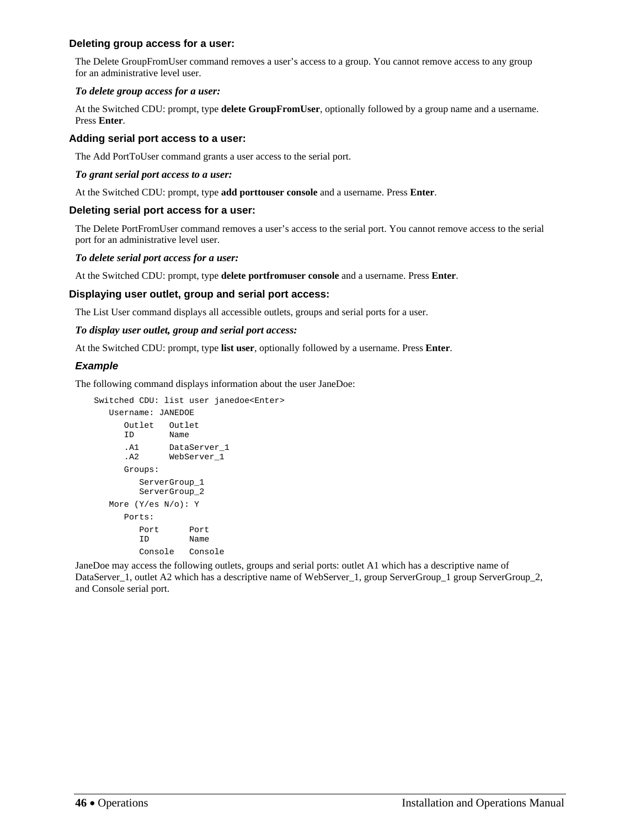## **Deleting group access for a user:**

The Delete GroupFromUser command removes a user's access to a group. You cannot remove access to any group for an administrative level user.

### *To delete group access for a user:*

At the Switched CDU: prompt, type **delete GroupFromUser**, optionally followed by a group name and a username. Press **Enter**.

## **Adding serial port access to a user:**

The Add PortToUser command grants a user access to the serial port.

### *To grant serial port access to a user:*

At the Switched CDU: prompt, type **add porttouser console** and a username. Press **Enter**.

### **Deleting serial port access for a user:**

The Delete PortFromUser command removes a user's access to the serial port. You cannot remove access to the serial port for an administrative level user.

### *To delete serial port access for a user:*

At the Switched CDU: prompt, type **delete portfromuser console** and a username. Press **Enter**.

### **Displaying user outlet, group and serial port access:**

The List User command displays all accessible outlets, groups and serial ports for a user.

### *To display user outlet, group and serial port access:*

At the Switched CDU: prompt, type **list user**, optionally followed by a username. Press **Enter**.

## *Example*

The following command displays information about the user JaneDoe:

```
Switched CDU: list user janedoe<Enter> 
   Username: JANEDOE 
      Outlet Outlet 
      ID Name 
      .A1 DataServer_1 
      .A2 WebServer_1 
      Groups: 
         ServerGroup_1 
         ServerGroup_2 
   More (Y/es N/o): Y 
      Ports: 
         Port Port 
         ID Name 
         Console Console
```
JaneDoe may access the following outlets, groups and serial ports: outlet A1 which has a descriptive name of DataServer\_1, outlet A2 which has a descriptive name of WebServer\_1, group ServerGroup\_1 group ServerGroup\_2, and Console serial port.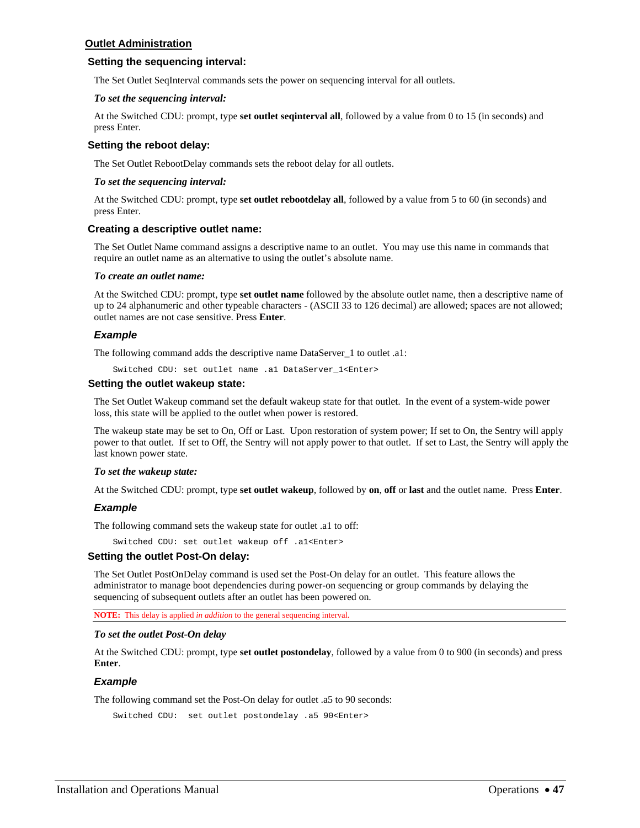## **Outlet Administration**

### **Setting the sequencing interval:**

The Set Outlet SeqInterval commands sets the power on sequencing interval for all outlets.

### *To set the sequencing interval:*

At the Switched CDU: prompt, type **set outlet seqinterval all**, followed by a value from 0 to 15 (in seconds) and press Enter.

### **Setting the reboot delay:**

The Set Outlet RebootDelay commands sets the reboot delay for all outlets.

### *To set the sequencing interval:*

At the Switched CDU: prompt, type **set outlet rebootdelay all**, followed by a value from 5 to 60 (in seconds) and press Enter.

### **Creating a descriptive outlet name:**

The Set Outlet Name command assigns a descriptive name to an outlet. You may use this name in commands that require an outlet name as an alternative to using the outlet's absolute name.

#### *To create an outlet name:*

At the Switched CDU: prompt, type **set outlet name** followed by the absolute outlet name, then a descriptive name of up to 24 alphanumeric and other typeable characters - (ASCII 33 to 126 decimal) are allowed; spaces are not allowed; outlet names are not case sensitive. Press **Enter**.

### *Example*

The following command adds the descriptive name DataServer\_1 to outlet .a1:

Switched CDU: set outlet name .a1 DataServer\_1<Enter>

#### **Setting the outlet wakeup state:**

The Set Outlet Wakeup command set the default wakeup state for that outlet. In the event of a system-wide power loss, this state will be applied to the outlet when power is restored.

The wakeup state may be set to On, Off or Last. Upon restoration of system power; If set to On, the Sentry will apply power to that outlet. If set to Off, the Sentry will not apply power to that outlet. If set to Last, the Sentry will apply the last known power state.

### *To set the wakeup state:*

At the Switched CDU: prompt, type **set outlet wakeup**, followed by **on**, **off** or **last** and the outlet name. Press **Enter**.

### *Example*

The following command sets the wakeup state for outlet .a1 to off:

Switched CDU: set outlet wakeup off .a1<Enter>

### **Setting the outlet Post-On delay:**

The Set Outlet PostOnDelay command is used set the Post-On delay for an outlet. This feature allows the administrator to manage boot dependencies during power-on sequencing or group commands by delaying the sequencing of subsequent outlets after an outlet has been powered on.

**NOTE:** This delay is applied *in addition* to the general sequencing interval.

#### *To set the outlet Post-On delay*

At the Switched CDU: prompt, type **set outlet postondelay**, followed by a value from 0 to 900 (in seconds) and press **Enter**.

### *Example*

The following command set the Post-On delay for outlet .a5 to 90 seconds:

```
Switched CDU: set outlet postondelay .a5 90<Enter>
```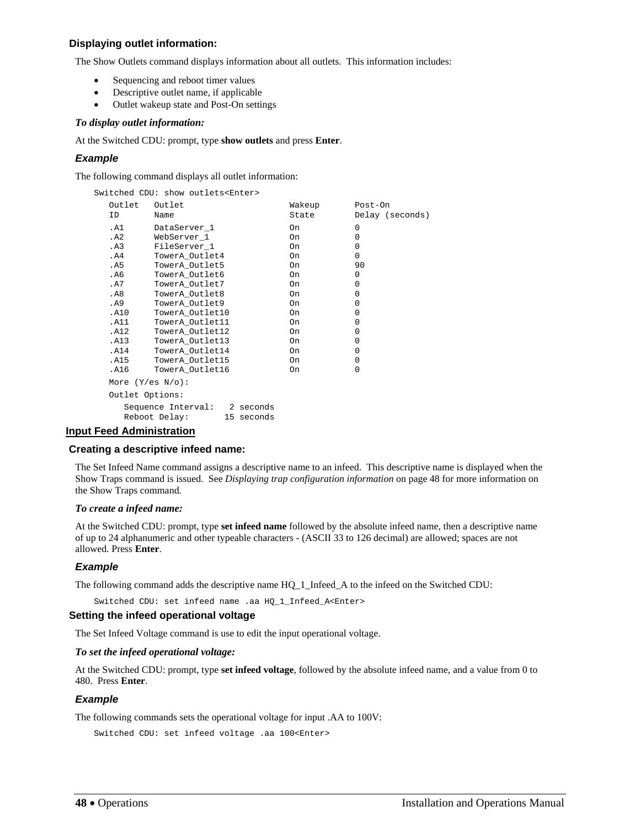## **Displaying outlet information:**

The Show Outlets command displays information about all outlets. This information includes:

- Sequencing and reboot timer values
- Descriptive outlet name, if applicable
- Outlet wakeup state and Post-On settings

## *To display outlet information:*

At the Switched CDU: prompt, type **show outlets** and press **Enter**.

## *Example*

The following command displays all outlet information:

| Switched CDU: show outlets <enter></enter> |                                                             |        |                 |  |
|--------------------------------------------|-------------------------------------------------------------|--------|-----------------|--|
| Outlet                                     | Outlet                                                      | Wakeup | Post-On         |  |
| ID                                         | Name                                                        | State  | Delay (seconds) |  |
| .A1                                        | DataServer_1                                                | On.    | $\Omega$        |  |
| .A2                                        | WebServer_1                                                 | On.    | $\Omega$        |  |
| .A3                                        | FileServer 1                                                | 0n     | $\Omega$        |  |
| . A4                                       | TowerA Outlet4                                              | On.    | $\Omega$        |  |
| . A5                                       | TowerA Outlet5                                              | 0n     | 90              |  |
| .A6                                        | TowerA Outlet6                                              | On.    | $\Omega$        |  |
| .A7                                        | TowerA_Outlet7                                              | On.    | $\Omega$        |  |
| . A8                                       | TowerA_Outlet8                                              | On.    | $\Omega$        |  |
| . A9                                       | TowerA_Outlet9                                              | On.    | $\Omega$        |  |
| .A10                                       | TowerA_Outlet10                                             | On.    | $\Omega$        |  |
| . A11                                      | TowerA Outlet11                                             | On.    | $\Omega$        |  |
| .A12                                       | TowerA Outlet12                                             | On.    | $\Omega$        |  |
| .A13                                       | TowerA Outlet13                                             | On.    | $\Omega$        |  |
| .A14                                       | TowerA_Outlet14                                             | On.    | $\mathbf 0$     |  |
| .A15                                       | TowerA_Outlet15                                             | On.    | $\Omega$        |  |
| .A16                                       | TowerA_Outlet16                                             | On.    | $\Omega$        |  |
| More $(Y/\text{es } N/\text{o})$ :         |                                                             |        |                 |  |
| Outlet Options:                            |                                                             |        |                 |  |
|                                            | Sequence Interval: 2 seconds<br>Reboot Delay:<br>15 seconds |        |                 |  |

## **Input Feed Administration**

### **Creating a descriptive infeed name:**

The Set Infeed Name command assigns a descriptive name to an infeed. This descriptive name is displayed when the Show Traps command is issued. See *[Displaying trap configuration information](#page-80-0)* on page [48](#page-48-0) for more information on the Show Traps command.

### *To create a infeed name:*

At the Switched CDU: prompt, type **set infeed name** followed by the absolute infeed name, then a descriptive name of up to 24 alphanumeric and other typeable characters - (ASCII 33 to 126 decimal) are allowed; spaces are not allowed. Press **Enter**.

## *Example*

The following command adds the descriptive name HQ\_1\_Infeed\_A to the infeed on the Switched CDU:

Switched CDU: set infeed name .aa HQ\_1\_Infeed\_A<Enter>

### **Setting the infeed operational voltage**

The Set Infeed Voltage command is use to edit the input operational voltage.

### *To set the infeed operational voltage:*

At the Switched CDU: prompt, type **set infeed voltage**, followed by the absolute infeed name, and a value from 0 to 480. Press **Enter**.

### *Example*

The following commands sets the operational voltage for input .AA to 100V:

```
Switched CDU: set infeed voltage .aa 100<Enter>
```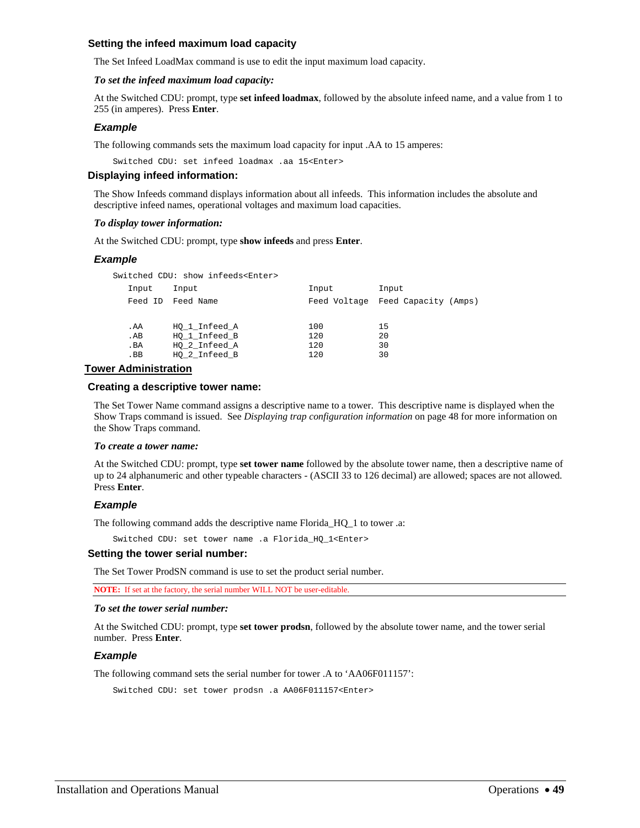## **Setting the infeed maximum load capacity**

The Set Infeed LoadMax command is use to edit the input maximum load capacity.

### *To set the infeed maximum load capacity:*

At the Switched CDU: prompt, type **set infeed loadmax**, followed by the absolute infeed name, and a value from 1 to 255 (in amperes). Press **Enter**.

### *Example*

The following commands sets the maximum load capacity for input .AA to 15 amperes:

Switched CDU: set infeed loadmax .aa 15<Enter>

## **Displaying infeed information:**

The Show Infeeds command displays information about all infeeds. This information includes the absolute and descriptive infeed names, operational voltages and maximum load capacities.

#### *To display tower information:*

At the Switched CDU: prompt, type **show infeeds** and press **Enter**.

### *Example*

Switched CDU: show infeeds<Enter>

| Input   | Input         | Input | Input                             |
|---------|---------------|-------|-----------------------------------|
| Feed ID | Feed Name     |       | Feed Voltage Feed Capacity (Amps) |
|         |               |       |                                   |
| . AA    | HO 1 Infeed A | 100   | 15                                |
| AB      | HO 1 Infeed B | 120   | 20                                |
| . BA    | HO 2 Infeed A | 120   | 30                                |
| . BB    | HO 2 Infeed B | 120   | 30                                |
|         |               |       |                                   |

## **Tower Administration**

#### **Creating a descriptive tower name:**

The Set Tower Name command assigns a descriptive name to a tower. This descriptive name is displayed when the Show Traps command is issued. See *[Displaying trap configuration information](#page-80-0)* on page [48](#page-48-0) for more information on the Show Traps command.

#### <span id="page-48-0"></span>*To create a tower name:*

At the Switched CDU: prompt, type **set tower name** followed by the absolute tower name, then a descriptive name of up to 24 alphanumeric and other typeable characters - (ASCII 33 to 126 decimal) are allowed; spaces are not allowed. Press **Enter**.

### *Example*

The following command adds the descriptive name Florida\_HQ\_1 to tower .a:

Switched CDU: set tower name .a Florida\_HQ\_1<Enter>

#### **Setting the tower serial number:**

The Set Tower ProdSN command is use to set the product serial number.

**NOTE:** If set at the factory, the serial number WILL NOT be user-editable.

### *To set the tower serial number:*

At the Switched CDU: prompt, type **set tower prodsn**, followed by the absolute tower name, and the tower serial number. Press **Enter**.

### *Example*

The following command sets the serial number for tower .A to 'AA06F011157':

Switched CDU: set tower prodsn .a AA06F011157<Enter>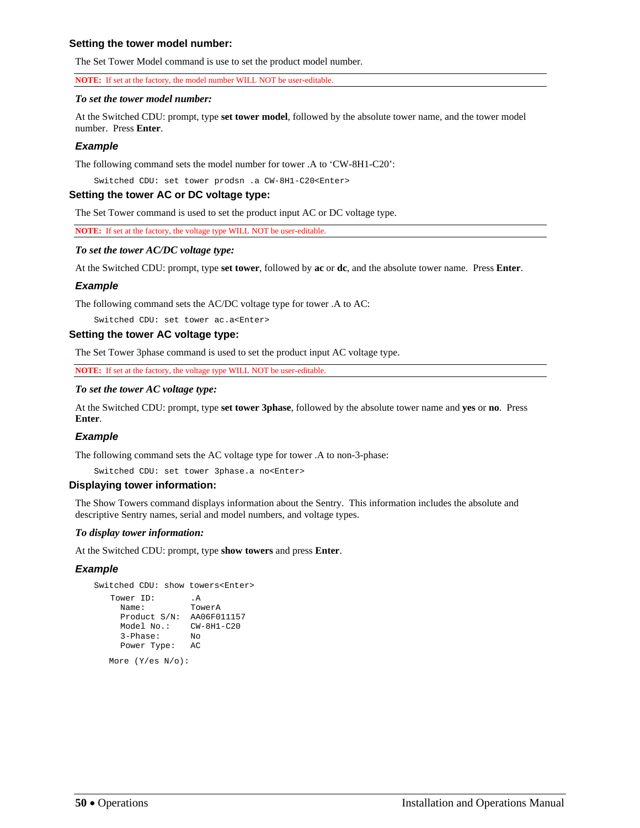## **Setting the tower model number:**

The Set Tower Model command is use to set the product model number.

**NOTE:** If set at the factory, the model number WILL NOT be user-editable.

#### *To set the tower model number:*

At the Switched CDU: prompt, type **set tower model**, followed by the absolute tower name, and the tower model number. Press **Enter**.

### *Example*

The following command sets the model number for tower .A to 'CW-8H1-C20':

Switched CDU: set tower prodsn .a CW-8H1-C20<Enter>

### **Setting the tower AC or DC voltage type:**

The Set Tower command is used to set the product input AC or DC voltage type.

**NOTE:** If set at the factory, the voltage type WILL NOT be user-editable.

### *To set the tower AC/DC voltage type:*

At the Switched CDU: prompt, type **set tower**, followed by **ac** or **dc**, and the absolute tower name. Press **Enter**.

## *Example*

The following command sets the AC/DC voltage type for tower .A to AC:

Switched CDU: set tower ac.a<Enter>

#### **Setting the tower AC voltage type:**

The Set Tower 3phase command is used to set the product input AC voltage type.

**NOTE:** If set at the factory, the voltage type WILL NOT be user-editable.

### *To set the tower AC voltage type:*

At the Switched CDU: prompt, type **set tower 3phase**, followed by the absolute tower name and **yes** or **no**. Press **Enter**.

### *Example*

The following command sets the AC voltage type for tower .A to non-3-phase:

Switched CDU: set tower 3phase.a no<Enter>

### **Displaying tower information:**

The Show Towers command displays information about the Sentry. This information includes the absolute and descriptive Sentry names, serial and model numbers, and voltage types.

### *To display tower information:*

At the Switched CDU: prompt, type **show towers** and press **Enter**.

### *Example*

```
Switched CDU: show towers<Enter> 
     Tower ID: .A<br>Name: . TowerA
 Name: TowerA 
 Product S/N: AA06F011157 
        Model No.: CW-8H1-C20 
        3-Phase: No 
        Power Type: AC
```
More (Y/es N/o):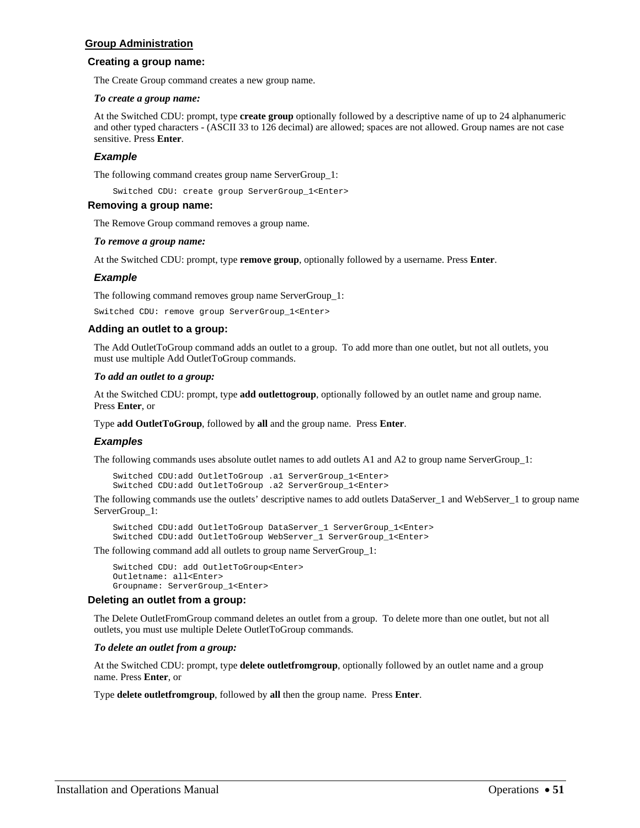## **Group Administration**

### **Creating a group name:**

The Create Group command creates a new group name.

#### *To create a group name:*

At the Switched CDU: prompt, type **create group** optionally followed by a descriptive name of up to 24 alphanumeric and other typed characters - (ASCII 33 to 126 decimal) are allowed; spaces are not allowed. Group names are not case sensitive. Press **Enter**.

### *Example*

The following command creates group name ServerGroup\_1:

Switched CDU: create group ServerGroup\_1<Enter>

#### **Removing a group name:**

The Remove Group command removes a group name.

#### *To remove a group name:*

At the Switched CDU: prompt, type **remove group**, optionally followed by a username. Press **Enter**.

### *Example*

The following command removes group name ServerGroup\_1:

Switched CDU: remove group ServerGroup\_1<Enter>

### **Adding an outlet to a group:**

The Add OutletToGroup command adds an outlet to a group. To add more than one outlet, but not all outlets, you must use multiple Add OutletToGroup commands.

#### *To add an outlet to a group:*

At the Switched CDU: prompt, type **add outlettogroup**, optionally followed by an outlet name and group name. Press **Enter**, or

Type **add OutletToGroup**, followed by **all** and the group name. Press **Enter**.

### *Examples*

The following commands uses absolute outlet names to add outlets A1 and A2 to group name ServerGroup\_1:

```
Switched CDU:add OutletToGroup .a1 ServerGroup_1<Enter> 
Switched CDU:add OutletToGroup .a2 ServerGroup_1<Enter>
```
The following commands use the outlets' descriptive names to add outlets DataServer\_1 and WebServer\_1 to group name ServerGroup\_1:

Switched CDU:add OutletToGroup DataServer\_1 ServerGroup\_1<Enter> Switched CDU:add OutletToGroup WebServer\_1 ServerGroup\_1<Enter>

The following command add all outlets to group name ServerGroup\_1:

Switched CDU: add OutletToGroup<Enter> Outletname: all<Enter> Groupname: ServerGroup\_1<Enter>

### **Deleting an outlet from a group:**

The Delete OutletFromGroup command deletes an outlet from a group. To delete more than one outlet, but not all outlets, you must use multiple Delete OutletToGroup commands.

### *To delete an outlet from a group:*

At the Switched CDU: prompt, type **delete outletfromgroup**, optionally followed by an outlet name and a group name. Press **Enter**, or

Type **delete outletfromgroup**, followed by **all** then the group name. Press **Enter**.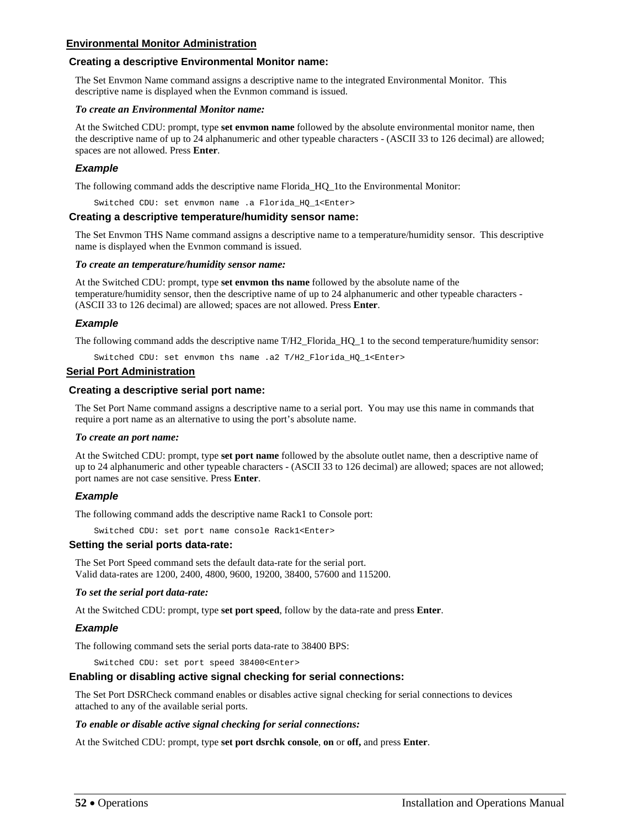## **Environmental Monitor Administration**

## **Creating a descriptive Environmental Monitor name:**

The Set Envmon Name command assigns a descriptive name to the integrated Environmental Monitor. This descriptive name is displayed when the Evnmon command is issued.

#### *To create an Environmental Monitor name:*

At the Switched CDU: prompt, type **set envmon name** followed by the absolute environmental monitor name, then the descriptive name of up to 24 alphanumeric and other typeable characters - (ASCII 33 to 126 decimal) are allowed; spaces are not allowed. Press **Enter**.

### *Example*

The following command adds the descriptive name Florida\_HQ\_1to the Environmental Monitor:

Switched CDU: set envmon name .a Florida\_HQ\_1<Enter>

#### **Creating a descriptive temperature/humidity sensor name:**

The Set Envmon THS Name command assigns a descriptive name to a temperature/humidity sensor. This descriptive name is displayed when the Evnmon command is issued.

#### *To create an temperature/humidity sensor name:*

At the Switched CDU: prompt, type **set envmon ths name** followed by the absolute name of the temperature/humidity sensor, then the descriptive name of up to 24 alphanumeric and other typeable characters - (ASCII 33 to 126 decimal) are allowed; spaces are not allowed. Press **Enter**.

### *Example*

The following command adds the descriptive name T/H2\_Florida\_HQ\_1 to the second temperature/humidity sensor:

Switched CDU: set envmon ths name .a2 T/H2\_Florida\_HQ\_1<Enter>

### **Serial Port Administration**

#### **Creating a descriptive serial port name:**

The Set Port Name command assigns a descriptive name to a serial port. You may use this name in commands that require a port name as an alternative to using the port's absolute name.

### *To create an port name:*

At the Switched CDU: prompt, type **set port name** followed by the absolute outlet name, then a descriptive name of up to 24 alphanumeric and other typeable characters - (ASCII 33 to 126 decimal) are allowed; spaces are not allowed; port names are not case sensitive. Press **Enter**.

## *Example*

The following command adds the descriptive name Rack1 to Console port:

Switched CDU: set port name console Rack1<Enter>

### **Setting the serial ports data-rate:**

The Set Port Speed command sets the default data-rate for the serial port. Valid data-rates are 1200, 2400, 4800, 9600, 19200, 38400, 57600 and 115200.

### *To set the serial port data-rate:*

At the Switched CDU: prompt, type **set port speed**, follow by the data-rate and press **Enter**.

### *Example*

The following command sets the serial ports data-rate to 38400 BPS:

Switched CDU: set port speed 38400<Enter>

### **Enabling or disabling active signal checking for serial connections:**

The Set Port DSRCheck command enables or disables active signal checking for serial connections to devices attached to any of the available serial ports.

### *To enable or disable active signal checking for serial connections:*

At the Switched CDU: prompt, type **set port dsrchk console**, **on** or **off,** and press **Enter**.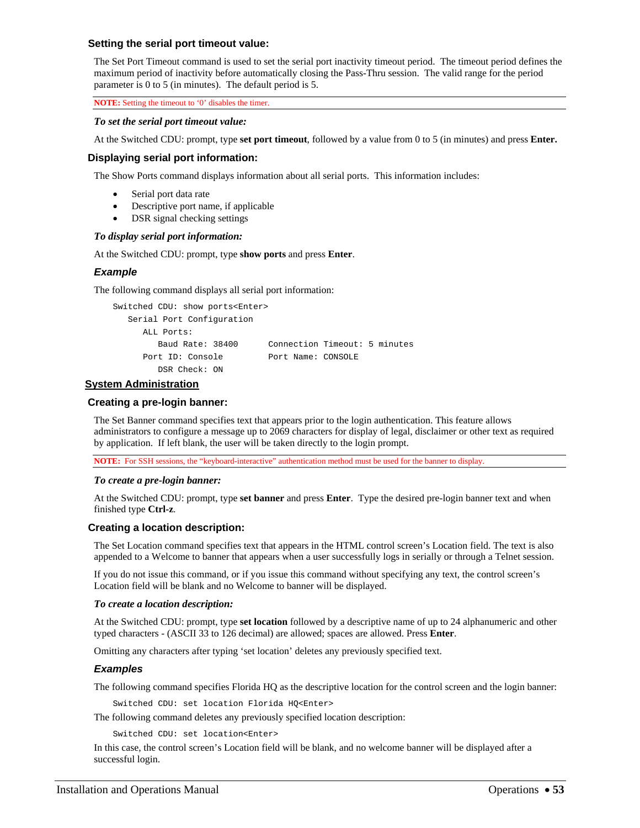### **Setting the serial port timeout value:**

The Set Port Timeout command is used to set the serial port inactivity timeout period. The timeout period defines the maximum period of inactivity before automatically closing the Pass-Thru session. The valid range for the period parameter is 0 to 5 (in minutes). The default period is 5.

**NOTE:** Setting the timeout to '0' disables the timer.

### *To set the serial port timeout value:*

At the Switched CDU: prompt, type **set port timeout**, followed by a value from 0 to 5 (in minutes) and press **Enter.** 

## **Displaying serial port information:**

The Show Ports command displays information about all serial ports. This information includes:

- Serial port data rate
- Descriptive port name, if applicable
- DSR signal checking settings

## *To display serial port information:*

At the Switched CDU: prompt, type **show ports** and press **Enter**.

## *Example*

The following command displays all serial port information:

```
Switched CDU: show ports<Enter> 
   Serial Port Configuration 
      ALL Ports: 
         Baud Rate: 38400 Connection Timeout: 5 minutes 
     Port ID: Console Port Name: CONSOLE
         DSR Check: ON
```
## **System Administration**

## **Creating a pre-login banner:**

The Set Banner command specifies text that appears prior to the login authentication. This feature allows administrators to configure a message up to 2069 characters for display of legal, disclaimer or other text as required by application. If left blank, the user will be taken directly to the login prompt.

**NOTE:** For SSH sessions, the "keyboard-interactive" authentication method must be used for the banner to display.

### *To create a pre-login banner:*

At the Switched CDU: prompt, type **set banner** and press **Enter**. Type the desired pre-login banner text and when finished type **Ctrl-z**.

## **Creating a location description:**

The Set Location command specifies text that appears in the HTML control screen's Location field. The text is also appended to a Welcome to banner that appears when a user successfully logs in serially or through a Telnet session.

If you do not issue this command, or if you issue this command without specifying any text, the control screen's Location field will be blank and no Welcome to banner will be displayed.

### *To create a location description:*

At the Switched CDU: prompt, type **set location** followed by a descriptive name of up to 24 alphanumeric and other typed characters - (ASCII 33 to 126 decimal) are allowed; spaces are allowed. Press **Enter**.

Omitting any characters after typing 'set location' deletes any previously specified text.

### *Examples*

The following command specifies Florida HQ as the descriptive location for the control screen and the login banner:

Switched CDU: set location Florida HQ<Enter>

The following command deletes any previously specified location description:

Switched CDU: set location<Enter>

In this case, the control screen's Location field will be blank, and no welcome banner will be displayed after a successful login.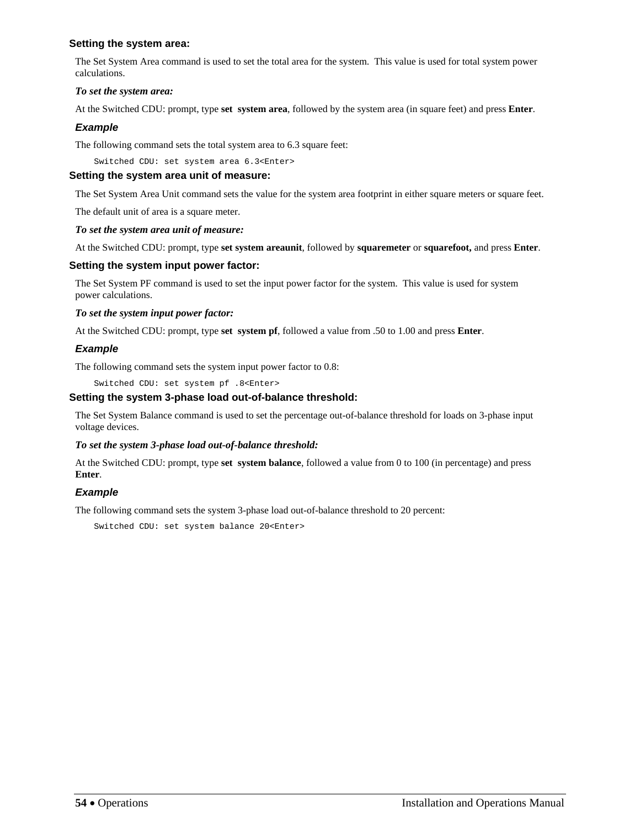## **Setting the system area:**

The Set System Area command is used to set the total area for the system. This value is used for total system power calculations.

## *To set the system area:*

At the Switched CDU: prompt, type **set system area**, followed by the system area (in square feet) and press **Enter**.

## *Example*

The following command sets the total system area to 6.3 square feet:

Switched CDU: set system area 6.3<Enter>

## **Setting the system area unit of measure:**

The Set System Area Unit command sets the value for the system area footprint in either square meters or square feet.

The default unit of area is a square meter.

## *To set the system area unit of measure:*

At the Switched CDU: prompt, type **set system areaunit**, followed by **squaremeter** or **squarefoot,** and press **Enter**.

## **Setting the system input power factor:**

The Set System PF command is used to set the input power factor for the system. This value is used for system power calculations.

## *To set the system input power factor:*

At the Switched CDU: prompt, type **set system pf**, followed a value from .50 to 1.00 and press **Enter**.

## *Example*

The following command sets the system input power factor to 0.8:

Switched CDU: set system pf .8<Enter>

## **Setting the system 3-phase load out-of-balance threshold:**

The Set System Balance command is used to set the percentage out-of-balance threshold for loads on 3-phase input voltage devices.

## *To set the system 3-phase load out-of-balance threshold:*

At the Switched CDU: prompt, type **set system balance**, followed a value from 0 to 100 (in percentage) and press **Enter**.

## *Example*

The following command sets the system 3-phase load out-of-balance threshold to 20 percent:

Switched CDU: set system balance 20<Enter>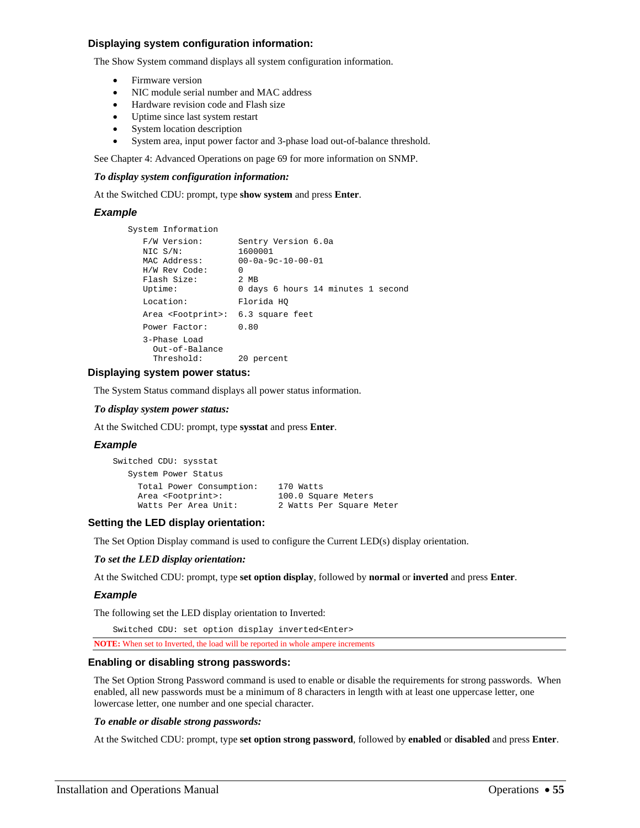### **Displaying system configuration information:**

The Show System command displays all system configuration information.

- Firmware version
- NIC module serial number and MAC address
- Hardware revision code and Flash size
- Uptime since last system restart
- System location description
- System area, input power factor and 3-phase load out-of-balance threshold.

See [Chapter 4: Advanced Operations](#page-68-0) on page [69](#page-68-0) for more information on SNMP.

#### *To display system configuration information:*

At the Switched CDU: prompt, type **show system** and press **Enter**.

#### *Example*

```
 System Information 
   F/W Version: Sentry Version 6.0a<br>NIC S/N: 1600001
  NIC S/N:
  MAC Address: 00-0a-9c-10-00-01<br>
H/W Rev Code: 0<br>
Flash Size: 2 MB
    H/W Rev Code: 0 
  Flash Size:
   Uptime: 0 days 6 hours 14 minutes 1 second
   Location: Florida HQ 
    Area <Footprint>: 6.3 square feet 
    Power Factor: 0.80 
    3-Phase Load 
      Out-of-Balance 
      Threshold: 20 percent
```
### **Displaying system power status:**

The System Status command displays all power status information.

#### *To display system power status:*

At the Switched CDU: prompt, type **sysstat** and press **Enter**.

#### *Example*

| Switched CDU: sysstat         |                          |
|-------------------------------|--------------------------|
| System Power Status           |                          |
| Total Power Consumption:      | 170 Watts                |
| Area <footprint>:</footprint> | 100.0 Square Meters      |
| Watts Per Area Unit:          | 2 Watts Per Square Meter |

### **Setting the LED display orientation:**

The Set Option Display command is used to configure the Current LED(s) display orientation.

#### *To set the LED display orientation:*

At the Switched CDU: prompt, type **set option display**, followed by **normal** or **inverted** and press **Enter**.

### *Example*

The following set the LED display orientation to Inverted:

Switched CDU: set option display inverted<Enter>

**NOTE:** When set to Inverted, the load will be reported in whole ampere increments

#### **Enabling or disabling strong passwords:**

The Set Option Strong Password command is used to enable or disable the requirements for strong passwords. When enabled, all new passwords must be a minimum of 8 characters in length with at least one uppercase letter, one lowercase letter, one number and one special character.

#### *To enable or disable strong passwords:*

At the Switched CDU: prompt, type **set option strong password**, followed by **enabled** or **disabled** and press **Enter**.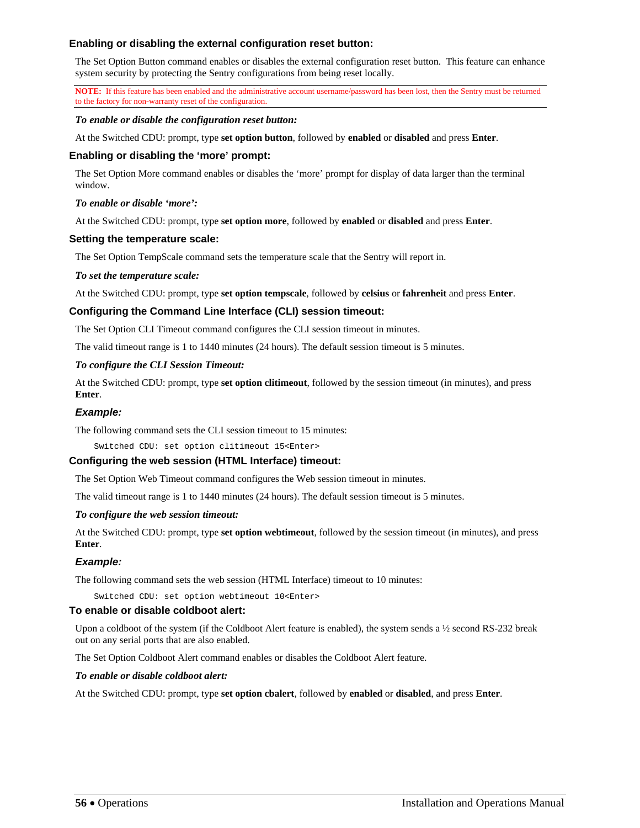## **Enabling or disabling the external configuration reset button:**

The Set Option Button command enables or disables the external configuration reset button. This feature can enhance system security by protecting the Sentry configurations from being reset locally.

**NOTE:** If this feature has been enabled and the administrative account username/password has been lost, then the Sentry must be returned to the factory for non-warranty reset of the configuration.

### *To enable or disable the configuration reset button:*

At the Switched CDU: prompt, type **set option button**, followed by **enabled** or **disabled** and press **Enter**.

## **Enabling or disabling the 'more' prompt:**

The Set Option More command enables or disables the 'more' prompt for display of data larger than the terminal window.

## *To enable or disable 'more':*

At the Switched CDU: prompt, type **set option more**, followed by **enabled** or **disabled** and press **Enter**.

## **Setting the temperature scale:**

The Set Option TempScale command sets the temperature scale that the Sentry will report in.

### *To set the temperature scale:*

At the Switched CDU: prompt, type **set option tempscale**, followed by **celsius** or **fahrenheit** and press **Enter**.

## **Configuring the Command Line Interface (CLI) session timeout:**

The Set Option CLI Timeout command configures the CLI session timeout in minutes.

The valid timeout range is 1 to 1440 minutes (24 hours). The default session timeout is 5 minutes.

### *To configure the CLI Session Timeout:*

At the Switched CDU: prompt, type **set option clitimeout**, followed by the session timeout (in minutes), and press **Enter**.

### *Example:*

The following command sets the CLI session timeout to 15 minutes:

Switched CDU: set option clitimeout 15<Enter>

## **Configuring the web session (HTML Interface) timeout:**

The Set Option Web Timeout command configures the Web session timeout in minutes.

The valid timeout range is 1 to 1440 minutes (24 hours). The default session timeout is 5 minutes.

### *To configure the web session timeout:*

At the Switched CDU: prompt, type **set option webtimeout**, followed by the session timeout (in minutes), and press **Enter**.

### *Example:*

The following command sets the web session (HTML Interface) timeout to 10 minutes:

Switched CDU: set option webtimeout 10<Enter>

### **To enable or disable coldboot alert:**

Upon a coldboot of the system (if the Coldboot Alert feature is enabled), the system sends a ½ second RS-232 break out on any serial ports that are also enabled.

The Set Option Coldboot Alert command enables or disables the Coldboot Alert feature.

### *To enable or disable coldboot alert:*

At the Switched CDU: prompt, type **set option cbalert**, followed by **enabled** or **disabled**, and press **Enter**.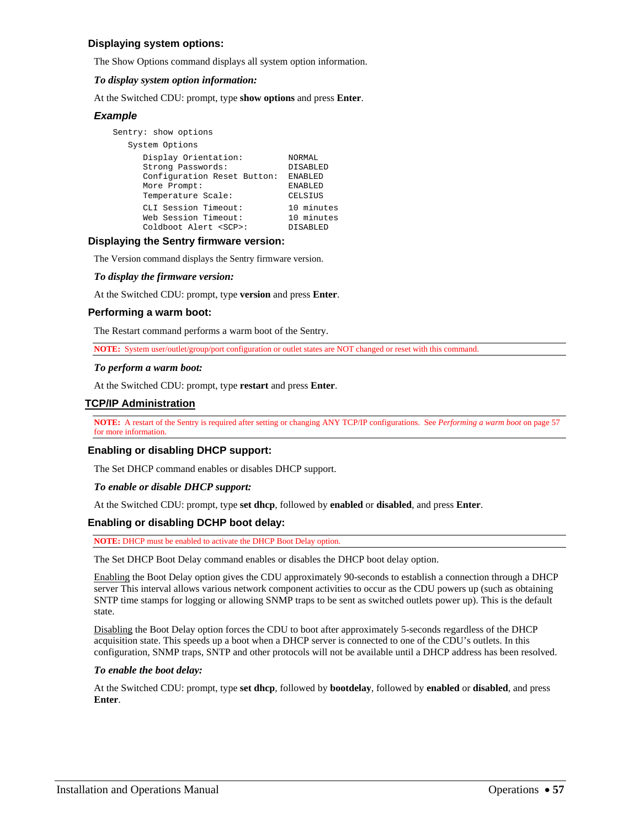## **Displaying system options:**

The Show Options command displays all system option information.

### *To display system option information:*

At the Switched CDU: prompt, type **show options** and press **Enter**.

### *Example*

```
Sentry: show options 
   System Options 
 Display Orientation: NORMAL 
 Strong Passwords: DISABLED 
     Configuration Reset Button: ENABLED 
More Prompt: ENABLED
 Temperature Scale: CELSIUS 
 CLI Session Timeout: 10 minutes 
 Web Session Timeout: 10 minutes 
 Coldboot Alert <SCP>: DISABLED
```
## **Displaying the Sentry firmware version:**

The Version command displays the Sentry firmware version.

#### *To display the firmware version:*

At the Switched CDU: prompt, type **version** and press **Enter**.

#### <span id="page-56-0"></span>**Performing a warm boot:**

The Restart command performs a warm boot of the Sentry.

**NOTE:** System user/outlet/group/port configuration or outlet states are NOT changed or reset with this command.

#### *To perform a warm boot:*

At the Switched CDU: prompt, type **restart** and press **Enter**.

### **TCP/IP Administration**

**NOTE:** A restart of the Sentry is required after setting or changing ANY TCP/IP configurations. See *[Performing a warm boot](#page-56-0)* on page [57](#page-56-0) for more information.

### **Enabling or disabling DHCP support:**

The Set DHCP command enables or disables DHCP support.

#### *To enable or disable DHCP support:*

At the Switched CDU: prompt, type **set dhcp**, followed by **enabled** or **disabled**, and press **Enter**.

### **Enabling or disabling DCHP boot delay:**

**NOTE:** DHCP must be enabled to activate the DHCP Boot Delay option.

The Set DHCP Boot Delay command enables or disables the DHCP boot delay option.

Enabling the Boot Delay option gives the CDU approximately 90-seconds to establish a connection through a DHCP server This interval allows various network component activities to occur as the CDU powers up (such as obtaining SNTP time stamps for logging or allowing SNMP traps to be sent as switched outlets power up). This is the default state.

Disabling the Boot Delay option forces the CDU to boot after approximately 5-seconds regardless of the DHCP acquisition state. This speeds up a boot when a DHCP server is connected to one of the CDU's outlets. In this configuration, SNMP traps, SNTP and other protocols will not be available until a DHCP address has been resolved.

### *To enable the boot delay:*

At the Switched CDU: prompt, type **set dhcp**, followed by **bootdelay**, followed by **enabled** or **disabled**, and press **Enter**.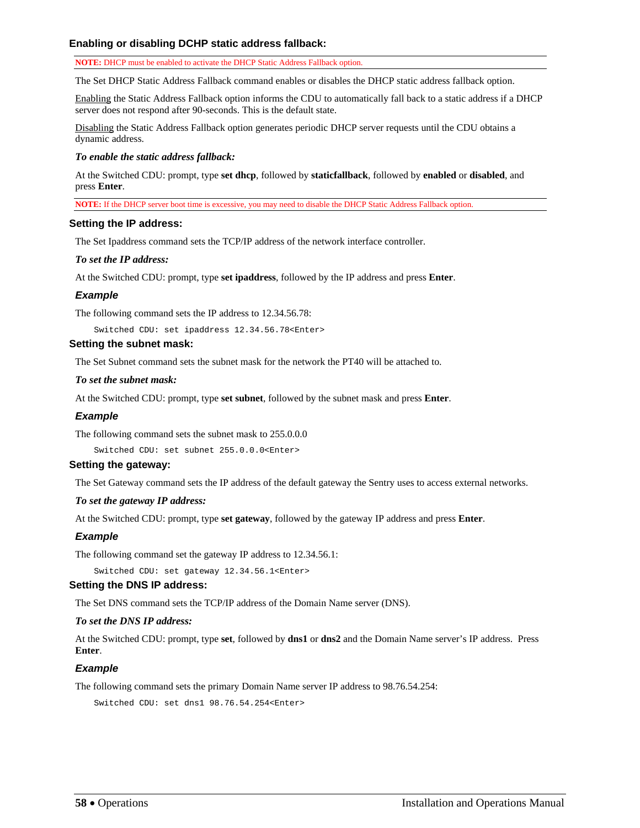## **Enabling or disabling DCHP static address fallback:**

**NOTE:** DHCP must be enabled to activate the DHCP Static Address Fallback option.

The Set DHCP Static Address Fallback command enables or disables the DHCP static address fallback option.

Enabling the Static Address Fallback option informs the CDU to automatically fall back to a static address if a DHCP server does not respond after 90-seconds. This is the default state.

Disabling the Static Address Fallback option generates periodic DHCP server requests until the CDU obtains a dynamic address.

#### *To enable the static address fallback:*

At the Switched CDU: prompt, type **set dhcp**, followed by **staticfallback**, followed by **enabled** or **disabled**, and press **Enter**.

**NOTE:** If the DHCP server boot time is excessive, you may need to disable the DHCP Static Address Fallback option.

#### **Setting the IP address:**

The Set Ipaddress command sets the TCP/IP address of the network interface controller.

#### *To set the IP address:*

At the Switched CDU: prompt, type **set ipaddress**, followed by the IP address and press **Enter**.

### *Example*

The following command sets the IP address to 12.34.56.78:

Switched CDU: set ipaddress 12.34.56.78<Enter>

## **Setting the subnet mask:**

The Set Subnet command sets the subnet mask for the network the PT40 will be attached to.

#### *To set the subnet mask:*

At the Switched CDU: prompt, type **set subnet**, followed by the subnet mask and press **Enter**.

### *Example*

The following command sets the subnet mask to 255.0.0.0

Switched CDU: set subnet 255.0.0.0<Enter>

### **Setting the gateway:**

The Set Gateway command sets the IP address of the default gateway the Sentry uses to access external networks.

#### *To set the gateway IP address:*

At the Switched CDU: prompt, type **set gateway**, followed by the gateway IP address and press **Enter**.

### *Example*

The following command set the gateway IP address to 12.34.56.1:

Switched CDU: set gateway 12.34.56.1<Enter>

### **Setting the DNS IP address:**

The Set DNS command sets the TCP/IP address of the Domain Name server (DNS).

### *To set the DNS IP address:*

At the Switched CDU: prompt, type **set**, followed by **dns1** or **dns2** and the Domain Name server's IP address. Press **Enter**.

### *Example*

The following command sets the primary Domain Name server IP address to 98.76.54.254:

Switched CDU: set dns1 98.76.54.254<Enter>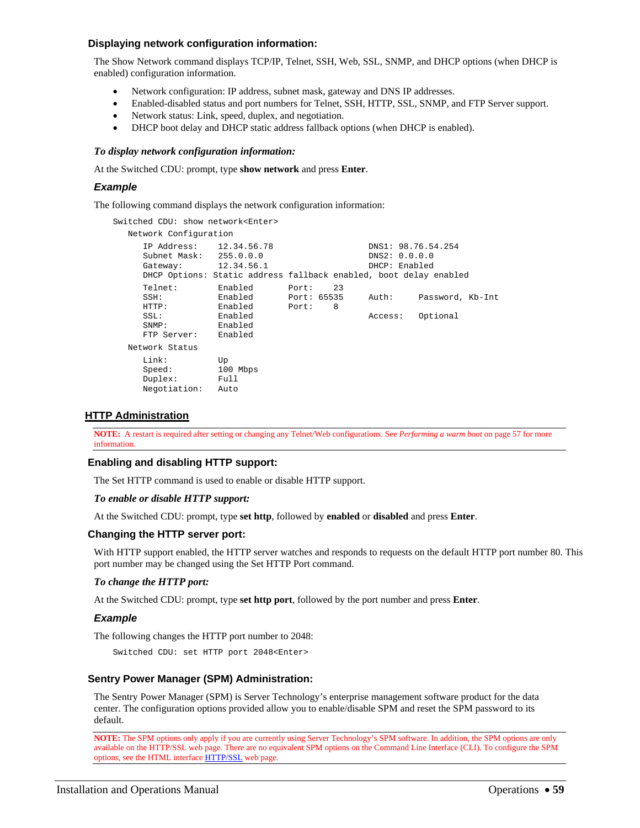## **Displaying network configuration information:**

The Show Network command displays TCP/IP, Telnet, SSH, Web, SSL, SNMP, and DHCP options (when DHCP is enabled) configuration information.

- Network configuration: IP address, subnet mask, gateway and DNS IP addresses.
- Enabled-disabled status and port numbers for Telnet, SSH, HTTP, SSL, SNMP, and FTP Server support.
- Network status: Link, speed, duplex, and negotiation.
- DHCP boot delay and DHCP static address fallback options (when DHCP is enabled).

#### *To display network configuration information:*

At the Switched CDU: prompt, type **show network** and press **Enter**.

### *Example*

The following command displays the network configuration information:

| Switched CDU: show network <enter></enter>                               |                                                     |                                                                   |                                                      |                              |
|--------------------------------------------------------------------------|-----------------------------------------------------|-------------------------------------------------------------------|------------------------------------------------------|------------------------------|
| Network Configuration                                                    |                                                     |                                                                   |                                                      |                              |
| IP Address: 12.34.56.78<br>Subnet Mask: 255.0.0.0<br>Gateway: 12.34.56.1 |                                                     | DHCP Options: Static address fallback enabled, boot delay enabled | DNS1: 98.76.54.254<br>DNS2: 0.0.0.0<br>DHCP: Enabled |                              |
| Telnet:<br>SSH:<br>HTTP:<br>SSL:<br>SNNP:                                | Enabled<br>Enabled<br>Enabled<br>Enabled<br>Enabled | -23<br>Port:<br>Port: 65535<br>Port: 8                            | Auth:<br>Access:                                     | Password, Kb-Int<br>Optional |
| FTP Server:                                                              | Enabled                                             |                                                                   |                                                      |                              |
| Network Status                                                           |                                                     |                                                                   |                                                      |                              |
| Link:<br>Speed:<br>Duplex:<br>Negotiation:                               | Up<br>100 Mbps<br>Full<br>Auto                      |                                                                   |                                                      |                              |

### **HTTP Administration**

**NOTE:** A restart is required after setting or changing any Telnet/Web configurations. See *[Performing a warm boot](#page-56-0)* on page [57](#page-56-0) for more information.

### **Enabling and disabling HTTP support:**

The Set HTTP command is used to enable or disable HTTP support.

#### *To enable or disable HTTP support:*

At the Switched CDU: prompt, type **set http**, followed by **enabled** or **disabled** and press **Enter**.

### **Changing the HTTP server port:**

With HTTP support enabled, the HTTP server watches and responds to requests on the default HTTP port number 80. This port number may be changed using the Set HTTP Port command.

#### *To change the HTTP port:*

At the Switched CDU: prompt, type **set http port**, followed by the port number and press **Enter**.

### *Example*

The following changes the HTTP port number to 2048:

Switched CDU: set HTTP port 2048<Enter>

### **Sentry Power Manager (SPM) Administration:**

The Sentry Power Manager (SPM) is Server Technology's enterprise management software product for the data center. The configuration options provided allow you to enable/disable SPM and reset the SPM password to its default.

**NOTE:** The SPM options only apply if you are currently using Server Technology's SPM software. In addition, the SPM options are only available on the HTTP/SSL web page. There are no equivalent SPM options on the Command Line Interface (CLI). To configure the SPM options, see the HTML interface [HTTP/SSL](#page-22-0) web page.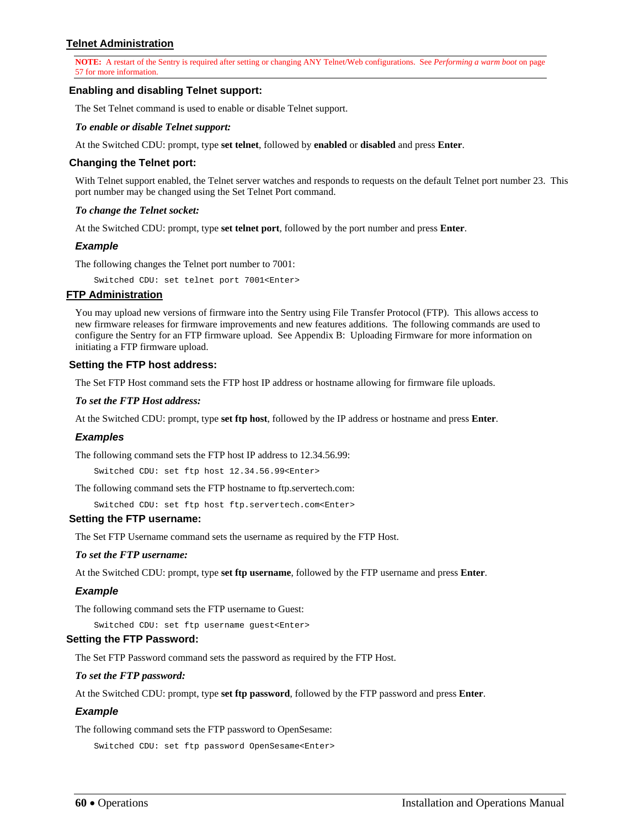## **Telnet Administration**

**NOTE:** A restart of the Sentry is required after setting or changing ANY Telnet/Web configurations. See *[Performing a warm boot](#page-56-0)* on page [57](#page-56-0) for more information.

### **Enabling and disabling Telnet support:**

The Set Telnet command is used to enable or disable Telnet support.

### *To enable or disable Telnet support:*

At the Switched CDU: prompt, type **set telnet**, followed by **enabled** or **disabled** and press **Enter**.

### **Changing the Telnet port:**

With Telnet support enabled, the Telnet server watches and responds to requests on the default Telnet port number 23. This port number may be changed using the Set Telnet Port command.

#### *To change the Telnet socket:*

At the Switched CDU: prompt, type **set telnet port**, followed by the port number and press **Enter**.

#### *Example*

The following changes the Telnet port number to 7001:

Switched CDU: set telnet port 7001<Enter>

## **FTP Administration**

You may upload new versions of firmware into the Sentry using File Transfer Protocol (FTP). This allows access to new firmware releases for firmware improvements and new features additions. The following commands are used to configure the Sentry for an FTP firmware upload. See [Appendix B: Uploading Firmware](#page-111-0) for more information on initiating a FTP firmware upload.

#### **Setting the FTP host address:**

The Set FTP Host command sets the FTP host IP address or hostname allowing for firmware file uploads.

### *To set the FTP Host address:*

At the Switched CDU: prompt, type **set ftp host**, followed by the IP address or hostname and press **Enter**.

#### *Examples*

The following command sets the FTP host IP address to 12.34.56.99:

Switched CDU: set ftp host 12.34.56.99<Enter>

The following command sets the FTP hostname to ftp.servertech.com:

Switched CDU: set ftp host ftp.servertech.com<Enter>

#### **Setting the FTP username:**

The Set FTP Username command sets the username as required by the FTP Host.

#### *To set the FTP username:*

At the Switched CDU: prompt, type **set ftp username**, followed by the FTP username and press **Enter**.

#### *Example*

The following command sets the FTP username to Guest:

Switched CDU: set ftp username guest<Enter>

## **Setting the FTP Password:**

The Set FTP Password command sets the password as required by the FTP Host.

## *To set the FTP password:*

At the Switched CDU: prompt, type **set ftp password**, followed by the FTP password and press **Enter**.

## *Example*

The following command sets the FTP password to OpenSesame:

Switched CDU: set ftp password OpenSesame<Enter>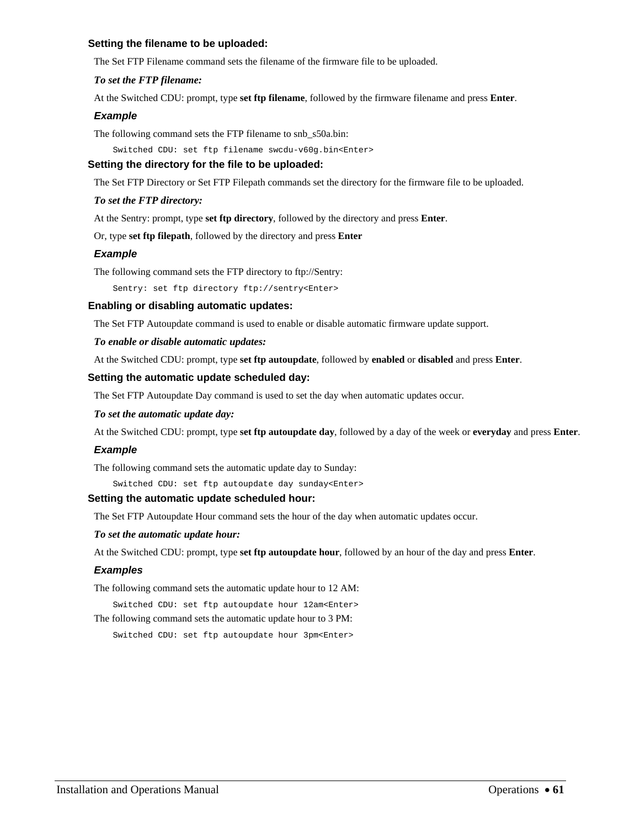## **Setting the filename to be uploaded:**

The Set FTP Filename command sets the filename of the firmware file to be uploaded.

## *To set the FTP filename:*

At the Switched CDU: prompt, type **set ftp filename**, followed by the firmware filename and press **Enter**.

## *Example*

The following command sets the FTP filename to snb\_s50a.bin:

Switched CDU: set ftp filename swcdu-v60g.bin<Enter>

## **Setting the directory for the file to be uploaded:**

The Set FTP Directory or Set FTP Filepath commands set the directory for the firmware file to be uploaded.

### *To set the FTP directory:*

At the Sentry: prompt, type **set ftp directory**, followed by the directory and press **Enter**.

Or, type **set ftp filepath**, followed by the directory and press **Enter**

## *Example*

The following command sets the FTP directory to ftp://Sentry:

Sentry: set ftp directory ftp://sentry<Enter>

### **Enabling or disabling automatic updates:**

The Set FTP Autoupdate command is used to enable or disable automatic firmware update support.

### *To enable or disable automatic updates:*

At the Switched CDU: prompt, type **set ftp autoupdate**, followed by **enabled** or **disabled** and press **Enter**.

### **Setting the automatic update scheduled day:**

The Set FTP Autoupdate Day command is used to set the day when automatic updates occur.

### *To set the automatic update day:*

At the Switched CDU: prompt, type **set ftp autoupdate day**, followed by a day of the week or **everyday** and press **Enter**.

### *Example*

The following command sets the automatic update day to Sunday:

Switched CDU: set ftp autoupdate day sunday<Enter>

### **Setting the automatic update scheduled hour:**

The Set FTP Autoupdate Hour command sets the hour of the day when automatic updates occur.

### *To set the automatic update hour:*

At the Switched CDU: prompt, type **set ftp autoupdate hour**, followed by an hour of the day and press **Enter**.

### *Examples*

The following command sets the automatic update hour to 12 AM:

Switched CDU: set ftp autoupdate hour 12am<Enter> The following command sets the automatic update hour to 3 PM:

Switched CDU: set ftp autoupdate hour 3pm<Enter>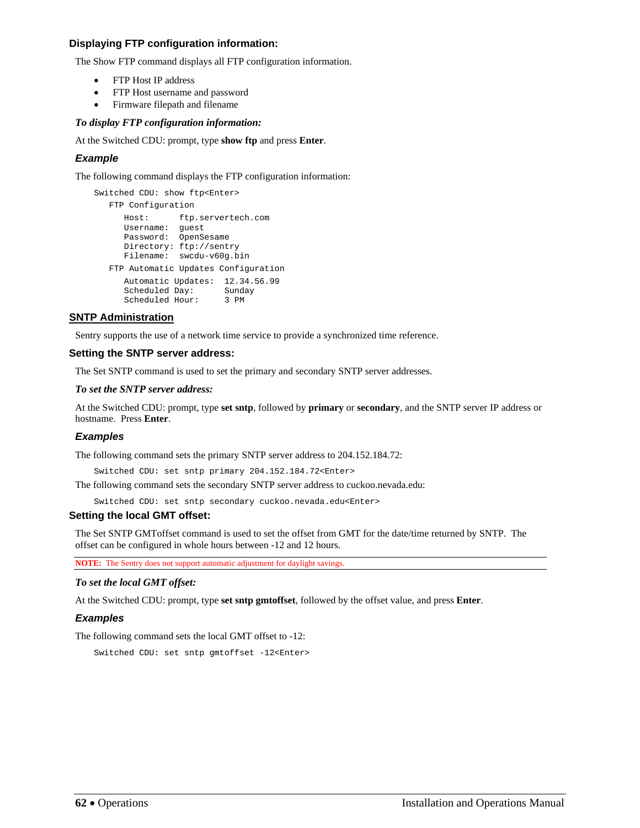## **Displaying FTP configuration information:**

The Show FTP command displays all FTP configuration information.

- FTP Host IP address
- FTP Host username and password
- Firmware filepath and filename

# *To display FTP configuration information:*

At the Switched CDU: prompt, type **show ftp** and press **Enter**.

# *Example*

The following command displays the FTP configuration information:

```
Switched CDU: show ftp<Enter>
   FTP Configuration 
      Host: ftp.servertech.com 
 Username: guest 
 Password: OpenSesame 
      Directory: ftp://sentry 
      Filename: swcdu-v60g.bin 
   FTP Automatic Updates Configuration 
      Automatic Updates: 12.34.56.99 
      Scheduled Day: Sunday 
      Scheduled Hour: 3 PM
```
# **SNTP Administration**

Sentry supports the use of a network time service to provide a synchronized time reference.

# **Setting the SNTP server address:**

The Set SNTP command is used to set the primary and secondary SNTP server addresses.

# *To set the SNTP server address:*

At the Switched CDU: prompt, type **set sntp**, followed by **primary** or **secondary**, and the SNTP server IP address or hostname. Press **Enter**.

# *Examples*

The following command sets the primary SNTP server address to 204.152.184.72:

Switched CDU: set sntp primary 204.152.184.72<Enter>

The following command sets the secondary SNTP server address to cuckoo.nevada.edu:

Switched CDU: set sntp secondary cuckoo.nevada.edu<Enter>

# **Setting the local GMT offset:**

The Set SNTP GMToffset command is used to set the offset from GMT for the date/time returned by SNTP. The offset can be configured in whole hours between -12 and 12 hours.

**NOTE:** The Sentry does not support automatic adjustment for daylight savings.

# *To set the local GMT offset:*

At the Switched CDU: prompt, type **set sntp gmtoffset**, followed by the offset value, and press **Enter**.

# *Examples*

The following command sets the local GMT offset to -12:

Switched CDU: set sntp gmtoffset -12<Enter>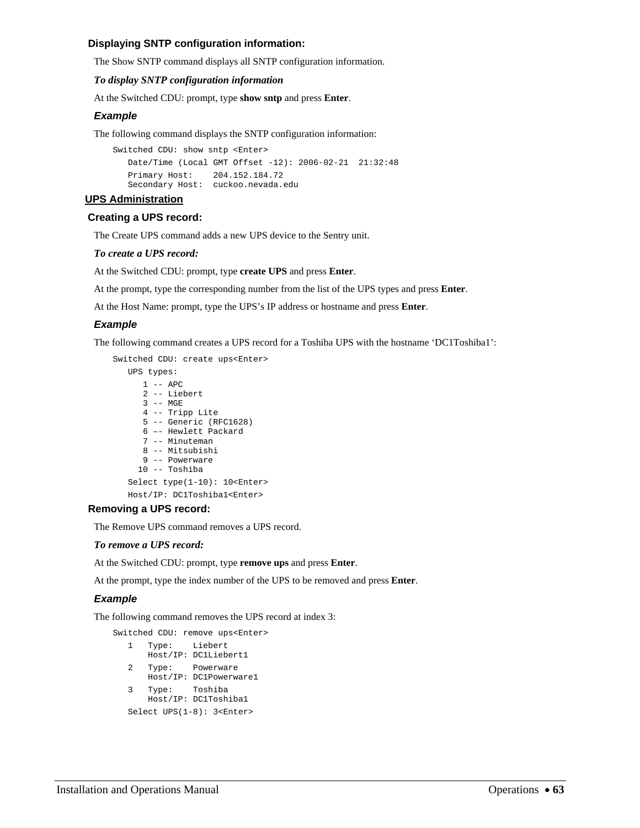## **Displaying SNTP configuration information:**

The Show SNTP command displays all SNTP configuration information.

## *To display SNTP configuration information*

At the Switched CDU: prompt, type **show sntp** and press **Enter**.

## *Example*

The following command displays the SNTP configuration information:

```
Switched CDU: show sntp <Enter> 
   Date/Time (Local GMT Offset -12): 2006-02-21 21:32:48 
   Primary Host: 204.152.184.72 
   Secondary Host: cuckoo.nevada.edu
```
### **UPS Administration**

### **Creating a UPS record:**

The Create UPS command adds a new UPS device to the Sentry unit.

### *To create a UPS record:*

At the Switched CDU: prompt, type **create UPS** and press **Enter**.

At the prompt, type the corresponding number from the list of the UPS types and press **Enter**.

At the Host Name: prompt, type the UPS's IP address or hostname and press **Enter**.

## *Example*

The following command creates a UPS record for a Toshiba UPS with the hostname 'DC1Toshiba1':

```
Switched CDU: create ups<Enter> 
    UPS types: 
      1 -- APC 
       2 -- Liebert 
       3 -- MGE 
       4 -- Tripp Lite 
       5 -- Generic (RFC1628) 
       6 –- Hewlett Packard 
       7 -- Minuteman 
      8 -- Mitsubishi 
      9 -- Powerware 
      10 -- Toshiba 
    Select type(1-10): 10<Enter> 
    Host/IP: DC1Toshiba1<Enter>
```
### **Removing a UPS record:**

The Remove UPS command removes a UPS record.

### *To remove a UPS record:*

At the Switched CDU: prompt, type **remove ups** and press **Enter**.

At the prompt, type the index number of the UPS to be removed and press **Enter**.

### *Example*

The following command removes the UPS record at index 3:

```
Switched CDU: remove ups<Enter> 
   1 Type: Liebert 
      Host/IP: DC1Liebert1 
   2 Type: Powerware 
      Host/IP: DC1Powerware1 
   3 Type: Toshiba 
      Host/IP: DC1Toshiba1 
   Select UPS(1-8): 3<Enter>
```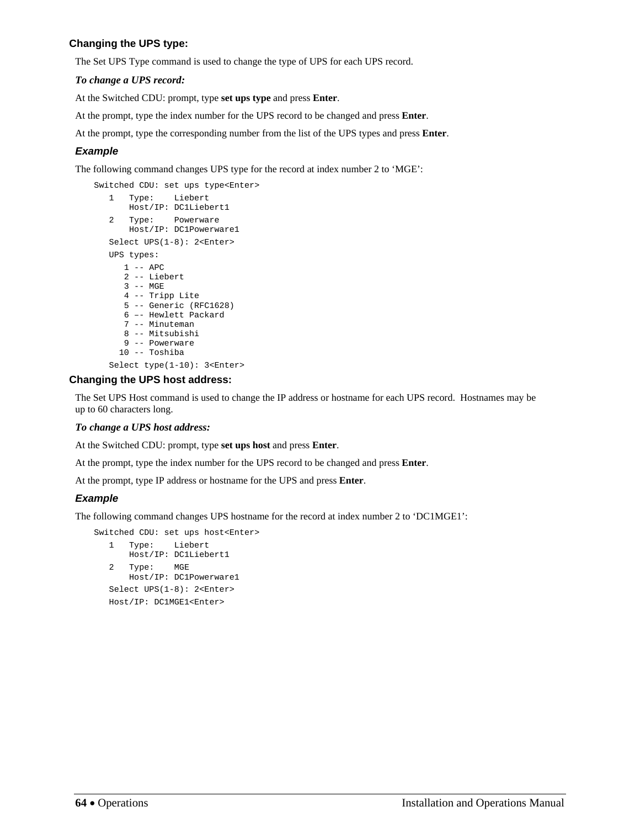## **Changing the UPS type:**

The Set UPS Type command is used to change the type of UPS for each UPS record.

## *To change a UPS record:*

At the Switched CDU: prompt, type **set ups type** and press **Enter**.

At the prompt, type the index number for the UPS record to be changed and press **Enter**.

At the prompt, type the corresponding number from the list of the UPS types and press **Enter**.

## *Example*

The following command changes UPS type for the record at index number 2 to 'MGE':

```
Switched CDU: set ups type<Enter> 
    1 Type: Liebert 
       Host/IP: DC1Liebert1 
    2 Type: Powerware 
        Host/IP: DC1Powerware1 
    Select UPS(1-8): 2<Enter> 
    UPS types: 
      1 -- APC 
       2 -- Liebert 
       3 -- MGE 
       4 -- Tripp Lite 
       5 -- Generic (RFC1628) 
       6 –- Hewlett Packard 
       7 -- Minuteman 
      8 -- Mitsubishi 
       9 -- Powerware 
      10 -- Toshiba 
    Select type(1-10): 3<Enter>
```
## **Changing the UPS host address:**

The Set UPS Host command is used to change the IP address or hostname for each UPS record. Hostnames may be up to 60 characters long.

### *To change a UPS host address:*

At the Switched CDU: prompt, type **set ups host** and press **Enter**.

At the prompt, type the index number for the UPS record to be changed and press **Enter**.

At the prompt, type IP address or hostname for the UPS and press **Enter**.

## *Example*

The following command changes UPS hostname for the record at index number 2 to 'DC1MGE1':

```
Switched CDU: set ups host<Enter> 
    1 Type: Liebert 
       Host/IP: DC1Liebert1 
    2 Type: MGE 
       Host/IP: DC1Powerware1 
    Select UPS(1-8): 2<Enter> 
    Host/IP: DC1MGE1<Enter>
```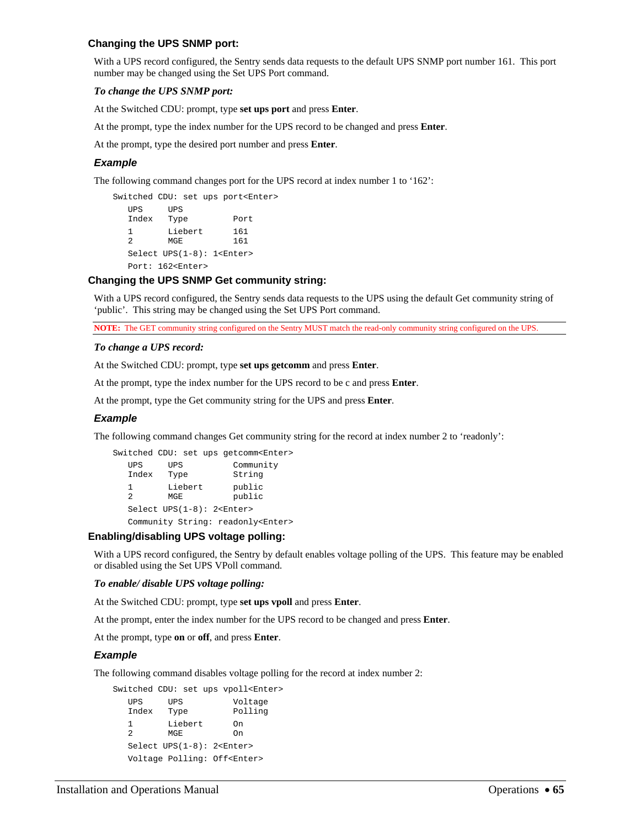## **Changing the UPS SNMP port:**

With a UPS record configured, the Sentry sends data requests to the default UPS SNMP port number 161. This port number may be changed using the Set UPS Port command.

### *To change the UPS SNMP port:*

At the Switched CDU: prompt, type **set ups port** and press **Enter**.

At the prompt, type the index number for the UPS record to be changed and press **Enter**.

At the prompt, type the desired port number and press **Enter**.

### *Example*

The following command changes port for the UPS record at index number 1 to '162':

```
Switched CDU: set ups port<Enter> 
   UPS UPS 
   Index Type Port 
   1 Liebert 161<br>2 MGE 161
  2 MGE
   Select UPS(1-8): 1<Enter> 
   Port: 162<Enter>
```
## **Changing the UPS SNMP Get community string:**

With a UPS record configured, the Sentry sends data requests to the UPS using the default Get community string of 'public'. This string may be changed using the Set UPS Port command.

**NOTE:** The GET community string configured on the Sentry MUST match the read-only community string configured on the UPS.

#### *To change a UPS record:*

At the Switched CDU: prompt, type **set ups getcomm** and press **Enter**.

At the prompt, type the index number for the UPS record to be c and press **Enter**.

At the prompt, type the Get community string for the UPS and press **Enter**.

### *Example*

The following command changes Get community string for the record at index number 2 to 'readonly':

|                     |                    | Switched CDU: set ups getcomm <enter></enter> |  |
|---------------------|--------------------|-----------------------------------------------|--|
| UPS<br>Index        | <b>UPS</b><br>Type | Community<br>String                           |  |
| 1<br>$\mathfrak{D}$ | Liebert<br>MGE     | public<br>public                              |  |
|                     |                    | Select UPS(1-8): 2 <enter></enter>            |  |
|                     |                    | Community String: readonly <enter></enter>    |  |

### **Enabling/disabling UPS voltage polling:**

With a UPS record configured, the Sentry by default enables voltage polling of the UPS. This feature may be enabled or disabled using the Set UPS VPoll command.

### *To enable/ disable UPS voltage polling:*

At the Switched CDU: prompt, type **set ups vpoll** and press **Enter**.

At the prompt, enter the index number for the UPS record to be changed and press **Enter**.

At the prompt, type **on** or **off**, and press **Enter**.

### *Example*

The following command disables voltage polling for the record at index number 2:

```
Switched CDU: set ups vpoll<Enter> 
 UPS UPS Voltage 
 Index Type Polling 
  1 Liebert On<br>2 MGE On
        MGE On
   Select UPS(1-8): 2<Enter>
```
Voltage Polling: Off<Enter>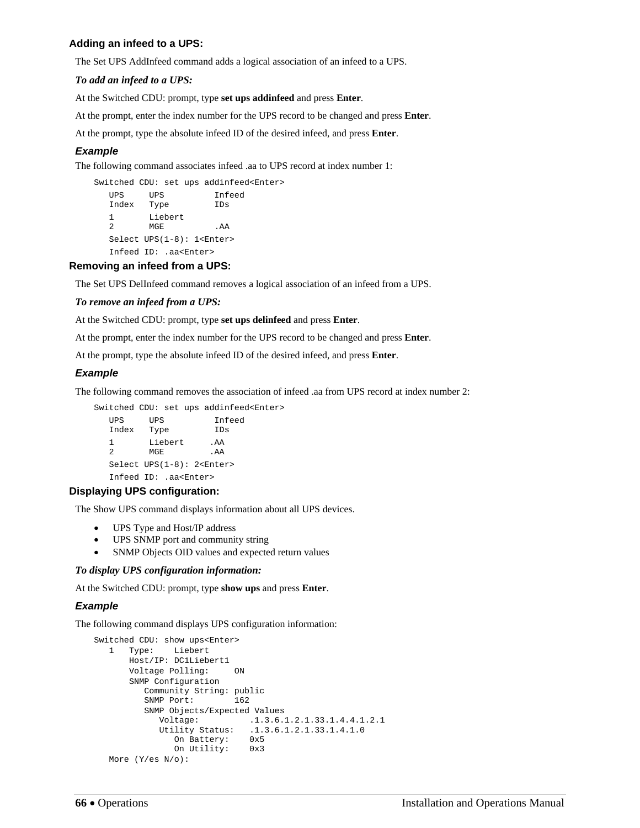## **Adding an infeed to a UPS:**

The Set UPS AddInfeed command adds a logical association of an infeed to a UPS.

## *To add an infeed to a UPS:*

At the Switched CDU: prompt, type **set ups addinfeed** and press **Enter**.

At the prompt, enter the index number for the UPS record to be changed and press **Enter**.

At the prompt, type the absolute infeed ID of the desired infeed, and press **Enter**.

## *Example*

The following command associates infeed .aa to UPS record at index number 1:

```
Switched CDU: set ups addinfeed<Enter> 
 UPS UPS Infeed 
 Index Type IDs 
  1 Liebert<br>2 MGE
        MGE .AA
   Select UPS(1-8): 1<Enter> 
   Infeed ID: .aa<Enter>
```
## **Removing an infeed from a UPS:**

The Set UPS DelInfeed command removes a logical association of an infeed from a UPS.

## *To remove an infeed from a UPS:*

At the Switched CDU: prompt, type **set ups delinfeed** and press **Enter**.

At the prompt, enter the index number for the UPS record to be changed and press **Enter**.

At the prompt, type the absolute infeed ID of the desired infeed, and press **Enter**.

## *Example*

The following command removes the association of infeed .aa from UPS record at index number 2:

Switched CDU: set ups addinfeed<Enter>

UPS UPS Infeed<br>
Index Type IDs Index Type 1 Liebert .AA 2 MGE .AA Select UPS(1-8): 2<Enter> Infeed ID: .aa<Enter>

## **Displaying UPS configuration:**

The Show UPS command displays information about all UPS devices.

- UPS Type and Host/IP address
- UPS SNMP port and community string
- SNMP Objects OID values and expected return values

### *To display UPS configuration information:*

At the Switched CDU: prompt, type **show ups** and press **Enter**.

## *Example*

The following command displays UPS configuration information:

```
Switched CDU: show ups<Enter> 
   1 Type: Liebert 
      Host/IP: DC1Liebert1 
      Voltage Polling: ON 
       SNMP Configuration 
         Community String: public 
         SNMP Port: 162 
         SNMP Objects/Expected Values 
            Voltage: .1.3.6.1.2.1.33.1.4.4.1.2.1 
 Utility Status: .1.3.6.1.2.1.33.1.4.1.0 
 On Battery: 0x5 
              On Utility: 0x3 
   More (Y/es N/o):
```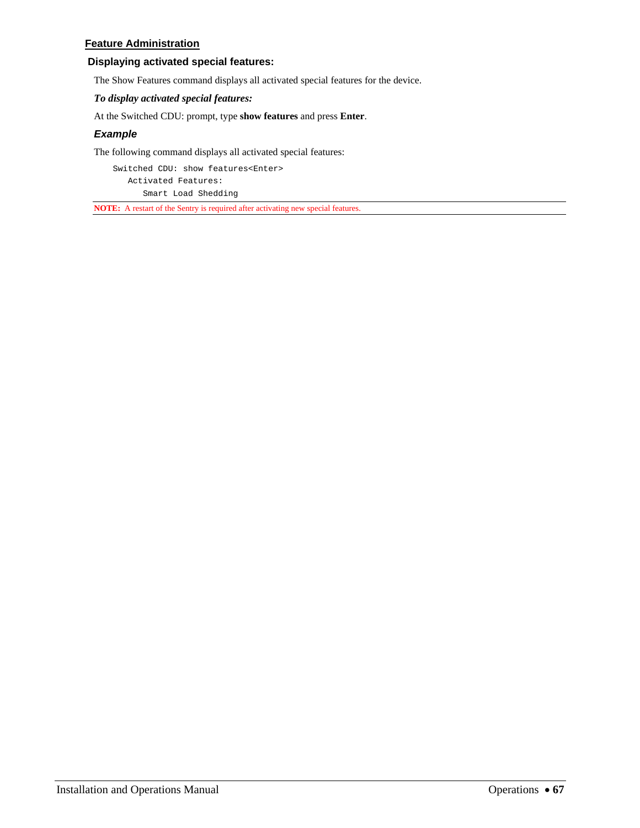## **Feature Administration**

## **Displaying activated special features:**

The Show Features command displays all activated special features for the device.

## *To display activated special features:*

At the Switched CDU: prompt, type **show features** and press **Enter**.

## *Example*

The following command displays all activated special features:

Switched CDU: show features<Enter> Activated Features: Smart Load Shedding

**NOTE:** A restart of the Sentry is required after activating new special features.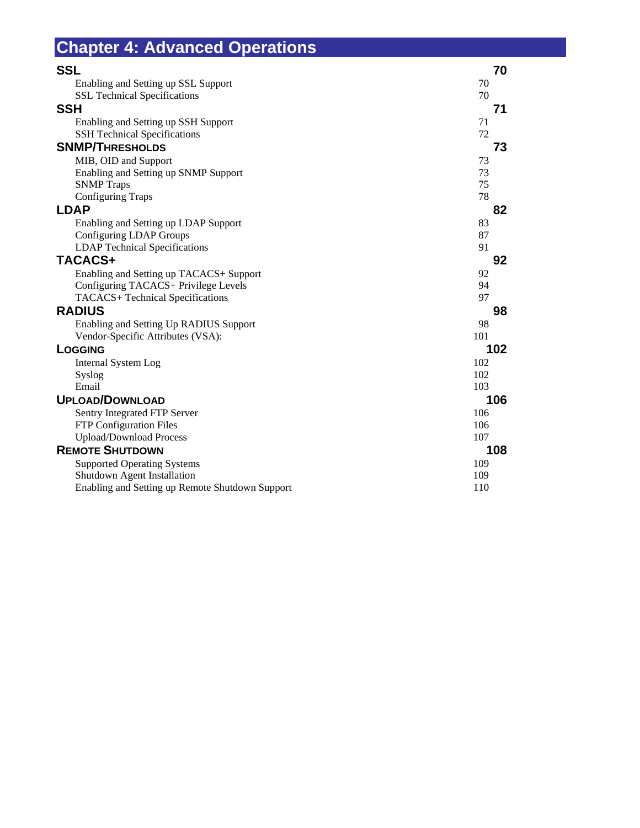<span id="page-68-0"></span>

| <b>Chapter 4: Advanced Operations</b>           |     |
|-------------------------------------------------|-----|
| <b>SSL</b>                                      | 70  |
| Enabling and Setting up SSL Support             | 70  |
| <b>SSL Technical Specifications</b>             | 70  |
| <b>SSH</b>                                      | 71  |
| Enabling and Setting up SSH Support             | 71  |
| <b>SSH Technical Specifications</b>             | 72  |
| <b>SNMP/THRESHOLDS</b>                          | 73  |
| MIB, OID and Support                            | 73  |
| Enabling and Setting up SNMP Support            | 73  |
| <b>SNMP</b> Traps                               | 75  |
| <b>Configuring Traps</b>                        | 78  |
| <b>LDAP</b>                                     | 82  |
| Enabling and Setting up LDAP Support            | 83  |
| Configuring LDAP Groups                         | 87  |
| <b>LDAP</b> Technical Specifications            | 91  |
| TACACS+                                         | 92  |
| Enabling and Setting up TACACS+ Support         | 92  |
| Configuring TACACS+ Privilege Levels            | 94  |
| TACACS+ Technical Specifications                | 97  |
| <b>RADIUS</b>                                   | 98  |
| Enabling and Setting Up RADIUS Support          | 98  |
| Vendor-Specific Attributes (VSA):               | 101 |
| LOGGING                                         | 102 |
| Internal System Log                             | 102 |
| Syslog                                          | 102 |
| Email                                           | 103 |
| <b>UPLOAD/DOWNLOAD</b>                          | 106 |
| Sentry Integrated FTP Server                    | 106 |
| FTP Configuration Files                         | 106 |
| <b>Upload/Download Process</b>                  | 107 |
| <b>REMOTE SHUTDOWN</b>                          | 108 |
| <b>Supported Operating Systems</b>              | 109 |
| <b>Shutdown Agent Installation</b>              | 109 |
| Enabling and Setting up Remote Shutdown Support | 110 |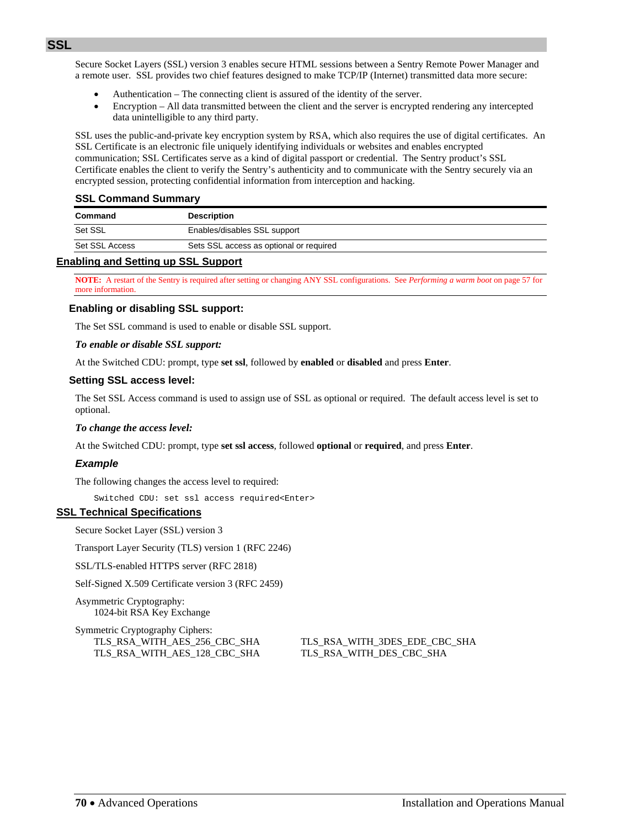<span id="page-69-0"></span>Secure Socket Layers (SSL) version 3 enables secure HTML sessions between a Sentry Remote Power Manager and a remote user. SSL provides two chief features designed to make TCP/IP (Internet) transmitted data more secure:

- Authentication The connecting client is assured of the identity of the server.
- Encryption All data transmitted between the client and the server is encrypted rendering any intercepted data unintelligible to any third party.

SSL uses the public-and-private key encryption system by RSA, which also requires the use of digital certificates. An SSL Certificate is an electronic file uniquely identifying individuals or websites and enables encrypted communication; SSL Certificates serve as a kind of digital passport or credential. The Sentry product's SSL Certificate enables the client to verify the Sentry's authenticity and to communicate with the Sentry securely via an encrypted session, protecting confidential information from interception and hacking.

## **SSL Command Summary**

| Command        | <b>Description</b>                      |
|----------------|-----------------------------------------|
| Set SSL        | Enables/disables SSL support            |
| Set SSL Access | Sets SSL access as optional or required |
|                |                                         |

### <span id="page-69-1"></span>**Enabling and Setting up SSL Support**

**NOTE:** A restart of the Sentry is required after setting or changing ANY SSL configurations. See *[Performing a warm boot](#page-56-0)* on page [57](#page-56-0) for more information.

## **Enabling or disabling SSL support:**

The Set SSL command is used to enable or disable SSL support.

### *To enable or disable SSL support:*

At the Switched CDU: prompt, type **set ssl**, followed by **enabled** or **disabled** and press **Enter**.

### **Setting SSL access level:**

The Set SSL Access command is used to assign use of SSL as optional or required. The default access level is set to optional.

### *To change the access level:*

At the Switched CDU: prompt, type **set ssl access**, followed **optional** or **required**, and press **Enter**.

## *Example*

The following changes the access level to required:

Switched CDU: set ssl access required<Enter>

## <span id="page-69-2"></span>**SSL Technical Specifications**

Secure Socket Layer (SSL) version 3

Transport Layer Security (TLS) version 1 (RFC 2246)

SSL/TLS-enabled HTTPS server (RFC 2818)

Self-Signed X.509 Certificate version 3 (RFC 2459)

Asymmetric Cryptography: 1024-bit RSA Key Exchange

Symmetric Cryptography Ciphers: TLS\_RSA\_WITH\_AES\_128\_CBC\_SHA TLS\_RSA\_WITH\_DES\_CBC\_SHA

TLS\_RSA\_WITH\_AES\_256\_CBC\_SHA TLS\_RSA\_WITH\_3DES\_EDE\_CBC\_SHA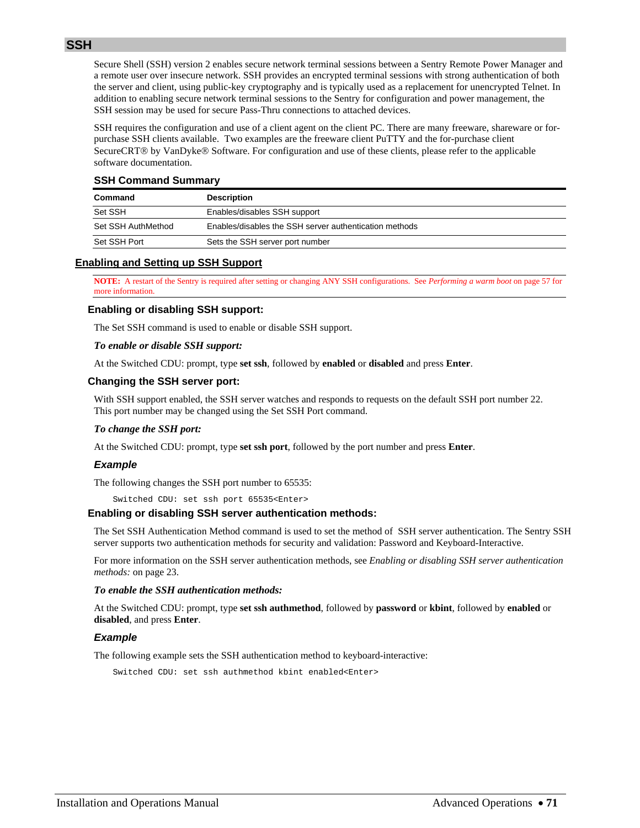<span id="page-70-0"></span>

Secure Shell (SSH) version 2 enables secure network terminal sessions between a Sentry Remote Power Manager and a remote user over insecure network. SSH provides an encrypted terminal sessions with strong authentication of both the server and client, using public-key cryptography and is typically used as a replacement for unencrypted Telnet. In addition to enabling secure network terminal sessions to the Sentry for configuration and power management, the SSH session may be used for secure Pass-Thru connections to attached devices.

SSH requires the configuration and use of a client agent on the client PC. There are many freeware, shareware or forpurchase SSH clients available. Two examples are the freeware client PuTTY and the for-purchase client SecureCRT<sup>®</sup> by VanDyke<sup>®</sup> Software. For configuration and use of these clients, please refer to the applicable software documentation.

## **SSH Command Summary**

| Command            | <b>Description</b>                                     |
|--------------------|--------------------------------------------------------|
| Set SSH            | Enables/disables SSH support                           |
| Set SSH AuthMethod | Enables/disables the SSH server authentication methods |
| Set SSH Port       | Sets the SSH server port number                        |

### <span id="page-70-1"></span>**Enabling and Setting up SSH Support**

**NOTE:** A restart of the Sentry is required after setting or changing ANY SSH configurations. See *[Performing a warm boot](#page-56-0)* on page [57](#page-56-0) for more information.

### **Enabling or disabling SSH support:**

The Set SSH command is used to enable or disable SSH support.

### *To enable or disable SSH support:*

At the Switched CDU: prompt, type **set ssh**, followed by **enabled** or **disabled** and press **Enter**.

### **Changing the SSH server port:**

With SSH support enabled, the SSH server watches and responds to requests on the default SSH port number 22. This port number may be changed using the Set SSH Port command.

### *To change the SSH port:*

At the Switched CDU: prompt, type **set ssh port**, followed by the port number and press **Enter**.

### *Example*

The following changes the SSH port number to 65535:

Switched CDU: set ssh port 65535<Enter>

### **Enabling or disabling SSH server authentication methods:**

The Set SSH Authentication Method command is used to set the method of SSH server authentication. The Sentry SSH server supports two authentication methods for security and validation: Password and Keyboard-Interactive.

For more information on the SSH server authentication methods, see *[Enabling or disabling SSH server authentication](#page-22-1)  [methods:](#page-22-1)* on page [23.](#page-22-1)

### *To enable the SSH authentication methods:*

At the Switched CDU: prompt, type **set ssh authmethod**, followed by **password** or **kbint**, followed by **enabled** or **disabled**, and press **Enter**.

### *Example*

The following example sets the SSH authentication method to keyboard-interactive:

Switched CDU: set ssh authmethod kbint enabled<Enter>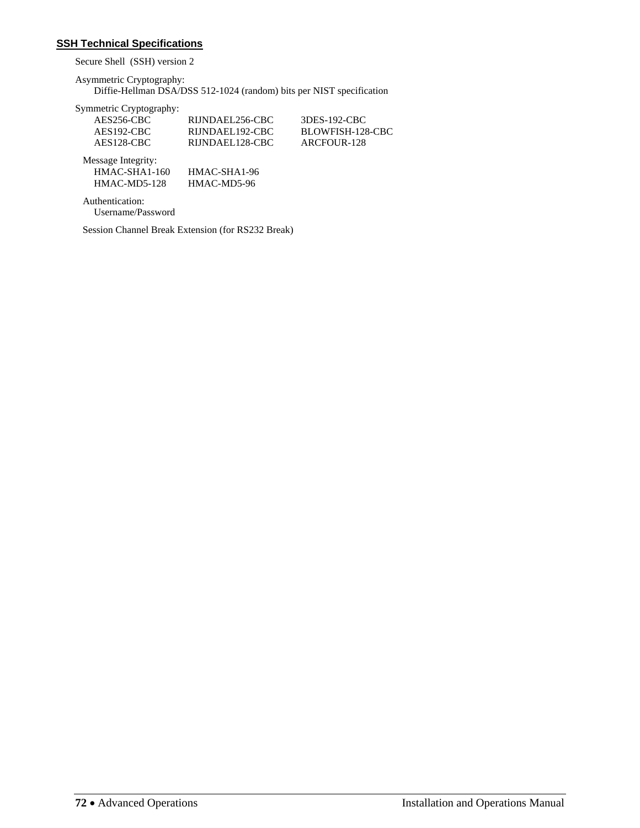# <span id="page-71-0"></span>**SSH Technical Specifications**

Secure Shell (SSH) version 2

Asymmetric Cryptography:

Diffie-Hellman DSA/DSS 512-1024 (random) bits per NIST specification

| AES256-CBC              | RIJNDAEL256-CBC | 3DES-192-CBC     |
|-------------------------|-----------------|------------------|
| $AES192-CBC$            | RIJNDAEL192-CBC | BLOWFISH-128-CBC |
| AES <sub>128</sub> -CBC | RIJNDAEL128-CBC | ARCFOUR-128      |
| Message Integrity:      |                 |                  |
| $HMAC-SHA1-160$         | HMAC-SHA1-96    |                  |
| $HMAC-MD5-128$          | HMAC-MD5-96     |                  |

 Authentication: Username/Password

Session Channel Break Extension (for RS232 Break)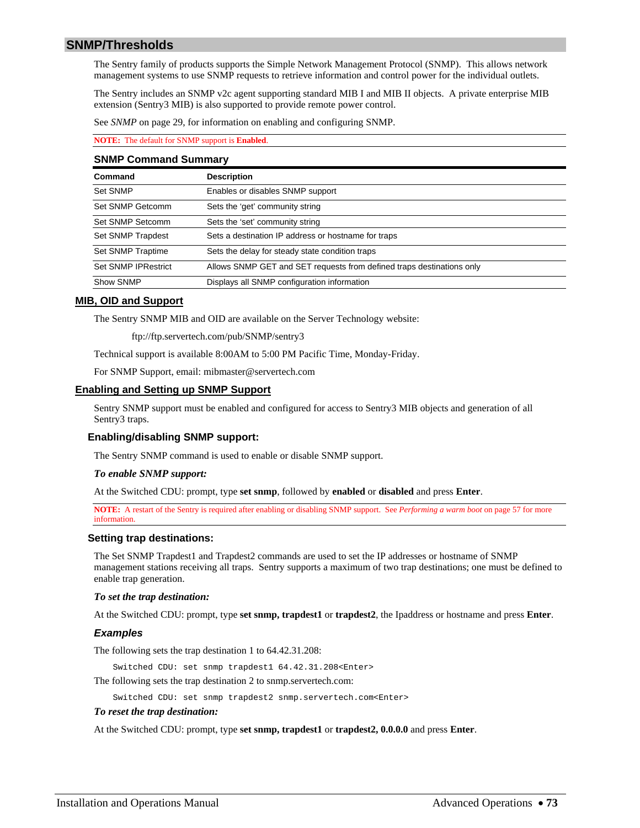## **SNMP/Thresholds**

The Sentry family of products supports the Simple Network Management Protocol (SNMP). This allows network management systems to use SNMP requests to retrieve information and control power for the individual outlets.

The Sentry includes an SNMP v2c agent supporting standard MIB I and MIB II objects. A private enterprise MIB extension (Sentry3 MIB) is also supported to provide remote power control.

See *[SNMP](#page-28-0)* on page [29,](#page-28-0) for information on enabling and configuring SNMP.

### **NOTE:** The default for SNMP support is **Enabled**.

#### **SNMP Command Summary**

| Command             | <b>Description</b>                                                    |
|---------------------|-----------------------------------------------------------------------|
| Set SNMP            | Enables or disables SNMP support                                      |
| Set SNMP Getcomm    | Sets the 'get' community string                                       |
| Set SNMP Setcomm    | Sets the 'set' community string                                       |
| Set SNMP Trapdest   | Sets a destination IP address or hostname for traps                   |
| Set SNMP Traptime   | Sets the delay for steady state condition traps                       |
| Set SNMP IPRestrict | Allows SNMP GET and SET requests from defined traps destinations only |
| Show SNMP           | Displays all SNMP configuration information                           |

### **MIB, OID and Support**

The Sentry SNMP MIB and OID are available on the Server Technology website:

ftp://ftp.servertech.com/pub/SNMP/sentry3

Technical support is available 8:00AM to 5:00 PM Pacific Time, Monday-Friday.

For SNMP Support, email: mibmaster@servertech.com

### **Enabling and Setting up SNMP Support**

Sentry SNMP support must be enabled and configured for access to Sentry3 MIB objects and generation of all Sentry3 traps.

## **Enabling/disabling SNMP support:**

The Sentry SNMP command is used to enable or disable SNMP support.

### *To enable SNMP support:*

At the Switched CDU: prompt, type **set snmp**, followed by **enabled** or **disabled** and press **Enter**.

**NOTE:** A restart of the Sentry is required after enabling or disabling SNMP support. See *[Performing a warm boot](#page-56-0)* on page [57](#page-56-0) for more information.

### **Setting trap destinations:**

The Set SNMP Trapdest1 and Trapdest2 commands are used to set the IP addresses or hostname of SNMP management stations receiving all traps. Sentry supports a maximum of two trap destinations; one must be defined to enable trap generation.

### *To set the trap destination:*

At the Switched CDU: prompt, type **set snmp, trapdest1** or **trapdest2**, the Ipaddress or hostname and press **Enter**.

## *Examples*

The following sets the trap destination 1 to 64.42.31.208:

Switched CDU: set snmp trapdest1 64.42.31.208<Enter>

The following sets the trap destination 2 to snmp.servertech.com:

Switched CDU: set snmp trapdest2 snmp.servertech.com<Enter>

### *To reset the trap destination:*

At the Switched CDU: prompt, type **set snmp, trapdest1** or **trapdest2, 0.0.0.0** and press **Enter**.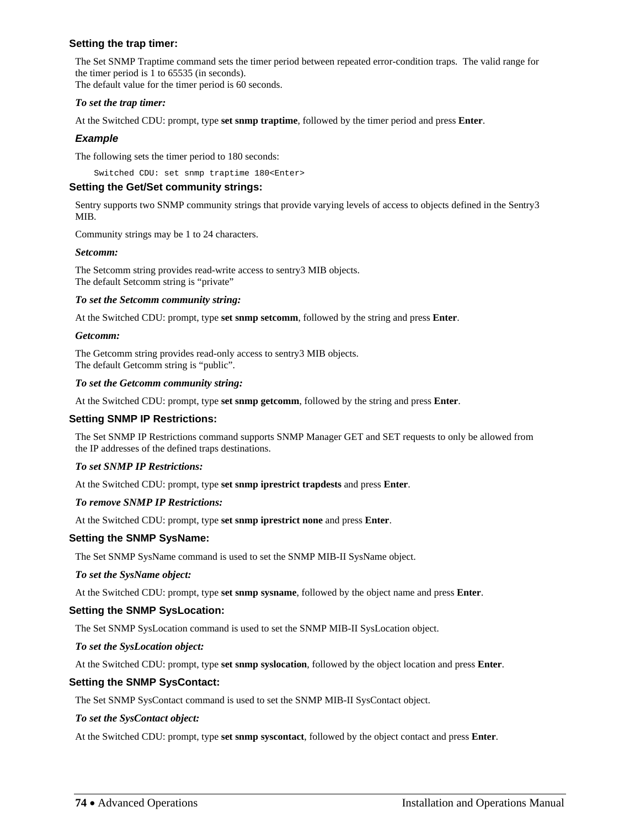## **Setting the trap timer:**

The Set SNMP Traptime command sets the timer period between repeated error-condition traps. The valid range for the timer period is 1 to 65535 (in seconds). The default value for the timer period is 60 seconds.

## *To set the trap timer:*

At the Switched CDU: prompt, type **set snmp traptime**, followed by the timer period and press **Enter**.

## *Example*

The following sets the timer period to 180 seconds:

Switched CDU: set snmp traptime 180<Enter>

### **Setting the Get/Set community strings:**

Sentry supports two SNMP community strings that provide varying levels of access to objects defined in the Sentry3 MIB.

Community strings may be 1 to 24 characters.

## *Setcomm:*

The Setcomm string provides read-write access to sentry3 MIB objects. The default Setcomm string is "private"

## *To set the Setcomm community string:*

At the Switched CDU: prompt, type **set snmp setcomm**, followed by the string and press **Enter**.

## *Getcomm:*

The Getcomm string provides read-only access to sentry3 MIB objects. The default Getcomm string is "public".

## *To set the Getcomm community string:*

At the Switched CDU: prompt, type **set snmp getcomm**, followed by the string and press **Enter**.

## **Setting SNMP IP Restrictions:**

The Set SNMP IP Restrictions command supports SNMP Manager GET and SET requests to only be allowed from the IP addresses of the defined traps destinations.

## *To set SNMP IP Restrictions:*

At the Switched CDU: prompt, type **set snmp iprestrict trapdests** and press **Enter**.

## *To remove SNMP IP Restrictions:*

At the Switched CDU: prompt, type **set snmp iprestrict none** and press **Enter**.

## **Setting the SNMP SysName:**

The Set SNMP SysName command is used to set the SNMP MIB-II SysName object.

## *To set the SysName object:*

At the Switched CDU: prompt, type **set snmp sysname**, followed by the object name and press **Enter**.

## **Setting the SNMP SysLocation:**

The Set SNMP SysLocation command is used to set the SNMP MIB-II SysLocation object.

### *To set the SysLocation object:*

At the Switched CDU: prompt, type **set snmp syslocation**, followed by the object location and press **Enter**.

## **Setting the SNMP SysContact:**

The Set SNMP SysContact command is used to set the SNMP MIB-II SysContact object.

## *To set the SysContact object:*

At the Switched CDU: prompt, type **set snmp syscontact**, followed by the object contact and press **Enter**.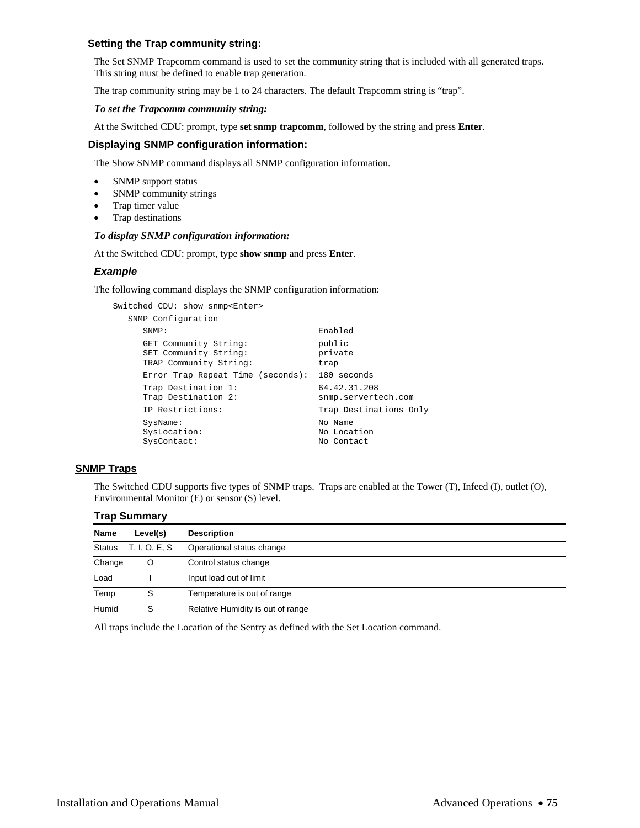## **Setting the Trap community string:**

The Set SNMP Trapcomm command is used to set the community string that is included with all generated traps. This string must be defined to enable trap generation.

The trap community string may be 1 to 24 characters. The default Trapcomm string is "trap".

## *To set the Trapcomm community string:*

At the Switched CDU: prompt, type **set snmp trapcomm**, followed by the string and press **Enter**.

## **Displaying SNMP configuration information:**

The Show SNMP command displays all SNMP configuration information.

- SNMP support status
- SNMP community strings
- Trap timer value
- Trap destinations

## *To display SNMP configuration information:*

At the Switched CDU: prompt, type **show snmp** and press **Enter**.

## *Example*

The following command displays the SNMP configuration information:

```
Switched CDU: show snmp<Enter> 
   SNMP Configuration 
       SNMP: Enabled 
     GET Community String: public<br>SET Community String: private<br>TRAP Community String: trap
      SET Community String:
     TRAP Community String:
     Error Trap Repeat Time (seconds): 180 seconds<br>Trap Destination 1: 64.42.31.208
     Trap Destination 1: 64.42.31.208<br>Trap Destination 2: snmp.servertech.com
      Trap Destination 2:
      IP Restrictions: Trap Destinations Only 
      SysName: No Name
      SysLocation: No Location<br>SysContact: No Contact
      SysContact:
```
## **SNMP Traps**

The Switched CDU supports five types of SNMP traps. Traps are enabled at the Tower (T), Infeed (I), outlet (O), Environmental Monitor (E) or sensor (S) level.

|               | <b>Trap Summary</b> |                                   |  |
|---------------|---------------------|-----------------------------------|--|
| <b>Name</b>   | Level(s)            | <b>Description</b>                |  |
| <b>Status</b> | T, I, O, E, S       | Operational status change         |  |
| Change        | O                   | Control status change             |  |
| Load          |                     | Input load out of limit           |  |
| Temp          | S                   | Temperature is out of range       |  |
| Humid         | S                   | Relative Humidity is out of range |  |

All traps include the Location of the Sentry as defined with the Set Location command.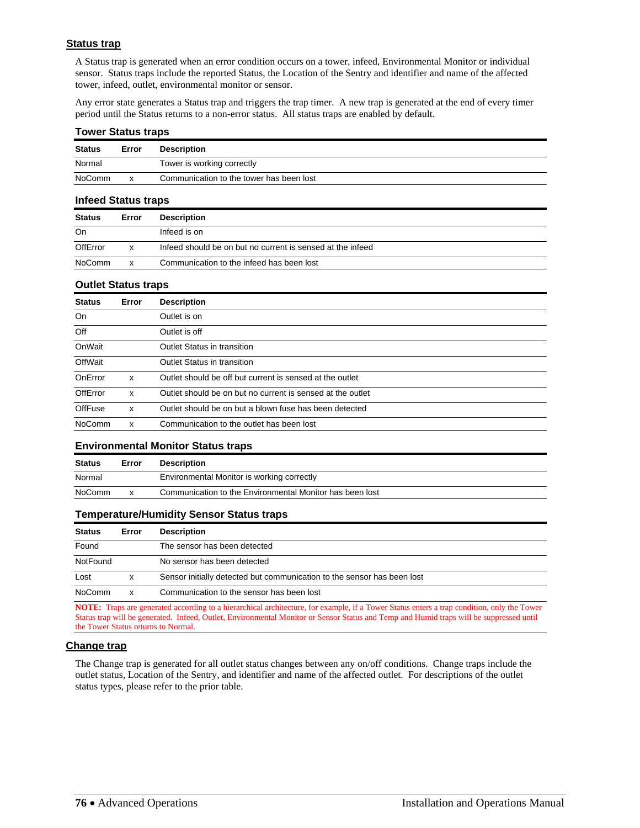## **Status trap**

A Status trap is generated when an error condition occurs on a tower, infeed, Environmental Monitor or individual sensor. Status traps include the reported Status, the Location of the Sentry and identifier and name of the affected tower, infeed, outlet, environmental monitor or sensor.

Any error state generates a Status trap and triggers the trap timer. A new trap is generated at the end of every timer period until the Status returns to a non-error status. All status traps are enabled by default.

## **Tower Status traps**

| <b>Status</b> | Error | <b>Description</b>                       |
|---------------|-------|------------------------------------------|
| Normal        |       | Tower is working correctly               |
| NoComm        | x     | Communication to the tower has been lost |

#### **Infeed Status traps**

| <b>Status</b> | Error | <b>Description</b>                                         |
|---------------|-------|------------------------------------------------------------|
| On            |       | Infeed is on                                               |
| OffError      | x     | Infeed should be on but no current is sensed at the infeed |
| <b>NoComm</b> | x     | Communication to the infeed has been lost                  |

### **Outlet Status traps**

| <b>Status</b> | Error | <b>Description</b>                                         |
|---------------|-------|------------------------------------------------------------|
| On            |       | Outlet is on                                               |
| Off           |       | Outlet is off                                              |
| OnWait        |       | Outlet Status in transition                                |
| OffWait       |       | Outlet Status in transition                                |
| OnError       | x     | Outlet should be off but current is sensed at the outlet   |
| OffError      | x     | Outlet should be on but no current is sensed at the outlet |
| OffFuse       | x     | Outlet should be on but a blown fuse has been detected     |
| <b>NoComm</b> | x     | Communication to the outlet has been lost                  |

### **Environmental Monitor Status traps**

| <b>Status</b> | <b>Description</b><br>Error |                                                          |
|---------------|-----------------------------|----------------------------------------------------------|
| Normal        |                             | Environmental Monitor is working correctly               |
| NoComm        |                             | Communication to the Environmental Monitor has been lost |

## **Temperature/Humidity Sensor Status traps**

| <b>Status</b>                                                       | Error                                                                   | <b>Description</b> |
|---------------------------------------------------------------------|-------------------------------------------------------------------------|--------------------|
| Found                                                               | The sensor has been detected                                            |                    |
| NotFound                                                            | No sensor has been detected                                             |                    |
| Lost                                                                | Sensor initially detected but communication to the sensor has been lost |                    |
| NoComm<br>Communication to the sensor has been lost<br>$\mathsf{x}$ |                                                                         |                    |

**NOTE:** Traps are generated according to a hierarchical architecture, for example, if a Tower Status enters a trap condition, only the Tower Status trap will be generated. Infeed, Outlet, Environmental Monitor or Sensor Status and Temp and Humid traps will be suppressed until the Tower Status returns to Normal.

### **Change trap**

The Change trap is generated for all outlet status changes between any on/off conditions. Change traps include the outlet status, Location of the Sentry, and identifier and name of the affected outlet. For descriptions of the outlet status types, please refer to the prior table.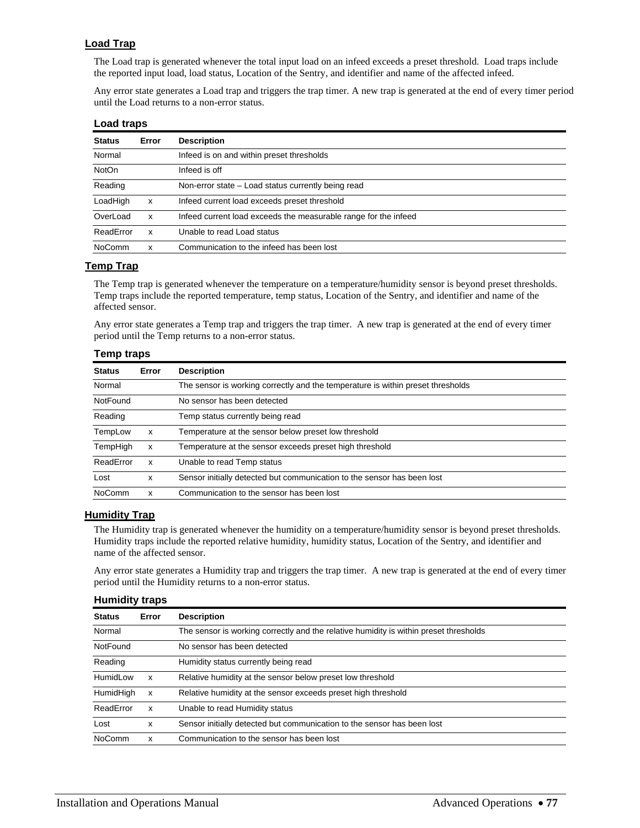## **Load Trap**

The Load trap is generated whenever the total input load on an infeed exceeds a preset threshold. Load traps include the reported input load, load status, Location of the Sentry, and identifier and name of the affected infeed.

Any error state generates a Load trap and triggers the trap timer. A new trap is generated at the end of every timer period until the Load returns to a non-error status.

## **Load traps**

| <b>Status</b> | Error | <b>Description</b>                                              |
|---------------|-------|-----------------------------------------------------------------|
| Normal        |       | Infeed is on and within preset thresholds                       |
| <b>NotOn</b>  |       | Infeed is off                                                   |
| Reading       |       | Non-error state – Load status currently being read              |
| LoadHigh      | x     | Infeed current load exceeds preset threshold                    |
| OverLoad      | x     | Infeed current load exceeds the measurable range for the infeed |
| ReadError     | x     | Unable to read Load status                                      |
| <b>NoComm</b> | x     | Communication to the infeed has been lost                       |

## **Temp Trap**

The Temp trap is generated whenever the temperature on a temperature/humidity sensor is beyond preset thresholds. Temp traps include the reported temperature, temp status, Location of the Sentry, and identifier and name of the affected sensor.

Any error state generates a Temp trap and triggers the trap timer. A new trap is generated at the end of every timer period until the Temp returns to a non-error status.

## **Temp traps**

| <b>Status</b> | Error                                                                           | <b>Description</b>                                                      |  |
|---------------|---------------------------------------------------------------------------------|-------------------------------------------------------------------------|--|
| Normal        | The sensor is working correctly and the temperature is within preset thresholds |                                                                         |  |
| NotFound      |                                                                                 | No sensor has been detected                                             |  |
| Reading       |                                                                                 | Temp status currently being read                                        |  |
| TempLow       | x                                                                               | Temperature at the sensor below preset low threshold                    |  |
| TempHigh      | x                                                                               | Temperature at the sensor exceeds preset high threshold                 |  |
| ReadError     | x                                                                               | Unable to read Temp status                                              |  |
| Lost          | x                                                                               | Sensor initially detected but communication to the sensor has been lost |  |
| <b>NoComm</b> | x                                                                               | Communication to the sensor has been lost                               |  |

## **Humidity Trap**

The Humidity trap is generated whenever the humidity on a temperature/humidity sensor is beyond preset thresholds. Humidity traps include the reported relative humidity, humidity status, Location of the Sentry, and identifier and name of the affected sensor.

Any error state generates a Humidity trap and triggers the trap timer. A new trap is generated at the end of every timer period until the Humidity returns to a non-error status.

### **Humidity traps**

| <b>Status</b> | Error | <b>Description</b>                                                                    |  |
|---------------|-------|---------------------------------------------------------------------------------------|--|
| Normal        |       | The sensor is working correctly and the relative humidity is within preset thresholds |  |
| NotFound      |       | No sensor has been detected                                                           |  |
| Reading       |       | Humidity status currently being read                                                  |  |
| HumidLow      | x     | Relative humidity at the sensor below preset low threshold                            |  |
| HumidHigh     | x     | Relative humidity at the sensor exceeds preset high threshold                         |  |
| ReadError     | x     | Unable to read Humidity status                                                        |  |
| Lost          | x     | Sensor initially detected but communication to the sensor has been lost               |  |
| <b>NoComm</b> | x     | Communication to the sensor has been lost                                             |  |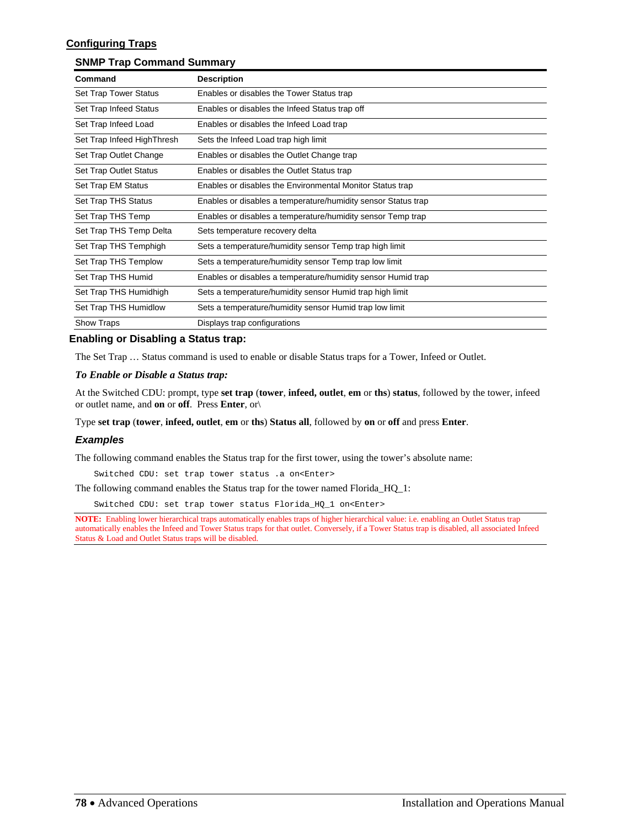# **Configuring Traps**

## **SNMP Trap Command Summary**

| Command                    | <b>Description</b>                                            |
|----------------------------|---------------------------------------------------------------|
| Set Trap Tower Status      | Enables or disables the Tower Status trap                     |
| Set Trap Infeed Status     | Enables or disables the Infeed Status trap off                |
| Set Trap Infeed Load       | Enables or disables the Infeed Load trap                      |
| Set Trap Infeed HighThresh | Sets the Infeed Load trap high limit                          |
| Set Trap Outlet Change     | Enables or disables the Outlet Change trap                    |
| Set Trap Outlet Status     | Enables or disables the Outlet Status trap                    |
| Set Trap EM Status         | Enables or disables the Environmental Monitor Status trap     |
| Set Trap THS Status        | Enables or disables a temperature/humidity sensor Status trap |
| Set Trap THS Temp          | Enables or disables a temperature/humidity sensor Temp trap   |
| Set Trap THS Temp Delta    | Sets temperature recovery delta                               |
| Set Trap THS Temphigh      | Sets a temperature/humidity sensor Temp trap high limit       |
| Set Trap THS Templow       | Sets a temperature/humidity sensor Temp trap low limit        |
| Set Trap THS Humid         | Enables or disables a temperature/humidity sensor Humid trap  |
| Set Trap THS Humidhigh     | Sets a temperature/humidity sensor Humid trap high limit      |
| Set Trap THS Humidlow      | Sets a temperature/humidity sensor Humid trap low limit       |
| <b>Show Traps</b>          | Displays trap configurations                                  |

## **Enabling or Disabling a Status trap:**

The Set Trap … Status command is used to enable or disable Status traps for a Tower, Infeed or Outlet.

#### *To Enable or Disable a Status trap:*

At the Switched CDU: prompt, type **set trap** (**tower**, **infeed, outlet**, **em** or **ths**) **status**, followed by the tower, infeed or outlet name, and **on** or **off**.Press **Enter**, or\

Type **set trap** (**tower**, **infeed, outlet**, **em** or **ths**) **Status all**, followed by **on** or **off** and press **Enter**.

#### *Examples*

The following command enables the Status trap for the first tower, using the tower's absolute name:

Switched CDU: set trap tower status .a on<Enter>

The following command enables the Status trap for the tower named Florida\_HQ\_1:

Switched CDU: set trap tower status Florida\_HQ\_1 on<Enter>

**NOTE:** Enabling lower hierarchical traps automatically enables traps of higher hierarchical value: i.e. enabling an Outlet Status trap automatically enables the Infeed and Tower Status traps for that outlet. Conversely, if a Tower Status trap is disabled, all associated Infeed Status & Load and Outlet Status traps will be disabled.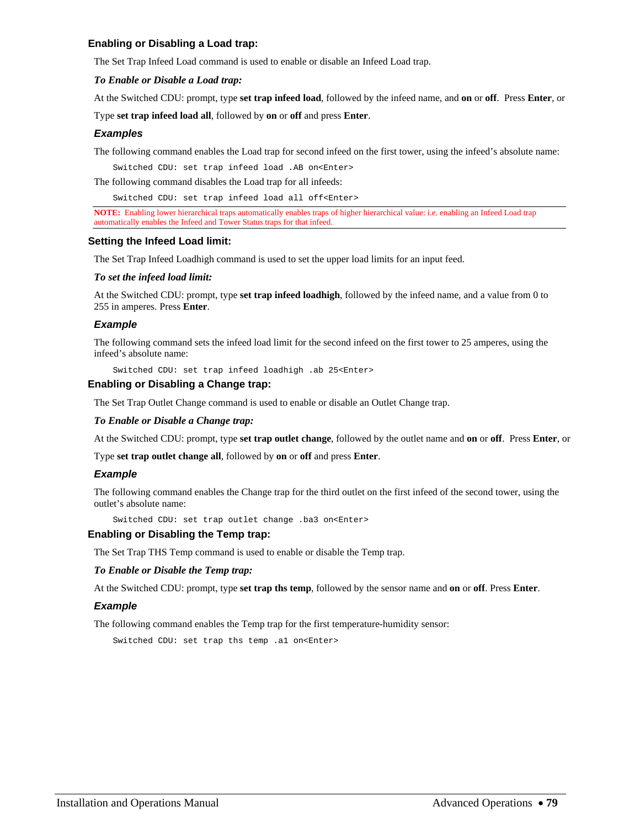## **Enabling or Disabling a Load trap:**

The Set Trap Infeed Load command is used to enable or disable an Infeed Load trap.

### *To Enable or Disable a Load trap:*

At the Switched CDU: prompt, type **set trap infeed load**, followed by the infeed name, and **on** or **off**.Press **Enter**, or

Type **set trap infeed load all**, followed by **on** or **off** and press **Enter**.

## *Examples*

The following command enables the Load trap for second infeed on the first tower, using the infeed's absolute name:

Switched CDU: set trap infeed load .AB on<Enter>

The following command disables the Load trap for all infeeds:

Switched CDU: set trap infeed load all off<Enter>

**NOTE:** Enabling lower hierarchical traps automatically enables traps of higher hierarchical value: i.e. enabling an Infeed Load trap automatically enables the Infeed and Tower Status traps for that infeed.

### **Setting the Infeed Load limit:**

The Set Trap Infeed Loadhigh command is used to set the upper load limits for an input feed.

#### *To set the infeed load limit:*

At the Switched CDU: prompt, type **set trap infeed loadhigh**, followed by the infeed name, and a value from 0 to 255 in amperes. Press **Enter**.

## *Example*

The following command sets the infeed load limit for the second infeed on the first tower to 25 amperes, using the infeed's absolute name:

Switched CDU: set trap infeed loadhigh .ab 25<Enter>

## **Enabling or Disabling a Change trap:**

The Set Trap Outlet Change command is used to enable or disable an Outlet Change trap.

#### *To Enable or Disable a Change trap:*

At the Switched CDU: prompt, type **set trap outlet change**, followed by the outlet name and **on** or **off**.Press **Enter**, or

Type **set trap outlet change all**, followed by **on** or **off** and press **Enter**.

### *Example*

The following command enables the Change trap for the third outlet on the first infeed of the second tower, using the outlet's absolute name:

Switched CDU: set trap outlet change .ba3 on<Enter>

## **Enabling or Disabling the Temp trap:**

The Set Trap THS Temp command is used to enable or disable the Temp trap.

#### *To Enable or Disable the Temp trap:*

At the Switched CDU: prompt, type **set trap ths temp**, followed by the sensor name and **on** or **off**. Press **Enter**.

### *Example*

The following command enables the Temp trap for the first temperature-humidity sensor:

Switched CDU: set trap ths temp .al on<Enter>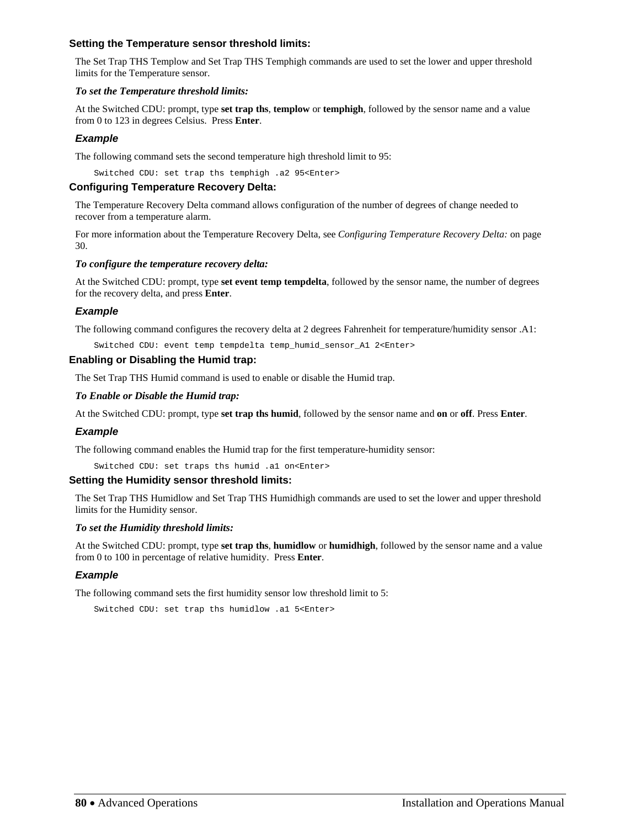## **Setting the Temperature sensor threshold limits:**

The Set Trap THS Templow and Set Trap THS Temphigh commands are used to set the lower and upper threshold limits for the Temperature sensor.

## *To set the Temperature threshold limits:*

At the Switched CDU: prompt, type **set trap ths**, **templow** or **temphigh**, followed by the sensor name and a value from 0 to 123 in degrees Celsius. Press **Enter**.

## *Example*

The following command sets the second temperature high threshold limit to 95:

Switched CDU: set trap ths temphigh .a2 95<Enter>

## **Configuring Temperature Recovery Delta:**

The Temperature Recovery Delta command allows configuration of the number of degrees of change needed to recover from a temperature alarm.

For more information about the Temperature Recovery Delta, see *[Configuring Temperature Recovery Delta:](#page-29-0)* on page [30](#page-29-0).

## *To configure the temperature recovery delta:*

At the Switched CDU: prompt, type **set event temp tempdelta**, followed by the sensor name, the number of degrees for the recovery delta, and press **Enter**.

## *Example*

The following command configures the recovery delta at 2 degrees Fahrenheit for temperature/humidity sensor .A1:

Switched CDU: event temp tempdelta temp\_humid\_sensor\_A1 2<Enter>

## **Enabling or Disabling the Humid trap:**

The Set Trap THS Humid command is used to enable or disable the Humid trap.

### *To Enable or Disable the Humid trap:*

At the Switched CDU: prompt, type **set trap ths humid**, followed by the sensor name and **on** or **off**. Press **Enter**.

### *Example*

The following command enables the Humid trap for the first temperature-humidity sensor:

Switched CDU: set traps ths humid .a1 on<Enter>

### **Setting the Humidity sensor threshold limits:**

The Set Trap THS Humidlow and Set Trap THS Humidhigh commands are used to set the lower and upper threshold limits for the Humidity sensor.

### *To set the Humidity threshold limits:*

At the Switched CDU: prompt, type **set trap ths**, **humidlow** or **humidhigh**, followed by the sensor name and a value from 0 to 100 in percentage of relative humidity. Press **Enter**.

## *Example*

The following command sets the first humidity sensor low threshold limit to 5:

Switched CDU: set trap ths humidlow .a1 5<Enter>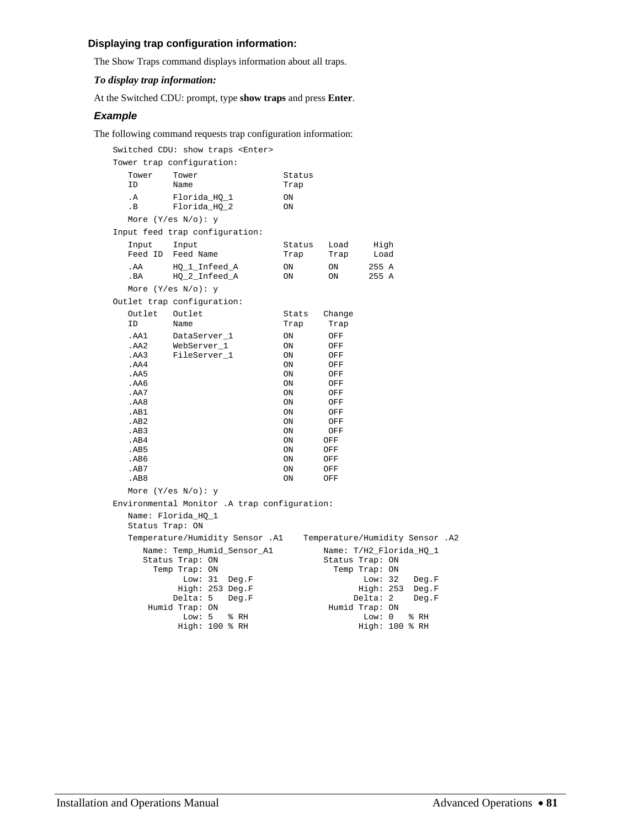# **Displaying trap configuration information:**

The Show Traps command displays information about all traps.

## *To display trap information:*

At the Switched CDU: prompt, type **show traps** and press **Enter**.

## *Example*

The following command requests trap configuration information:

| Switched CDU: show traps <enter></enter>                                                                             |                                                                                                                                              |                                                                                                                   |                                                                                                              |                                                                                                                             |  |
|----------------------------------------------------------------------------------------------------------------------|----------------------------------------------------------------------------------------------------------------------------------------------|-------------------------------------------------------------------------------------------------------------------|--------------------------------------------------------------------------------------------------------------|-----------------------------------------------------------------------------------------------------------------------------|--|
| Tower trap configuration:                                                                                            |                                                                                                                                              |                                                                                                                   |                                                                                                              |                                                                                                                             |  |
| Tower<br>ΙD                                                                                                          | Tower<br>Name                                                                                                                                | Status<br>Trap                                                                                                    |                                                                                                              |                                                                                                                             |  |
| . A<br>. В                                                                                                           | Florida_HQ_1<br>Florida_HQ_2                                                                                                                 | ON<br>ON                                                                                                          |                                                                                                              |                                                                                                                             |  |
|                                                                                                                      | More $(Y/\text{es } N/\text{o})$ : y                                                                                                         |                                                                                                                   |                                                                                                              |                                                                                                                             |  |
|                                                                                                                      | Input feed trap configuration:                                                                                                               |                                                                                                                   |                                                                                                              |                                                                                                                             |  |
| Input<br>Feed ID                                                                                                     | Input<br>Feed Name                                                                                                                           | Status<br>Trap                                                                                                    | Load<br>Trap                                                                                                 | High<br>Load                                                                                                                |  |
| . AA<br>. $BA$                                                                                                       | HQ_1_Infeed_A<br>HQ_2_Infeed_A                                                                                                               | ON<br>ON                                                                                                          | ON<br>ON                                                                                                     | 255 A<br>255 A                                                                                                              |  |
|                                                                                                                      | More (Y/es $N$ /o): y                                                                                                                        |                                                                                                                   |                                                                                                              |                                                                                                                             |  |
|                                                                                                                      | Outlet trap configuration:                                                                                                                   |                                                                                                                   |                                                                                                              |                                                                                                                             |  |
| Outlet<br>ΙD                                                                                                         | Outlet<br>Name                                                                                                                               | Stats<br>Trap                                                                                                     | Change<br>Trap                                                                                               |                                                                                                                             |  |
| .AA1<br>.AA2<br>.AA3<br>.AA4<br>.AA5<br>.AA6<br>.AA7<br>.AA8<br>AB1<br>AB2<br>AB3<br>AB4<br>AB5<br>AB6<br>AB7<br>AB8 | DataServer 1<br>WebServer 1<br>FileServer_1<br>More $(Y/\text{es } N/\text{o})$ : y                                                          | ON<br><b>ON</b><br>ON<br>ON<br>ON<br>ON<br>ON<br>ON<br>ON<br>ON<br>ON<br><b>ON</b><br>ON<br>ON<br>ON<br><b>ON</b> | OFF<br>OFF<br>OFF<br>OFF<br>OFF<br>OFF<br>OFF<br>OFF<br>OFF<br>OFF<br>OFF<br>OFF<br>OFF<br>OFF<br>OFF<br>OFF |                                                                                                                             |  |
|                                                                                                                      | Environmental Monitor .A trap configuration:                                                                                                 |                                                                                                                   |                                                                                                              |                                                                                                                             |  |
|                                                                                                                      | Name: Florida_HQ_1<br>Status Trap: ON                                                                                                        |                                                                                                                   |                                                                                                              |                                                                                                                             |  |
|                                                                                                                      | Temperature/Humidity Sensor .A1                                                                                                              |                                                                                                                   |                                                                                                              | Temperature/Humidity Sensor .A2                                                                                             |  |
|                                                                                                                      | Name: Temp_Humid_Sensor_Al<br>Status Trap: ON<br>Temp Trap: ON<br>Low: 31<br>Deg.F<br>High: 253 Deg.F<br>Delta: 5<br>Deg.F<br>Humid Trap: ON |                                                                                                                   | Status Trap: ON                                                                                              | Name: T/H2_Florida_HQ_1<br>Temp Trap: ON<br>Low: $32$<br>Deg.F<br>High: 253<br>Deg.F<br>Delta: 2<br>Deg.F<br>Humid Trap: ON |  |
|                                                                                                                      | Low: $5$<br>% RH<br>$High: 100$ % RH                                                                                                         |                                                                                                                   |                                                                                                              | Low: 0<br>% RH<br>High: 100 % RH                                                                                            |  |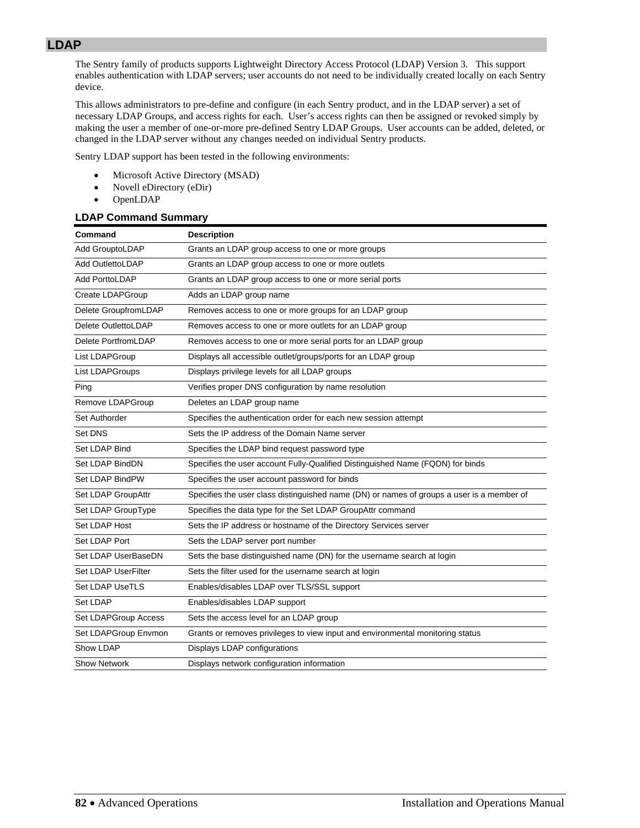The Sentry family of products supports Lightweight Directory Access Protocol (LDAP) Version 3. This support enables authentication with LDAP servers; user accounts do not need to be individually created locally on each Sentry device.

This allows administrators to pre-define and configure (in each Sentry product, and in the LDAP server) a set of necessary LDAP Groups, and access rights for each. User's access rights can then be assigned or revoked simply by making the user a member of one-or-more pre-defined Sentry LDAP Groups. User accounts can be added, deleted, or changed in the LDAP server without any changes needed on individual Sentry products.

Sentry LDAP support has been tested in the following environments:

- Microsoft Active Directory (MSAD)
- Novell eDirectory (eDir)
- OpenLDAP

## **LDAP Command Summary**

| Command                    | <b>Description</b>                                                                        |
|----------------------------|-------------------------------------------------------------------------------------------|
| Add GrouptoLDAP            | Grants an LDAP group access to one or more groups                                         |
| <b>Add OutlettoLDAP</b>    | Grants an LDAP group access to one or more outlets                                        |
| <b>Add PorttoLDAP</b>      | Grants an LDAP group access to one or more serial ports                                   |
| Create LDAPGroup           | Adds an LDAP group name                                                                   |
| Delete GroupfromLDAP       | Removes access to one or more groups for an LDAP group                                    |
| Delete OutlettoLDAP        | Removes access to one or more outlets for an LDAP group                                   |
| Delete PortfromLDAP        | Removes access to one or more serial ports for an LDAP group                              |
| List LDAPGroup             | Displays all accessible outlet/groups/ports for an LDAP group                             |
| List LDAPGroups            | Displays privilege levels for all LDAP groups                                             |
| Ping                       | Verifies proper DNS configuration by name resolution                                      |
| Remove LDAPGroup           | Deletes an LDAP group name                                                                |
| Set Authorder              | Specifies the authentication order for each new session attempt                           |
| Set DNS                    | Sets the IP address of the Domain Name server                                             |
| Set LDAP Bind              | Specifies the LDAP bind request password type                                             |
| Set LDAP BindDN            | Specifies the user account Fully-Qualified Distinguished Name (FQDN) for binds            |
| Set LDAP BindPW            | Specifies the user account password for binds                                             |
| Set LDAP GroupAttr         | Specifies the user class distinguished name (DN) or names of groups a user is a member of |
| Set LDAP GroupType         | Specifies the data type for the Set LDAP GroupAttr command                                |
| Set LDAP Host              | Sets the IP address or hostname of the Directory Services server                          |
| Set LDAP Port              | Sets the LDAP server port number                                                          |
| Set LDAP UserBaseDN        | Sets the base distinguished name (DN) for the username search at login                    |
| <b>Set LDAP UserFilter</b> | Sets the filter used for the username search at login                                     |
| <b>Set LDAP UseTLS</b>     | Enables/disables LDAP over TLS/SSL support                                                |
| Set LDAP                   | Enables/disables LDAP support                                                             |
| Set LDAPGroup Access       | Sets the access level for an LDAP group                                                   |
| Set LDAPGroup Envmon       | Grants or removes privileges to view input and environmental monitoring status            |
| Show LDAP                  | Displays LDAP configurations                                                              |
| <b>Show Network</b>        | Displays network configuration information                                                |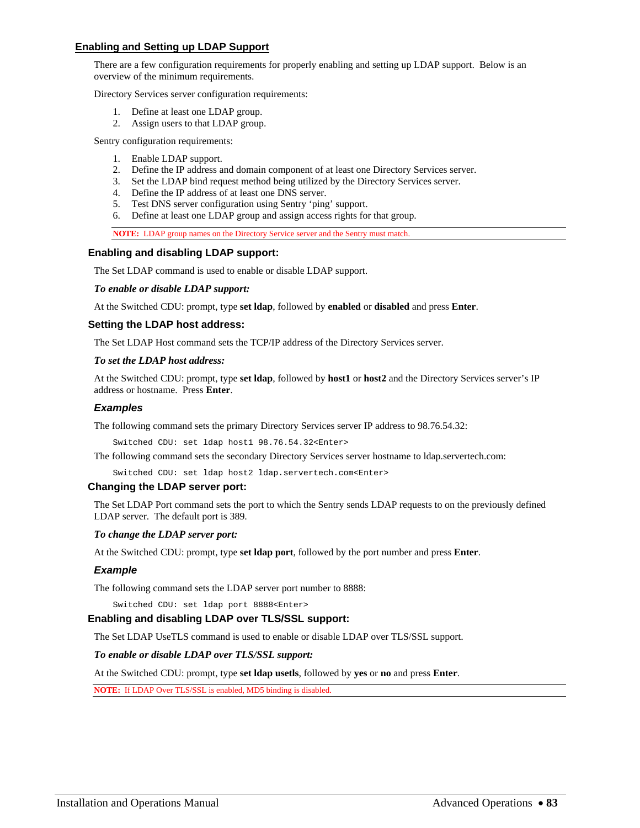## **Enabling and Setting up LDAP Support**

There are a few configuration requirements for properly enabling and setting up LDAP support. Below is an overview of the minimum requirements.

Directory Services server configuration requirements:

- 1. Define at least one LDAP group.
- 2. Assign users to that LDAP group.

Sentry configuration requirements:

- 1. Enable LDAP support.
- 2. Define the IP address and domain component of at least one Directory Services server.
- 3. Set the LDAP bind request method being utilized by the Directory Services server.
- 4. Define the IP address of at least one DNS server.
- 5. Test DNS server configuration using Sentry 'ping' support.
- 6. Define at least one LDAP group and assign access rights for that group.

**NOTE:** LDAP group names on the Directory Service server and the Sentry must match.

#### **Enabling and disabling LDAP support:**

The Set LDAP command is used to enable or disable LDAP support.

*To enable or disable LDAP support:* 

At the Switched CDU: prompt, type **set ldap**, followed by **enabled** or **disabled** and press **Enter**.

#### **Setting the LDAP host address:**

The Set LDAP Host command sets the TCP/IP address of the Directory Services server.

#### *To set the LDAP host address:*

At the Switched CDU: prompt, type **set ldap**, followed by **host1** or **host2** and the Directory Services server's IP address or hostname. Press **Enter**.

#### *Examples*

The following command sets the primary Directory Services server IP address to 98.76.54.32:

Switched CDU: set ldap host1 98.76.54.32<Enter>

The following command sets the secondary Directory Services server hostname to ldap.servertech.com:

Switched CDU: set ldap host2 ldap.servertech.com<Enter>

### **Changing the LDAP server port:**

The Set LDAP Port command sets the port to which the Sentry sends LDAP requests to on the previously defined LDAP server. The default port is 389.

#### *To change the LDAP server port:*

At the Switched CDU: prompt, type **set ldap port**, followed by the port number and press **Enter**.

### *Example*

The following command sets the LDAP server port number to 8888:

Switched CDU: set ldap port 8888<Enter>

### **Enabling and disabling LDAP over TLS/SSL support:**

The Set LDAP UseTLS command is used to enable or disable LDAP over TLS/SSL support.

### *To enable or disable LDAP over TLS/SSL support:*

At the Switched CDU: prompt, type **set ldap usetls**, followed by **yes** or **no** and press **Enter**.

**NOTE:** If LDAP Over TLS/SSL is enabled, MD5 binding is disabled.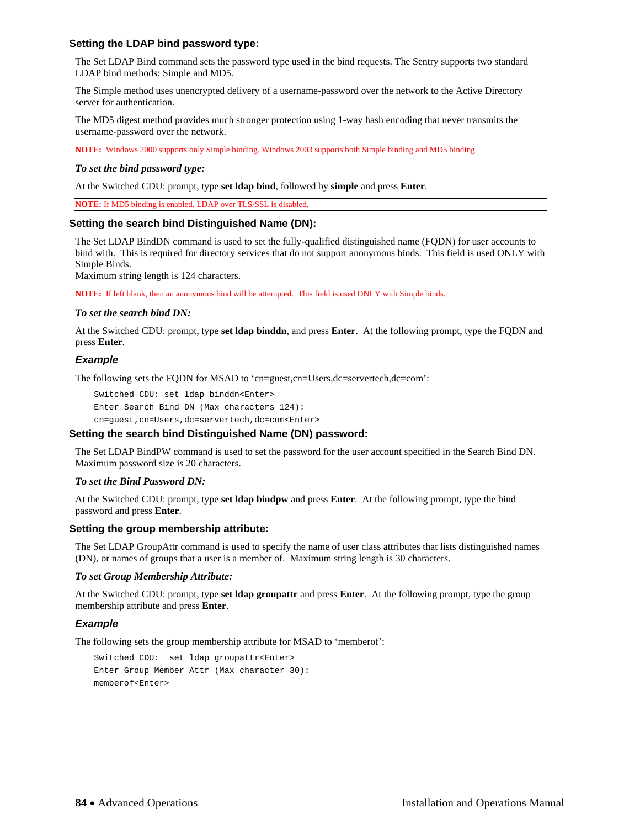## **Setting the LDAP bind password type:**

The Set LDAP Bind command sets the password type used in the bind requests. The Sentry supports two standard LDAP bind methods: Simple and MD5.

The Simple method uses unencrypted delivery of a username-password over the network to the Active Directory server for authentication.

The MD5 digest method provides much stronger protection using 1-way hash encoding that never transmits the username-password over the network.

**NOTE:** Windows 2000 supports only Simple binding. Windows 2003 supports both Simple binding and MD5 binding.

#### *To set the bind password type:*

At the Switched CDU: prompt, type **set ldap bind**, followed by **simple** and press **Enter**.

**NOTE:** If MD5 binding is enabled, LDAP over TLS/SSL is disabled.

### **Setting the search bind Distinguished Name (DN):**

The Set LDAP BindDN command is used to set the fully-qualified distinguished name (FQDN) for user accounts to bind with. This is required for directory services that do not support anonymous binds. This field is used ONLY with Simple Binds.

Maximum string length is 124 characters.

**NOTE:** If left blank, then an anonymous bind will be attempted. This field is used ONLY with Simple binds.

#### *To set the search bind DN:*

At the Switched CDU: prompt, type **set ldap binddn**, and press **Enter**. At the following prompt, type the FQDN and press **Enter**.

### *Example*

The following sets the FQDN for MSAD to 'cn=guest,cn=Users,dc=servertech,dc=com':

Switched CDU: set ldap binddn<Enter>

Enter Search Bind DN (Max characters 124): cn=guest,cn=Users,dc=servertech,dc=com<Enter>

### **Setting the search bind Distinguished Name (DN) password:**

The Set LDAP BindPW command is used to set the password for the user account specified in the Search Bind DN. Maximum password size is 20 characters.

### *To set the Bind Password DN:*

At the Switched CDU: prompt, type **set ldap bindpw** and press **Enter**.At the following prompt, type the bind password and press **Enter**.

### **Setting the group membership attribute:**

The Set LDAP GroupAttr command is used to specify the name of user class attributes that lists distinguished names (DN), or names of groups that a user is a member of. Maximum string length is 30 characters.

#### *To set Group Membership Attribute:*

At the Switched CDU: prompt, type **set ldap groupattr** and press **Enter**.At the following prompt, type the group membership attribute and press **Enter**.

### *Example*

The following sets the group membership attribute for MSAD to 'memberof':

```
Switched CDU: set ldap groupattr<Enter> 
Enter Group Member Attr (Max character 30): 
memberof<Enter>
```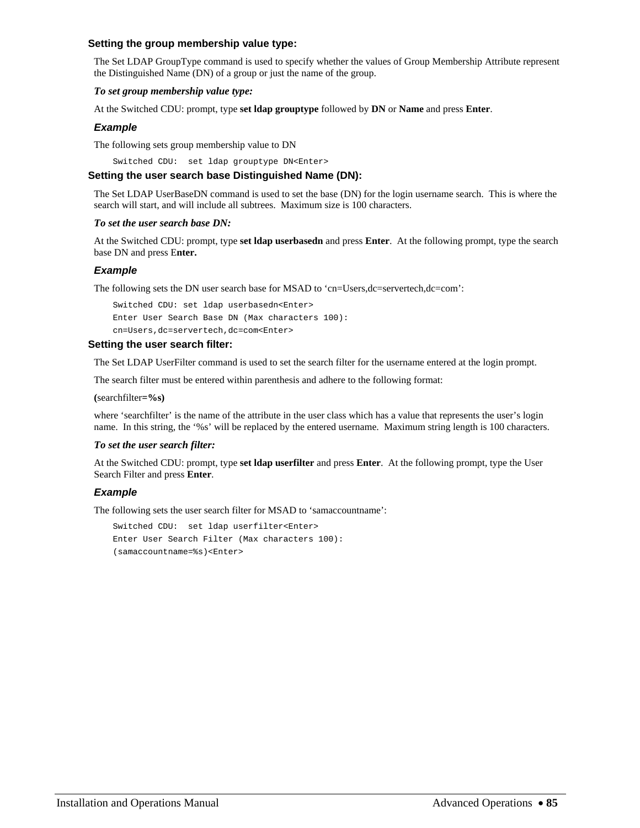## **Setting the group membership value type:**

The Set LDAP GroupType command is used to specify whether the values of Group Membership Attribute represent the Distinguished Name (DN) of a group or just the name of the group.

## *To set group membership value type:*

At the Switched CDU: prompt, type **set ldap grouptype** followed by **DN** or **Name** and press **Enter**.

## *Example*

The following sets group membership value to DN

Switched CDU: set ldap grouptype DN<Enter>

## **Setting the user search base Distinguished Name (DN):**

The Set LDAP UserBaseDN command is used to set the base (DN) for the login username search. This is where the search will start, and will include all subtrees. Maximum size is 100 characters.

### *To set the user search base DN:*

At the Switched CDU: prompt, type **set ldap userbasedn** and press **Enter**. At the following prompt, type the search base DN and press E**nter.** 

## *Example*

The following sets the DN user search base for MSAD to 'cn=Users,dc=servertech,dc=com':

```
Switched CDU: set ldap userbasedn<Enter> 
Enter User Search Base DN (Max characters 100): 
cn=Users,dc=servertech,dc=com<Enter>
```
### **Setting the user search filter:**

The Set LDAP UserFilter command is used to set the search filter for the username entered at the login prompt.

The search filter must be entered within parenthesis and adhere to the following format:

**(**searchfilter**=%s)** 

where 'searchfilter' is the name of the attribute in the user class which has a value that represents the user's login name. In this string, the '%s' will be replaced by the entered username. Maximum string length is 100 characters.

### *To set the user search filter:*

At the Switched CDU: prompt, type **set ldap userfilter** and press **Enter**.At the following prompt, type the User Search Filter and press **Enter**.

## *Example*

The following sets the user search filter for MSAD to 'samaccountname':

Switched CDU: set ldap userfilter<Enter> Enter User Search Filter (Max characters 100): (samaccountname=%s)<Enter>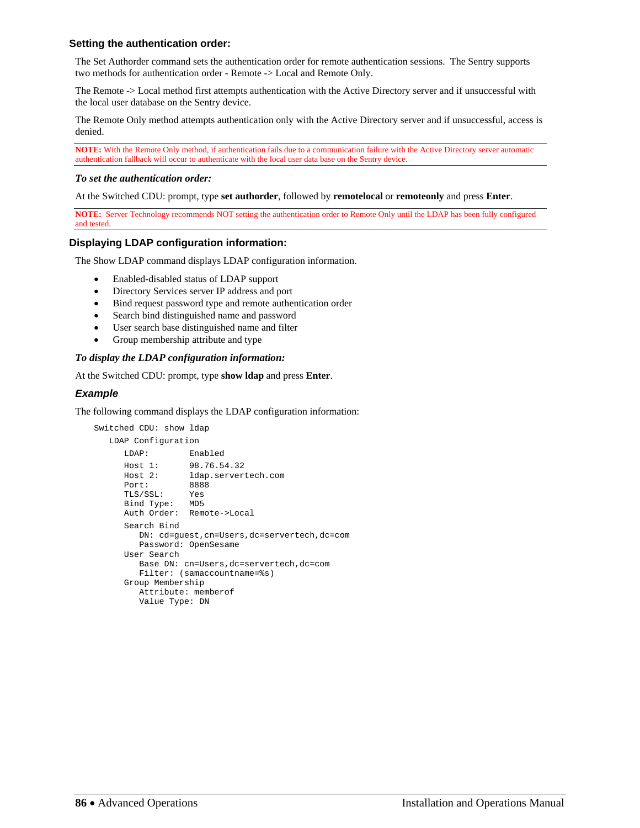## **Setting the authentication order:**

The Set Authorder command sets the authentication order for remote authentication sessions. The Sentry supports two methods for authentication order - Remote -> Local and Remote Only.

The Remote -> Local method first attempts authentication with the Active Directory server and if unsuccessful with the local user database on the Sentry device.

The Remote Only method attempts authentication only with the Active Directory server and if unsuccessful, access is denied.

**NOTE:** With the Remote Only method, if authentication fails due to a communication failure with the Active Directory server automatic authentication fallback will occur to authenticate with the local user data base on the Sentry device.

### *To set the authentication order:*

At the Switched CDU: prompt, type **set authorder**, followed by **remotelocal** or **remoteonly** and press **Enter**.

**NOTE:** Server Technology recommends NOT setting the authentication order to Remote Only until the LDAP has been fully configured and tested.

### **Displaying LDAP configuration information:**

The Show LDAP command displays LDAP configuration information.

- Enabled-disabled status of LDAP support
- Directory Services server IP address and port
- Bind request password type and remote authentication order
- Search bind distinguished name and password
- User search base distinguished name and filter
- Group membership attribute and type

### *To display the LDAP configuration information:*

At the Switched CDU: prompt, type **show ldap** and press **Enter**.

## *Example*

The following command displays the LDAP configuration information:

```
Switched CDU: show ldap 
    LDAP Configuration 
       LDAP: Enabled 
      Host 1: 98.76.54.32<br>Host 2: 1dap.servert
                  ldap.servertech.com
       Port: 8888 
       TLS/SSL: Yes 
       Bind Type: MD5 
       Auth Order: Remote->Local 
       Search Bind 
          DN: cd=guest,cn=Users,dc=servertech,dc=com 
          Password: OpenSesame 
       User Search 
          Base DN: cn=Users,dc=servertech,dc=com 
          Filter: (samaccountname=%s) 
       Group Membership 
          Attribute: memberof 
          Value Type: DN
```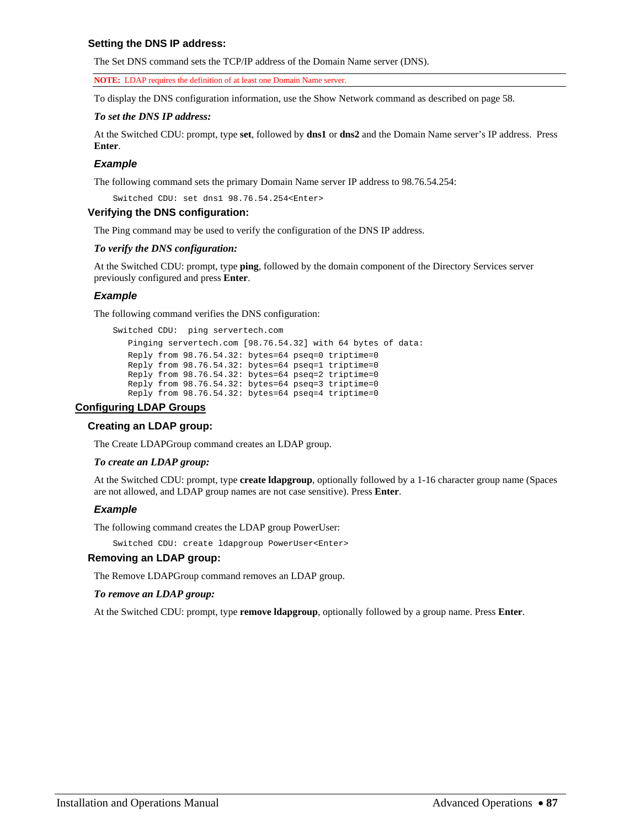## **Setting the DNS IP address:**

The Set DNS command sets the TCP/IP address of the Domain Name server (DNS).

**NOTE:** LDAP requires the definition of at least one Domain Name server.

To display the DNS configuration information, use the Show Network command as described on page [58](#page-58-0).

### *To set the DNS IP address:*

At the Switched CDU: prompt, type **set**, followed by **dns1** or **dns2** and the Domain Name server's IP address. Press **Enter**.

## *Example*

The following command sets the primary Domain Name server IP address to 98.76.54.254:

Switched CDU: set dns1 98.76.54.254<Enter>

## **Verifying the DNS configuration:**

The Ping command may be used to verify the configuration of the DNS IP address.

### *To verify the DNS configuration:*

At the Switched CDU: prompt, type **ping**, followed by the domain component of the Directory Services server previously configured and press **Enter**.

## *Example*

The following command verifies the DNS configuration:

```
Switched CDU: ping servertech.com 
    Pinging servertech.com [98.76.54.32] with 64 bytes of data: 
    Reply from 98.76.54.32: bytes=64 pseq=0 triptime=0 
    Reply from 98.76.54.32: bytes=64 pseq=1 triptime=0 
    Reply from 98.76.54.32: bytes=64 pseq=2 triptime=0 
    Reply from 98.76.54.32: bytes=64 pseq=3 triptime=0 
   Reply from 98.76.54.32: bytes=64 pseq=4 triptime=0
```
## **Configuring LDAP Groups**

## **Creating an LDAP group:**

The Create LDAPGroup command creates an LDAP group.

### *To create an LDAP group:*

At the Switched CDU: prompt, type **create ldapgroup**, optionally followed by a 1-16 character group name (Spaces are not allowed, and LDAP group names are not case sensitive). Press **Enter**.

## *Example*

The following command creates the LDAP group PowerUser:

Switched CDU: create ldapgroup PowerUser<Enter>

## **Removing an LDAP group:**

The Remove LDAPGroup command removes an LDAP group.

### *To remove an LDAP group:*

At the Switched CDU: prompt, type **remove ldapgroup**, optionally followed by a group name. Press **Enter**.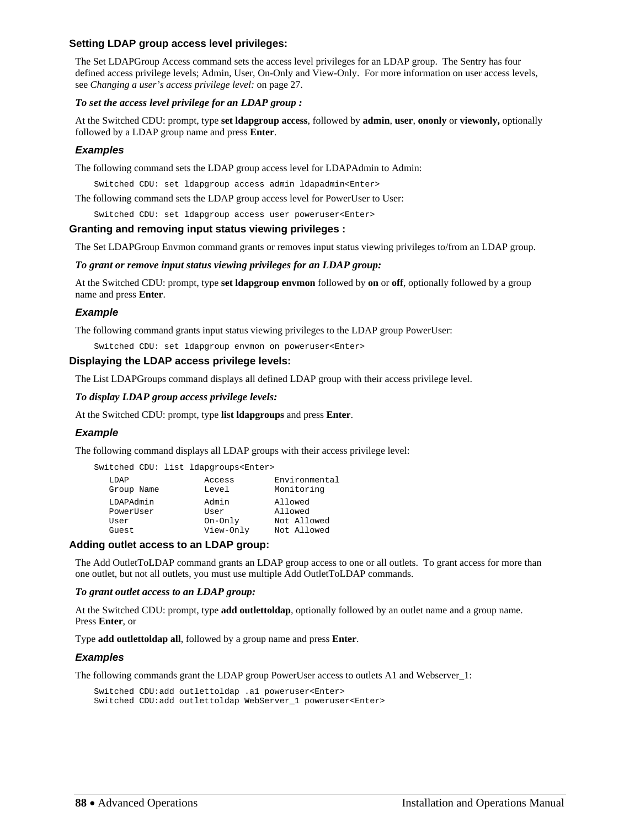## **Setting LDAP group access level privileges:**

The Set LDAPGroup Access command sets the access level privileges for an LDAP group. The Sentry has four defined access privilege levels; Admin, User, On-Only and View-Only. For more information on user access levels, see *[Changing a user's access privilege level:](#page-26-0)* on page [27](#page-26-0).

### *To set the access level privilege for an LDAP group :*

At the Switched CDU: prompt, type **set ldapgroup access**, followed by **admin**, **user**, **ononly** or **viewonly,** optionally followed by a LDAP group name and press **Enter**.

## *Examples*

The following command sets the LDAP group access level for LDAPAdmin to Admin:

Switched CDU: set ldapgroup access admin ldapadmin<Enter>

The following command sets the LDAP group access level for PowerUser to User:

Switched CDU: set ldapgroup access user poweruser<Enter>

### **Granting and removing input status viewing privileges :**

The Set LDAPGroup Envmon command grants or removes input status viewing privileges to/from an LDAP group.

*To grant or remove input status viewing privileges for an LDAP group:* 

At the Switched CDU: prompt, type **set ldapgroup envmon** followed by **on** or **off**, optionally followed by a group name and press **Enter**.

## *Example*

The following command grants input status viewing privileges to the LDAP group PowerUser:

Switched CDU: set ldapgroup envmon on poweruser<Enter>

### **Displaying the LDAP access privilege levels:**

The List LDAPGroups command displays all defined LDAP group with their access privilege level.

*To display LDAP group access privilege levels:* 

At the Switched CDU: prompt, type **list ldapgroups** and press **Enter**.

### *Example*

The following command displays all LDAP groups with their access privilege level:

|            |  | Switched CDU: list ldapgroups <enter></enter> |               |
|------------|--|-----------------------------------------------|---------------|
| LDAP       |  | Access                                        | Environmental |
| Group Name |  | Level                                         | Monitoring    |
| LDAPAdmin  |  | Admin                                         | Allowed       |
| PowerUser  |  | User                                          | Allowed       |
| User       |  | On-Only                                       | Not Allowed   |
| Guest.     |  | View-Only                                     | Not Allowed   |

### **Adding outlet access to an LDAP group:**

The Add OutletToLDAP command grants an LDAP group access to one or all outlets. To grant access for more than one outlet, but not all outlets, you must use multiple Add OutletToLDAP commands.

### *To grant outlet access to an LDAP group:*

At the Switched CDU: prompt, type **add outlettoldap**, optionally followed by an outlet name and a group name. Press **Enter**, or

Type **add outlettoldap all**, followed by a group name and press **Enter**.

### *Examples*

The following commands grant the LDAP group PowerUser access to outlets A1 and Webserver 1:

```
Switched CDU:add outlettoldap .a1 poweruser<Enter> 
Switched CDU:add outlettoldap WebServer_1 poweruser<Enter>
```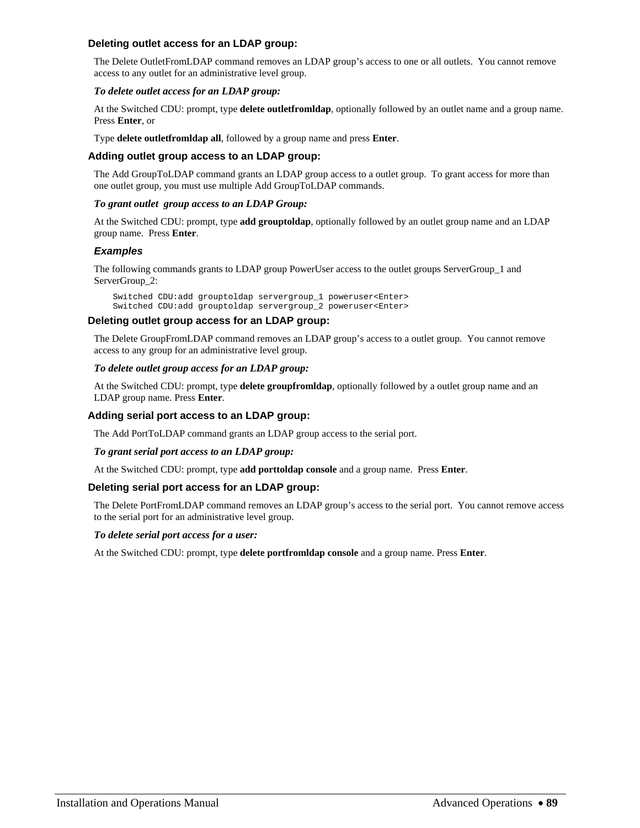## **Deleting outlet access for an LDAP group:**

The Delete OutletFromLDAP command removes an LDAP group's access to one or all outlets. You cannot remove access to any outlet for an administrative level group.

## *To delete outlet access for an LDAP group:*

At the Switched CDU: prompt, type **delete outletfromldap**, optionally followed by an outlet name and a group name. Press **Enter**, or

Type **delete outletfromldap all**, followed by a group name and press **Enter**.

## **Adding outlet group access to an LDAP group:**

The Add GroupToLDAP command grants an LDAP group access to a outlet group. To grant access for more than one outlet group, you must use multiple Add GroupToLDAP commands.

## *To grant outlet group access to an LDAP Group:*

At the Switched CDU: prompt, type **add grouptoldap**, optionally followed by an outlet group name and an LDAP group name. Press **Enter**.

## *Examples*

The following commands grants to LDAP group PowerUser access to the outlet groups ServerGroup\_1 and ServerGroup\_2:

Switched CDU:add grouptoldap servergroup\_1 poweruser<Enter> Switched CDU:add grouptoldap servergroup\_2 poweruser<Enter>

## **Deleting outlet group access for an LDAP group:**

The Delete GroupFromLDAP command removes an LDAP group's access to a outlet group. You cannot remove access to any group for an administrative level group.

## *To delete outlet group access for an LDAP group:*

At the Switched CDU: prompt, type **delete groupfromldap**, optionally followed by a outlet group name and an LDAP group name. Press **Enter**.

## **Adding serial port access to an LDAP group:**

The Add PortToLDAP command grants an LDAP group access to the serial port.

## *To grant serial port access to an LDAP group:*

At the Switched CDU: prompt, type **add porttoldap console** and a group name. Press **Enter**.

## **Deleting serial port access for an LDAP group:**

The Delete PortFromLDAP command removes an LDAP group's access to the serial port. You cannot remove access to the serial port for an administrative level group.

## *To delete serial port access for a user:*

At the Switched CDU: prompt, type **delete portfromldap console** and a group name. Press **Enter**.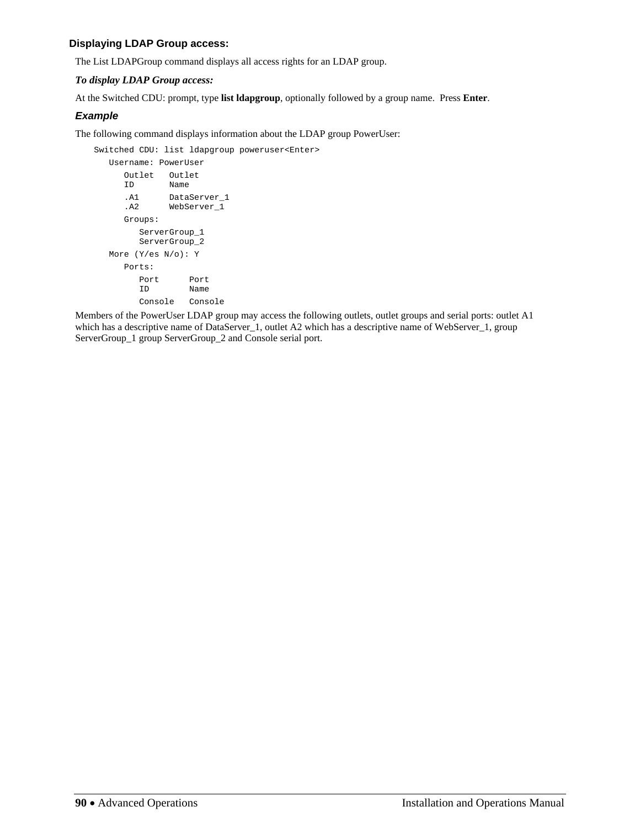## **Displaying LDAP Group access:**

The List LDAPGroup command displays all access rights for an LDAP group.

## *To display LDAP Group access:*

At the Switched CDU: prompt, type **list ldapgroup**, optionally followed by a group name. Press **Enter**.

## *Example*

The following command displays information about the LDAP group PowerUser:

Switched CDU: list ldapgroup poweruser<Enter>

```
 Username: PowerUser 
    Outlet Outlet<br>ID Name
          Name
 .A1 DataServer_1 
 .A2 WebServer_1 
     Groups: 
        ServerGroup_1 
        ServerGroup_2 
   More (Y/es N/o): Y 
     Ports: 
Port Port
 ID Name 
        Console Console
```
Members of the PowerUser LDAP group may access the following outlets, outlet groups and serial ports: outlet A1 which has a descriptive name of DataServer\_1, outlet A2 which has a descriptive name of WebServer\_1, group ServerGroup\_1 group ServerGroup\_2 and Console serial port.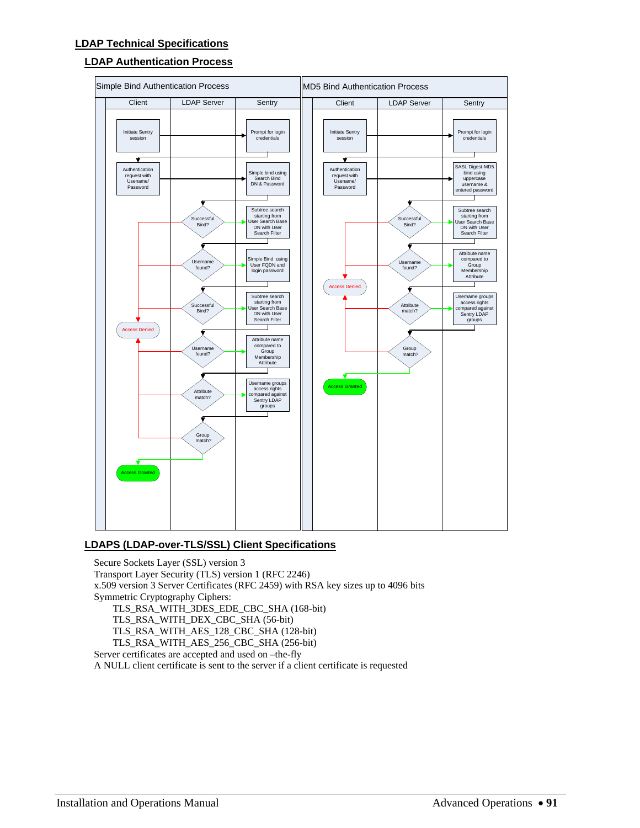# **LDAP Authentication Process**



## **LDAPS (LDAP-over-TLS/SSL) Client Specifications**

Secure Sockets Layer (SSL) version 3 Transport Layer Security (TLS) version 1 (RFC 2246) x.509 version 3 Server Certificates (RFC 2459) with RSA key sizes up to 4096 bits Symmetric Cryptography Ciphers: TLS\_RSA\_WITH\_3DES\_EDE\_CBC\_SHA (168-bit) TLS\_RSA\_WITH\_DEX\_CBC\_SHA (56-bit) TLS\_RSA\_WITH\_AES\_128\_CBC\_SHA (128-bit) TLS\_RSA\_WITH\_AES\_256\_CBC\_SHA (256-bit) Server certificates are accepted and used on –the-fly A NULL client certificate is sent to the server if a client certificate is requested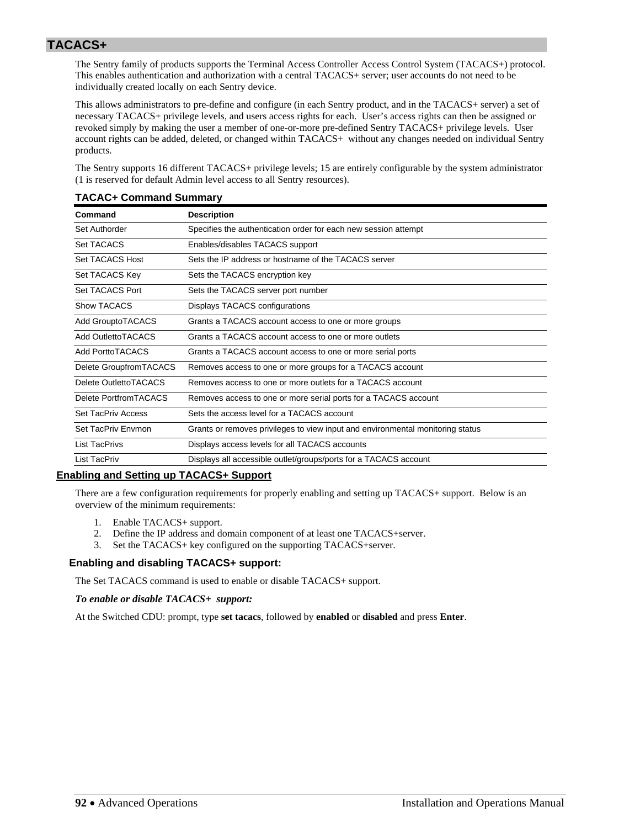# **TACACS+**

The Sentry family of products supports the Terminal Access Controller Access Control System (TACACS+) protocol. This enables authentication and authorization with a central TACACS+ server; user accounts do not need to be individually created locally on each Sentry device.

This allows administrators to pre-define and configure (in each Sentry product, and in the TACACS+ server) a set of necessary TACACS+ privilege levels, and users access rights for each. User's access rights can then be assigned or revoked simply by making the user a member of one-or-more pre-defined Sentry TACACS+ privilege levels. User account rights can be added, deleted, or changed within TACACS+ without any changes needed on individual Sentry products.

The Sentry supports 16 different TACACS+ privilege levels; 15 are entirely configurable by the system administrator (1 is reserved for default Admin level access to all Sentry resources).

| Command                   | <b>Description</b>                                                             |
|---------------------------|--------------------------------------------------------------------------------|
| Set Authorder             | Specifies the authentication order for each new session attempt                |
| Set TACACS                | Enables/disables TACACS support                                                |
| Set TACACS Host           | Sets the IP address or hostname of the TACACS server                           |
| Set TACACS Key            | Sets the TACACS encryption key                                                 |
| Set TACACS Port           | Sets the TACACS server port number                                             |
| <b>Show TACACS</b>        | Displays TACACS configurations                                                 |
| <b>Add GrouptoTACACS</b>  | Grants a TACACS account access to one or more groups                           |
| Add OutlettoTACACS        | Grants a TACACS account access to one or more outlets                          |
| <b>Add PorttoTACACS</b>   | Grants a TACACS account access to one or more serial ports                     |
| Delete GroupfromTACACS    | Removes access to one or more groups for a TACACS account                      |
| Delete OutlettoTACACS     | Removes access to one or more outlets for a TACACS account                     |
| Delete Portfrom TACACS    | Removes access to one or more serial ports for a TACACS account                |
| <b>Set TacPriv Access</b> | Sets the access level for a TACACS account                                     |
| Set TacPriv Envmon        | Grants or removes privileges to view input and environmental monitoring status |
| <b>List TacPrivs</b>      | Displays access levels for all TACACS accounts                                 |
| List TacPriv              | Displays all accessible outlet/groups/ports for a TACACS account               |

## **TACAC+ Command Summary**

## **Enabling and Setting up TACACS+ Support**

There are a few configuration requirements for properly enabling and setting up TACACS+ support. Below is an overview of the minimum requirements:

- 1. Enable TACACS+ support.
- 2. Define the IP address and domain component of at least one TACACS+server.
- 3. Set the TACACS+ key configured on the supporting TACACS+server.

## **Enabling and disabling TACACS+ support:**

The Set TACACS command is used to enable or disable TACACS+ support.

*To enable or disable TACACS+ support:* 

At the Switched CDU: prompt, type **set tacacs**, followed by **enabled** or **disabled** and press **Enter**.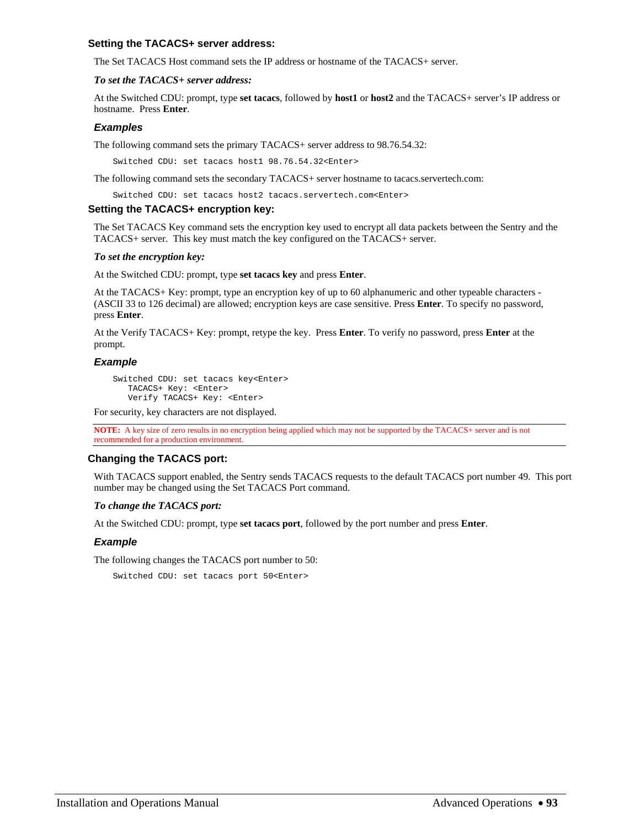### **Setting the TACACS+ server address:**

The Set TACACS Host command sets the IP address or hostname of the TACACS+ server.

### *To set the TACACS+ server address:*

At the Switched CDU: prompt, type **set tacacs**, followed by **host1** or **host2** and the TACACS+ server's IP address or hostname. Press **Enter**.

## *Examples*

The following command sets the primary TACACS+ server address to 98.76.54.32:

Switched CDU: set tacacs host1 98.76.54.32<Enter>

The following command sets the secondary TACACS+ server hostname to tacacs.servertech.com:

Switched CDU: set tacacs host2 tacacs.servertech.com<Enter>

### **Setting the TACACS+ encryption key:**

The Set TACACS Key command sets the encryption key used to encrypt all data packets between the Sentry and the TACACS+ server. This key must match the key configured on the TACACS+ server.

### *To set the encryption key:*

At the Switched CDU: prompt, type **set tacacs key** and press **Enter**.

At the TACACS+ Key: prompt, type an encryption key of up to 60 alphanumeric and other typeable characters - (ASCII 33 to 126 decimal) are allowed; encryption keys are case sensitive. Press **Enter**. To specify no password, press **Enter**.

At the Verify TACACS+ Key: prompt, retype the key. Press **Enter**. To verify no password, press **Enter** at the prompt.

## *Example*

Switched CDU: set tacacs key<Enter> TACACS+ Key: <Enter> Verify TACACS+ Key: <Enter>

For security, key characters are not displayed.

**NOTE:** A key size of zero results in no encryption being applied which may not be supported by the TACACS+ server and is not recommended for a production environment.

## **Changing the TACACS port:**

With TACACS support enabled, the Sentry sends TACACS requests to the default TACACS port number 49. This port number may be changed using the Set TACACS Port command.

### *To change the TACACS port:*

At the Switched CDU: prompt, type **set tacacs port**, followed by the port number and press **Enter**.

### *Example*

The following changes the TACACS port number to 50:

Switched CDU: set tacacs port 50<Enter>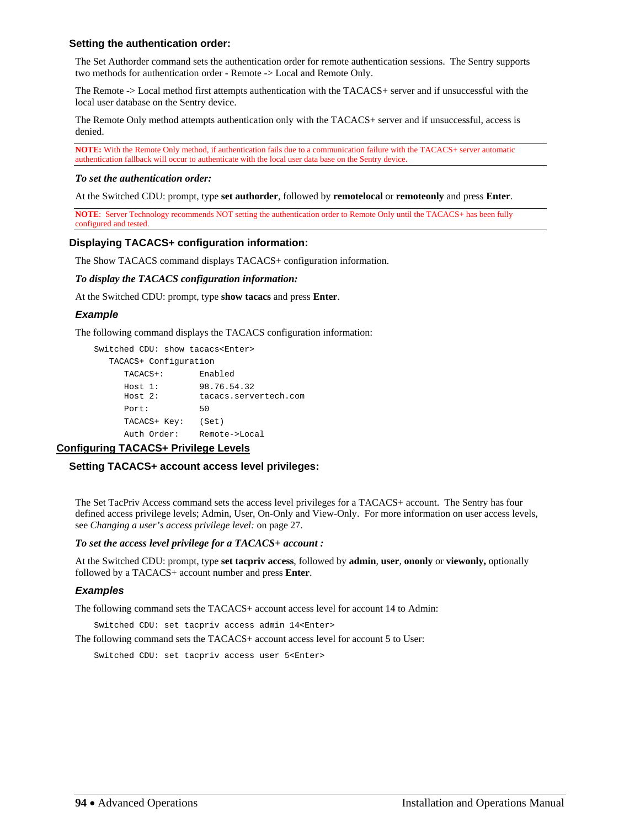## **Setting the authentication order:**

The Set Authorder command sets the authentication order for remote authentication sessions. The Sentry supports two methods for authentication order - Remote -> Local and Remote Only.

The Remote -> Local method first attempts authentication with the TACACS+ server and if unsuccessful with the local user database on the Sentry device.

The Remote Only method attempts authentication only with the TACACS+ server and if unsuccessful, access is denied.

**NOTE:** With the Remote Only method, if authentication fails due to a communication failure with the TACACS+ server automatic authentication fallback will occur to authenticate with the local user data base on the Sentry device.

#### *To set the authentication order:*

At the Switched CDU: prompt, type **set authorder**, followed by **remotelocal** or **remoteonly** and press **Enter**.

**NOTE**: Server Technology recommends NOT setting the authentication order to Remote Only until the TACACS+ has been fully configured and tested.

### **Displaying TACACS+ configuration information:**

The Show TACACS command displays TACACS+ configuration information.

*To display the TACACS configuration information:* 

At the Switched CDU: prompt, type **show tacacs** and press **Enter**.

### *Example*

The following command displays the TACACS configuration information:

```
Switched CDU: show tacacs<Enter> 
   TACACS+ Configuration 
     TACACS+: Enabled 
 Host 1: 98.76.54.32 
 Host 2: tacacs.servertech.com 
    Port: 50
     TACACS+ Key: (Set) 
     Auth Order: Remote->Local
```
## **Configuring TACACS+ Privilege Levels**

### **Setting TACACS+ account access level privileges:**

The Set TacPriv Access command sets the access level privileges for a TACACS+ account. The Sentry has four defined access privilege levels; Admin, User, On-Only and View-Only. For more information on user access levels, see *[Changing a user's access privilege level:](#page-26-0)* on page [27](#page-26-0).

## *To set the access level privilege for a TACACS+ account :*

At the Switched CDU: prompt, type **set tacpriv access**, followed by **admin**, **user**, **ononly** or **viewonly,** optionally followed by a TACACS+ account number and press **Enter**.

### *Examples*

The following command sets the TACACS+ account access level for account 14 to Admin:

Switched CDU: set tacpriv access admin 14<Enter>

The following command sets the TACACS+ account access level for account 5 to User:

Switched CDU: set tacpriv access user 5<Enter>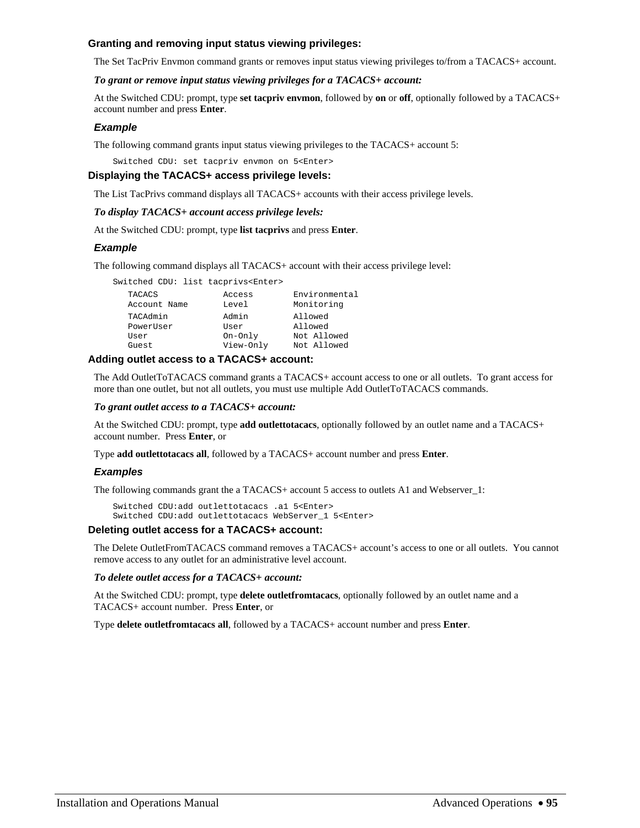## **Granting and removing input status viewing privileges:**

The Set TacPriv Envmon command grants or removes input status viewing privileges to/from a TACACS+ account.

#### *To grant or remove input status viewing privileges for a TACACS+ account:*

At the Switched CDU: prompt, type **set tacpriv envmon**, followed by **on** or **off**, optionally followed by a TACACS+ account number and press **Enter**.

### *Example*

The following command grants input status viewing privileges to the TACACS+ account 5:

Switched CDU: set tacpriv envmon on 5<Enter>

#### **Displaying the TACACS+ access privilege levels:**

The List TacPrivs command displays all TACACS+ accounts with their access privilege levels.

#### *To display TACACS+ account access privilege levels:*

At the Switched CDU: prompt, type **list tacprivs** and press **Enter**.

### *Example*

The following command displays all TACACS+ account with their access privilege level:

| Switched CDU: list tacprivs <enter></enter> |           |               |
|---------------------------------------------|-----------|---------------|
| TACACS                                      | Access    | Environmental |
| Account Name                                | Level     | Monitoring    |
| TACAdmin                                    | Admin     | Allowed       |
| PowerUser                                   | User      | Allowed       |
| User                                        | On-Only   | Not Allowed   |
| Guest                                       | View-Only | Not Allowed   |

## **Adding outlet access to a TACACS+ account:**

The Add OutletToTACACS command grants a TACACS+ account access to one or all outlets. To grant access for more than one outlet, but not all outlets, you must use multiple Add OutletToTACACS commands.

#### *To grant outlet access to a TACACS+ account:*

At the Switched CDU: prompt, type **add outlettotacacs**, optionally followed by an outlet name and a TACACS+ account number. Press **Enter**, or

Type **add outlettotacacs all**, followed by a TACACS+ account number and press **Enter**.

### *Examples*

The following commands grant the a TACACS+ account 5 access to outlets A1 and Webserver 1:

Switched CDU:add outlettotacacs .a1 5<Enter> Switched CDU:add outlettotacacs WebServer\_1 5<Enter>

### **Deleting outlet access for a TACACS+ account:**

The Delete OutletFromTACACS command removes a TACACS+ account's access to one or all outlets. You cannot remove access to any outlet for an administrative level account.

#### *To delete outlet access for a TACACS+ account:*

At the Switched CDU: prompt, type **delete outletfromtacacs**, optionally followed by an outlet name and a TACACS+ account number. Press **Enter**, or

Type **delete outletfromtacacs all**, followed by a TACACS+ account number and press **Enter**.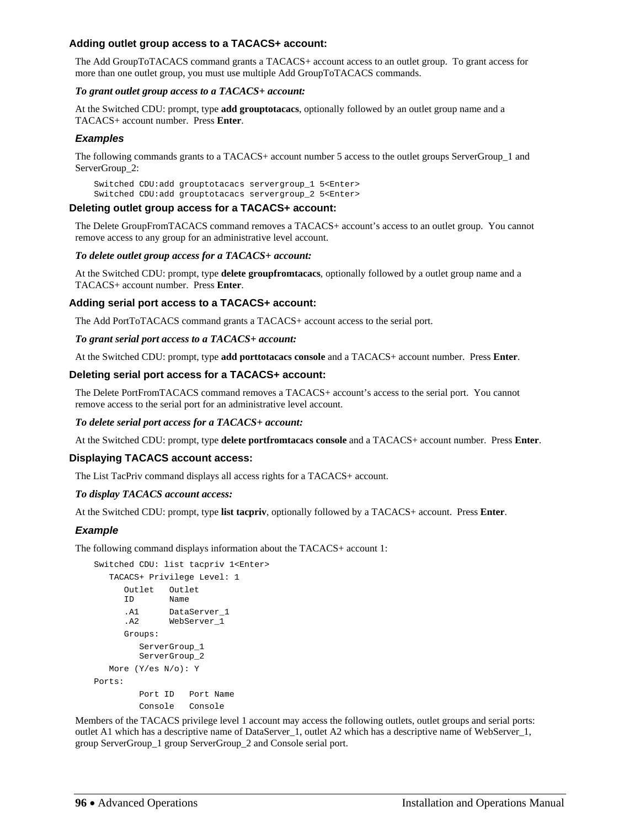## **Adding outlet group access to a TACACS+ account:**

The Add GroupToTACACS command grants a TACACS+ account access to an outlet group. To grant access for more than one outlet group, you must use multiple Add GroupToTACACS commands.

## *To grant outlet group access to a TACACS+ account:*

At the Switched CDU: prompt, type **add grouptotacacs**, optionally followed by an outlet group name and a TACACS+ account number. Press **Enter**.

## *Examples*

The following commands grants to a TACACS+ account number 5 access to the outlet groups ServerGroup 1 and ServerGroup\_2:

Switched CDU:add grouptotacacs servergroup\_1 5<Enter> Switched CDU:add grouptotacacs servergroup\_2 5<Enter>

## **Deleting outlet group access for a TACACS+ account:**

The Delete GroupFromTACACS command removes a TACACS+ account's access to an outlet group. You cannot remove access to any group for an administrative level account.

## *To delete outlet group access for a TACACS+ account:*

At the Switched CDU: prompt, type **delete groupfromtacacs**, optionally followed by a outlet group name and a TACACS+ account number. Press **Enter**.

## **Adding serial port access to a TACACS+ account:**

The Add PortToTACACS command grants a TACACS+ account access to the serial port.

## *To grant serial port access to a TACACS+ account:*

At the Switched CDU: prompt, type **add porttotacacs console** and a TACACS+ account number. Press **Enter**.

## **Deleting serial port access for a TACACS+ account:**

The Delete PortFromTACACS command removes a TACACS+ account's access to the serial port. You cannot remove access to the serial port for an administrative level account.

### *To delete serial port access for a TACACS+ account:*

At the Switched CDU: prompt, type **delete portfromtacacs console** and a TACACS+ account number. Press **Enter**.

## **Displaying TACACS account access:**

The List TacPriv command displays all access rights for a TACACS+ account.

## *To display TACACS account access:*

At the Switched CDU: prompt, type **list tacpriv**, optionally followed by a TACACS+ account. Press **Enter**.

## *Example*

The following command displays information about the TACACS+ account 1:

```
Switched CDU: list tacpriv 1<Enter> 
   TACACS+ Privilege Level: 1 
      Outlet Outlet 
      ID Name 
       .A1 DataServer_1 
      .A2 WebServer_1 
       Groups: 
          ServerGroup_1 
          ServerGroup_2 
   More (Y/es N/o): Y 
Ports: 
          Port ID Port Name 
          Console Console
```
Members of the TACACS privilege level 1 account may access the following outlets, outlet groups and serial ports: outlet A1 which has a descriptive name of DataServer\_1, outlet A2 which has a descriptive name of WebServer\_1, group ServerGroup\_1 group ServerGroup\_2 and Console serial port.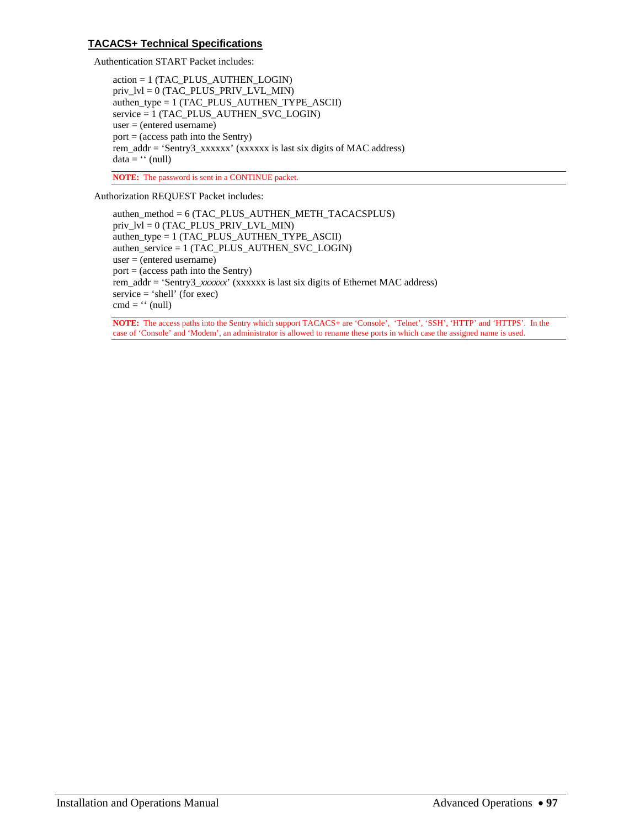## **TACACS+ Technical Specifications**

Authentication START Packet includes:

action = 1 (TAC\_PLUS\_AUTHEN\_LOGIN) priv\_lvl = 0 (TAC\_PLUS\_PRIV\_LVL\_MIN) authen\_type = 1 (TAC\_PLUS\_AUTHEN\_TYPE\_ASCII) service = 1 (TAC\_PLUS\_AUTHEN\_SVC\_LOGIN) user = (entered username) port = (access path into the Sentry) rem\_addr = 'Sentry3\_xxxxxx' (xxxxxx is last six digits of MAC address)  $data = '' (null)$ 

**NOTE:** The password is sent in a CONTINUE packet.

Authorization REQUEST Packet includes:

authen\_method = 6 (TAC\_PLUS\_AUTHEN\_METH\_TACACSPLUS)  $priv_lvl = 0$  (TAC\_PLUS\_PRIV\_LVL\_MIN) authen\_type = 1 (TAC\_PLUS\_AUTHEN\_TYPE\_ASCII) authen\_service = 1 (TAC\_PLUS\_AUTHEN\_SVC\_LOGIN) user = (entered username) port = (access path into the Sentry) rem\_addr = 'Sentry3\_*xxxxxx*' (xxxxxx is last six digits of Ethernet MAC address) service = 'shell' (for exec) cmd =  $\cdot$  (null)

**NOTE:** The access paths into the Sentry which support TACACS+ are 'Console', 'Telnet', 'SSH', 'HTTP' and 'HTTPS'. In the case of 'Console' and 'Modem', an administrator is allowed to rename these ports in which case the assigned name is used.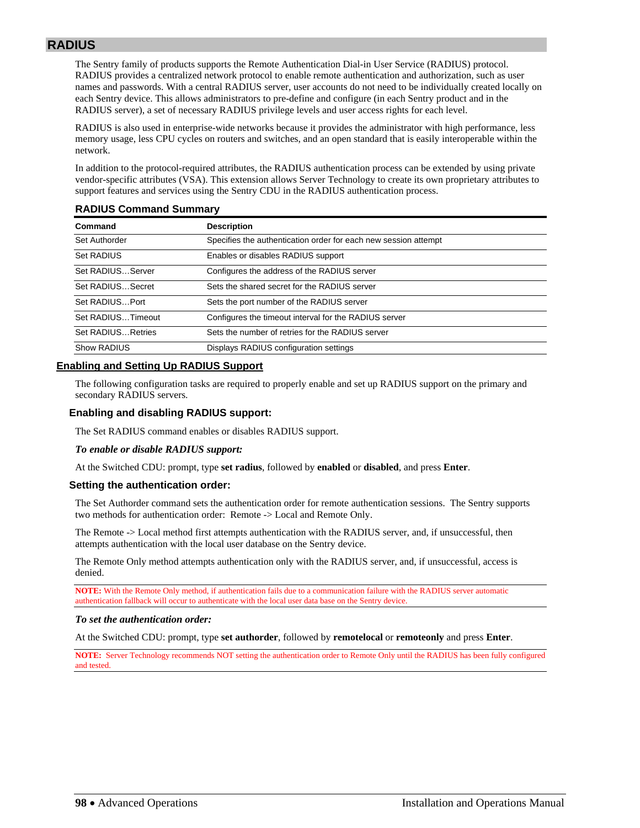# **RADIUS**

The Sentry family of products supports the Remote Authentication Dial-in User Service (RADIUS) protocol. RADIUS provides a centralized network protocol to enable remote authentication and authorization, such as user names and passwords. With a central RADIUS server, user accounts do not need to be individually created locally on each Sentry device. This allows administrators to pre-define and configure (in each Sentry product and in the RADIUS server), a set of necessary RADIUS privilege levels and user access rights for each level.

RADIUS is also used in enterprise-wide networks because it provides the administrator with high performance, less memory usage, less CPU cycles on routers and switches, and an open standard that is easily interoperable within the network.

In addition to the protocol-required attributes, the RADIUS authentication process can be extended by using private vendor-specific attributes (VSA). This extension allows Server Technology to create its own proprietary attributes to support features and services using the Sentry CDU in the RADIUS authentication process.

| Command            | <b>Description</b>                                              |
|--------------------|-----------------------------------------------------------------|
| Set Authorder      | Specifies the authentication order for each new session attempt |
| Set RADIUS         | Enables or disables RADIUS support                              |
| Set RADIUSServer   | Configures the address of the RADIUS server                     |
| Set RADIUSSecret   | Sets the shared secret for the RADIUS server                    |
| Set RADIUSPort     | Sets the port number of the RADIUS server                       |
| Set RADIUSTimeout  | Configures the timeout interval for the RADIUS server           |
| Set RADIUS Retries | Sets the number of retries for the RADIUS server                |
| Show RADIUS        | Displays RADIUS configuration settings                          |

## **RADIUS Command Summary**

## **Enabling and Setting Up RADIUS Support**

The following configuration tasks are required to properly enable and set up RADIUS support on the primary and secondary RADIUS servers.

## **Enabling and disabling RADIUS support:**

The Set RADIUS command enables or disables RADIUS support.

### *To enable or disable RADIUS support:*

At the Switched CDU: prompt, type **set radius**, followed by **enabled** or **disabled**, and press **Enter**.

### **Setting the authentication order:**

The Set Authorder command sets the authentication order for remote authentication sessions. The Sentry supports two methods for authentication order: Remote -> Local and Remote Only.

The Remote -> Local method first attempts authentication with the RADIUS server, and, if unsuccessful, then attempts authentication with the local user database on the Sentry device.

The Remote Only method attempts authentication only with the RADIUS server, and, if unsuccessful, access is denied.

**NOTE:** With the Remote Only method, if authentication fails due to a communication failure with the RADIUS server automatic authentication fallback will occur to authenticate with the local user data base on the Sentry device.

### *To set the authentication order:*

At the Switched CDU: prompt, type **set authorder**, followed by **remotelocal** or **remoteonly** and press **Enter**.

**NOTE:** Server Technology recommends NOT setting the authentication order to Remote Only until the RADIUS has been fully configured and tested.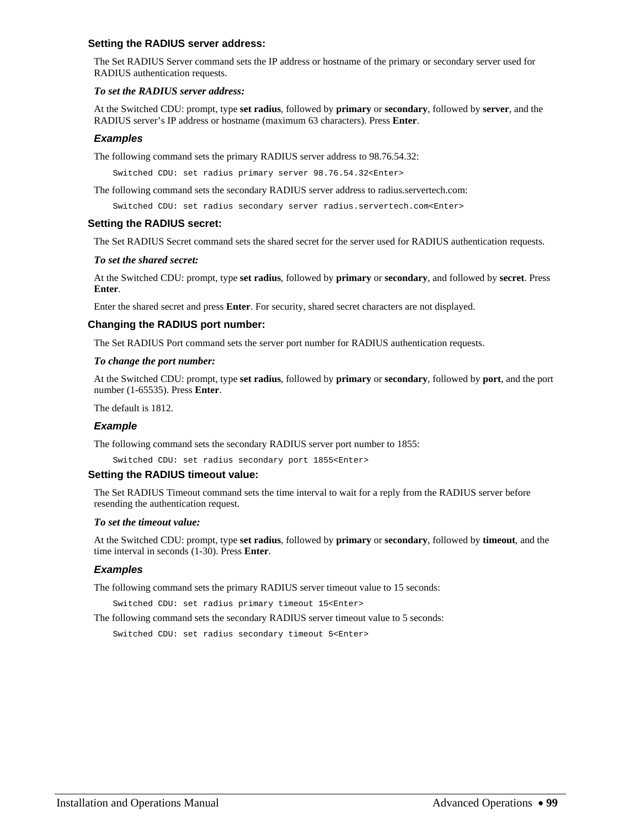### **Setting the RADIUS server address:**

The Set RADIUS Server command sets the IP address or hostname of the primary or secondary server used for RADIUS authentication requests.

## *To set the RADIUS server address:*

At the Switched CDU: prompt, type **set radius**, followed by **primary** or **secondary**, followed by **server**, and the RADIUS server's IP address or hostname (maximum 63 characters). Press **Enter**.

## *Examples*

The following command sets the primary RADIUS server address to 98.76.54.32:

Switched CDU: set radius primary server 98.76.54.32<Enter>

The following command sets the secondary RADIUS server address to radius.servertech.com:

Switched CDU: set radius secondary server radius.servertech.com<Enter>

## **Setting the RADIUS secret:**

The Set RADIUS Secret command sets the shared secret for the server used for RADIUS authentication requests.

## *To set the shared secret:*

At the Switched CDU: prompt, type **set radius**, followed by **primary** or **secondary**, and followed by **secret**. Press **Enter**.

Enter the shared secret and press **Enter**. For security, shared secret characters are not displayed.

## **Changing the RADIUS port number:**

The Set RADIUS Port command sets the server port number for RADIUS authentication requests.

### *To change the port number:*

At the Switched CDU: prompt, type **set radius**, followed by **primary** or **secondary**, followed by **port**, and the port number (1-65535). Press **Enter**.

The default is 1812.

## *Example*

The following command sets the secondary RADIUS server port number to 1855:

Switched CDU: set radius secondary port 1855<Enter>

### **Setting the RADIUS timeout value:**

The Set RADIUS Timeout command sets the time interval to wait for a reply from the RADIUS server before resending the authentication request.

### *To set the timeout value:*

At the Switched CDU: prompt, type **set radius**, followed by **primary** or **secondary**, followed by **timeout**, and the time interval in seconds (1-30). Press **Enter**.

## *Examples*

The following command sets the primary RADIUS server timeout value to 15 seconds:

Switched CDU: set radius primary timeout 15<Enter>

The following command sets the secondary RADIUS server timeout value to 5 seconds:

Switched CDU: set radius secondary timeout 5<Enter>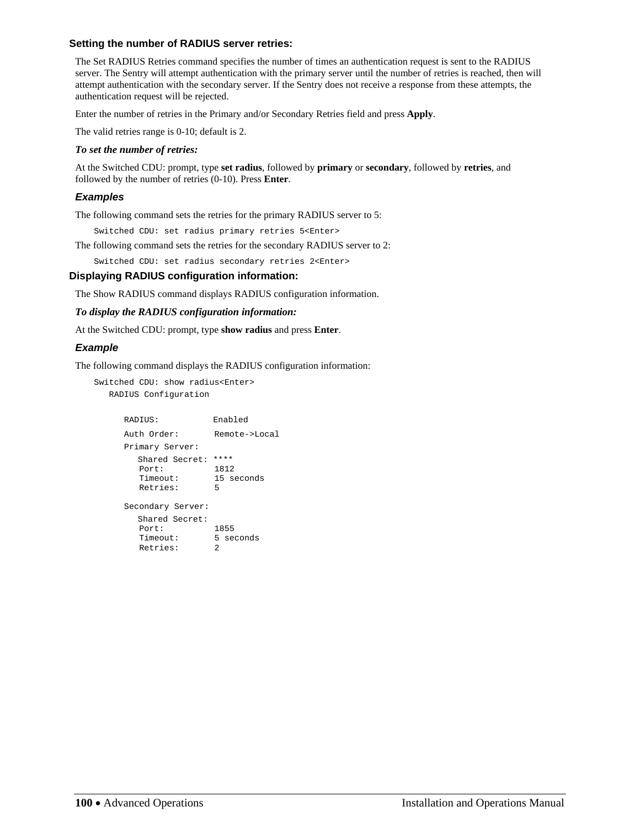## **Setting the number of RADIUS server retries:**

The Set RADIUS Retries command specifies the number of times an authentication request is sent to the RADIUS server. The Sentry will attempt authentication with the primary server until the number of retries is reached, then will attempt authentication with the secondary server. If the Sentry does not receive a response from these attempts, the authentication request will be rejected.

Enter the number of retries in the Primary and/or Secondary Retries field and press **Apply**.

The valid retries range is 0-10; default is 2.

#### *To set the number of retries:*

At the Switched CDU: prompt, type **set radius**, followed by **primary** or **secondary**, followed by **retries**, and followed by the number of retries (0-10). Press **Enter**.

#### *Examples*

The following command sets the retries for the primary RADIUS server to 5:

Switched CDU: set radius primary retries 5<Enter>

The following command sets the retries for the secondary RADIUS server to 2:

Switched CDU: set radius secondary retries 2<Enter>

## **Displaying RADIUS configuration information:**

The Show RADIUS command displays RADIUS configuration information.

*To display the RADIUS configuration information:* 

At the Switched CDU: prompt, type **show radius** and press **Enter**.

#### *Example*

The following command displays the RADIUS configuration information:

```
Switched CDU: show radius<Enter> 
    RADIUS Configuration
```

```
 RADIUS: Enabled 
    Auth Order: Remote->Local 
    Primary Server: 
      Shared Secret: **** 
 Port: 1812 
 Timeout: 15 seconds 
 Retries: 5 
     Secondary Server: 
      Shared Secret: 
 Port: 1855 
Timeout: 5 seconds
 Retries: 2
```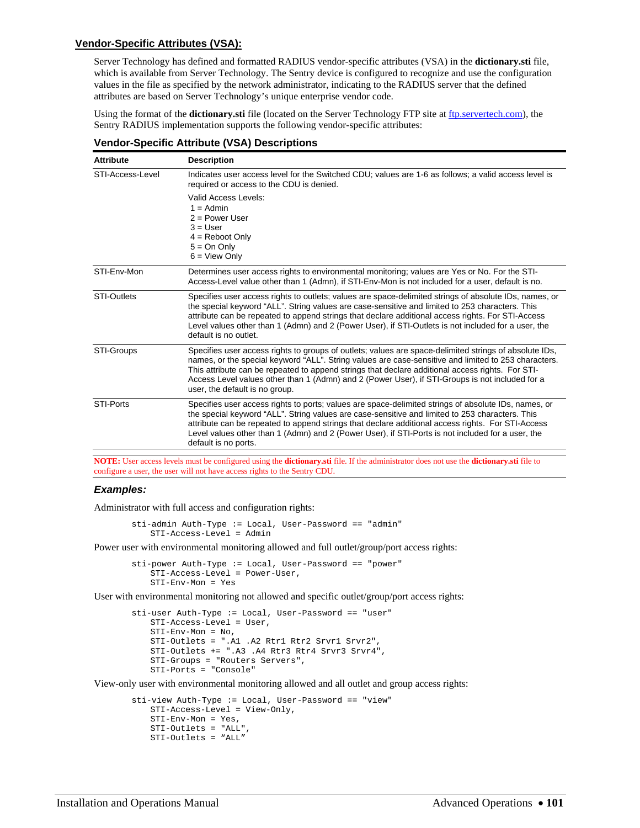## **Vendor-Specific Attributes (VSA):**

Server Technology has defined and formatted RADIUS vendor-specific attributes (VSA) in the **dictionary.sti** file, which is available from Server Technology. The Sentry device is configured to recognize and use the configuration values in the file as specified by the network administrator, indicating to the RADIUS server that the defined attributes are based on Server Technology's unique enterprise vendor code.

Using the format of the **dictionary.sti** file (located on the Server Technology FTP site at [ftp.servertech.com](ftp://ftp.servertech.com/)), the Sentry RADIUS implementation supports the following vendor-specific attributes:

| <b>Attribute</b>   | <b>Description</b>                                                                                                                                                                                                                                                                                                                                                                                                                                      |
|--------------------|---------------------------------------------------------------------------------------------------------------------------------------------------------------------------------------------------------------------------------------------------------------------------------------------------------------------------------------------------------------------------------------------------------------------------------------------------------|
| STI-Access-Level   | Indicates user access level for the Switched CDU; values are 1-6 as follows; a valid access level is<br>required or access to the CDU is denied.                                                                                                                                                                                                                                                                                                        |
|                    | Valid Access Levels:<br>$1 =$ Admin<br>$2 = Power User$<br>$3 = User$<br>$4 =$ Reboot Only<br>$5 = On Only$<br>$6 =$ View Only                                                                                                                                                                                                                                                                                                                          |
| STI-Env-Mon        | Determines user access rights to environmental monitoring; values are Yes or No. For the STI-<br>Access-Level value other than 1 (Admn), if STI-Env-Mon is not included for a user, default is no.                                                                                                                                                                                                                                                      |
| <b>STI-Outlets</b> | Specifies user access rights to outlets; values are space-delimited strings of absolute IDs, names, or<br>the special keyword "ALL". String values are case-sensitive and limited to 253 characters. This<br>attribute can be repeated to append strings that declare additional access rights. For STI-Access<br>Level values other than 1 (Admn) and 2 (Power User), if STI-Outlets is not included for a user, the<br>default is no outlet.          |
| STI-Groups         | Specifies user access rights to groups of outlets; values are space-delimited strings of absolute IDs,<br>names, or the special keyword "ALL". String values are case-sensitive and limited to 253 characters.<br>This attribute can be repeated to append strings that declare additional access rights. For STI-<br>Access Level values other than 1 (Admn) and 2 (Power User), if STI-Groups is not included for a<br>user, the default is no group. |
| STI-Ports          | Specifies user access rights to ports; values are space-delimited strings of absolute IDs, names, or<br>the special keyword "ALL". String values are case-sensitive and limited to 253 characters. This<br>attribute can be repeated to append strings that declare additional access rights. For STI-Access<br>Level values other than 1 (Admn) and 2 (Power User), if STI-Ports is not included for a user, the<br>default is no ports.               |
|                    |                                                                                                                                                                                                                                                                                                                                                                                                                                                         |

## **Vendor-Specific Attribute (VSA) Descriptions**

**NOTE:** User access levels must be configured using the **dictionary.sti** file. If the administrator does not use the **dictionary.sti** file to configure a user, the user will not have access rights to the Sentry CDU.

### *Examples:*

Administrator with full access and configuration rights:

```
 sti-admin Auth-Type := Local, User-Password == "admin" 
    STI-Access-Level = Admin
```
Power user with environmental monitoring allowed and full outlet/group/port access rights:

 sti-power Auth-Type := Local, User-Password == "power" STI-Access-Level = Power-User, STI-Env-Mon = Yes

User with environmental monitoring not allowed and specific outlet/group/port access rights:

```
 sti-user Auth-Type := Local, User-Password == "user" 
    STI-Access-Level = User, 
    STI-Env-Mon = No, 
    STI-Outlets = ".A1 .A2 Rtr1 Rtr2 Srvr1 Srvr2", 
     STI-Outlets += ".A3 .A4 Rtr3 Rtr4 Srvr3 Srvr4", 
    STI-Groups = "Routers Servers", 
    STI-Ports = "Console"
```
View-only user with environmental monitoring allowed and all outlet and group access rights:

```
 sti-view Auth-Type := Local, User-Password == "view" 
     STI-Access-Level = View-Only, 
     STI-Env-Mon = Yes, 
     STI-Outlets = "ALL", 
     STI-Outlets = "ALL"
```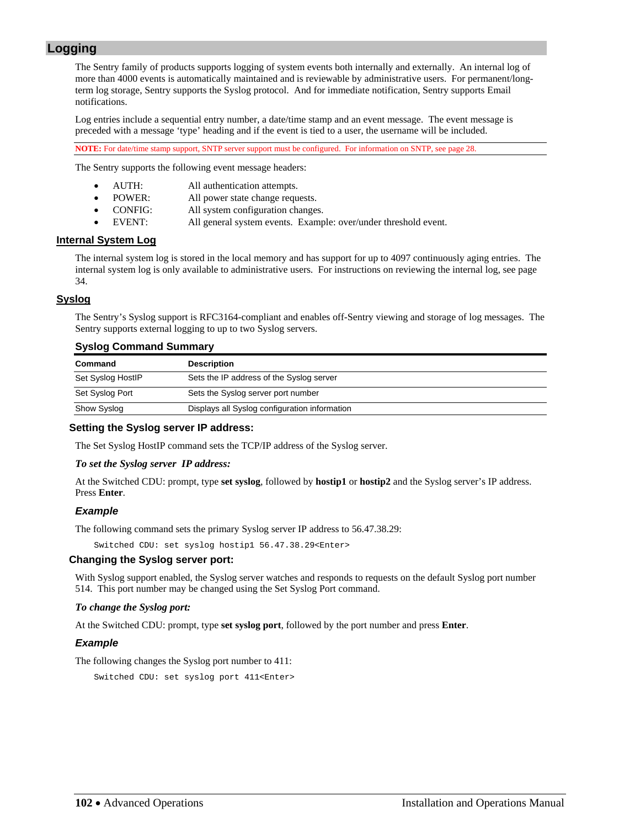# <span id="page-101-0"></span>**Logging**

The Sentry family of products supports logging of system events both internally and externally. An internal log of more than 4000 events is automatically maintained and is reviewable by administrative users. For permanent/longterm log storage, Sentry supports the Syslog protocol. And for immediate notification, Sentry supports Email notifications.

Log entries include a sequential entry number, a date/time stamp and an event message. The event message is preceded with a message 'type' heading and if the event is tied to a user, the username will be included.

**NOTE:** For date/time stamp support, SNTP server support must be configured. For information on SNTP, see page [28.](#page-27-0)

The Sentry supports the following event message headers:

- AUTH: All authentication attempts.
- POWER: All power state change requests.
- CONFIG: All system configuration changes.
	- EVENT: All general system events. Example: over/under threshold event.

## **Internal System Log**

The internal system log is stored in the local memory and has support for up to 4097 continuously aging entries. The internal system log is only available to administrative users. For instructions on reviewing the internal log, see page [34](#page-33-0).

## **Syslog**

The Sentry's Syslog support is RFC3164-compliant and enables off-Sentry viewing and storage of log messages. The Sentry supports external logging to up to two Syslog servers.

## **Syslog Command Summary**

| Command           | <b>Description</b>                            |
|-------------------|-----------------------------------------------|
| Set Syslog HostlP | Sets the IP address of the Syslog server      |
| Set Syslog Port   | Sets the Syslog server port number            |
| Show Syslog       | Displays all Syslog configuration information |

## **Setting the Syslog server IP address:**

The Set Syslog HostIP command sets the TCP/IP address of the Syslog server.

### *To set the Syslog server IP address:*

At the Switched CDU: prompt, type **set syslog**, followed by **hostip1** or **hostip2** and the Syslog server's IP address. Press **Enter**.

## *Example*

The following command sets the primary Syslog server IP address to 56.47.38.29:

Switched CDU: set syslog hostip1 56.47.38.29<Enter>

## **Changing the Syslog server port:**

With Syslog support enabled, the Syslog server watches and responds to requests on the default Syslog port number 514. This port number may be changed using the Set Syslog Port command.

### *To change the Syslog port:*

At the Switched CDU: prompt, type **set syslog port**, followed by the port number and press **Enter**.

## *Example*

The following changes the Syslog port number to 411:

Switched CDU: set syslog port 411<Enter>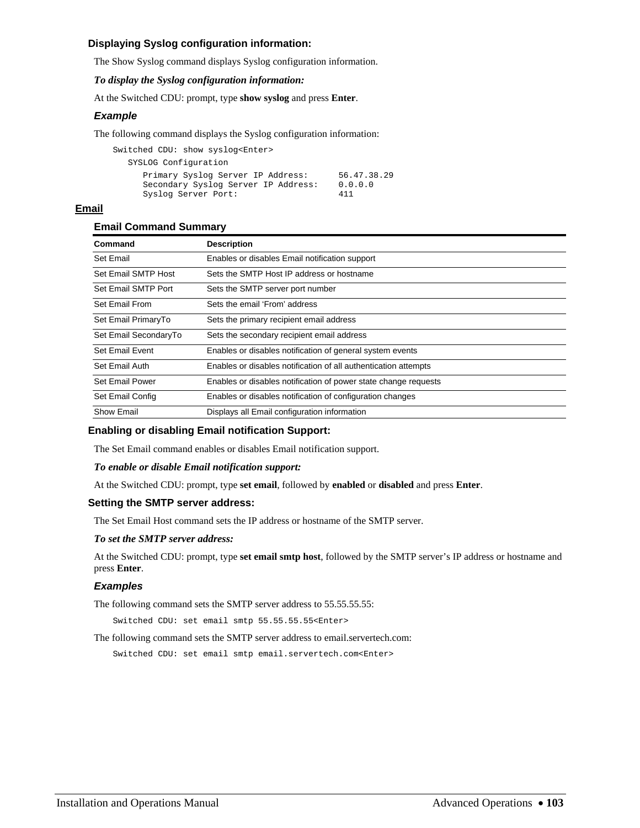## **Displaying Syslog configuration information:**

The Show Syslog command displays Syslog configuration information.

## *To display the Syslog configuration information:*

At the Switched CDU: prompt, type **show syslog** and press **Enter**.

## *Example*

The following command displays the Syslog configuration information:

| Switched CDU: show syslog <enter></enter>                                                       |                               |
|-------------------------------------------------------------------------------------------------|-------------------------------|
| SYSLOG Configuration                                                                            |                               |
| Primary Syslog Server IP Address:<br>Secondary Syslog Server IP Address:<br>Syslog Server Port: | 56.47.38.29<br>0.0.0.0<br>411 |

## **Email**

## **Email Command Summary**

| Command               | <b>Description</b>                                              |
|-----------------------|-----------------------------------------------------------------|
| Set Email             | Enables or disables Email notification support                  |
| Set Email SMTP Host   | Sets the SMTP Host IP address or hostname                       |
| Set Email SMTP Port   | Sets the SMTP server port number                                |
| Set Email From        | Sets the email 'From' address                                   |
| Set Email PrimaryTo   | Sets the primary recipient email address                        |
| Set Email SecondaryTo | Sets the secondary recipient email address                      |
| Set Email Event       | Enables or disables notification of general system events       |
| Set Email Auth        | Enables or disables notification of all authentication attempts |
| Set Email Power       | Enables or disables notification of power state change requests |
| Set Email Config      | Enables or disables notification of configuration changes       |
| Show Email            | Displays all Email configuration information                    |

## **Enabling or disabling Email notification Support:**

The Set Email command enables or disables Email notification support.

## *To enable or disable Email notification support:*

At the Switched CDU: prompt, type **set email**, followed by **enabled** or **disabled** and press **Enter**.

## **Setting the SMTP server address:**

The Set Email Host command sets the IP address or hostname of the SMTP server.

## *To set the SMTP server address:*

At the Switched CDU: prompt, type **set email smtp host**, followed by the SMTP server's IP address or hostname and press **Enter**.

## *Examples*

The following command sets the SMTP server address to 55.55.55.55:

Switched CDU: set email smtp 55.55.55.55<Enter>

The following command sets the SMTP server address to email.servertech.com:

Switched CDU: set email smtp email.servertech.com<Enter>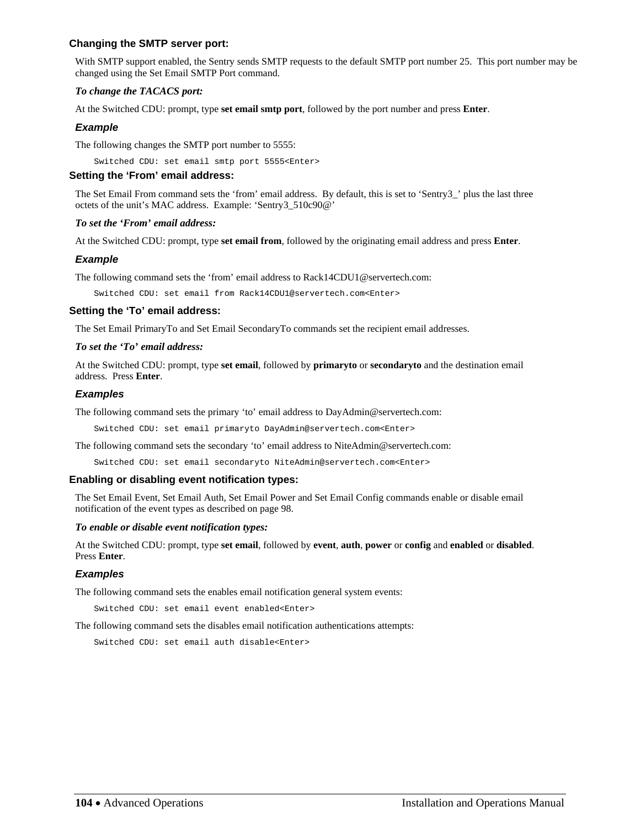## **Changing the SMTP server port:**

With SMTP support enabled, the Sentry sends SMTP requests to the default SMTP port number 25. This port number may be changed using the Set Email SMTP Port command.

## *To change the TACACS port:*

At the Switched CDU: prompt, type **set email smtp port**, followed by the port number and press **Enter**.

## *Example*

The following changes the SMTP port number to 5555:

Switched CDU: set email smtp port 5555<Enter>

## **Setting the 'From' email address:**

The Set Email From command sets the 'from' email address. By default, this is set to 'Sentry3\_' plus the last three octets of the unit's MAC address. Example: 'Sentry3\_510c90@'

## *To set the 'From' email address:*

At the Switched CDU: prompt, type **set email from**, followed by the originating email address and press **Enter**.

## *Example*

The following command sets the 'from' email address to Rack14CDU1@servertech.com:

Switched CDU: set email from Rack14CDU1@servertech.com<Enter>

## **Setting the 'To' email address:**

The Set Email PrimaryTo and Set Email SecondaryTo commands set the recipient email addresses.

## *To set the 'To' email address:*

At the Switched CDU: prompt, type **set email**, followed by **primaryto** or **secondaryto** and the destination email address. Press **Enter**.

## *Examples*

The following command sets the primary 'to' email address to DayAdmin@servertech.com:

Switched CDU: set email primaryto DayAdmin@servertech.com<Enter>

The following command sets the secondary 'to' email address to NiteAdmin@servertech.com:

Switched CDU: set email secondaryto NiteAdmin@servertech.com<Enter>

## **Enabling or disabling event notification types:**

The Set Email Event, Set Email Auth, Set Email Power and Set Email Config commands enable or disable email notification of the event types as described on page [98.](#page-101-0)

### *To enable or disable event notification types:*

At the Switched CDU: prompt, type **set email**, followed by **event**, **auth**, **power** or **config** and **enabled** or **disabled**. Press **Enter**.

## *Examples*

The following command sets the enables email notification general system events:

Switched CDU: set email event enabled<Enter>

The following command sets the disables email notification authentications attempts:

Switched CDU: set email auth disable<Enter>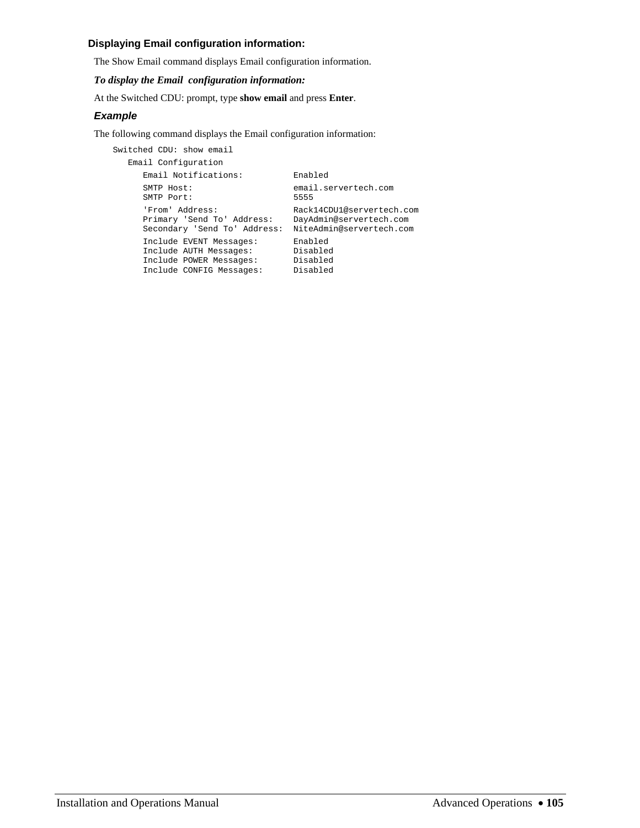## **Displaying Email configuration information:**

The Show Email command displays Email configuration information.

## *To display the Email configuration information:*

At the Switched CDU: prompt, type **show email** and press **Enter**.

## *Example*

The following command displays the Email configuration information:

```
Switched CDU: show email 
   Email Configuration 
     Email Notifications: Enabled 
     SMTP Host: email.servertech.com<br>SMTP Port: 5555
    SMTP Port:
 'From' Address: Rack14CDU1@servertech.com 
 Primary 'Send To' Address: DayAdmin@servertech.com 
     Secondary 'Send To' Address: NiteAdmin@servertech.com 
 Include EVENT Messages: Enabled 
 Include AUTH Messages: Disabled 
 Include POWER Messages: Disabled 
 Include CONFIG Messages: Disabled
```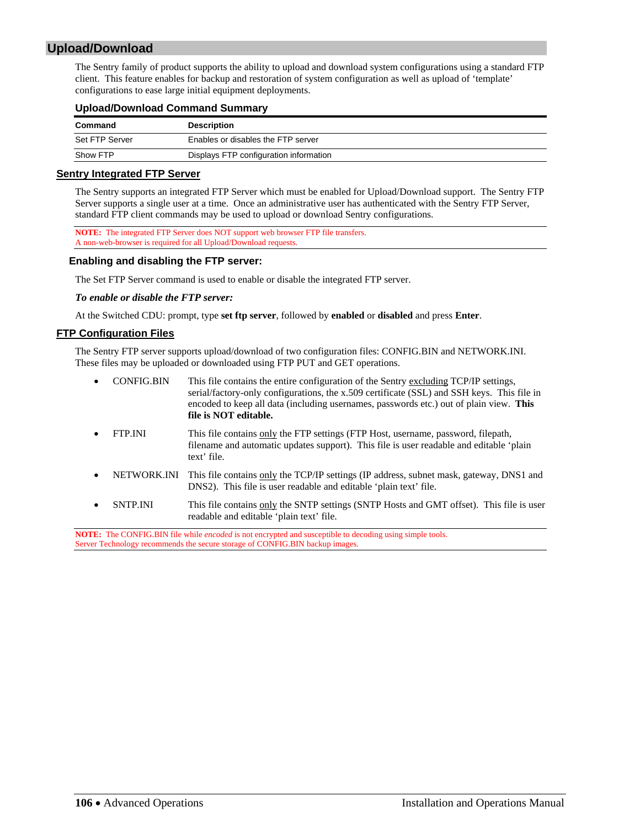# **Upload/Download**

The Sentry family of product supports the ability to upload and download system configurations using a standard FTP client. This feature enables for backup and restoration of system configuration as well as upload of 'template' configurations to ease large initial equipment deployments.

## **Upload/Download Command Summary**

| Command        | <b>Description</b>                     |
|----------------|----------------------------------------|
| Set FTP Server | Enables or disables the FTP server     |
| Show FTP       | Displays FTP configuration information |

### **Sentry Integrated FTP Server**

The Sentry supports an integrated FTP Server which must be enabled for Upload/Download support. The Sentry FTP Server supports a single user at a time. Once an administrative user has authenticated with the Sentry FTP Server, standard FTP client commands may be used to upload or download Sentry configurations.

**NOTE:** The integrated FTP Server does NOT support web browser FTP file transfers. A non-web-browser is required for all Upload/Download requests.

## **Enabling and disabling the FTP server:**

The Set FTP Server command is used to enable or disable the integrated FTP server.

## *To enable or disable the FTP server:*

At the Switched CDU: prompt, type **set ftp server**, followed by **enabled** or **disabled** and press **Enter**.

## **FTP Configuration Files**

The Sentry FTP server supports upload/download of two configuration files: CONFIG.BIN and NETWORK.INI. These files may be uploaded or downloaded using FTP PUT and GET operations.

| $\bullet$ | <b>CONFIG.BIN</b> | This file contains the entire configuration of the Sentry excluding TCP/IP settings,<br>serial/factory-only configurations, the x.509 certificate (SSL) and SSH keys. This file in<br>encoded to keep all data (including usernames, passwords etc.) out of plain view. This<br>file is NOT editable. |
|-----------|-------------------|-------------------------------------------------------------------------------------------------------------------------------------------------------------------------------------------------------------------------------------------------------------------------------------------------------|
| $\bullet$ | <b>FTP.INI</b>    | This file contains only the FTP settings (FTP Host, username, password, filepath,<br>filename and automatic updates support). This file is user readable and editable 'plain<br>text' file.                                                                                                           |
| $\bullet$ |                   | NETWORK.INI This file contains only the TCP/IP settings (IP address, subnet mask, gateway, DNS1 and<br>DNS2). This file is user readable and editable 'plain text' file.                                                                                                                              |
| $\bullet$ | <b>SNTP.INI</b>   | This file contains only the SNTP settings (SNTP Hosts and GMT offset). This file is user<br>readable and editable 'plain text' file.                                                                                                                                                                  |

**NOTE:** The CONFIG.BIN file while *encoded* is not encrypted and susceptible to decoding using simple tools. Server Technology recommends the secure storage of CONFIG.BIN backup images.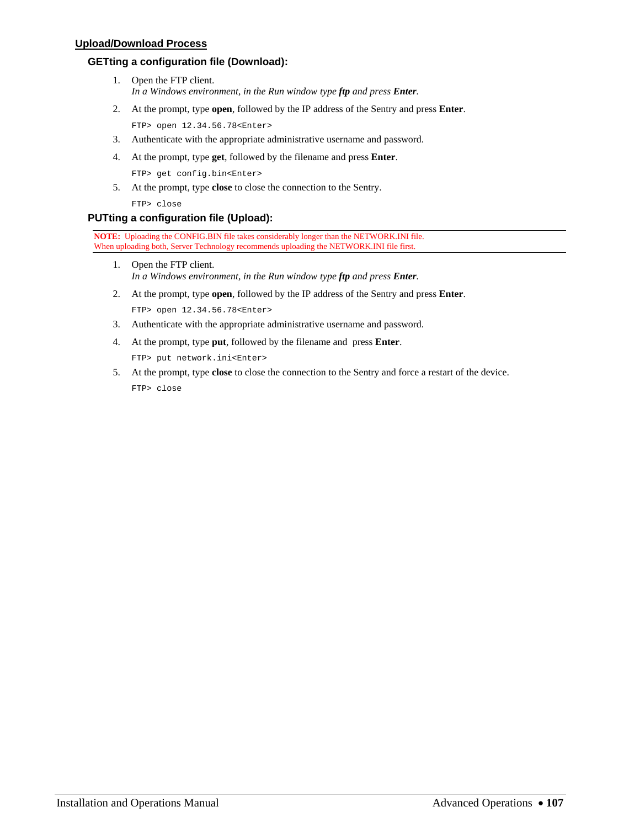## **Upload/Download Process**

## **GETting a configuration file (Download):**

- 1. Open the FTP client. *In a Windows environment, in the Run window type ftp and press Enter.*
- 2. At the prompt, type **open**, followed by the IP address of the Sentry and press **Enter**.

FTP> open 12.34.56.78<Enter>

- 3. Authenticate with the appropriate administrative username and password.
- 4. At the prompt, type **get**, followed by the filename and press **Enter**. FTP> get config.bin<Enter>
- 5. At the prompt, type **close** to close the connection to the Sentry. FTP> close

## **PUTting a configuration file (Upload):**

**NOTE:** Uploading the CONFIG.BIN file takes considerably longer than the NETWORK.INI file. When uploading both, Server Technology recommends uploading the NETWORK.INI file first.

- 1. Open the FTP client. *In a Windows environment, in the Run window type ftp and press Enter.*
- 2. At the prompt, type **open**, followed by the IP address of the Sentry and press **Enter**. FTP> open 12.34.56.78<Enter>
- 3. Authenticate with the appropriate administrative username and password.
- 4. At the prompt, type **put**, followed by the filename and press **Enter**. FTP> put network.ini<Enter>
- 5. At the prompt, type **close** to close the connection to the Sentry and force a restart of the device. FTP> close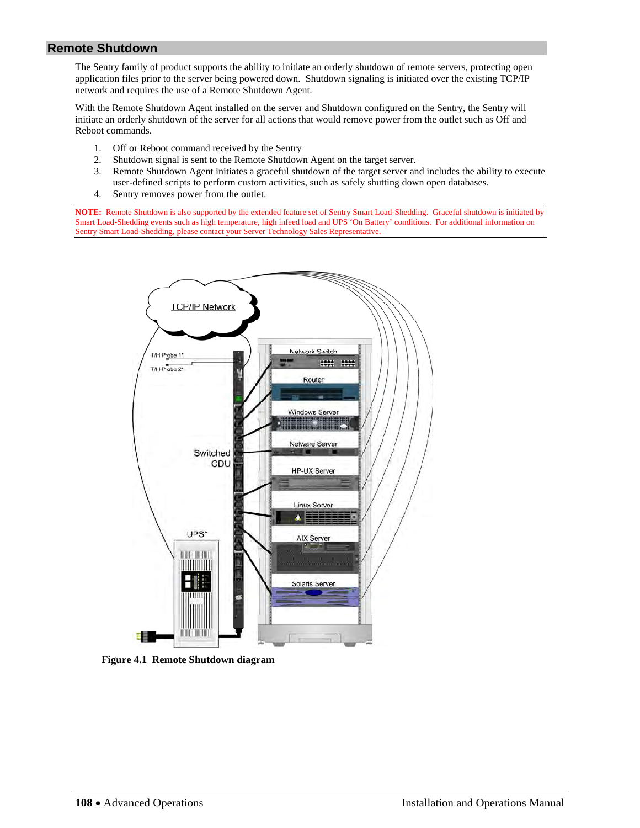# **Remote Shutdown**

The Sentry family of product supports the ability to initiate an orderly shutdown of remote servers, protecting open application files prior to the server being powered down. Shutdown signaling is initiated over the existing TCP/IP network and requires the use of a Remote Shutdown Agent.

With the Remote Shutdown Agent installed on the server and Shutdown configured on the Sentry, the Sentry will initiate an orderly shutdown of the server for all actions that would remove power from the outlet such as Off and Reboot commands.

- 1. Off or Reboot command received by the Sentry
- 2. Shutdown signal is sent to the Remote Shutdown Agent on the target server.
- 3. Remote Shutdown Agent initiates a graceful shutdown of the target server and includes the ability to execute user-defined scripts to perform custom activities, such as safely shutting down open databases.
- 4. Sentry removes power from the outlet.

**NOTE:** Remote Shutdown is also supported by the extended feature set of Sentry Smart Load-Shedding. Graceful shutdown is initiated by Smart Load-Shedding events such as high temperature, high infeed load and UPS 'On Battery' conditions. For additional information on Sentry Smart Load-Shedding, please contact your Server Technology Sales Representative.



**Figure 4.1 Remote Shutdown diagram**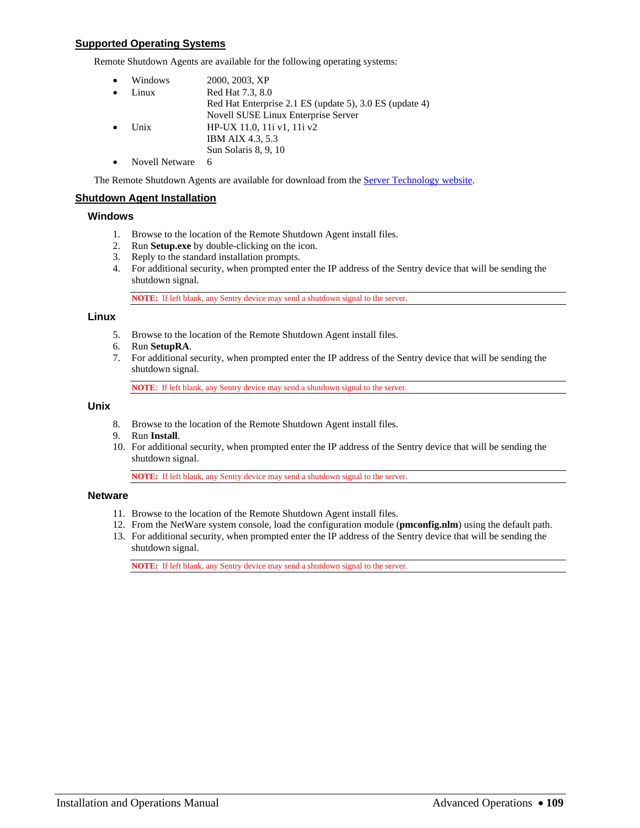### **Supported Operating Systems**

Remote Shutdown Agents are available for the following operating systems:

| Windows               | 2000, 2003, XP                                          |
|-----------------------|---------------------------------------------------------|
| Linux                 | Red Hat 7.3, 8.0                                        |
|                       | Red Hat Enterprise 2.1 ES (update 5), 3.0 ES (update 4) |
|                       | Novell SUSE Linux Enterprise Server                     |
| Unix                  | HP-UX 11.0, 11 v1, 11 v2                                |
|                       | IBM AIX 4.3, 5.3                                        |
|                       | Sun Solaris 8, 9, 10                                    |
| <b>Novell Netware</b> | 6                                                       |

The Remote Shutdown Agents are available for download from the **Server Technology website**.

### **Shutdown Agent Installation**

### **Windows**

- 1. Browse to the location of the Remote Shutdown Agent install files.
- 2. Run **Setup.exe** by double-clicking on the icon.
- 3. Reply to the standard installation prompts.
- 4. For additional security, when prompted enter the IP address of the Sentry device that will be sending the shutdown signal.

**NOTE:** If left blank, any Sentry device may send a shutdown signal to the server.

### **Linux**

- 5. Browse to the location of the Remote Shutdown Agent install files.
- 6. Run **SetupRA**.
- 7. For additional security, when prompted enter the IP address of the Sentry device that will be sending the shutdown signal.

**NOTE**: If left blank, any Sentry device may send a shutdown signal to the server.

### **Unix**

- 8. Browse to the location of the Remote Shutdown Agent install files.
- 9. Run **Install**.
- 10. For additional security, when prompted enter the IP address of the Sentry device that will be sending the shutdown signal.

**NOTE:** If left blank, any Sentry device may send a shutdown signal to the server.

### **Netware**

- 11. Browse to the location of the Remote Shutdown Agent install files.
- 12. From the NetWare system console, load the configuration module (**pmconfig.nlm**) using the default path.
- 13. For additional security, when prompted enter the IP address of the Sentry device that will be sending the shutdown signal.

**NOTE:** If left blank, any Sentry device may send a shutdown signal to the server.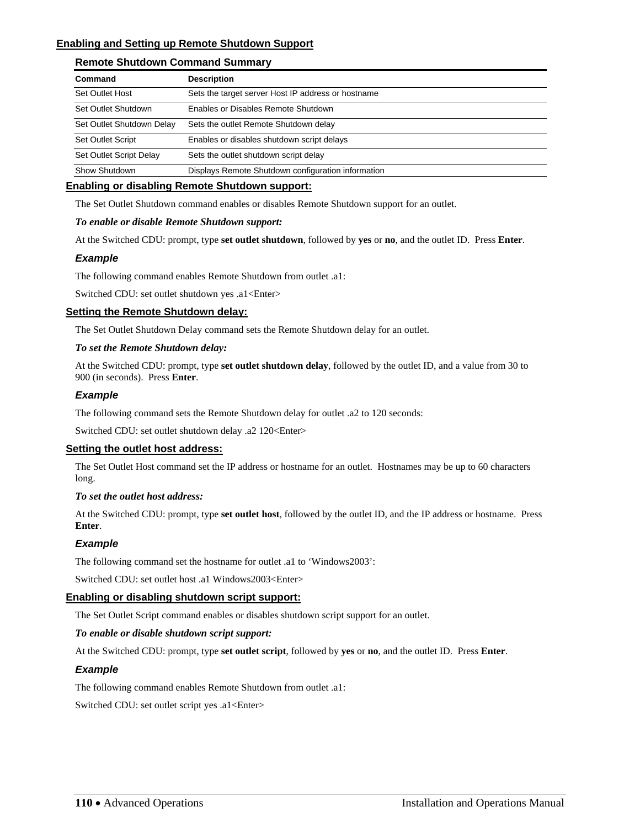### **Enabling and Setting up Remote Shutdown Support**

### **Remote Shutdown Command Summary**

| Command                   | <b>Description</b>                                 |
|---------------------------|----------------------------------------------------|
| Set Outlet Host           | Sets the target server Host IP address or hostname |
| Set Outlet Shutdown       | Enables or Disables Remote Shutdown                |
| Set Outlet Shutdown Delay | Sets the outlet Remote Shutdown delay              |
| <b>Set Outlet Script</b>  | Enables or disables shutdown script delays         |
| Set Outlet Script Delay   | Sets the outlet shutdown script delay              |
| Show Shutdown             | Displays Remote Shutdown configuration information |

### **Enabling or disabling Remote Shutdown support:**

The Set Outlet Shutdown command enables or disables Remote Shutdown support for an outlet.

### *To enable or disable Remote Shutdown support:*

At the Switched CDU: prompt, type **set outlet shutdown**, followed by **yes** or **no**, and the outlet ID. Press **Enter**.

### *Example*

The following command enables Remote Shutdown from outlet .a1:

Switched CDU: set outlet shutdown yes .a1<Enter>

### **Setting the Remote Shutdown delay:**

The Set Outlet Shutdown Delay command sets the Remote Shutdown delay for an outlet.

### *To set the Remote Shutdown delay:*

At the Switched CDU: prompt, type **set outlet shutdown delay**, followed by the outlet ID, and a value from 30 to 900 (in seconds). Press **Enter**.

### *Example*

The following command sets the Remote Shutdown delay for outlet .a2 to 120 seconds:

Switched CDU: set outlet shutdown delay .a2 120<Enter>

### **Setting the outlet host address:**

The Set Outlet Host command set the IP address or hostname for an outlet. Hostnames may be up to 60 characters long.

### *To set the outlet host address:*

At the Switched CDU: prompt, type **set outlet host**, followed by the outlet ID, and the IP address or hostname. Press **Enter**.

### *Example*

The following command set the hostname for outlet .a1 to 'Windows2003':

Switched CDU: set outlet host .a1 Windows2003<Enter>

### **Enabling or disabling shutdown script support:**

The Set Outlet Script command enables or disables shutdown script support for an outlet.

### *To enable or disable shutdown script support:*

At the Switched CDU: prompt, type **set outlet script**, followed by **yes** or **no**, and the outlet ID. Press **Enter**.

### *Example*

The following command enables Remote Shutdown from outlet .a1:

Switched CDU: set outlet script yes .a1<Enter>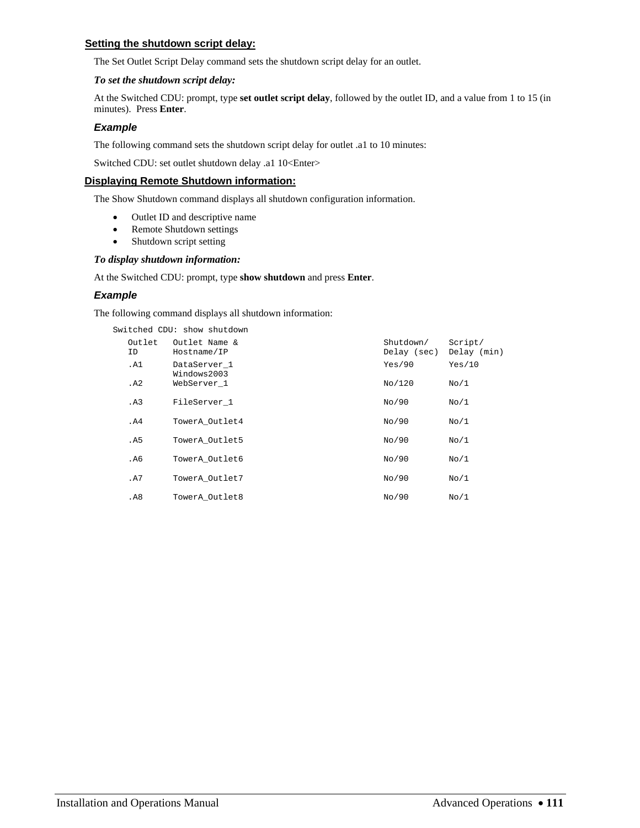### **Setting the shutdown script delay:**

The Set Outlet Script Delay command sets the shutdown script delay for an outlet.

### *To set the shutdown script delay:*

At the Switched CDU: prompt, type **set outlet script delay**, followed by the outlet ID, and a value from 1 to 15 (in minutes). Press **Enter**.

### *Example*

The following command sets the shutdown script delay for outlet .a1 to 10 minutes:

Switched CDU: set outlet shutdown delay .a1 10<Enter>

### **Displaying Remote Shutdown information:**

The Show Shutdown command displays all shutdown configuration information.

- Outlet ID and descriptive name
- Remote Shutdown settings
- Shutdown script setting

### *To display shutdown information:*

At the Switched CDU: prompt, type **show shutdown** and press **Enter**.

### *Example*

The following command displays all shutdown information:

Switched CDU: show shutdown

| Outlet<br>ID. | Outlet Name &<br>Hostname/IP | Shutdown/<br>Delay (sec) | Script/<br>Delay (min) |
|---------------|------------------------------|--------------------------|------------------------|
| .A1           | DataServer 1<br>Windows2003  | Yes/90                   | Yes/10                 |
| . A2          | WebServer 1                  | No/120                   | No/1                   |
| .A3           | FileServer 1                 | No/90                    | No/1                   |
| .A4           | TowerA Outlet4               | No/90                    | No/1                   |
| . A5          | TowerA Outlet5               | No/90                    | No/1                   |
| . A6          | TowerA Outlet6               | No/90                    | No/1                   |
| .A7           | TowerA Outlet7               | No/90                    | No/1                   |
| .A8           | TowerA Outlet8               | No/90                    | No/1                   |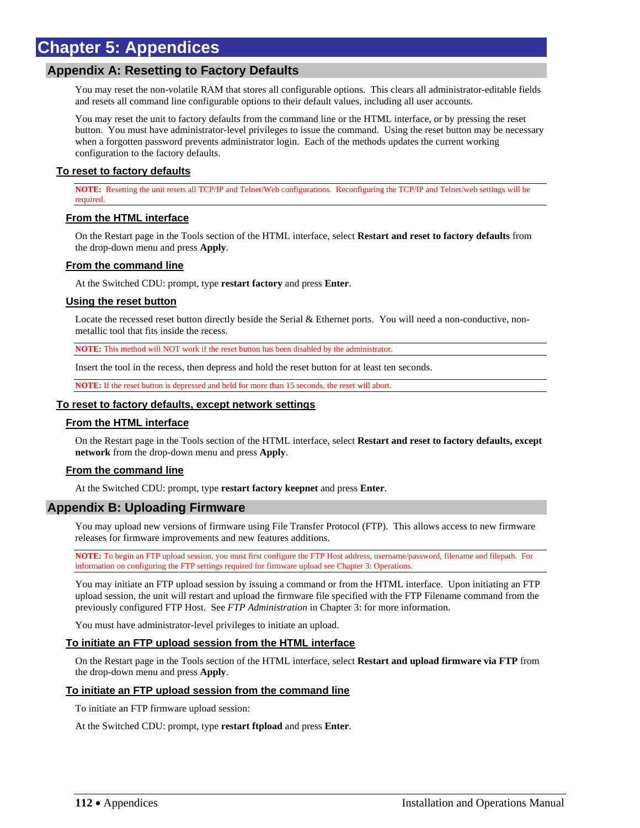# **Chapter 5: Appendices**

### **Appendix A: Resetting to Factory Defaults**

You may reset the non-volatile RAM that stores all configurable options. This clears all administrator-editable fields and resets all command line configurable options to their default values, including all user accounts.

You may reset the unit to factory defaults from the command line or the HTML interface, or by pressing the reset button. You must have administrator-level privileges to issue the command. Using the reset button may be necessary when a forgotten password prevents administrator login. Each of the methods updates the current working configuration to the factory defaults.

### **To reset to factory defaults**

**NOTE:** Resetting the unit resets all TCP/IP and Telnet/Web configurations. Reconfiguring the TCP/IP and Telnet/web settings will be required.

### **From the HTML interface**

On the Restart page in the Tools section of the HTML interface, select **Restart and reset to factory defaults** from the drop-down menu and press **Apply**.

### **From the command line**

At the Switched CDU: prompt, type **restart factory** and press **Enter**.

### **Using the reset button**

Locate the recessed reset button directly beside the Serial & Ethernet ports. You will need a non-conductive, nonmetallic tool that fits inside the recess.

**NOTE:** This method will NOT work if the reset button has been disabled by the administrator.

Insert the tool in the recess, then depress and hold the reset button for at least ten seconds.

**NOTE:** If the reset button is depressed and held for more than 15 seconds, the reset will abort.

### **To reset to factory defaults, except network settings**

### **From the HTML interface**

On the Restart page in the Tools section of the HTML interface, select **Restart and reset to factory defaults, except network** from the drop-down menu and press **Apply**.

### **From the command line**

At the Switched CDU: prompt, type **restart factory keepnet** and press **Enter**.

### **Appendix B: Uploading Firmware**

You may upload new versions of firmware using File Transfer Protocol (FTP). This allows access to new firmware releases for firmware improvements and new features additions.

**NOTE:** To begin an FTP upload session, you must first configure the FTP Host address, username/password, filename and filepath. For information on configuring the FTP settings required for firmware upload see [Chapter 3: Operations](#page-10-0).

You may initiate an FTP upload session by issuing a command or from the HTML interface. Upon initiating an FTP upload session, the unit will restart and upload the firmware file specified with the FTP Filename command from the previously configured FTP Host. See *[FTP Administration](#page-59-0)* in [Chapter 3: f](#page-10-0)or more information.

You must have administrator-level privileges to initiate an upload.

### **To initiate an FTP upload session from the HTML interface**

On the Restart page in the Tools section of the HTML interface, select **Restart and upload firmware via FTP** from the drop-down menu and press **Apply**.

### **To initiate an FTP upload session from the command line**

To initiate an FTP firmware upload session:

At the Switched CDU: prompt, type **restart ftpload** and press **Enter**.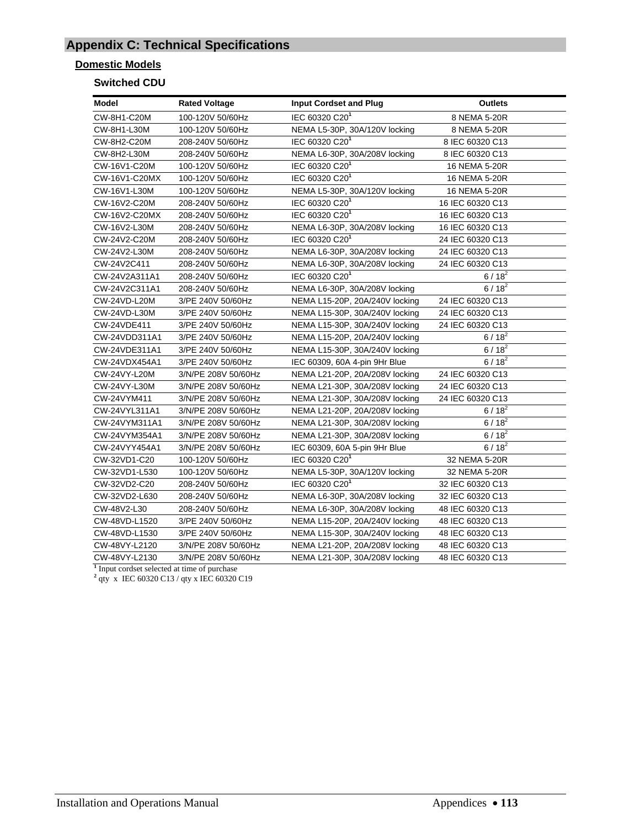# **Appendix C: Technical Specifications**

### **Domestic Models**

### **Switched CDU**

| Model               | <b>Rated Voltage</b> | <b>Input Cordset and Plug</b>  | <b>Outlets</b>   |
|---------------------|----------------------|--------------------------------|------------------|
| CW-8H1-C20M         | 100-120V 50/60Hz     | IEC 60320 C201                 | 8 NEMA 5-20R     |
| CW-8H1-L30M         | 100-120V 50/60Hz     | NEMA L5-30P, 30A/120V locking  | 8 NEMA 5-20R     |
| CW-8H2-C20M         | 208-240V 50/60Hz     | IEC 60320 C201                 | 8 IEC 60320 C13  |
| CW-8H2-L30M         | 208-240V 50/60Hz     | NEMA L6-30P, 30A/208V locking  | 8 IEC 60320 C13  |
| CW-16V1-C20M        | 100-120V 50/60Hz     | IEC 60320 C201                 | 16 NEMA 5-20R    |
| CW-16V1-C20MX       | 100-120V 50/60Hz     | IEC 60320 C20 <sup>1</sup>     | 16 NEMA 5-20R    |
| CW-16V1-L30M        | 100-120V 50/60Hz     | NEMA L5-30P, 30A/120V locking  | 16 NEMA 5-20R    |
| CW-16V2-C20M        | 208-240V 50/60Hz     | IEC 60320 C20 <sup>1</sup>     | 16 IEC 60320 C13 |
| CW-16V2-C20MX       | 208-240V 50/60Hz     | IEC 60320 C20 <sup>1</sup>     | 16 IEC 60320 C13 |
| CW-16V2-L30M        | 208-240V 50/60Hz     | NEMA L6-30P, 30A/208V locking  | 16 IEC 60320 C13 |
| CW-24V2-C20M        | 208-240V 50/60Hz     | IEC 60320 C201                 | 24 IEC 60320 C13 |
| CW-24V2-L30M        | 208-240V 50/60Hz     | NEMA L6-30P, 30A/208V locking  | 24 IEC 60320 C13 |
| CW-24V2C411         | 208-240V 50/60Hz     | NEMA L6-30P, 30A/208V locking  | 24 IEC 60320 C13 |
| CW-24V2A311A1       | 208-240V 50/60Hz     | IEC 60320 C20 <sup>1</sup>     | $6/18^{2}$       |
| CW-24V2C311A1       | 208-240V 50/60Hz     | NEMA L6-30P, 30A/208V locking  | $6/18^{2}$       |
| <b>CW-24VD-L20M</b> | 3/PE 240V 50/60Hz    | NEMA L15-20P, 20A/240V locking | 24 IEC 60320 C13 |
| CW-24VD-L30M        | 3/PE 240V 50/60Hz    | NEMA L15-30P, 30A/240V locking | 24 IEC 60320 C13 |
| CW-24VDE411         | 3/PE 240V 50/60Hz    | NEMA L15-30P, 30A/240V locking | 24 IEC 60320 C13 |
| CW-24VDD311A1       | 3/PE 240V 50/60Hz    | NEMA L15-20P, 20A/240V locking | $6/18^{2}$       |
| CW-24VDE311A1       | 3/PE 240V 50/60Hz    | NEMA L15-30P, 30A/240V locking | $6/18^{2}$       |
| CW-24VDX454A1       | 3/PE 240V 50/60Hz    | IEC 60309, 60A 4-pin 9Hr Blue  | $6/18^{2}$       |
| <b>CW-24VY-L20M</b> | 3/N/PE 208V 50/60Hz  | NEMA L21-20P, 20A/208V locking | 24 IEC 60320 C13 |
| CW-24VY-L30M        | 3/N/PE 208V 50/60Hz  | NEMA L21-30P, 30A/208V locking | 24 IEC 60320 C13 |
| CW-24VYM411         | 3/N/PE 208V 50/60Hz  | NEMA L21-30P, 30A/208V locking | 24 IEC 60320 C13 |
| CW-24VYL311A1       | 3/N/PE 208V 50/60Hz  | NEMA L21-20P, 20A/208V locking | $6/18^{2}$       |
| CW-24VYM311A1       | 3/N/PE 208V 50/60Hz  | NEMA L21-30P, 30A/208V locking | $6/18^{2}$       |
| CW-24VYM354A1       | 3/N/PE 208V 50/60Hz  | NEMA L21-30P, 30A/208V locking | $6/18^{2}$       |
| CW-24VYY454A1       | 3/N/PE 208V 50/60Hz  | IEC 60309, 60A 5-pin 9Hr Blue  | $6/18^2$         |
| CW-32VD1-C20        | 100-120V 50/60Hz     | IEC 60320 C20 <sup>1</sup>     | 32 NEMA 5-20R    |
| CW-32VD1-L530       | 100-120V 50/60Hz     | NEMA L5-30P, 30A/120V locking  | 32 NEMA 5-20R    |
| CW-32VD2-C20        | 208-240V 50/60Hz     | IEC 60320 C201                 | 32 IEC 60320 C13 |
| CW-32VD2-L630       | 208-240V 50/60Hz     | NEMA L6-30P, 30A/208V locking  | 32 IEC 60320 C13 |
| CW-48V2-L30         | 208-240V 50/60Hz     | NEMA L6-30P, 30A/208V locking  | 48 IEC 60320 C13 |
| CW-48VD-L1520       | 3/PE 240V 50/60Hz    | NEMA L15-20P, 20A/240V locking | 48 IEC 60320 C13 |
| CW-48VD-L1530       | 3/PE 240V 50/60Hz    | NEMA L15-30P, 30A/240V locking | 48 IEC 60320 C13 |
| CW-48VY-L2120       | 3/N/PE 208V 50/60Hz  | NEMA L21-20P, 20A/208V locking | 48 IEC 60320 C13 |
| CW-48VY-L2130<br>т. | 3/N/PE 208V 50/60Hz  | NEMA L21-30P, 30A/208V locking | 48 IEC 60320 C13 |

<sup>1</sup> Input cordset selected at time of purchase <sup>2</sup> qty x IEC 60320 C13 / qty x IEC 60320 C19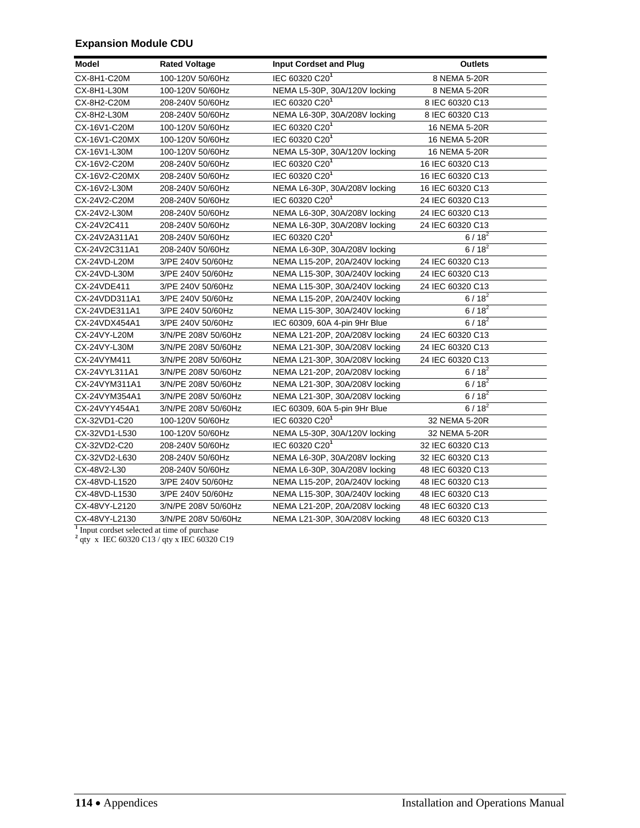### **Expansion Module CDU**

| Model                                                                                                             | <b>Rated Voltage</b> | <b>Input Cordset and Plug</b>  | <b>Outlets</b>   |
|-------------------------------------------------------------------------------------------------------------------|----------------------|--------------------------------|------------------|
| CX-8H1-C20M                                                                                                       | 100-120V 50/60Hz     | IEC 60320 C201                 | 8 NEMA 5-20R     |
| CX-8H1-L30M                                                                                                       | 100-120V 50/60Hz     | NEMA L5-30P, 30A/120V locking  | 8 NEMA 5-20R     |
| CX-8H2-C20M                                                                                                       | 208-240V 50/60Hz     | IEC 60320 C20 <sup>1</sup>     | 8 IEC 60320 C13  |
| CX-8H2-L30M                                                                                                       | 208-240V 50/60Hz     | NEMA L6-30P, 30A/208V locking  | 8 IEC 60320 C13  |
| CX-16V1-C20M                                                                                                      | 100-120V 50/60Hz     | IEC 60320 C201                 | 16 NEMA 5-20R    |
| CX-16V1-C20MX                                                                                                     | 100-120V 50/60Hz     | IEC 60320 C201                 | 16 NEMA 5-20R    |
| CX-16V1-L30M                                                                                                      | 100-120V 50/60Hz     | NEMA L5-30P, 30A/120V locking  | 16 NEMA 5-20R    |
| CX-16V2-C20M                                                                                                      | 208-240V 50/60Hz     | IEC 60320 C201                 | 16 IEC 60320 C13 |
| CX-16V2-C20MX                                                                                                     | 208-240V 50/60Hz     | IEC 60320 C20 <sup>1</sup>     | 16 IEC 60320 C13 |
| CX-16V2-L30M                                                                                                      | 208-240V 50/60Hz     | NEMA L6-30P, 30A/208V locking  | 16 IEC 60320 C13 |
| CX-24V2-C20M                                                                                                      | 208-240V 50/60Hz     | IEC 60320 C201                 | 24 IEC 60320 C13 |
| CX-24V2-L30M                                                                                                      | 208-240V 50/60Hz     | NEMA L6-30P, 30A/208V locking  | 24 IEC 60320 C13 |
| CX-24V2C411                                                                                                       | 208-240V 50/60Hz     | NEMA L6-30P, 30A/208V locking  | 24 IEC 60320 C13 |
| CX-24V2A311A1                                                                                                     | 208-240V 50/60Hz     | IEC 60320 C20 <sup>1</sup>     | $6/18^2$         |
| CX-24V2C311A1                                                                                                     | 208-240V 50/60Hz     | NEMA L6-30P, 30A/208V locking  | $6/18^{2}$       |
| CX-24VD-L20M                                                                                                      | 3/PE 240V 50/60Hz    | NEMA L15-20P, 20A/240V locking | 24 IEC 60320 C13 |
| CX-24VD-L30M                                                                                                      | 3/PE 240V 50/60Hz    | NEMA L15-30P, 30A/240V locking | 24 IEC 60320 C13 |
| CX-24VDE411                                                                                                       | 3/PE 240V 50/60Hz    | NEMA L15-30P, 30A/240V locking | 24 IEC 60320 C13 |
| CX-24VDD311A1                                                                                                     | 3/PE 240V 50/60Hz    | NEMA L15-20P, 20A/240V locking | $6/18^{2}$       |
| CX-24VDE311A1                                                                                                     | 3/PE 240V 50/60Hz    | NEMA L15-30P, 30A/240V locking | $6/18^2$         |
| CX-24VDX454A1                                                                                                     | 3/PE 240V 50/60Hz    | IEC 60309, 60A 4-pin 9Hr Blue  | $6/18^{2}$       |
| CX-24VY-L20M                                                                                                      | 3/N/PE 208V 50/60Hz  | NEMA L21-20P, 20A/208V locking | 24 IEC 60320 C13 |
| CX-24VY-L30M                                                                                                      | 3/N/PE 208V 50/60Hz  | NEMA L21-30P, 30A/208V locking | 24 IEC 60320 C13 |
| CX-24VYM411                                                                                                       | 3/N/PE 208V 50/60Hz  | NEMA L21-30P, 30A/208V locking | 24 IEC 60320 C13 |
| CX-24VYL311A1                                                                                                     | 3/N/PE 208V 50/60Hz  | NEMA L21-20P, 20A/208V locking | $6/18^{2}$       |
| CX-24VYM311A1                                                                                                     | 3/N/PE 208V 50/60Hz  | NEMA L21-30P, 30A/208V locking | $6/18^{2}$       |
| CX-24VYM354A1                                                                                                     | 3/N/PE 208V 50/60Hz  | NEMA L21-30P, 30A/208V locking | $6/18^{2}$       |
| CX-24VYY454A1                                                                                                     | 3/N/PE 208V 50/60Hz  | IEC 60309, 60A 5-pin 9Hr Blue  | $6/18^{2}$       |
| CX-32VD1-C20                                                                                                      | 100-120V 50/60Hz     | IEC 60320 C20 <sup>1</sup>     | 32 NEMA 5-20R    |
| CX-32VD1-L530                                                                                                     | 100-120V 50/60Hz     | NEMA L5-30P, 30A/120V locking  | 32 NEMA 5-20R    |
| CX-32VD2-C20                                                                                                      | 208-240V 50/60Hz     | IEC 60320 C20 <sup>1</sup>     | 32 IEC 60320 C13 |
| CX-32VD2-L630                                                                                                     | 208-240V 50/60Hz     | NEMA L6-30P, 30A/208V locking  | 32 IEC 60320 C13 |
| CX-48V2-L30                                                                                                       | 208-240V 50/60Hz     | NEMA L6-30P, 30A/208V locking  | 48 IEC 60320 C13 |
| CX-48VD-L1520                                                                                                     | 3/PE 240V 50/60Hz    | NEMA L15-20P, 20A/240V locking | 48 IEC 60320 C13 |
| CX-48VD-L1530                                                                                                     | 3/PE 240V 50/60Hz    | NEMA L15-30P, 30A/240V locking | 48 IEC 60320 C13 |
| CX-48VY-L2120                                                                                                     | 3/N/PE 208V 50/60Hz  | NEMA L21-20P, 20A/208V locking | 48 IEC 60320 C13 |
| CX-48VY-L2130                                                                                                     | 3/N/PE 208V 50/60Hz  | NEMA L21-30P, 30A/208V locking | 48 IEC 60320 C13 |
| <sup>1</sup> Input cordset selected at time of purchase<br><sup>2</sup> qty x IEC 60320 C13 / qty x IEC 60320 C19 |                      |                                |                  |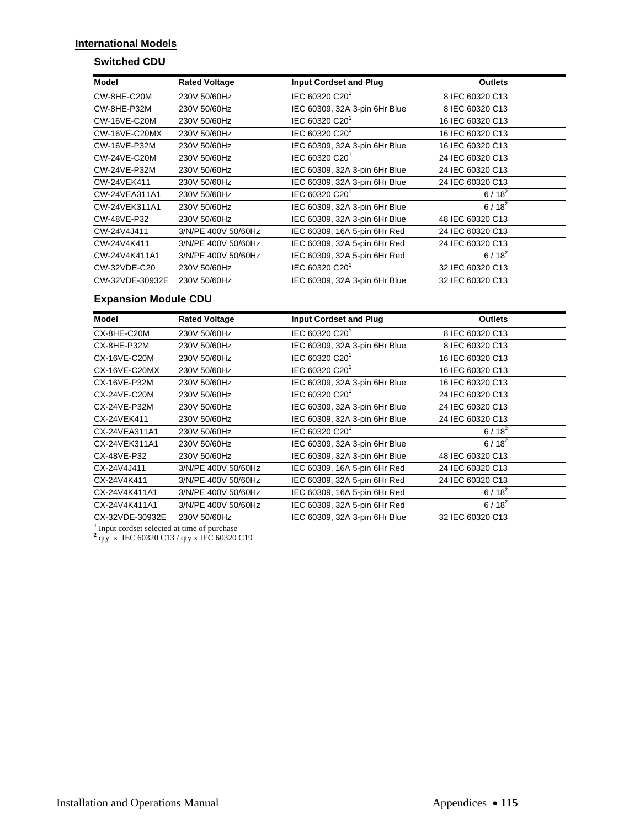### **International Models**

### **Switched CDU**

| Model               | <b>Rated Voltage</b> | <b>Input Cordset and Plug</b> | <b>Outlets</b>   |
|---------------------|----------------------|-------------------------------|------------------|
| CW-8HE-C20M         | 230V 50/60Hz         | IEC 60320 C20 <sup>1</sup>    | 8 IEC 60320 C13  |
| CW-8HE-P32M         | 230V 50/60Hz         | IEC 60309, 32A 3-pin 6Hr Blue | 8 IEC 60320 C13  |
| <b>CW-16VE-C20M</b> | 230V 50/60Hz         | IEC 60320 C20 <sup>1</sup>    | 16 IEC 60320 C13 |
| CW-16VE-C20MX       | 230V 50/60Hz         | IEC 60320 C20 <sup>1</sup>    | 16 IEC 60320 C13 |
| <b>CW-16VE-P32M</b> | 230V 50/60Hz         | IEC 60309, 32A 3-pin 6Hr Blue | 16 IEC 60320 C13 |
| <b>CW-24VE-C20M</b> | 230V 50/60Hz         | IEC 60320 C20 <sup>1</sup>    | 24 IEC 60320 C13 |
| CW-24VE-P32M        | 230V 50/60Hz         | IEC 60309, 32A 3-pin 6Hr Blue | 24 IEC 60320 C13 |
| CW-24VEK411         | 230V 50/60Hz         | IEC 60309, 32A 3-pin 6Hr Blue | 24 IEC 60320 C13 |
| CW-24VEA311A1       | 230V 50/60Hz         | IEC 60320 C20 <sup>1</sup>    | $6/18^{2}$       |
| CW-24VEK311A1       | 230V 50/60Hz         | IEC 60309, 32A 3-pin 6Hr Blue | $6/18^{2}$       |
| CW-48VE-P32         | 230V 50/60Hz         | IEC 60309, 32A 3-pin 6Hr Blue | 48 IEC 60320 C13 |
| CW-24V4J411         | 3/N/PE 400V 50/60Hz  | IEC 60309, 16A 5-pin 6Hr Red  | 24 IEC 60320 C13 |
| CW-24V4K411         | 3/N/PE 400V 50/60Hz  | IEC 60309, 32A 5-pin 6Hr Red  | 24 IEC 60320 C13 |
| CW-24V4K411A1       | 3/N/PE 400V 50/60Hz  | IEC 60309, 32A 5-pin 6Hr Red  | $6/18^{2}$       |
| CW-32VDE-C20        | 230V 50/60Hz         | IEC 60320 C20 <sup>1</sup>    | 32 IEC 60320 C13 |
| CW-32VDE-30932E     | 230V 50/60Hz         | IEC 60309, 32A 3-pin 6Hr Blue | 32 IEC 60320 C13 |

### **Expansion Module CDU**

| Model                                                                                   | <b>Rated Voltage</b> | <b>Input Cordset and Plug</b> | <b>Outlets</b>   |  |  |  |  |
|-----------------------------------------------------------------------------------------|----------------------|-------------------------------|------------------|--|--|--|--|
| CX-8HE-C20M                                                                             | 230V 50/60Hz         | IEC 60320 C20 <sup>1</sup>    | 8 IEC 60320 C13  |  |  |  |  |
| CX-8HE-P32M                                                                             | 230V 50/60Hz         | IEC 60309, 32A 3-pin 6Hr Blue | 8 IEC 60320 C13  |  |  |  |  |
| CX-16VE-C20M                                                                            | 230V 50/60Hz         | IEC 60320 C20 <sup>1</sup>    | 16 IEC 60320 C13 |  |  |  |  |
| CX-16VE-C20MX                                                                           | 230V 50/60Hz         | IEC 60320 C20 <sup>1</sup>    | 16 IEC 60320 C13 |  |  |  |  |
| CX-16VE-P32M                                                                            | 230V 50/60Hz         | IEC 60309, 32A 3-pin 6Hr Blue | 16 IEC 60320 C13 |  |  |  |  |
| CX-24VE-C20M                                                                            | 230V 50/60Hz         | IEC 60320 C20 <sup>1</sup>    | 24 IEC 60320 C13 |  |  |  |  |
| CX-24VE-P32M                                                                            | 230V 50/60Hz         | IEC 60309, 32A 3-pin 6Hr Blue | 24 IEC 60320 C13 |  |  |  |  |
| CX-24VEK411                                                                             | 230V 50/60Hz         | IEC 60309, 32A 3-pin 6Hr Blue | 24 IEC 60320 C13 |  |  |  |  |
| CX-24VEA311A1                                                                           | 230V 50/60Hz         | IEC 60320 C20 <sup>1</sup>    | $6/18^{2}$       |  |  |  |  |
| CX-24VEK311A1                                                                           | 230V 50/60Hz         | IEC 60309, 32A 3-pin 6Hr Blue | $6/18^{2}$       |  |  |  |  |
| CX-48VE-P32                                                                             | 230V 50/60Hz         | IEC 60309, 32A 3-pin 6Hr Blue | 48 IEC 60320 C13 |  |  |  |  |
| CX-24V4J411                                                                             | 3/N/PE 400V 50/60Hz  | IEC 60309, 16A 5-pin 6Hr Red  | 24 IEC 60320 C13 |  |  |  |  |
| CX-24V4K411                                                                             | 3/N/PE 400V 50/60Hz  | IEC 60309, 32A 5-pin 6Hr Red  | 24 IEC 60320 C13 |  |  |  |  |
| CX-24V4K411A1                                                                           | 3/N/PE 400V 50/60Hz  | IEC 60309, 16A 5-pin 6Hr Red  | $6/18^{2}$       |  |  |  |  |
| CX-24V4K411A1                                                                           | 3/N/PE 400V 50/60Hz  | IEC 60309, 32A 5-pin 6Hr Red  | $6/18^{2}$       |  |  |  |  |
| CX-32VDE-30932E                                                                         | 230V 50/60Hz         | IEC 60309, 32A 3-pin 6Hr Blue | 32 IEC 60320 C13 |  |  |  |  |
| Input cordset selected at time of purchase<br>qty x IEC 60320 C13 / qty x IEC 60320 C19 |                      |                               |                  |  |  |  |  |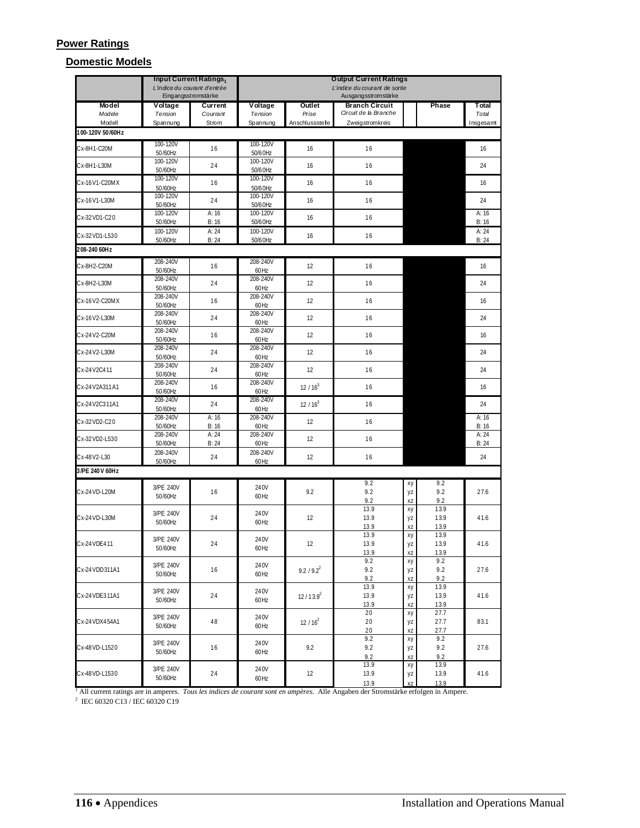### **Power Ratings**

### **Domestic Models**

|                  |                            | Input Current Ratings1                              | <b>Output Current Ratings</b> |                      |                                                      |                |                      |                |
|------------------|----------------------------|-----------------------------------------------------|-------------------------------|----------------------|------------------------------------------------------|----------------|----------------------|----------------|
|                  |                            | L'indice du courant d'entrée<br>Eingangsstromstärke |                               |                      | L'indice du courant de sortie<br>Ausgangsstromstärke |                |                      |                |
| Model<br>Modele  | <b>V</b> oltage<br>Tension | Current<br>Courrant                                 | Voltage<br>Tension            | Outlet<br>Prise      | <b>Branch Circuit</b><br>Circuit de la Branche       |                | Phase                | Total<br>Total |
| Modell           | Spannung                   | Strom                                               | Spannung                      | Anschlussstelle      | Zweigstromkreis                                      |                |                      | Insgesamt      |
| 100-120V 50/60Hz |                            |                                                     |                               |                      |                                                      |                |                      |                |
| Cx-8H1-C20M      | 100-120V<br>50/60Hz        | 16                                                  | 100-120V<br>50/60Hz           | 16                   | 16                                                   |                |                      | 16             |
| Cx-8H1-L30M      | 100-120V<br>50/60Hz        | 24                                                  | 100-120V<br>50/6 0Hz          | 16                   | 16                                                   |                |                      | 24             |
| Cx-16V1-C20MX    | 100-120V                   | 16                                                  | 100-120V                      | 16                   | 16                                                   |                |                      | 16             |
| Cx-16V1-L30M     | 50/60Hz<br>100-120V        | 24                                                  | 50/60Hz<br>100-120V           | 16                   | 16                                                   |                |                      | 24             |
| Cx-32VD1-C20     | 50/60Hz<br>100-120V        | A:16                                                | 50/60Hz<br>100-120V           | 16                   | 16                                                   |                |                      | A: 16          |
| Cx-32VD1-L530    | 50/60Hz<br>100-120V        | B:16<br>A:24                                        | 50/6 0Hz<br>100-120V          | 16                   | 16                                                   |                |                      | B:16<br>A: 24  |
|                  | 50/60Hz                    | B:24                                                | 50/60Hz                       |                      |                                                      |                |                      | B: 24          |
| 208-240 60Hz     |                            |                                                     |                               |                      |                                                      |                |                      |                |
| Cx-8H2-C20M      | 208-240V<br>50/60Hz        | 16                                                  | 208-240V<br>60Hz              | 12                   | 16                                                   |                |                      | 16             |
| Cx-8H2-L30M      | 208-240V<br>50/60Hz        | 24                                                  | 208-240V<br>60Hz              | 12                   | 16                                                   |                |                      | 24             |
| Cx-16V2-C20MX    | 208-240V<br>50/60Hz        | 16                                                  | 208-240V<br>60Hz              | 12                   | 16                                                   |                |                      | 16             |
| Cx-16V2-L30M     | 208-240V<br>50/60Hz        | 24                                                  | 208-240V<br>60Hz              | 12                   | 16                                                   |                |                      | 24             |
| Cx-24V2-C20M     | 208-240V<br>50/60Hz        | 16                                                  | 208-240V<br>60Hz              | 12                   | 16                                                   |                |                      | 16             |
| Cx-24V2-L30M     | 208-240V                   | 24                                                  | 208-240V                      | 12                   | 16                                                   |                |                      | 24             |
| Cx-24V2C411      | 50/60Hz<br>208-240V        | 24                                                  | 60Hz<br>208-240V              | 12                   | 16                                                   |                |                      | 24             |
| Cx-24V2A311A1    | 50/60Hz<br>208-240V        | 16                                                  | 60Hz<br>208-240V              | $12/16^3$            | 16                                                   |                |                      | 16             |
| Cx-24V2C311A1    | 50/60Hz<br>208-240V        | 24                                                  | 60Hz<br>208-240V              | $12/16^3$            | 16                                                   |                |                      | 24             |
| Cx-32VD2-C20     | 50/60Hz<br>208-240V        | A: 16                                               | 60Hz<br>208-240V              | 12                   | 16                                                   |                |                      | A: 16          |
| Cx-32VD2-L530    | 50/60Hz<br>208-240V        | B:16<br>A:24                                        | 60Hz<br>208-240V              | 12                   | 16                                                   |                |                      | B:16<br>A: 24  |
|                  | 50/60Hz<br>208-240V        | B:24                                                | 60Hz<br>208-240V              |                      |                                                      |                |                      | B: 24          |
| Cx-48V2-L30      | 50/60Hz                    | 24                                                  | 60Hz                          | 12                   | 16                                                   |                |                      | 24             |
| 3/PE 240V 60Hz   |                            |                                                     |                               |                      |                                                      |                |                      |                |
| Cx-24 VD-L20M    | 3/PE 240V<br>50/60Hz       | 16                                                  | 240V<br>60Hz                  | 9.2                  | 9.2<br>9.2<br>9.2                                    | xy<br>yz<br>XZ | 9.2<br>9.2<br>9.2    | 27.6           |
| Cx-24 VD-L30M    | 3/PE 240V                  | 24                                                  | 240V                          | 12                   | 13.9<br>13.9                                         | xy<br>yz       | 13.9<br>13.9         | 41.6           |
|                  | 50/60Hz                    |                                                     | 60Hz                          |                      | 13.9                                                 | XZ             | 13.9                 |                |
| Cx-24VDE411      | 3/PE 240V<br>50/60Hz       | 24                                                  | 240V<br>60Hz                  | 12                   | 13.9<br>13.9                                         | хy<br>yz       | 13.9<br>13.9         | 41.6           |
|                  |                            |                                                     |                               |                      | <u>13.9</u>                                          | XZ             | 13.9                 |                |
| Cx-24VDD311A1    | 3/PE 240V<br>50/60Hz       | 16                                                  | 240V<br>60Hz                  | $9.2 / 9.2^{2}$      | 9.2<br>9.2                                           | xy<br>yz       | 9.2<br>9.2           | 27.6           |
| Cx-24 VDE311A1   | 3/PE 240V                  | 24                                                  | 240V                          |                      | 9.2<br>13.9<br>13.9                                  | XZ<br>хy       | 9.2<br>13.9          | 41.6           |
|                  | 50/60Hz                    |                                                     | 60Hz                          | 12/13.9 <sup>2</sup> | 13.9                                                 | yz<br>XZ       | 13.9<br>13.9         |                |
| Cx-24VDX454A1    | 3/PE 240V<br>50/60Hz       | 48                                                  | 240V<br>60Hz                  | $12/16^2$            | 20<br>20<br>20                                       | хy<br>yz<br>XZ | 27.7<br>27.7<br>27.7 | 83.1           |
| Cx-48VD-L1520    | 3/PE 240V<br>50/60Hz       | 16                                                  | 240V<br>60Hz                  | 9.2                  | 9.2<br>9.2<br>9.2                                    | хy<br>yz<br>XZ | 9.2<br>9.2<br>9.2    | 27.6           |
| Cx-48VD-L1530    | 3/PE 240V<br>50/60Hz       | 24                                                  | 240V<br>60Hz                  | 12                   | 13.9<br>13.9<br>13.9                                 | хy<br>yz<br>XZ | 13.9<br>13.9<br>13.9 | 41.6           |

<sup>1</sup> All current ratings are in amperes. *Tous les indices de courant sont en ampères*. Alle Angaben der Stromstärke erfolgen in Ampere.<br><sup>2</sup> IEC 60320 C13 / IEC 60320 C19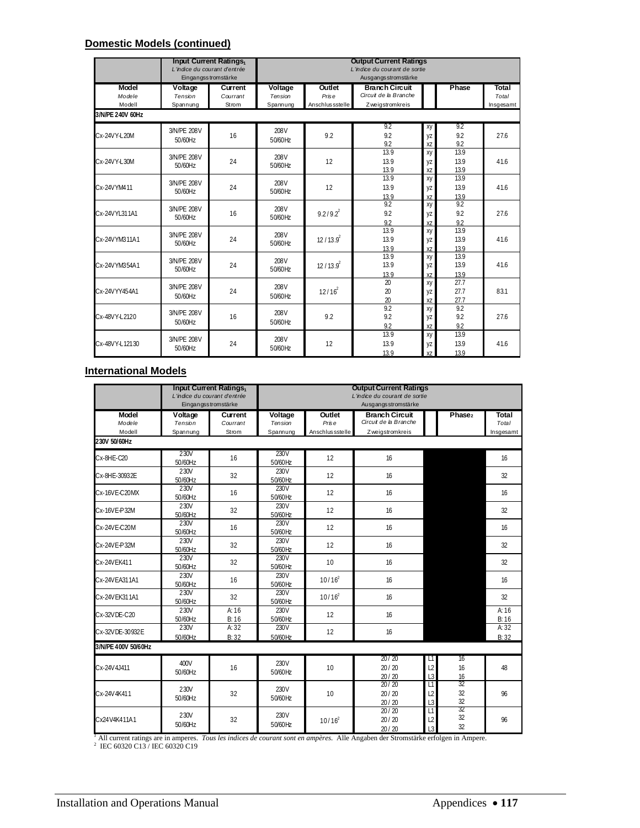## **Domestic Models (continued)**

|                  | <b>Input Current Ratings</b> <sub>1</sub><br>L'indice du courant d'entrée | Eingangsstromstärke |          |                  | <b>Output Current Ratings</b><br>L'indice du courant de sortie<br>Ausgangsstromstärke |          |              |           |
|------------------|---------------------------------------------------------------------------|---------------------|----------|------------------|---------------------------------------------------------------------------------------|----------|--------------|-----------|
| <b>Model</b>     | Voltage                                                                   | <b>Current</b>      | Voltage  | Outlet           | <b>Branch Circuit</b>                                                                 |          | Phase        | Total     |
| Modele           | Tension                                                                   | Courrant            | Tension  | Prise            | Circuit de la Branche                                                                 |          |              | Total     |
| Modell           | Spannung                                                                  | Strom               | Spannung | Anschlus sstelle | Zweigstromkreis                                                                       |          |              | Insgesamt |
| 3/N/PE 240V 60Hz |                                                                           |                     |          |                  |                                                                                       |          |              |           |
|                  | 3/N/PF 208V                                                               |                     | 208V     |                  | 9.2                                                                                   | xy       | 9.2          |           |
| Cx-24VY-L20M     | 50/60Hz                                                                   | 16                  | 50/60Hz  | 9.2              | 9.2                                                                                   | yz       | 9.2          | 27.6      |
|                  |                                                                           |                     |          |                  | 9.2                                                                                   | XZ       | 9.2          |           |
|                  | 3/N/PE 208V                                                               |                     | 208V     |                  | 13.9                                                                                  | XV       | 13.9         |           |
| Cx-24VY-L30M     | 50/60Hz                                                                   | 24                  | 50/60Hz  | 12               | 13.9                                                                                  | yz       | 13.9         | 41.6      |
|                  |                                                                           |                     |          |                  | 13.9<br>13.9                                                                          | XZ       | 13.9         |           |
|                  | 3/N/PE 208V                                                               |                     | 208V     |                  |                                                                                       | XV       | 13.9         |           |
| Cx-24VYM411      | 50/60Hz                                                                   | 24                  | 50/60Hz  | 12               | 13.9                                                                                  | yz       | 13.9         | 41.6      |
|                  |                                                                           |                     |          |                  | 13.9<br>9.2                                                                           | XZ       | 13.9<br>9.2  |           |
|                  | 3/N/PF 208V                                                               |                     | 208V     |                  |                                                                                       | xy       |              |           |
| Cx-24VYL311A1    | 50/60Hz                                                                   | 16                  | 50/60Hz  | $9.219.2^{2}$    | 9.2                                                                                   | yz       | 9.2          | 27.6      |
|                  |                                                                           |                     |          |                  | 92<br>13.9                                                                            | XZ       | 92<br>13.9   |           |
| Cx-24VYM311A1    | 3/N/PE 208V                                                               | 24                  | 208V     |                  | 13.9                                                                                  | xy       | 13.9         | 41.6      |
|                  | 50/60Hz                                                                   |                     | 50/60Hz  | $12/13.9^{2}$    |                                                                                       | yz       |              |           |
|                  |                                                                           |                     |          |                  | 13.9<br>13.9                                                                          | XZ<br>xy | 13.9<br>13.9 |           |
| Cx-24VYM354A1    | 3/N/PE 208V                                                               | 24                  | 208V     | $12/13.9^{2}$    | 13.9                                                                                  | yz       | 13.9         | 41.6      |
|                  | 50/60Hz                                                                   |                     | 50/60Hz  |                  | 13.9                                                                                  | XZ       | 13.9         |           |
|                  |                                                                           |                     |          |                  | 20                                                                                    | XV       | 27.7         |           |
| Cx-24VYY454A1    | 3/N/PF 208V                                                               | 24                  | 208V     | $12/16^2$        | 20                                                                                    | yz       | 27.7         | 83.1      |
|                  | 50/60Hz                                                                   |                     | 50/60Hz  |                  | 20                                                                                    | XZ       | 27.7         |           |
|                  |                                                                           |                     |          |                  | 9.2                                                                                   | xy       | 9.2          |           |
| Cx-48VY-L2120    | 3/N/PE 208V                                                               | 16                  | 208V     | 9.2              | 9.2                                                                                   | yz       | 9.2          | 27.6      |
|                  | 50/60Hz                                                                   |                     | 50/60Hz  |                  | 9.2                                                                                   | XZ       | 9.2          |           |
|                  |                                                                           |                     |          |                  | 13.9                                                                                  | xy       | 13.9         |           |
| Cx-48VY-L12130   | 3/N/PE 208V                                                               | 24                  | 208V     | 12               | 13.9                                                                                  | yz       | 13.9         | 41.6      |
|                  | 50/60Hz                                                                   |                     | 50/60Hz  |                  | 13.9                                                                                  | XZ       | 13.9         |           |

### **International Models**

| Input Current Ratings<br>L'indice du courant d'entrée<br>Eingangsstromstärke |                                |                              | <b>Output Current Ratings</b><br>L'indice du courant de sortie<br>Ausgangs stromstärke |                                     |                                                                   |                                        |                    |                                    |
|------------------------------------------------------------------------------|--------------------------------|------------------------------|----------------------------------------------------------------------------------------|-------------------------------------|-------------------------------------------------------------------|----------------------------------------|--------------------|------------------------------------|
| <b>Model</b><br>Modele<br>Modell                                             | Voltage<br>Tension<br>Spannung | Current<br>Courrant<br>Strom | Voltage<br>Tension<br>Spannung                                                         | Outlet<br>Prise<br>Anschlus sstelle | <b>Branch Circuit</b><br>Circuit de la Branche<br>Zweigstromkreis |                                        | Phase <sub>2</sub> | <b>Total</b><br>Total<br>Insgesamt |
| 230V 50/60Hz                                                                 |                                |                              |                                                                                        |                                     |                                                                   |                                        |                    |                                    |
| Cx-8HE-C20                                                                   | 230V<br>50/60Hz                | 16                           | 230V<br>50/60Hz                                                                        | 12                                  | 16                                                                |                                        |                    | 16                                 |
| Cx-8HE-30932E                                                                | 230V<br>50/60Hz                | 32                           | 230V<br>50/60Hz                                                                        | 12                                  | 16                                                                |                                        |                    | 32                                 |
| Cx-16VE-C20MX                                                                | 230V<br>50/60Hz                | 16                           | 230V<br>50/60Hz                                                                        | 12                                  | 16                                                                |                                        |                    | 16                                 |
| Cx-16VE-P32M                                                                 | 230V<br>50/60Hz                | 32                           | 230V<br>50/60Hz                                                                        | 12                                  | 16                                                                |                                        |                    | 32                                 |
| Cx-24VF-C20M                                                                 | 230V<br>50/60Hz                | 16                           | 230V<br>50/60Hz                                                                        | 12                                  | 16                                                                |                                        |                    | 16                                 |
| Cx-24VE-P32M                                                                 | 230V<br>50/60Hz                | 32                           | 230V<br>50/60Hz                                                                        | 12                                  | 16                                                                |                                        |                    | 32                                 |
| Cx-24VEK411                                                                  | 230V<br>50/60Hz                | 32                           | 230V<br>50/60Hz                                                                        | 10                                  | 16                                                                |                                        |                    | 32                                 |
| Cx-24VEA311A1                                                                | 230V<br>50/60Hz                | 16                           | 230V<br>50/60Hz                                                                        | $10/16^2$                           | 16                                                                |                                        |                    | 16                                 |
| Cx-24VEK311A1                                                                | 230V<br>50/60Hz                | 32                           | 230V<br>50/60Hz                                                                        | $10/16^2$                           | 16                                                                |                                        |                    | 32                                 |
| Cx-32VDE-C20                                                                 | 230V<br>50/60Hz                | A: $16$<br>B:16              | 230V<br>50/60Hz                                                                        | 12                                  | 16                                                                |                                        |                    | A: 16<br>B:16                      |
| Cx-32VDE-30932E                                                              | 230V<br>50/60Hz                | A: 32<br>B: 32               | 230V<br>50/60Hz                                                                        | 12                                  | 16                                                                |                                        |                    | A: 32<br>B:32                      |
| 3/N/PE 400V 50/60Hz                                                          |                                |                              |                                                                                        |                                     |                                                                   |                                        |                    |                                    |
| Cx-24V4J411                                                                  | 400V<br>50/60Hz                | 16                           | 230V<br>50/60Hz                                                                        | 10                                  | 20/20<br>20/20<br>20/20                                           | L)<br>L <sup>2</sup><br>L <sub>3</sub> | 16<br>16<br>16     | 48                                 |
| Cx-24V4K411                                                                  | 230V<br>50/60Hz                | 32                           | 230V<br>50/60Hz                                                                        | 10                                  | 20/20<br>20/20<br>20/20                                           | L1<br>L <sub>2</sub><br>L3             | 32<br>32<br>32     | 96                                 |
| Cx24V4K411A1                                                                 | 230V<br>50/60Hz                | 32                           | 230V<br>50/60Hz                                                                        | $10/16^2$                           | 20/20<br>20/20<br>20/20                                           | L1<br>L <sub>2</sub><br>13             | 32<br>32<br>32     | 96                                 |

<sup>1</sup> All current ratings are in amperes. *Tous les indices de courant sont en ampères*. Alle Angaben der Stromstärke erfolgen in Ampere.<br><sup>2</sup> IEC 60320 C13 / IEC 60320 C19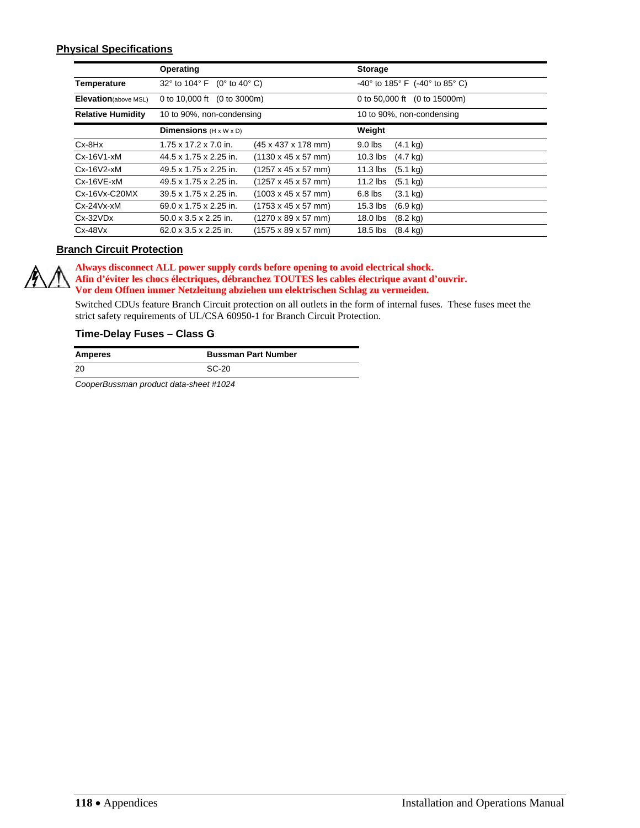### **Physical Specifications**

|                          | Operating                                         |                                         | <b>Storage</b>            |                                         |  |
|--------------------------|---------------------------------------------------|-----------------------------------------|---------------------------|-----------------------------------------|--|
| Temperature              | 32° to 104° F<br>$(0^{\circ}$ to 40 $^{\circ}$ C) |                                         |                           | $-40^{\circ}$ to 185° F (-40° to 85° C) |  |
| Elevation(above MSL)     | 0 to 10,000 ft<br>(0 to 3000m)                    |                                         | 0 to 50,000 ft            | (0 to 15000m)                           |  |
| <b>Relative Humidity</b> | 10 to 90%, non-condensing                         |                                         | 10 to 90%, non-condensing |                                         |  |
|                          | <b>Dimensions</b> $(H \times W \times D)$         |                                         | Weight                    |                                         |  |
| $Cx-BHx$                 | 1.75 x 17.2 x 7.0 in.                             | (45 x 437 x 178 mm)                     | $9.0$ lbs                 | $(4.1 \text{ kg})$                      |  |
| $Cx-16V1-xM$             | 44.5 x 1.75 x 2.25 in.                            | $(1130 \times 45 \times 57 \text{ mm})$ | $10.3$ lbs                | $(4.7 \text{ kg})$                      |  |
| $Cx - 16V2 - xM$         | 49.5 x 1.75 x 2.25 in.                            | (1257 x 45 x 57 mm)                     | $11.3$ lbs                | $(5.1 \text{ kg})$                      |  |
| $Cx-16VE-xM$             | 49.5 x 1.75 x 2.25 in.                            | (1257 x 45 x 57 mm)                     | $11.2$ lbs                | $(5.1 \text{ kg})$                      |  |
| $Cx-16Vx-C20MX$          | $39.5 \times 1.75 \times 2.25$ in.                | $(1003 \times 45 \times 57 \text{ mm})$ | $6.8$ lbs                 | $(3.1 \text{ kg})$                      |  |
| $Cx-24Vx-xM$             | $69.0 \times 1.75 \times 2.25$ in.                | (1753 x 45 x 57 mm)                     | $15.3$ lbs                | $(6.9 \text{ kg})$                      |  |
| $Cx-32VDX$               | $50.0 \times 3.5 \times 2.25$ in.                 | (1270 x 89 x 57 mm)                     | $18.0$ lbs                | $(8.2 \text{ kg})$                      |  |
| $Cx-48Vx$                | $62.0 \times 3.5 \times 2.25$ in.                 | (1575 x 89 x 57 mm)                     | $18.5$ lbs                | $(8.4 \text{ kg})$                      |  |

### **Branch Circuit Protection**

**Always disconnect ALL power supply cords before opening to avoid electrical shock. Afin d'éviter les chocs électriques, débranchez TOUTES les cables électrique avant d'ouvrir. Vor dem Offnen immer Netzleitung abziehen um elektrischen Schlag zu vermeiden.** 

Switched CDUs feature Branch Circuit protection on all outlets in the form of internal fuses. These fuses meet the strict safety requirements of UL/CSA 60950-1 for Branch Circuit Protection.

### **Time-Delay Fuses – Class G**

| <b>Amperes</b> | <b>Bussman Part Number</b> |
|----------------|----------------------------|
| 20             | SC-20                      |

*CooperBussman product data-sheet #1024*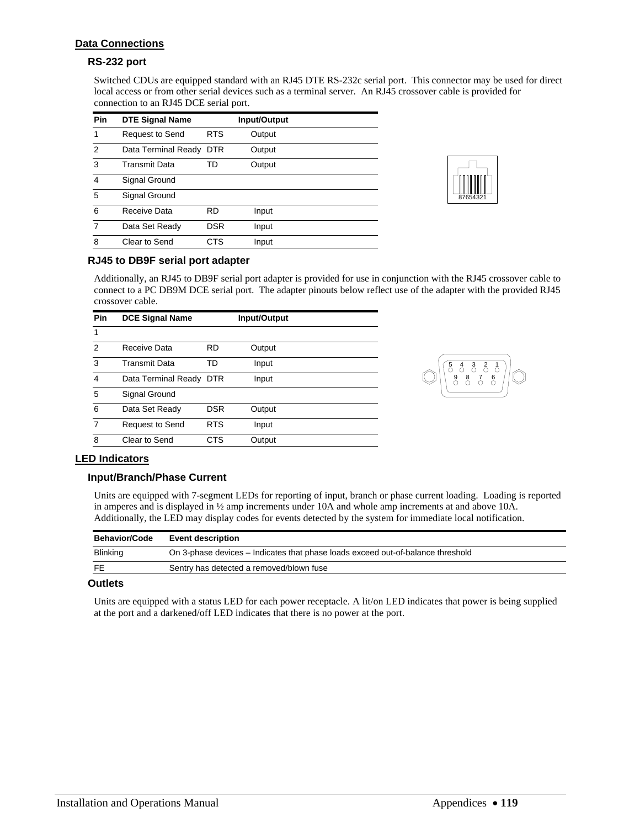### **Data Connections**

### **RS-232 port**

Switched CDUs are equipped standard with an RJ45 DTE RS-232c serial port. This connector may be used for direct local access or from other serial devices such as a terminal server. An RJ45 crossover cable is provided for connection to an RJ45 DCE serial port.

| Pin            | <b>DTE Signal Name</b> |            | Input/Output |  |
|----------------|------------------------|------------|--------------|--|
| 1              | <b>Request to Send</b> | <b>RTS</b> | Output       |  |
| 2              | Data Terminal Ready    | <b>DTR</b> | Output       |  |
| 3              | Transmit Data          | TD         | Output       |  |
| $\overline{4}$ | Signal Ground          |            |              |  |
| 5              | Signal Ground          |            |              |  |
| 6              | Receive Data           | <b>RD</b>  | Input        |  |
| 7              | Data Set Ready         | DSR        | Input        |  |
| 8              | Clear to Send          | CTS        | Input        |  |



### **RJ45 to DB9F serial port adapter**

Additionally, an RJ45 to DB9F serial port adapter is provided for use in conjunction with the RJ45 crossover cable to connect to a PC DB9M DCE serial port. The adapter pinouts below reflect use of the adapter with the provided RJ45 crossover cable.

| Pin            | <b>DCE Signal Name</b>  |            | Input/Output |  |
|----------------|-------------------------|------------|--------------|--|
| 1              |                         |            |              |  |
| $\mathcal{P}$  | Receive Data            | <b>RD</b>  | Output       |  |
| 3              | <b>Transmit Data</b>    | TD         | Input        |  |
| $\overline{4}$ | Data Terminal Ready DTR |            | Input        |  |
| 5              | Signal Ground           |            |              |  |
| 6              | Data Set Ready          | <b>DSR</b> | Output       |  |
| 7              | <b>Request to Send</b>  | <b>RTS</b> | Input        |  |
| 8              | Clear to Send           | CTS        | Output       |  |



### **LED Indicators**

### **Input/Branch/Phase Current**

Units are equipped with 7-segment LEDs for reporting of input, branch or phase current loading. Loading is reported in amperes and is displayed in ½ amp increments under 10A and whole amp increments at and above 10A. Additionally, the LED may display codes for events detected by the system for immediate local notification.

| <b>Behavior/Code</b> | <b>Event description</b>                                                        |
|----------------------|---------------------------------------------------------------------------------|
| Blinking             | On 3-phase devices – Indicates that phase loads exceed out-of-balance threshold |
| FE.                  | Sentry has detected a removed/blown fuse                                        |

### **Outlets**

Units are equipped with a status LED for each power receptacle. A lit/on LED indicates that power is being supplied at the port and a darkened/off LED indicates that there is no power at the port.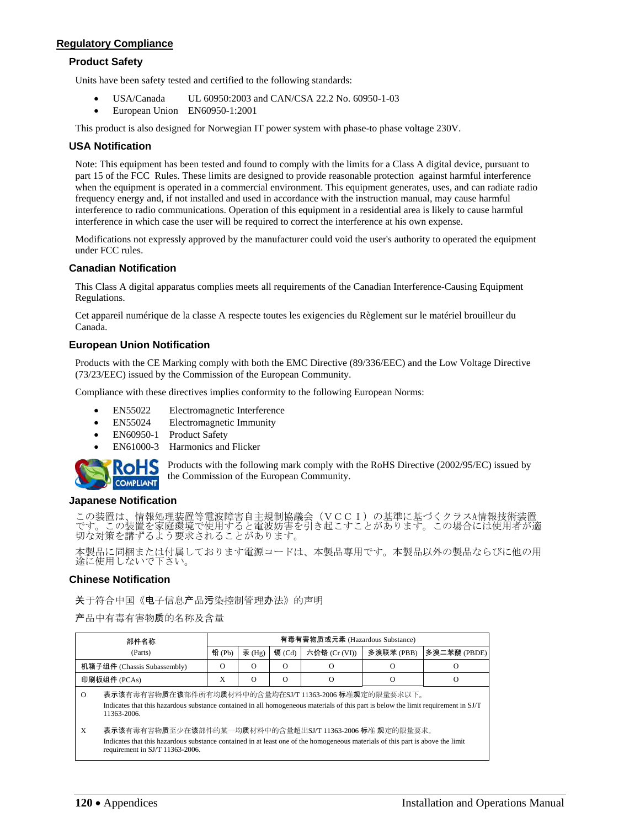### **Regulatory Compliance**

### **Product Safety**

Units have been safety tested and certified to the following standards:

- USA/Canada UL 60950:2003 and CAN/CSA 22.2 No. 60950-1-03
- European Union EN60950-1:2001

This product is also designed for Norwegian IT power system with phase-to phase voltage 230V.

### **USA Notification**

Note: This equipment has been tested and found to comply with the limits for a Class A digital device, pursuant to part 15 of the FCC Rules. These limits are designed to provide reasonable protection against harmful interference when the equipment is operated in a commercial environment. This equipment generates, uses, and can radiate radio frequency energy and, if not installed and used in accordance with the instruction manual, may cause harmful interference to radio communications. Operation of this equipment in a residential area is likely to cause harmful interference in which case the user will be required to correct the interference at his own expense.

Modifications not expressly approved by the manufacturer could void the user's authority to operated the equipment under FCC rules.

### **Canadian Notification**

This Class A digital apparatus complies meets all requirements of the Canadian Interference-Causing Equipment Regulations.

Cet appareil numérique de la classe A respecte toutes les exigencies du Règlement sur le matériel brouilleur du Canada.

### **European Union Notification**

Products with the CE Marking comply with both the EMC Directive (89/336/EEC) and the Low Voltage Directive (73/23/EEC) issued by the Commission of the European Community.

Compliance with these directives implies conformity to the following European Norms:

- EN55022 Electromagnetic Interference
- EN55024 Electromagnetic Immunity
- EN60950-1 Product Safety
- EN61000-3 Harmonics and Flicker



Products with the following mark comply with the RoHS Directive (2002/95/EC) issued by the Commission of the European Community.

### **Japanese Notification**

この装置は、情報処理装置等電波障害自主規制協議会(VCCI)の基準に基づくクラスA情報技術装置 です。この装置を家庭環境で使用すると電波妨害を引き起こすことがあります。この場合には使用者が適 切な対策を講ずるよう要求されることがあります。

本製品に同梱または付属しております電源コードは、本製品専用です。本製品以外の製品ならびに他の用 途に使用しないで下さい。

### **Chinese Notification**

关于符合中国《电子信息产品污染控制管理办法》的声明

产品中有毒有害物质的名称及含量

| 部件名称<br>(Parts)             |                                                                                                                                                                                                                              | 有毒有害物质或元素 (Hazardous Substance) |          |          |               |           |              |  |
|-----------------------------|------------------------------------------------------------------------------------------------------------------------------------------------------------------------------------------------------------------------------|---------------------------------|----------|----------|---------------|-----------|--------------|--|
|                             |                                                                                                                                                                                                                              | 铅 (Pb)                          | 汞(Hg)    | 镉 (Cd)   | 六价铬 (Cr (VI)) | 多溴联苯(PBB) | 多溴二苯醚 (PBDE) |  |
| 机箱子组件 (Chassis Subassembly) |                                                                                                                                                                                                                              | $\Omega$                        | $\Omega$ | $\Omega$ | $\Omega$      | Ω         | $\bigcap$    |  |
| 印刷板组件 (PCAs)                |                                                                                                                                                                                                                              | X                               | $\Omega$ | $\Omega$ | $\Omega$      | O         | Ω            |  |
| $\Omega$                    | 表示该有毒有害物质在该部件所有均质材料中的含量均在SJ/T 11363-2006 标准规定的限量要求以下。<br>Indicates that this hazardous substance contained in all homogeneous materials of this part is below the limit requirement in SJ/T<br>11363-2006.                   |                                 |          |          |               |           |              |  |
| X                           | 表示该有毒有害物质至少在该部件的某一均质材料中的含量超出SJ/T 11363-2006 标准 规定的限量要求。<br>Indicates that this hazardous substance contained in at least one of the homogeneous materials of this part is above the limit<br>requirement in SJ/T 11363-2006. |                                 |          |          |               |           |              |  |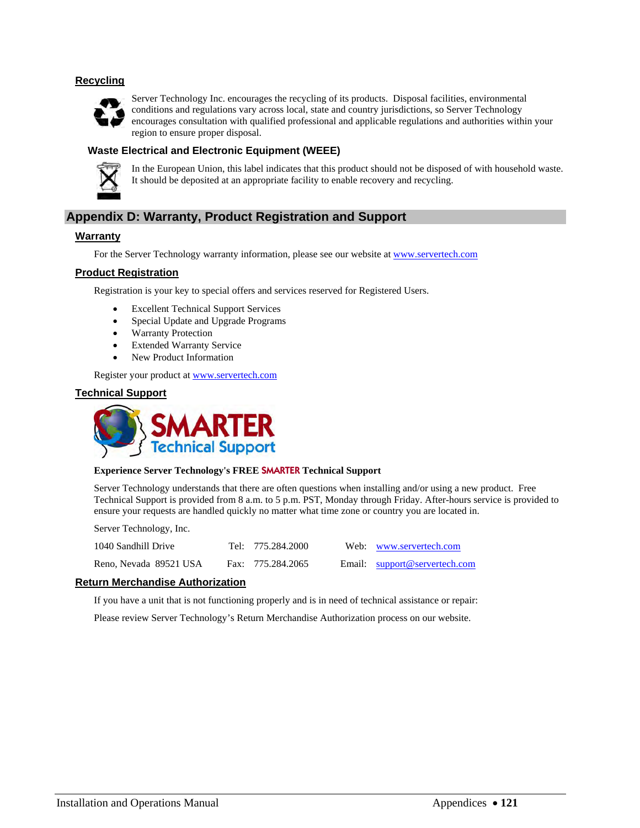### **Recycling**



Server Technology Inc. encourages the recycling of its products. Disposal facilities, environmental conditions and regulations vary across local, state and country jurisdictions, so Server Technology encourages consultation with qualified professional and applicable regulations and authorities within your region to ensure proper disposal.

### **Waste Electrical and Electronic Equipment (WEEE)**



In the European Union, this label indicates that this product should not be disposed of with household waste. It should be deposited at an appropriate facility to enable recovery and recycling.

### **Appendix D: Warranty, Product Registration and Support**

### **Warranty**

For the Server Technology warranty information, please see our website at [www.servertech.com](http://www.servertech.com/)

### **Product Registration**

Registration is your key to special offers and services reserved for Registered Users.

- Excellent Technical Support Services
- Special Update and Upgrade Programs
- Warranty Protection
- Extended Warranty Service
- New Product Information

Register your product at **www.servertech.com** 

### **Technical Support**



### **Experience Server Technology's FREE** SMARTER **Technical Support**

Server Technology understands that there are often questions when installing and/or using a new product. Free Technical Support is provided from 8 a.m. to 5 p.m. PST, Monday through Friday. After-hours service is provided to ensure your requests are handled quickly no matter what time zone or country you are located in.

Server Technology, Inc.

| 1040 Sandhill Drive    | Tel: 775.284.2000 | Web: www.servertech.com       |
|------------------------|-------------------|-------------------------------|
| Reno, Nevada 89521 USA | Fax: 775.284.2065 | Email: support@servertech.com |

### **Return Merchandise Authorization**

If you have a unit that is not functioning properly and is in need of technical assistance or repair:

Please review Server Technology's Return Merchandise Authorization process on our website.